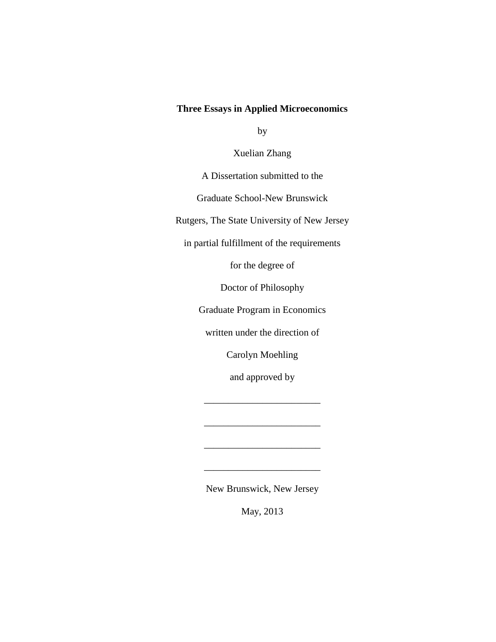## **Three Essays in Applied Microeconomics**

by

Xuelian Zhang

A Dissertation submitted to the

Graduate School-New Brunswick

Rutgers, The State University of New Jersey

in partial fulfillment of the requirements

for the degree of

Doctor of Philosophy

Graduate Program in Economics

written under the direction of

Carolyn Moehling

and approved by

\_\_\_\_\_\_\_\_\_\_\_\_\_\_\_\_\_\_\_\_\_\_\_\_

\_\_\_\_\_\_\_\_\_\_\_\_\_\_\_\_\_\_\_\_\_\_\_\_

\_\_\_\_\_\_\_\_\_\_\_\_\_\_\_\_\_\_\_\_\_\_\_\_

\_\_\_\_\_\_\_\_\_\_\_\_\_\_\_\_\_\_\_\_\_\_\_\_

New Brunswick, New Jersey

May, 2013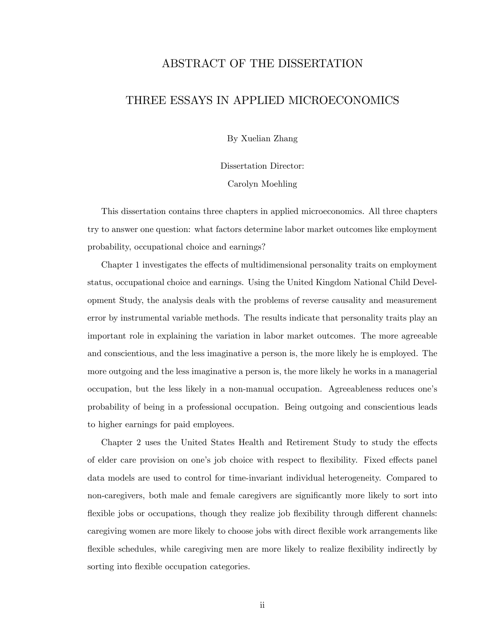## ABSTRACT OF THE DISSERTATION

## THREE ESSAYS IN APPLIED MICROECONOMICS

By Xuelian Zhang

Dissertation Director:

Carolyn Moehling

This dissertation contains three chapters in applied microeconomics. All three chapters try to answer one question: what factors determine labor market outcomes like employment probability, occupational choice and earnings?

Chapter 1 investigates the effects of multidimensional personality traits on employment status, occupational choice and earnings. Using the United Kingdom National Child Development Study, the analysis deals with the problems of reverse causality and measurement error by instrumental variable methods. The results indicate that personality traits play an important role in explaining the variation in labor market outcomes. The more agreeable and conscientious, and the less imaginative a person is, the more likely he is employed. The more outgoing and the less imaginative a person is, the more likely he works in a managerial occupation, but the less likely in a non-manual occupation. Agreeableness reduces oneís probability of being in a professional occupation. Being outgoing and conscientious leads to higher earnings for paid employees.

Chapter 2 uses the United States Health and Retirement Study to study the effects of elder care provision on one's job choice with respect to flexibility. Fixed effects panel data models are used to control for time-invariant individual heterogeneity. Compared to non-caregivers, both male and female caregivers are significantly more likely to sort into flexible jobs or occupations, though they realize job flexibility through different channels: caregiving women are more likely to choose jobs with direct flexible work arrangements like flexible schedules, while caregiving men are more likely to realize flexibility indirectly by sorting into flexible occupation categories.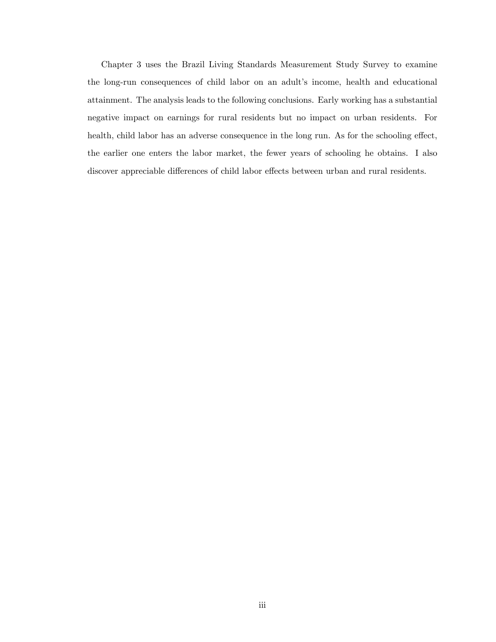Chapter 3 uses the Brazil Living Standards Measurement Study Survey to examine the long-run consequences of child labor on an adult's income, health and educational attainment. The analysis leads to the following conclusions. Early working has a substantial negative impact on earnings for rural residents but no impact on urban residents. For health, child labor has an adverse consequence in the long run. As for the schooling effect, the earlier one enters the labor market, the fewer years of schooling he obtains. I also discover appreciable differences of child labor effects between urban and rural residents.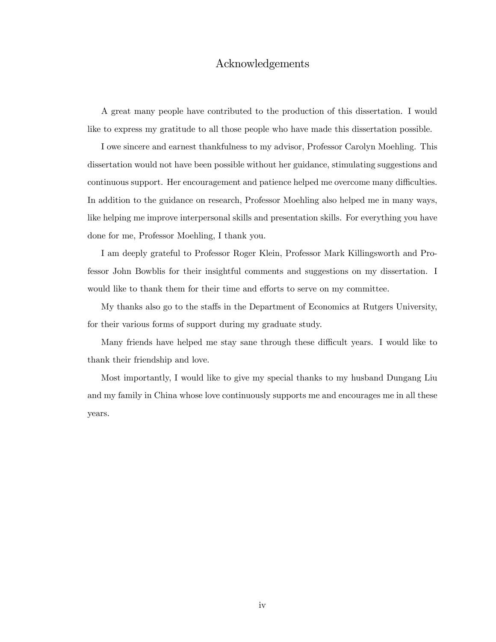## Acknowledgements

A great many people have contributed to the production of this dissertation. I would like to express my gratitude to all those people who have made this dissertation possible.

I owe sincere and earnest thankfulness to my advisor, Professor Carolyn Moehling. This dissertation would not have been possible without her guidance, stimulating suggestions and continuous support. Her encouragement and patience helped me overcome many difficulties. In addition to the guidance on research, Professor Moehling also helped me in many ways, like helping me improve interpersonal skills and presentation skills. For everything you have done for me, Professor Moehling, I thank you.

I am deeply grateful to Professor Roger Klein, Professor Mark Killingsworth and Professor John Bowblis for their insightful comments and suggestions on my dissertation. I would like to thank them for their time and efforts to serve on my committee.

My thanks also go to the staffs in the Department of Economics at Rutgers University, for their various forms of support during my graduate study.

Many friends have helped me stay sane through these difficult years. I would like to thank their friendship and love.

Most importantly, I would like to give my special thanks to my husband Dungang Liu and my family in China whose love continuously supports me and encourages me in all these years.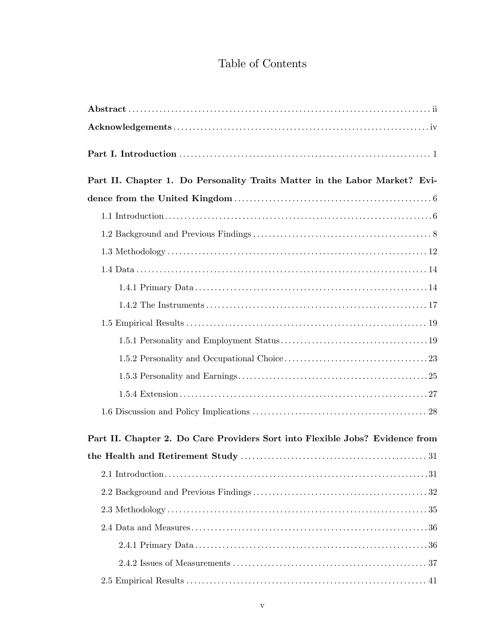# Table of Contents

| Part II. Chapter 1. Do Personality Traits Matter in the Labor Market? Evi-   |
|------------------------------------------------------------------------------|
|                                                                              |
|                                                                              |
|                                                                              |
|                                                                              |
|                                                                              |
|                                                                              |
|                                                                              |
|                                                                              |
|                                                                              |
|                                                                              |
|                                                                              |
|                                                                              |
|                                                                              |
| Part II. Chapter 2. Do Care Providers Sort into Flexible Jobs? Evidence from |
|                                                                              |
|                                                                              |
|                                                                              |
|                                                                              |
|                                                                              |
|                                                                              |
|                                                                              |
|                                                                              |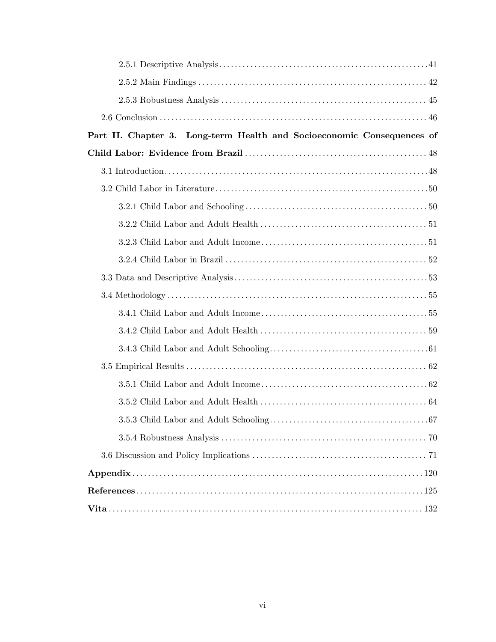| Part II. Chapter 3. Long-term Health and Socioeconomic Consequences of |
|------------------------------------------------------------------------|
|                                                                        |
|                                                                        |
|                                                                        |
|                                                                        |
|                                                                        |
|                                                                        |
|                                                                        |
|                                                                        |
|                                                                        |
|                                                                        |
|                                                                        |
|                                                                        |
|                                                                        |
|                                                                        |
|                                                                        |
|                                                                        |
|                                                                        |
|                                                                        |
|                                                                        |
|                                                                        |
|                                                                        |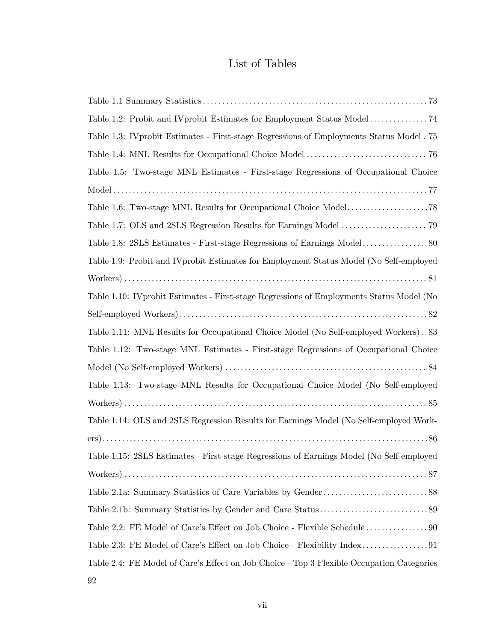# List of Tables

| Table 1.3: IV probit Estimates - First-stage Regressions of Employments Status Model . 75 |
|-------------------------------------------------------------------------------------------|
|                                                                                           |
| Table 1.5: Two-stage MNL Estimates - First-stage Regressions of Occupational Choice       |
|                                                                                           |
|                                                                                           |
|                                                                                           |
|                                                                                           |
| Table 1.9: Probit and IV probit Estimates for Employment Status Model (No Self-employed   |
|                                                                                           |
| Table 1.10: IV probit Estimates - First-stage Regressions of Employments Status Model (No |
|                                                                                           |
| Table 1.11: MNL Results for Occupational Choice Model (No Self-employed Workers). .83     |
| Table 1.12: Two-stage MNL Estimates - First-stage Regressions of Occupational Choice      |
|                                                                                           |
| Table 1.13: Two-stage MNL Results for Occupational Choice Model (No Self-employed         |
|                                                                                           |
| Table 1.14: OLS and 2SLS Regression Results for Earnings Model (No Self-employed Work-    |
|                                                                                           |
| Table 1.15: 2SLS Estimates - First-stage Regressions of Earnings Model (No Self-employed  |
|                                                                                           |
|                                                                                           |
|                                                                                           |
|                                                                                           |
|                                                                                           |
| Table 2.4: FE Model of Care's Effect on Job Choice - Top 3 Flexible Occupation Categories |
| 92                                                                                        |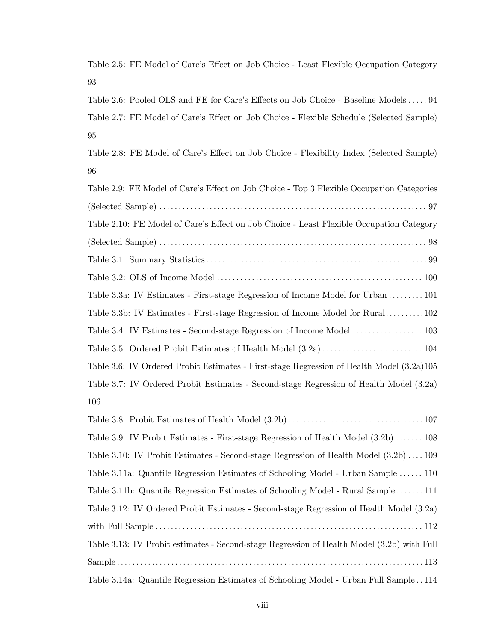Table 2.5: FE Model of Care's Effect on Job Choice - Least Flexible Occupation Category 93

Table 2.6: Pooled OLS and FE for Care's Effects on Job Choice - Baseline Models . . . . 94 Table 2.7: FE Model of Care's Effect on Job Choice - Flexible Schedule (Selected Sample) 95

Table 2.8: FE Model of Care's Effect on Job Choice - Flexibility Index (Selected Sample) 96

| Table 2.9: FE Model of Care's Effect on Job Choice - Top 3 Flexible Occupation Categories  |
|--------------------------------------------------------------------------------------------|
|                                                                                            |
| Table 2.10: FE Model of Care's Effect on Job Choice - Least Flexible Occupation Category   |
|                                                                                            |
|                                                                                            |
|                                                                                            |
| Table 3.3a: IV Estimates - First-stage Regression of Income Model for Urban  101           |
| Table 3.3b: IV Estimates - First-stage Regression of Income Model for Rural102             |
|                                                                                            |
|                                                                                            |
| Table 3.6: IV Ordered Probit Estimates - First-stage Regression of Health Model (3.2a)105  |
| Table 3.7: IV Ordered Probit Estimates - Second-stage Regression of Health Model (3.2a)    |
| 106                                                                                        |
|                                                                                            |
| Table 3.9: IV Probit Estimates - First-stage Regression of Health Model (3.2b)  108        |
| Table 3.10: IV Probit Estimates - Second-stage Regression of Health Model (3.2b)109        |
| Table 3.11a: Quantile Regression Estimates of Schooling Model - Urban Sample  110          |
| Table 3.11b: Quantile Regression Estimates of Schooling Model - Rural Sample111            |
| Table 3.12: IV Ordered Probit Estimates - Second-stage Regression of Health Model (3.2a)   |
|                                                                                            |
| Table 3.13: IV Probit estimates - Second-stage Regression of Health Model (3.2b) with Full |
|                                                                                            |

Table 3.14a: Quantile Regression Estimates of Schooling Model - Urban Full Sample . . 114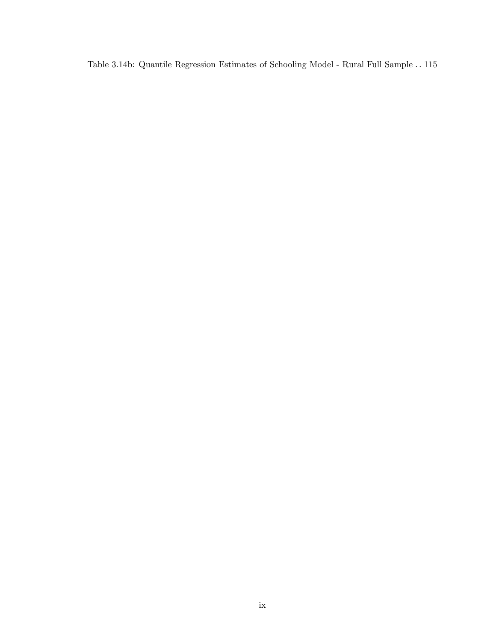Table 3.14b: Quantile Regression Estimates of Schooling Model - Rural Full Sample . . 115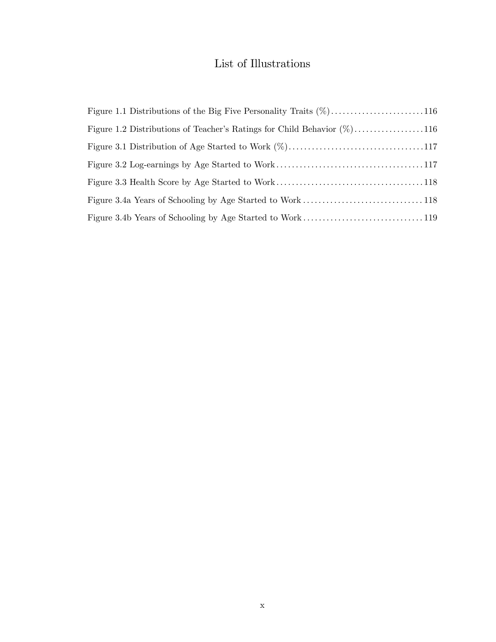# List of Illustrations

| Figure 1.2 Distributions of Teacher's Ratings for Child Behavior $(\%)$ 116 |  |
|-----------------------------------------------------------------------------|--|
|                                                                             |  |
|                                                                             |  |
|                                                                             |  |
|                                                                             |  |
|                                                                             |  |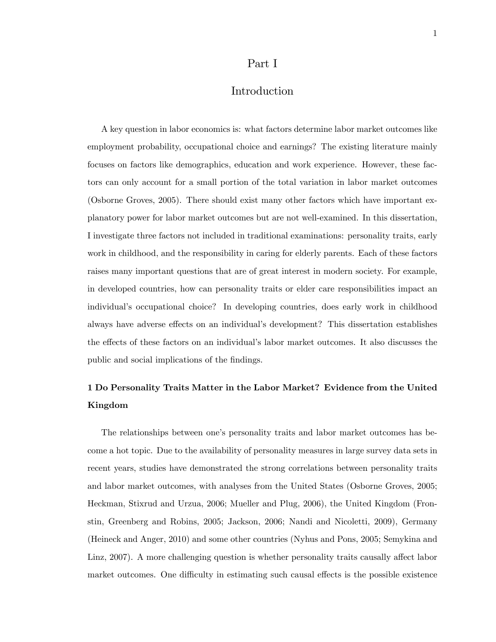### Part I

## Introduction

A key question in labor economics is: what factors determine labor market outcomes like employment probability, occupational choice and earnings? The existing literature mainly focuses on factors like demographics, education and work experience. However, these factors can only account for a small portion of the total variation in labor market outcomes (Osborne Groves, 2005). There should exist many other factors which have important explanatory power for labor market outcomes but are not well-examined. In this dissertation, I investigate three factors not included in traditional examinations: personality traits, early work in childhood, and the responsibility in caring for elderly parents. Each of these factors raises many important questions that are of great interest in modern society. For example, in developed countries, how can personality traits or elder care responsibilities impact an individual's occupational choice? In developing countries, does early work in childhood always have adverse effects on an individual's development? This dissertation establishes the effects of these factors on an individual's labor market outcomes. It also discusses the public and social implications of the findings.

## 1 Do Personality Traits Matter in the Labor Market? Evidence from the United Kingdom

The relationships between one's personality traits and labor market outcomes has become a hot topic. Due to the availability of personality measures in large survey data sets in recent years, studies have demonstrated the strong correlations between personality traits and labor market outcomes, with analyses from the United States (Osborne Groves, 2005; Heckman, Stixrud and Urzua, 2006; Mueller and Plug, 2006), the United Kingdom (Fronstin, Greenberg and Robins, 2005; Jackson, 2006; Nandi and Nicoletti, 2009), Germany (Heineck and Anger, 2010) and some other countries (Nyhus and Pons, 2005; Semykina and Linz, 2007). A more challenging question is whether personality traits causally affect labor market outcomes. One difficulty in estimating such causal effects is the possible existence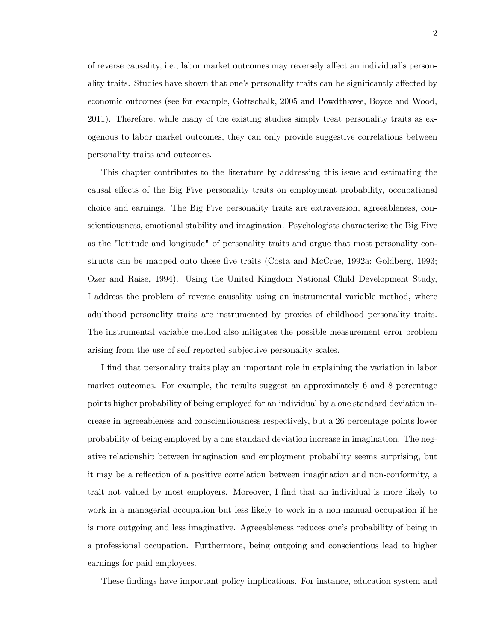of reverse causality, i.e., labor market outcomes may reversely affect an individual's personality traits. Studies have shown that one's personality traits can be significantly affected by economic outcomes (see for example, Gottschalk, 2005 and Powdthavee, Boyce and Wood, 2011). Therefore, while many of the existing studies simply treat personality traits as exogenous to labor market outcomes, they can only provide suggestive correlations between personality traits and outcomes.

This chapter contributes to the literature by addressing this issue and estimating the causal effects of the Big Five personality traits on employment probability, occupational choice and earnings. The Big Five personality traits are extraversion, agreeableness, conscientiousness, emotional stability and imagination. Psychologists characterize the Big Five as the "latitude and longitude" of personality traits and argue that most personality constructs can be mapped onto these five traits (Costa and McCrae, 1992a; Goldberg, 1993; Ozer and Raise, 1994). Using the United Kingdom National Child Development Study, I address the problem of reverse causality using an instrumental variable method, where adulthood personality traits are instrumented by proxies of childhood personality traits. The instrumental variable method also mitigates the possible measurement error problem arising from the use of self-reported subjective personality scales.

I find that personality traits play an important role in explaining the variation in labor market outcomes. For example, the results suggest an approximately 6 and 8 percentage points higher probability of being employed for an individual by a one standard deviation increase in agreeableness and conscientiousness respectively, but a 26 percentage points lower probability of being employed by a one standard deviation increase in imagination. The negative relationship between imagination and employment probability seems surprising, but it may be a reflection of a positive correlation between imagination and non-conformity, a trait not valued by most employers. Moreover, I find that an individual is more likely to work in a managerial occupation but less likely to work in a non-manual occupation if he is more outgoing and less imaginative. Agreeableness reduces one's probability of being in a professional occupation. Furthermore, being outgoing and conscientious lead to higher earnings for paid employees.

These findings have important policy implications. For instance, education system and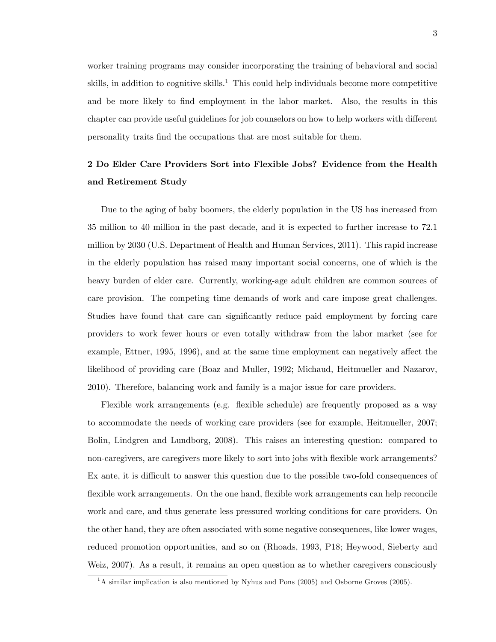worker training programs may consider incorporating the training of behavioral and social skills, in addition to cognitive skills.<sup>1</sup> This could help individuals become more competitive and be more likely to find employment in the labor market. Also, the results in this chapter can provide useful guidelines for job counselors on how to help workers with different personality traits Önd the occupations that are most suitable for them.

## 2 Do Elder Care Providers Sort into Flexible Jobs? Evidence from the Health and Retirement Study

Due to the aging of baby boomers, the elderly population in the US has increased from 35 million to 40 million in the past decade, and it is expected to further increase to 72.1 million by 2030 (U.S. Department of Health and Human Services, 2011). This rapid increase in the elderly population has raised many important social concerns, one of which is the heavy burden of elder care. Currently, working-age adult children are common sources of care provision. The competing time demands of work and care impose great challenges. Studies have found that care can significantly reduce paid employment by forcing care providers to work fewer hours or even totally withdraw from the labor market (see for example, Ettner, 1995, 1996), and at the same time employment can negatively affect the likelihood of providing care (Boaz and Muller, 1992; Michaud, Heitmueller and Nazarov, 2010). Therefore, balancing work and family is a major issue for care providers.

Flexible work arrangements (e.g. flexible schedule) are frequently proposed as a way to accommodate the needs of working care providers (see for example, Heitmueller, 2007; Bolin, Lindgren and Lundborg, 2008). This raises an interesting question: compared to non-caregivers, are caregivers more likely to sort into jobs with flexible work arrangements? Ex ante, it is difficult to answer this question due to the possible two-fold consequences of flexible work arrangements. On the one hand, flexible work arrangements can help reconcile work and care, and thus generate less pressured working conditions for care providers. On the other hand, they are often associated with some negative consequences, like lower wages, reduced promotion opportunities, and so on (Rhoads, 1993, P18; Heywood, Sieberty and Weiz, 2007). As a result, it remains an open question as to whether caregivers consciously

 $1A$  similar implication is also mentioned by Nyhus and Pons (2005) and Osborne Groves (2005).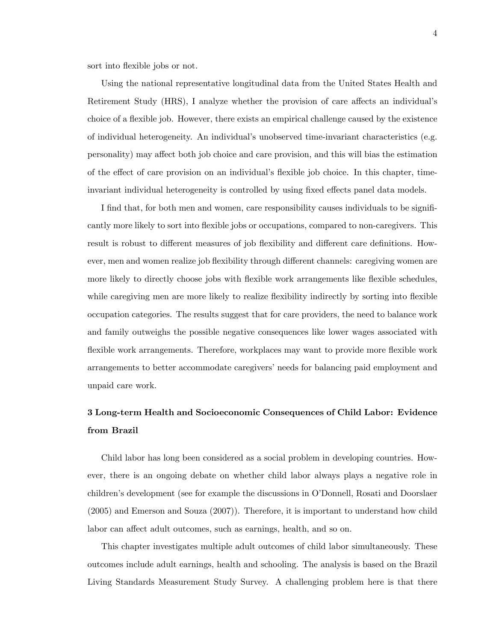sort into flexible jobs or not.

Using the national representative longitudinal data from the United States Health and Retirement Study (HRS), I analyze whether the provision of care affects an individual's choice of a áexible job. However, there exists an empirical challenge caused by the existence of individual heterogeneity. An individualís unobserved time-invariant characteristics (e.g. personality) may a§ect both job choice and care provision, and this will bias the estimation of the effect of care provision on an individual's flexible job choice. In this chapter, timeinvariant individual heterogeneity is controlled by using fixed effects panel data models.

I find that, for both men and women, care responsibility causes individuals to be significantly more likely to sort into flexible jobs or occupations, compared to non-caregivers. This result is robust to different measures of job flexibility and different care definitions. However, men and women realize job flexibility through different channels: caregiving women are more likely to directly choose jobs with flexible work arrangements like flexible schedules, while caregiving men are more likely to realize flexibility indirectly by sorting into flexible occupation categories. The results suggest that for care providers, the need to balance work and family outweighs the possible negative consequences like lower wages associated with flexible work arrangements. Therefore, workplaces may want to provide more flexible work arrangements to better accommodate caregivers' needs for balancing paid employment and unpaid care work.

## 3 Long-term Health and Socioeconomic Consequences of Child Labor: Evidence from Brazil

Child labor has long been considered as a social problem in developing countries. However, there is an ongoing debate on whether child labor always plays a negative role in children's development (see for example the discussions in O'Donnell, Rosati and Doorslaer (2005) and Emerson and Souza (2007)). Therefore, it is important to understand how child labor can affect adult outcomes, such as earnings, health, and so on.

This chapter investigates multiple adult outcomes of child labor simultaneously. These outcomes include adult earnings, health and schooling. The analysis is based on the Brazil Living Standards Measurement Study Survey. A challenging problem here is that there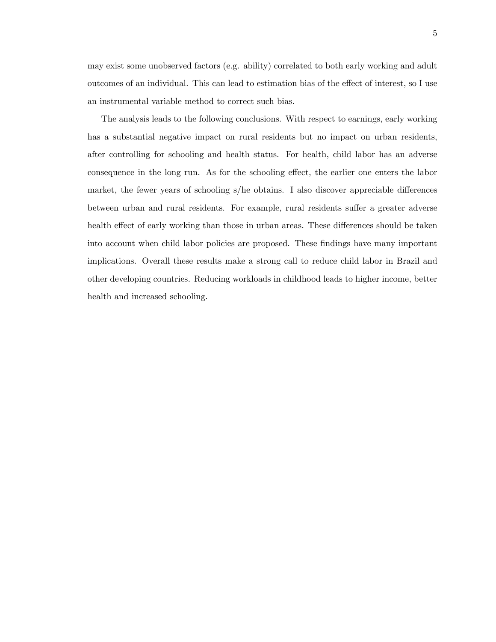may exist some unobserved factors (e.g. ability) correlated to both early working and adult outcomes of an individual. This can lead to estimation bias of the effect of interest, so I use an instrumental variable method to correct such bias.

The analysis leads to the following conclusions. With respect to earnings, early working has a substantial negative impact on rural residents but no impact on urban residents, after controlling for schooling and health status. For health, child labor has an adverse consequence in the long run. As for the schooling effect, the earlier one enters the labor market, the fewer years of schooling  $s/$ he obtains. I also discover appreciable differences between urban and rural residents. For example, rural residents suffer a greater adverse health effect of early working than those in urban areas. These differences should be taken into account when child labor policies are proposed. These findings have many important implications. Overall these results make a strong call to reduce child labor in Brazil and other developing countries. Reducing workloads in childhood leads to higher income, better health and increased schooling.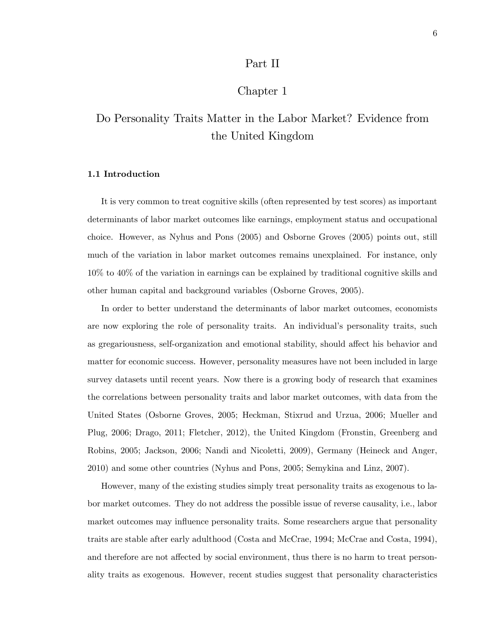## Part II

## Chapter 1

# Do Personality Traits Matter in the Labor Market? Evidence from the United Kingdom

### 1.1 Introduction

It is very common to treat cognitive skills (often represented by test scores) as important determinants of labor market outcomes like earnings, employment status and occupational choice. However, as Nyhus and Pons (2005) and Osborne Groves (2005) points out, still much of the variation in labor market outcomes remains unexplained. For instance, only 10% to 40% of the variation in earnings can be explained by traditional cognitive skills and other human capital and background variables (Osborne Groves, 2005).

In order to better understand the determinants of labor market outcomes, economists are now exploring the role of personality traits. An individual's personality traits, such as gregariousness, self-organization and emotional stability, should affect his behavior and matter for economic success. However, personality measures have not been included in large survey datasets until recent years. Now there is a growing body of research that examines the correlations between personality traits and labor market outcomes, with data from the United States (Osborne Groves, 2005; Heckman, Stixrud and Urzua, 2006; Mueller and Plug, 2006; Drago, 2011; Fletcher, 2012), the United Kingdom (Fronstin, Greenberg and Robins, 2005; Jackson, 2006; Nandi and Nicoletti, 2009), Germany (Heineck and Anger, 2010) and some other countries (Nyhus and Pons, 2005; Semykina and Linz, 2007).

However, many of the existing studies simply treat personality traits as exogenous to labor market outcomes. They do not address the possible issue of reverse causality, i.e., labor market outcomes may influence personality traits. Some researchers argue that personality traits are stable after early adulthood (Costa and McCrae, 1994; McCrae and Costa, 1994), and therefore are not affected by social environment, thus there is no harm to treat personality traits as exogenous. However, recent studies suggest that personality characteristics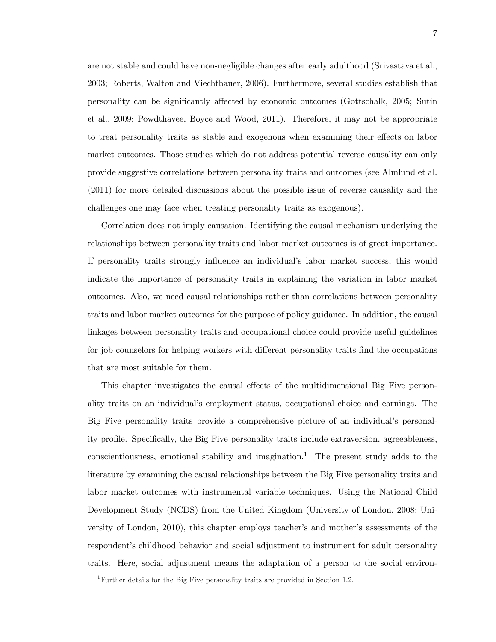are not stable and could have non-negligible changes after early adulthood (Srivastava et al., 2003; Roberts, Walton and Viechtbauer, 2006). Furthermore, several studies establish that personality can be significantly affected by economic outcomes (Gottschalk, 2005; Sutin et al., 2009; Powdthavee, Boyce and Wood, 2011). Therefore, it may not be appropriate to treat personality traits as stable and exogenous when examining their effects on labor market outcomes. Those studies which do not address potential reverse causality can only provide suggestive correlations between personality traits and outcomes (see Almlund et al. (2011) for more detailed discussions about the possible issue of reverse causality and the challenges one may face when treating personality traits as exogenous).

Correlation does not imply causation. Identifying the causal mechanism underlying the relationships between personality traits and labor market outcomes is of great importance. If personality traits strongly influence an individual's labor market success, this would indicate the importance of personality traits in explaining the variation in labor market outcomes. Also, we need causal relationships rather than correlations between personality traits and labor market outcomes for the purpose of policy guidance. In addition, the causal linkages between personality traits and occupational choice could provide useful guidelines for job counselors for helping workers with different personality traits find the occupations that are most suitable for them.

This chapter investigates the causal effects of the multidimensional Big Five personality traits on an individual's employment status, occupational choice and earnings. The Big Five personality traits provide a comprehensive picture of an individual's personality profile. Specifically, the Big Five personality traits include extraversion, agreeableness, conscientiousness, emotional stability and imagination.<sup>1</sup> The present study adds to the literature by examining the causal relationships between the Big Five personality traits and labor market outcomes with instrumental variable techniques. Using the National Child Development Study (NCDS) from the United Kingdom (University of London, 2008; University of London, 2010), this chapter employs teacher's and mother's assessments of the respondent's childhood behavior and social adjustment to instrument for adult personality traits. Here, social adjustment means the adaptation of a person to the social environ-

<sup>&</sup>lt;sup>1</sup>Further details for the Big Five personality traits are provided in Section 1.2.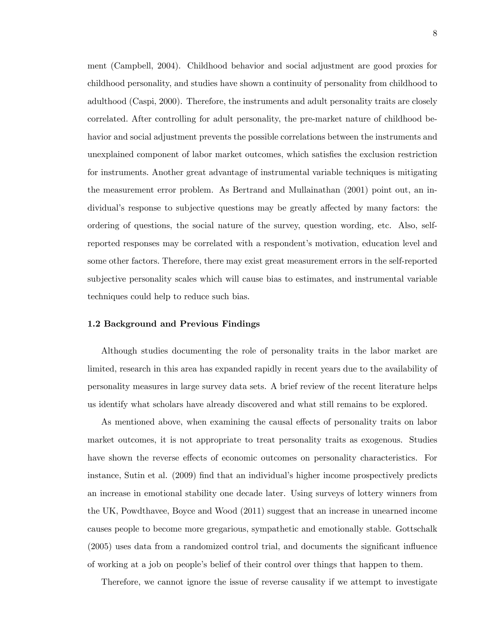ment (Campbell, 2004). Childhood behavior and social adjustment are good proxies for childhood personality, and studies have shown a continuity of personality from childhood to adulthood (Caspi, 2000). Therefore, the instruments and adult personality traits are closely correlated. After controlling for adult personality, the pre-market nature of childhood behavior and social adjustment prevents the possible correlations between the instruments and unexplained component of labor market outcomes, which satisfies the exclusion restriction for instruments. Another great advantage of instrumental variable techniques is mitigating the measurement error problem. As Bertrand and Mullainathan (2001) point out, an individual's response to subjective questions may be greatly affected by many factors: the ordering of questions, the social nature of the survey, question wording, etc. Also, selfreported responses may be correlated with a respondent's motivation, education level and some other factors. Therefore, there may exist great measurement errors in the self-reported subjective personality scales which will cause bias to estimates, and instrumental variable techniques could help to reduce such bias.

#### 1.2 Background and Previous Findings

Although studies documenting the role of personality traits in the labor market are limited, research in this area has expanded rapidly in recent years due to the availability of personality measures in large survey data sets. A brief review of the recent literature helps us identify what scholars have already discovered and what still remains to be explored.

As mentioned above, when examining the causal effects of personality traits on labor market outcomes, it is not appropriate to treat personality traits as exogenous. Studies have shown the reverse effects of economic outcomes on personality characteristics. For instance, Sutin et al. (2009) find that an individual's higher income prospectively predicts an increase in emotional stability one decade later. Using surveys of lottery winners from the UK, Powdthavee, Boyce and Wood (2011) suggest that an increase in unearned income causes people to become more gregarious, sympathetic and emotionally stable. Gottschalk  $(2005)$  uses data from a randomized control trial, and documents the significant influence of working at a job on peopleís belief of their control over things that happen to them.

Therefore, we cannot ignore the issue of reverse causality if we attempt to investigate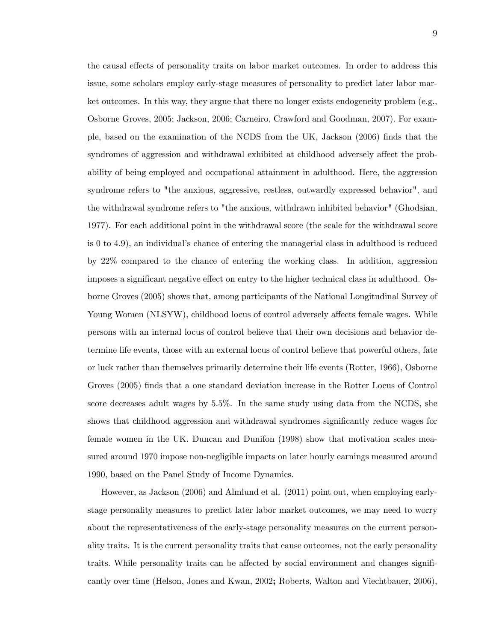the causal effects of personality traits on labor market outcomes. In order to address this issue, some scholars employ early-stage measures of personality to predict later labor market outcomes. In this way, they argue that there no longer exists endogeneity problem (e.g., Osborne Groves, 2005; Jackson, 2006; Carneiro, Crawford and Goodman, 2007). For example, based on the examination of the NCDS from the UK, Jackson (2006) Önds that the syndromes of aggression and withdrawal exhibited at childhood adversely affect the probability of being employed and occupational attainment in adulthood. Here, the aggression syndrome refers to "the anxious, aggressive, restless, outwardly expressed behavior", and the withdrawal syndrome refers to "the anxious, withdrawn inhibited behavior" (Ghodsian, 1977). For each additional point in the withdrawal score (the scale for the withdrawal score is  $0$  to  $4.9$ ), an individual's chance of entering the managerial class in adulthood is reduced by 22% compared to the chance of entering the working class. In addition, aggression imposes a significant negative effect on entry to the higher technical class in adulthood. Osborne Groves (2005) shows that, among participants of the National Longitudinal Survey of Young Women (NLSYW), childhood locus of control adversely affects female wages. While persons with an internal locus of control believe that their own decisions and behavior determine life events, those with an external locus of control believe that powerful others, fate or luck rather than themselves primarily determine their life events (Rotter, 1966), Osborne Groves (2005) finds that a one standard deviation increase in the Rotter Locus of Control score decreases adult wages by 5.5%. In the same study using data from the NCDS, she shows that childhood aggression and withdrawal syndromes significantly reduce wages for female women in the UK. Duncan and Dunifon (1998) show that motivation scales measured around 1970 impose non-negligible impacts on later hourly earnings measured around 1990, based on the Panel Study of Income Dynamics.

However, as Jackson (2006) and Almlund et al. (2011) point out, when employing earlystage personality measures to predict later labor market outcomes, we may need to worry about the representativeness of the early-stage personality measures on the current personality traits. It is the current personality traits that cause outcomes, not the early personality traits. While personality traits can be affected by social environment and changes significantly over time (Helson, Jones and Kwan, 2002; Roberts, Walton and Viechtbauer, 2006),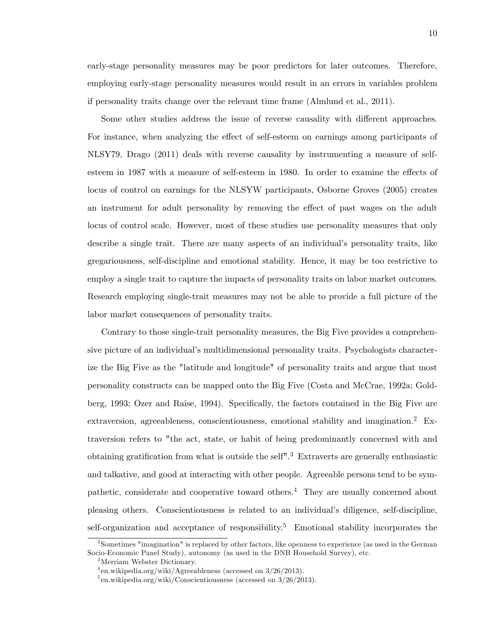early-stage personality measures may be poor predictors for later outcomes. Therefore, employing early-stage personality measures would result in an errors in variables problem if personality traits change over the relevant time frame (Almlund et al., 2011).

Some other studies address the issue of reverse causality with different approaches. For instance, when analyzing the effect of self-esteem on earnings among participants of NLSY79, Drago (2011) deals with reverse causality by instrumenting a measure of selfesteem in 1987 with a measure of self-esteem in 1980. In order to examine the effects of locus of control on earnings for the NLSYW participants, Osborne Groves (2005) creates an instrument for adult personality by removing the effect of past wages on the adult locus of control scale. However, most of these studies use personality measures that only describe a single trait. There are many aspects of an individual's personality traits, like gregariousness, self-discipline and emotional stability. Hence, it may be too restrictive to employ a single trait to capture the impacts of personality traits on labor market outcomes. Research employing single-trait measures may not be able to provide a full picture of the labor market consequences of personality traits.

Contrary to those single-trait personality measures, the Big Five provides a comprehensive picture of an individual's multidimensional personality traits. Psychologists characterize the Big Five as the "latitude and longitude" of personality traits and argue that most personality constructs can be mapped onto the Big Five (Costa and McCrae, 1992a; Goldberg, 1993; Ozer and Raise, 1994). Specifically, the factors contained in the Big Five are extraversion, agreeableness, conscientiousness, emotional stability and imagination.<sup>2</sup> Extraversion refers to "the act, state, or habit of being predominantly concerned with and obtaining gratification from what is outside the self<sup>"</sup>.<sup>3</sup> Extraverts are generally enthusiastic and talkative, and good at interacting with other people. Agreeable persons tend to be sympathetic, considerate and cooperative toward others.<sup>4</sup> They are usually concerned about pleasing others. Conscientiousness is related to an individual's diligence, self-discipline, self-organization and acceptance of responsibility.<sup>5</sup> Emotional stability incorporates the

<sup>2</sup> Sometimes "imagination" is replaced by other factors, like openness to experience (as used in the German Socio-Economic Panel Study), autonomy (as used in the DNB Household Survey), etc.

<sup>3</sup>Merriam Webster Dictionary.

<sup>4</sup> en.wikipedia.org/wiki/Agreeableness (accessed on 3/26/2013).

<sup>&</sup>lt;sup>5</sup>en.wikipedia.org/wiki/Conscientiousness (accessed on 3/26/2013).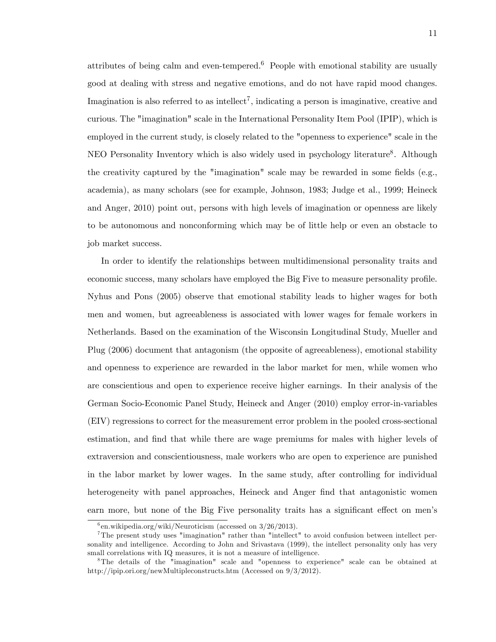attributes of being calm and even-tempered.<sup>6</sup> People with emotional stability are usually good at dealing with stress and negative emotions, and do not have rapid mood changes. Imagination is also referred to as intellect<sup>7</sup>, indicating a person is imaginative, creative and curious. The "imagination" scale in the International Personality Item Pool (IPIP), which is employed in the current study, is closely related to the "openness to experience" scale in the NEO Personality Inventory which is also widely used in psychology literature<sup>8</sup>. Although the creativity captured by the "imagination" scale may be rewarded in some fields (e.g., academia), as many scholars (see for example, Johnson, 1983; Judge et al., 1999; Heineck and Anger, 2010) point out, persons with high levels of imagination or openness are likely to be autonomous and nonconforming which may be of little help or even an obstacle to job market success.

In order to identify the relationships between multidimensional personality traits and economic success, many scholars have employed the Big Five to measure personality profile. Nyhus and Pons (2005) observe that emotional stability leads to higher wages for both men and women, but agreeableness is associated with lower wages for female workers in Netherlands. Based on the examination of the Wisconsin Longitudinal Study, Mueller and Plug (2006) document that antagonism (the opposite of agreeableness), emotional stability and openness to experience are rewarded in the labor market for men, while women who are conscientious and open to experience receive higher earnings. In their analysis of the German Socio-Economic Panel Study, Heineck and Anger (2010) employ error-in-variables (EIV) regressions to correct for the measurement error problem in the pooled cross-sectional estimation, and find that while there are wage premiums for males with higher levels of extraversion and conscientiousness, male workers who are open to experience are punished in the labor market by lower wages. In the same study, after controlling for individual heterogeneity with panel approaches, Heineck and Anger find that antagonistic women earn more, but none of the Big Five personality traits has a significant effect on men's

 $^{6}$ en.wikipedia.org/wiki/Neuroticism (accessed on 3/26/2013).

<sup>&</sup>lt;sup>7</sup>The present study uses "imagination" rather than "intellect" to avoid confusion between intellect personality and intelligence. According to John and Srivastava (1999), the intellect personality only has very small correlations with IQ measures, it is not a measure of intelligence.

<sup>8</sup>The details of the "imagination" scale and "openness to experience" scale can be obtained at http://ipip.ori.org/newMultipleconstructs.htm (Accessed on 9/3/2012).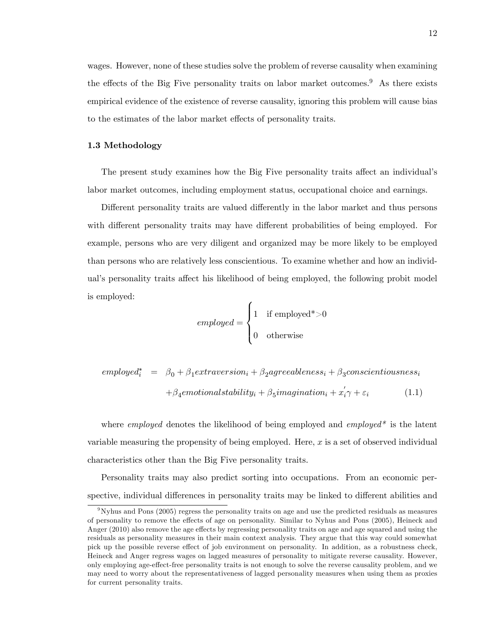wages. However, none of these studies solve the problem of reverse causality when examining the effects of the Big Five personality traits on labor market outcomes.<sup>9</sup> As there exists empirical evidence of the existence of reverse causality, ignoring this problem will cause bias to the estimates of the labor market effects of personality traits.

### 1.3 Methodology

The present study examines how the Big Five personality traits affect an individual's labor market outcomes, including employment status, occupational choice and earnings.

Different personality traits are valued differently in the labor market and thus persons with different personality traits may have different probabilities of being employed. For example, persons who are very diligent and organized may be more likely to be employed than persons who are relatively less conscientious. To examine whether and how an individual's personality traits affect his likelihood of being employed, the following probit model is employed:

$$
employed = \begin{cases} 1 & \text{if employed*} > 0 \\ 0 & \text{otherwise} \end{cases}
$$

$$
employedi* = \beta0 + \beta1 extraversioni + \beta2agreablenessi + \beta3 conscientiousnessi
$$

$$
+ \beta4emotional stabilityi + \beta5imaginationi + x'i \gamma + \varepsiloni
$$
(1.1)

where *employed* denotes the likelihood of being employed and *employed*<sup>\*</sup> is the latent variable measuring the propensity of being employed. Here, x is a set of observed individual characteristics other than the Big Five personality traits.

Personality traits may also predict sorting into occupations. From an economic perspective, individual differences in personality traits may be linked to different abilities and

<sup>9</sup>Nyhus and Pons (2005) regress the personality traits on age and use the predicted residuals as measures of personality to remove the effects of age on personality. Similar to Nyhus and Pons (2005), Heineck and Anger (2010) also remove the age effects by regressing personality traits on age and age squared and using the residuals as personality measures in their main context analysis. They argue that this way could somewhat pick up the possible reverse effect of job environment on personality. In addition, as a robustness check, Heineck and Anger regress wages on lagged measures of personality to mitigate reverse causality. However, only employing age-e§ect-free personality traits is not enough to solve the reverse causality problem, and we may need to worry about the representativeness of lagged personality measures when using them as proxies for current personality traits.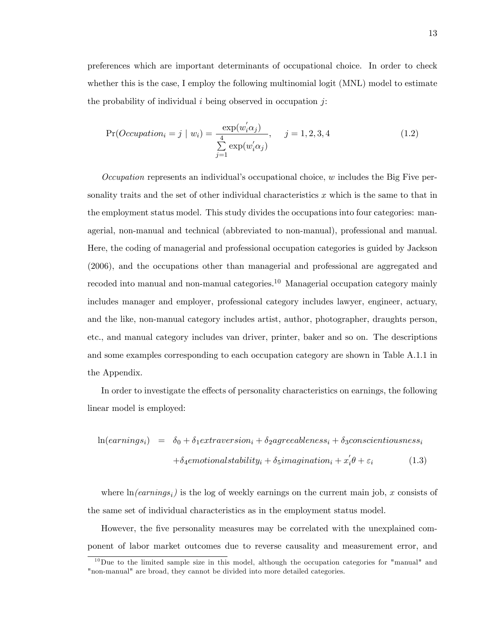preferences which are important determinants of occupational choice. In order to check whether this is the case, I employ the following multinomial logit (MNL) model to estimate the probability of individual  $i$  being observed in occupation  $j$ :

$$
Pr(Occupation_i = j \mid w_i) = \frac{\exp(w_i' \alpha_j)}{\sum_{j=1}^{4} \exp(w_i' \alpha_j)}, \quad j = 1, 2, 3, 4
$$
\n
$$
(1.2)
$$

Occupation represents an individual's occupational choice,  $w$  includes the Big Five personality traits and the set of other individual characteristics  $x$  which is the same to that in the employment status model. This study divides the occupations into four categories: managerial, non-manual and technical (abbreviated to non-manual), professional and manual. Here, the coding of managerial and professional occupation categories is guided by Jackson (2006), and the occupations other than managerial and professional are aggregated and recoded into manual and non-manual categories.<sup>10</sup> Managerial occupation category mainly includes manager and employer, professional category includes lawyer, engineer, actuary, and the like, non-manual category includes artist, author, photographer, draughts person, etc., and manual category includes van driver, printer, baker and so on. The descriptions and some examples corresponding to each occupation category are shown in Table A.1.1 in the Appendix.

In order to investigate the effects of personality characteristics on earnings, the following linear model is employed:

$$
\ln(earnings_i) = \delta_0 + \delta_1 extraversion_i + \delta_2 agreeableness_i + \delta_3 consecutiveness_i
$$

$$
+ \delta_4 emotional stability_i + \delta_5 imagination_i + x_i' \theta + \varepsilon_i \tag{1.3}
$$

where  $ln(earnings_i)$  is the log of weekly earnings on the current main job, x consists of the same set of individual characteristics as in the employment status model.

However, the five personality measures may be correlated with the unexplained component of labor market outcomes due to reverse causality and measurement error, and

 $10$  Due to the limited sample size in this model, although the occupation categories for "manual" and "non-manual" are broad, they cannot be divided into more detailed categories.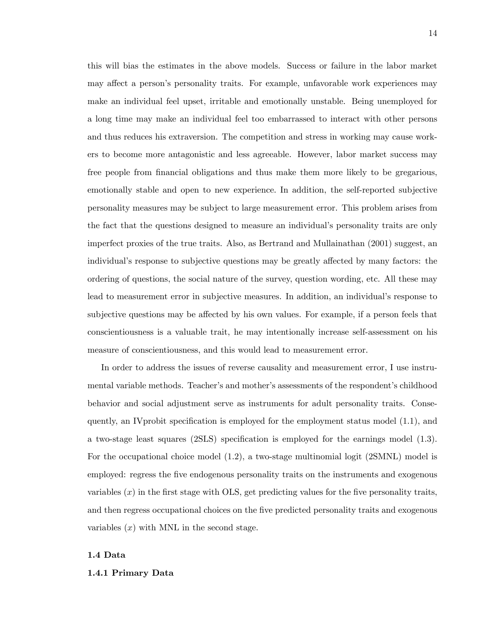this will bias the estimates in the above models. Success or failure in the labor market may affect a person's personality traits. For example, unfavorable work experiences may make an individual feel upset, irritable and emotionally unstable. Being unemployed for a long time may make an individual feel too embarrassed to interact with other persons and thus reduces his extraversion. The competition and stress in working may cause workers to become more antagonistic and less agreeable. However, labor market success may free people from financial obligations and thus make them more likely to be gregarious, emotionally stable and open to new experience. In addition, the self-reported subjective personality measures may be subject to large measurement error. This problem arises from the fact that the questions designed to measure an individual's personality traits are only imperfect proxies of the true traits. Also, as Bertrand and Mullainathan (2001) suggest, an individual's response to subjective questions may be greatly affected by many factors: the ordering of questions, the social nature of the survey, question wording, etc. All these may lead to measurement error in subjective measures. In addition, an individual's response to subjective questions may be affected by his own values. For example, if a person feels that conscientiousness is a valuable trait, he may intentionally increase self-assessment on his measure of conscientiousness, and this would lead to measurement error.

In order to address the issues of reverse causality and measurement error, I use instrumental variable methods. Teacher's and mother's assessments of the respondent's childhood behavior and social adjustment serve as instruments for adult personality traits. Consequently, an IV probit specification is employed for the employment status model  $(1.1)$ , and a two-stage least squares (2SLS) specification is employed for the earnings model  $(1.3)$ . For the occupational choice model (1.2), a two-stage multinomial logit (2SMNL) model is employed: regress the Öve endogenous personality traits on the instruments and exogenous variables  $(x)$  in the first stage with OLS, get predicting values for the five personality traits, and then regress occupational choices on the Öve predicted personality traits and exogenous variables  $(x)$  with MNL in the second stage.

#### 1.4 Data

#### 1.4.1 Primary Data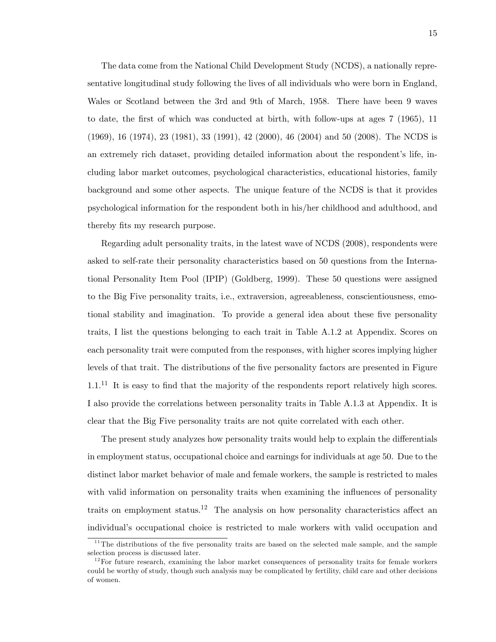The data come from the National Child Development Study (NCDS), a nationally representative longitudinal study following the lives of all individuals who were born in England, Wales or Scotland between the 3rd and 9th of March, 1958. There have been 9 waves to date, the first of which was conducted at birth, with follow-ups at ages 7 (1965), 11 (1969), 16 (1974), 23 (1981), 33 (1991), 42 (2000), 46 (2004) and 50 (2008). The NCDS is an extremely rich dataset, providing detailed information about the respondent's life, including labor market outcomes, psychological characteristics, educational histories, family background and some other aspects. The unique feature of the NCDS is that it provides psychological information for the respondent both in his/her childhood and adulthood, and thereby fits my research purpose.

Regarding adult personality traits, in the latest wave of NCDS (2008), respondents were asked to self-rate their personality characteristics based on 50 questions from the International Personality Item Pool (IPIP) (Goldberg, 1999). These 50 questions were assigned to the Big Five personality traits, i.e., extraversion, agreeableness, conscientiousness, emotional stability and imagination. To provide a general idea about these five personality traits, I list the questions belonging to each trait in Table A.1.2 at Appendix. Scores on each personality trait were computed from the responses, with higher scores implying higher levels of that trait. The distributions of the five personality factors are presented in Figure  $1.1<sup>11</sup>$  It is easy to find that the majority of the respondents report relatively high scores. I also provide the correlations between personality traits in Table A.1.3 at Appendix. It is clear that the Big Five personality traits are not quite correlated with each other.

The present study analyzes how personality traits would help to explain the differentials in employment status, occupational choice and earnings for individuals at age 50. Due to the distinct labor market behavior of male and female workers, the sample is restricted to males with valid information on personality traits when examining the influences of personality traits on employment status.<sup>12</sup> The analysis on how personality characteristics affect an individual's occupational choice is restricted to male workers with valid occupation and

 $11$ <sup>11</sup>The distributions of the five personality traits are based on the selected male sample, and the sample selection process is discussed later.

 $12$  For future research, examining the labor market consequences of personality traits for female workers could be worthy of study, though such analysis may be complicated by fertility, child care and other decisions of women.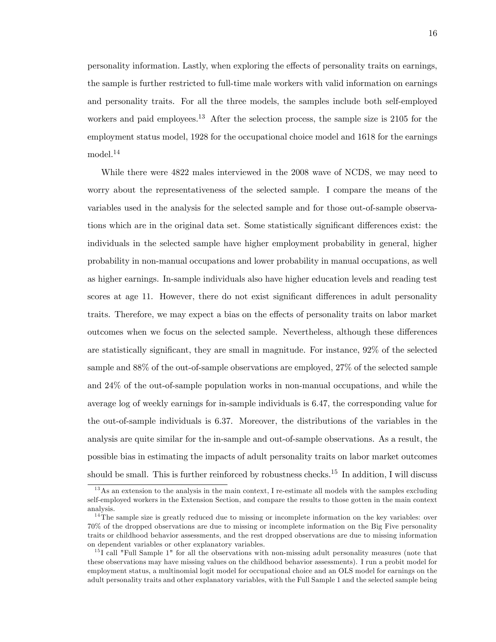personality information. Lastly, when exploring the effects of personality traits on earnings, the sample is further restricted to full-time male workers with valid information on earnings and personality traits. For all the three models, the samples include both self-employed workers and paid employees.<sup>13</sup> After the selection process, the sample size is 2105 for the employment status model, 1928 for the occupational choice model and 1618 for the earnings model.<sup>14</sup>

While there were 4822 males interviewed in the 2008 wave of NCDS, we may need to worry about the representativeness of the selected sample. I compare the means of the variables used in the analysis for the selected sample and for those out-of-sample observations which are in the original data set. Some statistically significant differences exist: the individuals in the selected sample have higher employment probability in general, higher probability in non-manual occupations and lower probability in manual occupations, as well as higher earnings. In-sample individuals also have higher education levels and reading test scores at age 11. However, there do not exist significant differences in adult personality traits. Therefore, we may expect a bias on the effects of personality traits on labor market outcomes when we focus on the selected sample. Nevertheless, although these differences are statistically significant, they are small in magnitude. For instance,  $92\%$  of the selected sample and 88% of the out-of-sample observations are employed, 27% of the selected sample and 24% of the out-of-sample population works in non-manual occupations, and while the average log of weekly earnings for in-sample individuals is 6.47, the corresponding value for the out-of-sample individuals is 6.37. Moreover, the distributions of the variables in the analysis are quite similar for the in-sample and out-of-sample observations. As a result, the possible bias in estimating the impacts of adult personality traits on labor market outcomes should be small. This is further reinforced by robustness checks.<sup>15</sup> In addition, I will discuss

 $13$ As an extension to the analysis in the main context, I re-estimate all models with the samples excluding self-employed workers in the Extension Section, and compare the results to those gotten in the main context analysis.

 $14$ The sample size is greatly reduced due to missing or incomplete information on the key variables: over 70% of the dropped observations are due to missing or incomplete information on the Big Five personality traits or childhood behavior assessments, and the rest dropped observations are due to missing information on dependent variables or other explanatory variables.

 $15I$  call "Full Sample 1" for all the observations with non-missing adult personality measures (note that these observations may have missing values on the childhood behavior assessments). I run a probit model for employment status, a multinomial logit model for occupational choice and an OLS model for earnings on the adult personality traits and other explanatory variables, with the Full Sample 1 and the selected sample being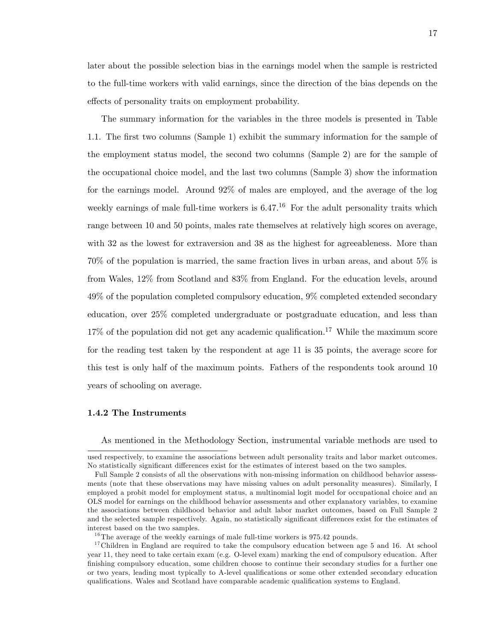later about the possible selection bias in the earnings model when the sample is restricted to the full-time workers with valid earnings, since the direction of the bias depends on the effects of personality traits on employment probability.

The summary information for the variables in the three models is presented in Table 1.1. The first two columns (Sample 1) exhibit the summary information for the sample of the employment status model, the second two columns (Sample 2) are for the sample of the occupational choice model, and the last two columns (Sample 3) show the information for the earnings model. Around 92% of males are employed, and the average of the log weekly earnings of male full-time workers is  $6.47<sup>16</sup>$  For the adult personality traits which range between 10 and 50 points, males rate themselves at relatively high scores on average, with 32 as the lowest for extraversion and 38 as the highest for agreeableness. More than 70% of the population is married, the same fraction lives in urban areas, and about 5% is from Wales, 12% from Scotland and 83% from England. For the education levels, around 49% of the population completed compulsory education, 9% completed extended secondary education, over 25% completed undergraduate or postgraduate education, and less than  $17\%$  of the population did not get any academic qualification.<sup>17</sup> While the maximum score for the reading test taken by the respondent at age 11 is 35 points, the average score for this test is only half of the maximum points. Fathers of the respondents took around 10 years of schooling on average.

#### 1.4.2 The Instruments

As mentioned in the Methodology Section, instrumental variable methods are used to

used respectively, to examine the associations between adult personality traits and labor market outcomes. No statistically significant differences exist for the estimates of interest based on the two samples.

Full Sample 2 consists of all the observations with non-missing information on childhood behavior assessments (note that these observations may have missing values on adult personality measures). Similarly, I employed a probit model for employment status, a multinomial logit model for occupational choice and an OLS model for earnings on the childhood behavior assessments and other explanatory variables, to examine the associations between childhood behavior and adult labor market outcomes, based on Full Sample 2 and the selected sample respectively. Again, no statistically significant differences exist for the estimates of interest based on the two samples.

 $16$ The average of the weekly earnings of male full-time workers is 975.42 pounds.

<sup>&</sup>lt;sup>17</sup>Children in England are required to take the compulsory education between age 5 and 16. At school year 11, they need to take certain exam (e.g. O-level exam) marking the end of compulsory education. After finishing compulsory education, some children choose to continue their secondary studies for a further one or two years, leading most typically to A-level qualifications or some other extended secondary education qualifications. Wales and Scotland have comparable academic qualification systems to England.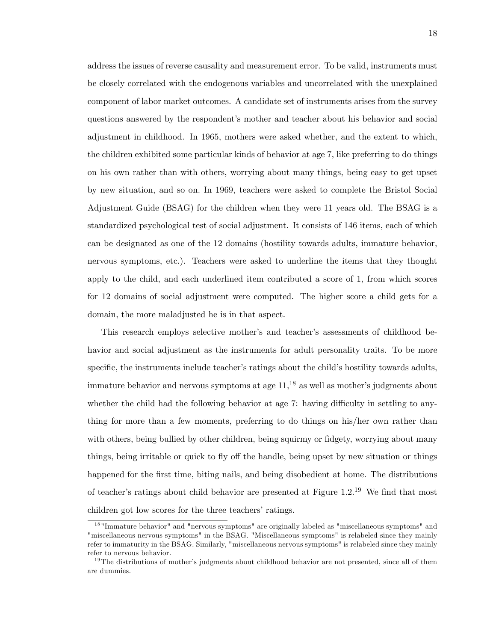address the issues of reverse causality and measurement error. To be valid, instruments must be closely correlated with the endogenous variables and uncorrelated with the unexplained component of labor market outcomes. A candidate set of instruments arises from the survey questions answered by the respondent's mother and teacher about his behavior and social adjustment in childhood. In 1965, mothers were asked whether, and the extent to which, the children exhibited some particular kinds of behavior at age 7, like preferring to do things on his own rather than with others, worrying about many things, being easy to get upset by new situation, and so on. In 1969, teachers were asked to complete the Bristol Social Adjustment Guide (BSAG) for the children when they were 11 years old. The BSAG is a standardized psychological test of social adjustment. It consists of 146 items, each of which can be designated as one of the 12 domains (hostility towards adults, immature behavior, nervous symptoms, etc.). Teachers were asked to underline the items that they thought apply to the child, and each underlined item contributed a score of 1, from which scores for 12 domains of social adjustment were computed. The higher score a child gets for a domain, the more maladjusted he is in that aspect.

This research employs selective mother's and teacher's assessments of childhood behavior and social adjustment as the instruments for adult personality traits. To be more specific, the instruments include teacher's ratings about the child's hostility towards adults, immature behavior and nervous symptoms at age  $11$ ,<sup>18</sup> as well as mother's judgments about whether the child had the following behavior at age  $7:$  having difficulty in settling to anything for more than a few moments, preferring to do things on his/her own rather than with others, being bullied by other children, being squirmy or fidgety, worrying about many things, being irritable or quick to fly off the handle, being upset by new situation or things happened for the first time, biting nails, and being disobedient at home. The distributions of teacher's ratings about child behavior are presented at Figure  $1.2^{19}$  We find that most children got low scores for the three teachers' ratings.

<sup>&</sup>lt;sup>18</sup> "Immature behavior" and "nervous symptoms" are originally labeled as "miscellaneous symptoms" and "miscellaneous nervous symptoms" in the BSAG. "Miscellaneous symptoms" is relabeled since they mainly refer to immaturity in the BSAG. Similarly, "miscellaneous nervous symptoms" is relabeled since they mainly refer to nervous behavior.

 $19$ The distributions of mother's judgments about childhood behavior are not presented, since all of them are dummies.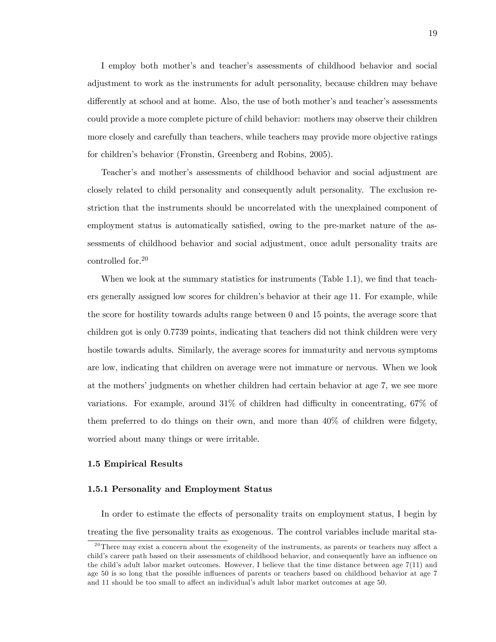I employ both mother's and teacher's assessments of childhood behavior and social adjustment to work as the instruments for adult personality, because children may behave differently at school and at home. Also, the use of both mother's and teacher's assessments could provide a more complete picture of child behavior: mothers may observe their children more closely and carefully than teachers, while teachers may provide more objective ratings for children's behavior (Fronstin, Greenberg and Robins, 2005).

Teacherís and motherís assessments of childhood behavior and social adjustment are closely related to child personality and consequently adult personality. The exclusion restriction that the instruments should be uncorrelated with the unexplained component of employment status is automatically satisfied, owing to the pre-market nature of the assessments of childhood behavior and social adjustment, once adult personality traits are controlled for.<sup>20</sup>

When we look at the summary statistics for instruments  $(Table 1.1)$ , we find that teachers generally assigned low scores for childrenís behavior at their age 11. For example, while the score for hostility towards adults range between 0 and 15 points, the average score that children got is only 0.7739 points, indicating that teachers did not think children were very hostile towards adults. Similarly, the average scores for immaturity and nervous symptoms are low, indicating that children on average were not immature or nervous. When we look at the mothers' judgments on whether children had certain behavior at age 7, we see more variations. For example, around  $31\%$  of children had difficulty in concentrating,  $67\%$  of them preferred to do things on their own, and more than  $40\%$  of children were fidgety, worried about many things or were irritable.

#### 1.5 Empirical Results

#### 1.5.1 Personality and Employment Status

In order to estimate the effects of personality traits on employment status, I begin by treating the five personality traits as exogenous. The control variables include marital sta-

 $^{20}$ There may exist a concern about the exogeneity of the instruments, as parents or teachers may affect a child's career path based on their assessments of childhood behavior, and consequently have an influence on the child's adult labor market outcomes. However, I believe that the time distance between age  $7(11)$  and age 50 is so long that the possible influences of parents or teachers based on childhood behavior at age 7 and 11 should be too small to affect an individual's adult labor market outcomes at age 50.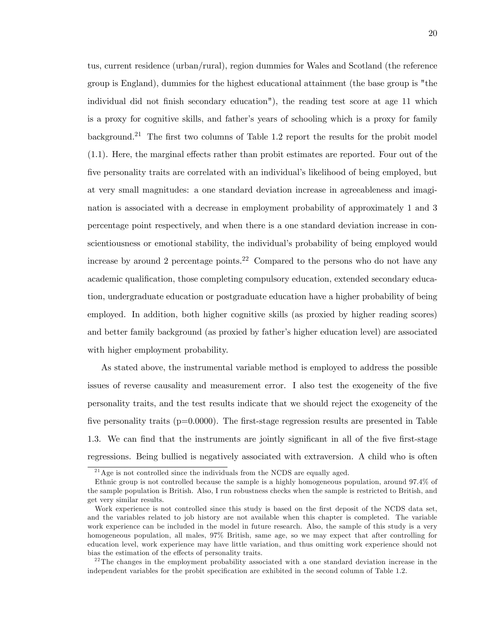tus, current residence (urban/rural), region dummies for Wales and Scotland (the reference group is England), dummies for the highest educational attainment (the base group is "the individual did not finish secondary education"), the reading test score at age 11 which is a proxy for cognitive skills, and father's years of schooling which is a proxy for family background.<sup>21</sup> The first two columns of Table 1.2 report the results for the probit model  $(1.1)$ . Here, the marginal effects rather than probit estimates are reported. Four out of the five personality traits are correlated with an individual's likelihood of being employed, but at very small magnitudes: a one standard deviation increase in agreeableness and imagination is associated with a decrease in employment probability of approximately 1 and 3 percentage point respectively, and when there is a one standard deviation increase in conscientiousness or emotional stability, the individual's probability of being employed would increase by around 2 percentage points.<sup>22</sup> Compared to the persons who do not have any academic qualification, those completing compulsory education, extended secondary education, undergraduate education or postgraduate education have a higher probability of being employed. In addition, both higher cognitive skills (as proxied by higher reading scores) and better family background (as proxied by father's higher education level) are associated with higher employment probability.

As stated above, the instrumental variable method is employed to address the possible issues of reverse causality and measurement error. I also test the exogeneity of the five personality traits, and the test results indicate that we should reject the exogeneity of the five personality traits ( $p=0.0000$ ). The first-stage regression results are presented in Table 1.3. We can find that the instruments are jointly significant in all of the five first-stage regressions. Being bullied is negatively associated with extraversion. A child who is often

 $^{21}$  Age is not controlled since the individuals from the NCDS are equally aged.

Ethnic group is not controlled because the sample is a highly homogeneous population, around 97.4% of the sample population is British. Also, I run robustness checks when the sample is restricted to British, and get very similar results.

Work experience is not controlled since this study is based on the first deposit of the NCDS data set, and the variables related to job history are not available when this chapter is completed. The variable work experience can be included in the model in future research. Also, the sample of this study is a very homogeneous population, all males, 97% British, same age, so we may expect that after controlling for education level, work experience may have little variation, and thus omitting work experience should not bias the estimation of the effects of personality traits.

 $^{22}$ The changes in the employment probability associated with a one standard deviation increase in the independent variables for the probit specification are exhibited in the second column of Table 1.2.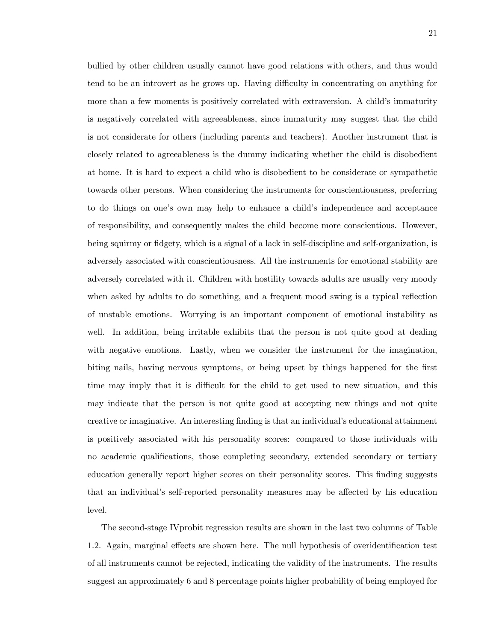bullied by other children usually cannot have good relations with others, and thus would tend to be an introvert as he grows up. Having difficulty in concentrating on anything for more than a few moments is positively correlated with extraversion. A child's immaturity is negatively correlated with agreeableness, since immaturity may suggest that the child is not considerate for others (including parents and teachers). Another instrument that is closely related to agreeableness is the dummy indicating whether the child is disobedient at home. It is hard to expect a child who is disobedient to be considerate or sympathetic towards other persons. When considering the instruments for conscientiousness, preferring to do things on one's own may help to enhance a child's independence and acceptance of responsibility, and consequently makes the child become more conscientious. However, being squirmy or fidgety, which is a signal of a lack in self-discipline and self-organization, is adversely associated with conscientiousness. All the instruments for emotional stability are adversely correlated with it. Children with hostility towards adults are usually very moody when asked by adults to do something, and a frequent mood swing is a typical reflection of unstable emotions. Worrying is an important component of emotional instability as well. In addition, being irritable exhibits that the person is not quite good at dealing with negative emotions. Lastly, when we consider the instrument for the imagination, biting nails, having nervous symptoms, or being upset by things happened for the first time may imply that it is difficult for the child to get used to new situation, and this may indicate that the person is not quite good at accepting new things and not quite creative or imaginative. An interesting finding is that an individual's educational attainment is positively associated with his personality scores: compared to those individuals with no academic qualifications, those completing secondary, extended secondary or tertiary education generally report higher scores on their personality scores. This finding suggests that an individual's self-reported personality measures may be affected by his education level.

The second-stage IVprobit regression results are shown in the last two columns of Table 1.2. Again, marginal effects are shown here. The null hypothesis of overidentification test of all instruments cannot be rejected, indicating the validity of the instruments. The results suggest an approximately 6 and 8 percentage points higher probability of being employed for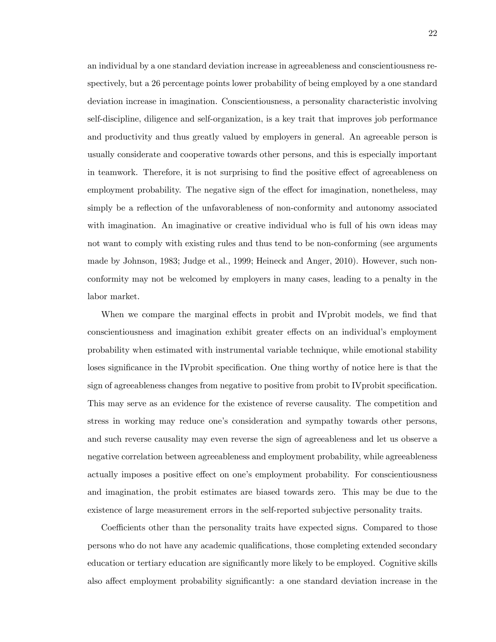an individual by a one standard deviation increase in agreeableness and conscientiousness respectively, but a 26 percentage points lower probability of being employed by a one standard deviation increase in imagination. Conscientiousness, a personality characteristic involving self-discipline, diligence and self-organization, is a key trait that improves job performance and productivity and thus greatly valued by employers in general. An agreeable person is usually considerate and cooperative towards other persons, and this is especially important in teamwork. Therefore, it is not surprising to find the positive effect of agreeableness on employment probability. The negative sign of the effect for imagination, nonetheless, may simply be a reflection of the unfavorableness of non-conformity and autonomy associated with imagination. An imaginative or creative individual who is full of his own ideas may not want to comply with existing rules and thus tend to be non-conforming (see arguments made by Johnson, 1983; Judge et al., 1999; Heineck and Anger, 2010). However, such nonconformity may not be welcomed by employers in many cases, leading to a penalty in the labor market.

When we compare the marginal effects in probit and IV probit models, we find that conscientiousness and imagination exhibit greater effects on an individual's employment probability when estimated with instrumental variable technique, while emotional stability loses significance in the IV probit specification. One thing worthy of notice here is that the sign of agreeableness changes from negative to positive from probit to IV probit specification. This may serve as an evidence for the existence of reverse causality. The competition and stress in working may reduce one's consideration and sympathy towards other persons, and such reverse causality may even reverse the sign of agreeableness and let us observe a negative correlation between agreeableness and employment probability, while agreeableness actually imposes a positive effect on one's employment probability. For conscientiousness and imagination, the probit estimates are biased towards zero. This may be due to the existence of large measurement errors in the self-reported subjective personality traits.

Coefficients other than the personality traits have expected signs. Compared to those persons who do not have any academic qualifications, those completing extended secondary education or tertiary education are significantly more likely to be employed. Cognitive skills also affect employment probability significantly: a one standard deviation increase in the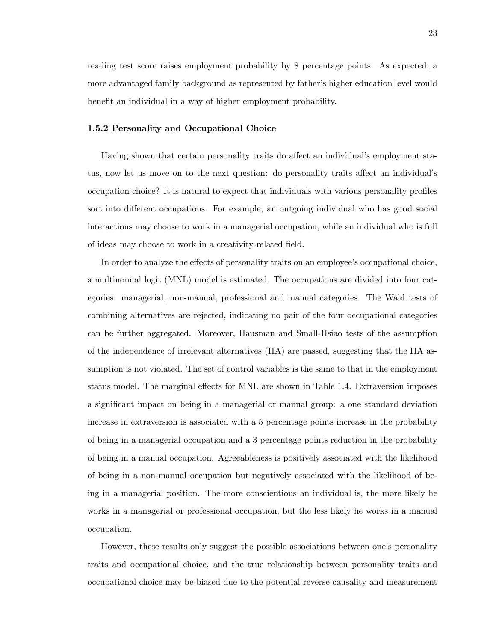reading test score raises employment probability by 8 percentage points. As expected, a more advantaged family background as represented by father's higher education level would benefit an individual in a way of higher employment probability.

### 1.5.2 Personality and Occupational Choice

Having shown that certain personality traits do affect an individual's employment status, now let us move on to the next question: do personality traits affect an individual's occupation choice? It is natural to expect that individuals with various personality profiles sort into different occupations. For example, an outgoing individual who has good social interactions may choose to work in a managerial occupation, while an individual who is full of ideas may choose to work in a creativity-related field.

In order to analyze the effects of personality traits on an employee's occupational choice, a multinomial logit (MNL) model is estimated. The occupations are divided into four categories: managerial, non-manual, professional and manual categories. The Wald tests of combining alternatives are rejected, indicating no pair of the four occupational categories can be further aggregated. Moreover, Hausman and Small-Hsiao tests of the assumption of the independence of irrelevant alternatives (IIA) are passed, suggesting that the IIA assumption is not violated. The set of control variables is the same to that in the employment status model. The marginal effects for MNL are shown in Table 1.4. Extraversion imposes a significant impact on being in a managerial or manual group: a one standard deviation increase in extraversion is associated with a 5 percentage points increase in the probability of being in a managerial occupation and a 3 percentage points reduction in the probability of being in a manual occupation. Agreeableness is positively associated with the likelihood of being in a non-manual occupation but negatively associated with the likelihood of being in a managerial position. The more conscientious an individual is, the more likely he works in a managerial or professional occupation, but the less likely he works in a manual occupation.

However, these results only suggest the possible associations between one's personality traits and occupational choice, and the true relationship between personality traits and occupational choice may be biased due to the potential reverse causality and measurement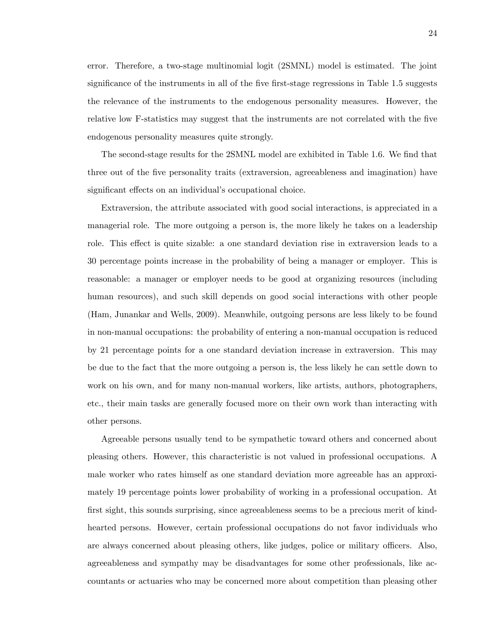error. Therefore, a two-stage multinomial logit (2SMNL) model is estimated. The joint significance of the instruments in all of the five first-stage regressions in Table 1.5 suggests the relevance of the instruments to the endogenous personality measures. However, the relative low F-statistics may suggest that the instruments are not correlated with the five endogenous personality measures quite strongly.

The second-stage results for the 2SMNL model are exhibited in Table 1.6. We find that three out of the five personality traits (extraversion, agreeableness and imagination) have significant effects on an individual's occupational choice.

Extraversion, the attribute associated with good social interactions, is appreciated in a managerial role. The more outgoing a person is, the more likely he takes on a leadership role. This effect is quite sizable: a one standard deviation rise in extraversion leads to a 30 percentage points increase in the probability of being a manager or employer. This is reasonable: a manager or employer needs to be good at organizing resources (including human resources), and such skill depends on good social interactions with other people (Ham, Junankar and Wells, 2009). Meanwhile, outgoing persons are less likely to be found in non-manual occupations: the probability of entering a non-manual occupation is reduced by 21 percentage points for a one standard deviation increase in extraversion. This may be due to the fact that the more outgoing a person is, the less likely he can settle down to work on his own, and for many non-manual workers, like artists, authors, photographers, etc., their main tasks are generally focused more on their own work than interacting with other persons.

Agreeable persons usually tend to be sympathetic toward others and concerned about pleasing others. However, this characteristic is not valued in professional occupations. A male worker who rates himself as one standard deviation more agreeable has an approximately 19 percentage points lower probability of working in a professional occupation. At first sight, this sounds surprising, since agreeableness seems to be a precious merit of kindhearted persons. However, certain professional occupations do not favor individuals who are always concerned about pleasing others, like judges, police or military officers. Also, agreeableness and sympathy may be disadvantages for some other professionals, like accountants or actuaries who may be concerned more about competition than pleasing other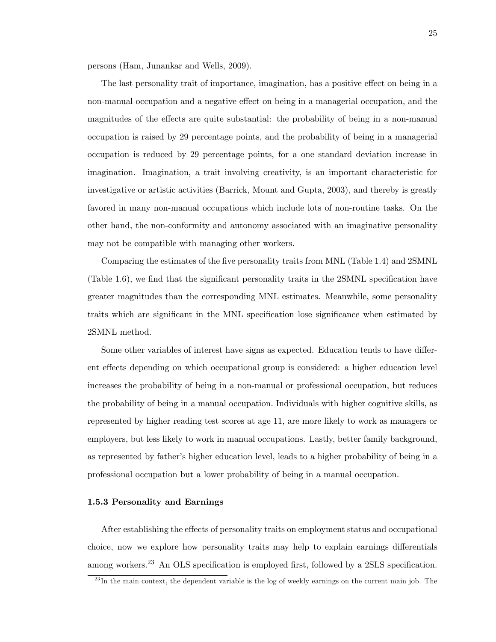persons (Ham, Junankar and Wells, 2009).

The last personality trait of importance, imagination, has a positive effect on being in a non-manual occupation and a negative effect on being in a managerial occupation, and the magnitudes of the effects are quite substantial: the probability of being in a non-manual occupation is raised by 29 percentage points, and the probability of being in a managerial occupation is reduced by 29 percentage points, for a one standard deviation increase in imagination. Imagination, a trait involving creativity, is an important characteristic for investigative or artistic activities (Barrick, Mount and Gupta, 2003), and thereby is greatly favored in many non-manual occupations which include lots of non-routine tasks. On the other hand, the non-conformity and autonomy associated with an imaginative personality may not be compatible with managing other workers.

Comparing the estimates of the five personality traits from MNL (Table 1.4) and 2SMNL (Table 1.6), we find that the significant personality traits in the  $2SMNL$  specification have greater magnitudes than the corresponding MNL estimates. Meanwhile, some personality traits which are significant in the MNL specification lose significance when estimated by 2SMNL method.

Some other variables of interest have signs as expected. Education tends to have different effects depending on which occupational group is considered: a higher education level increases the probability of being in a non-manual or professional occupation, but reduces the probability of being in a manual occupation. Individuals with higher cognitive skills, as represented by higher reading test scores at age 11, are more likely to work as managers or employers, but less likely to work in manual occupations. Lastly, better family background, as represented by father's higher education level, leads to a higher probability of being in a professional occupation but a lower probability of being in a manual occupation.

#### 1.5.3 Personality and Earnings

After establishing the effects of personality traits on employment status and occupational choice, now we explore how personality traits may help to explain earnings differentials among workers.<sup>23</sup> An OLS specification is employed first, followed by a 2SLS specification.

 $^{23}$ In the main context, the dependent variable is the log of weekly earnings on the current main job. The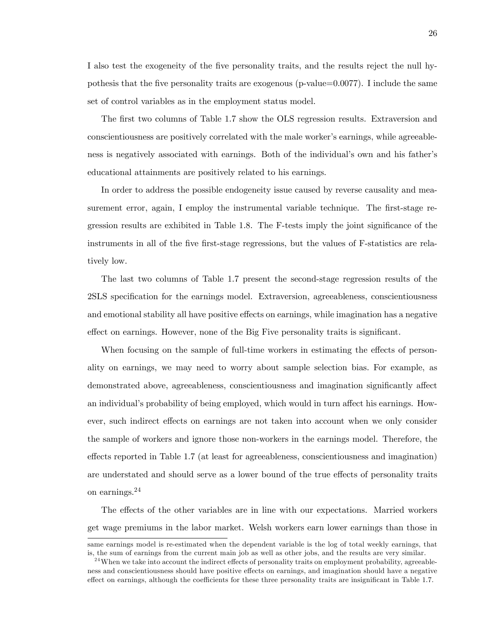I also test the exogeneity of the Öve personality traits, and the results reject the null hypothesis that the five personality traits are exogenous ( $p$ -value=0.0077). I include the same set of control variables as in the employment status model.

The first two columns of Table 1.7 show the OLS regression results. Extraversion and conscientiousness are positively correlated with the male worker's earnings, while agreeableness is negatively associated with earnings. Both of the individual's own and his father's educational attainments are positively related to his earnings.

In order to address the possible endogeneity issue caused by reverse causality and measurement error, again, I employ the instrumental variable technique. The first-stage regression results are exhibited in Table 1.8. The F-tests imply the joint significance of the instruments in all of the five first-stage regressions, but the values of F-statistics are relatively low.

The last two columns of Table 1.7 present the second-stage regression results of the 2SLS specification for the earnings model. Extraversion, agreeableness, conscientiousness and emotional stability all have positive effects on earnings, while imagination has a negative effect on earnings. However, none of the Big Five personality traits is significant.

When focusing on the sample of full-time workers in estimating the effects of personality on earnings, we may need to worry about sample selection bias. For example, as demonstrated above, agreeableness, conscientiousness and imagination significantly affect an individual's probability of being employed, which would in turn affect his earnings. However, such indirect effects on earnings are not taken into account when we only consider the sample of workers and ignore those non-workers in the earnings model. Therefore, the effects reported in Table 1.7 (at least for agreeableness, conscientiousness and imagination) are understated and should serve as a lower bound of the true effects of personality traits on earnings.<sup>24</sup>

The effects of the other variables are in line with our expectations. Married workers get wage premiums in the labor market. Welsh workers earn lower earnings than those in

same earnings model is re-estimated when the dependent variable is the log of total weekly earnings, that is, the sum of earnings from the current main job as well as other jobs, and the results are very similar.

 $^{24}$ When we take into account the indirect effects of personality traits on employment probability, agreeableness and conscientiousness should have positive effects on earnings, and imagination should have a negative effect on earnings, although the coefficients for these three personality traits are insignificant in Table 1.7.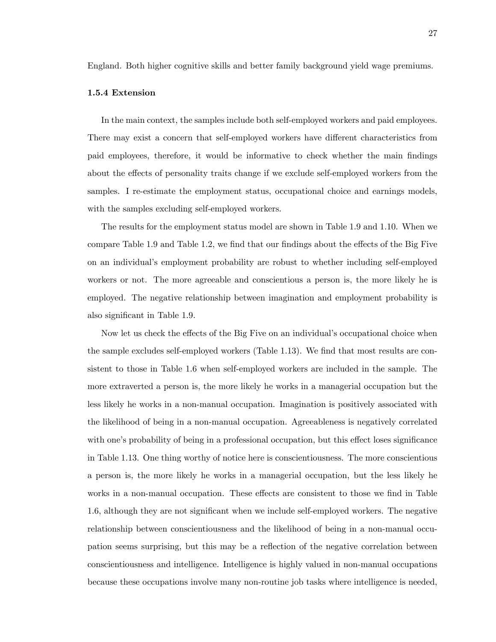England. Both higher cognitive skills and better family background yield wage premiums.

# 1.5.4 Extension

In the main context, the samples include both self-employed workers and paid employees. There may exist a concern that self-employed workers have different characteristics from paid employees, therefore, it would be informative to check whether the main Öndings about the effects of personality traits change if we exclude self-employed workers from the samples. I re-estimate the employment status, occupational choice and earnings models, with the samples excluding self-employed workers.

The results for the employment status model are shown in Table 1.9 and 1.10. When we compare Table 1.9 and Table 1.2, we find that our findings about the effects of the Big Five on an individualís employment probability are robust to whether including self-employed workers or not. The more agreeable and conscientious a person is, the more likely he is employed. The negative relationship between imagination and employment probability is also significant in Table 1.9.

Now let us check the effects of the Big Five on an individual's occupational choice when the sample excludes self-employed workers (Table 1.13). We find that most results are consistent to those in Table 1.6 when self-employed workers are included in the sample. The more extraverted a person is, the more likely he works in a managerial occupation but the less likely he works in a non-manual occupation. Imagination is positively associated with the likelihood of being in a non-manual occupation. Agreeableness is negatively correlated with one's probability of being in a professional occupation, but this effect loses significance in Table 1.13. One thing worthy of notice here is conscientiousness. The more conscientious a person is, the more likely he works in a managerial occupation, but the less likely he works in a non-manual occupation. These effects are consistent to those we find in Table 1.6, although they are not significant when we include self-employed workers. The negative relationship between conscientiousness and the likelihood of being in a non-manual occupation seems surprising, but this may be a reflection of the negative correlation between conscientiousness and intelligence. Intelligence is highly valued in non-manual occupations because these occupations involve many non-routine job tasks where intelligence is needed,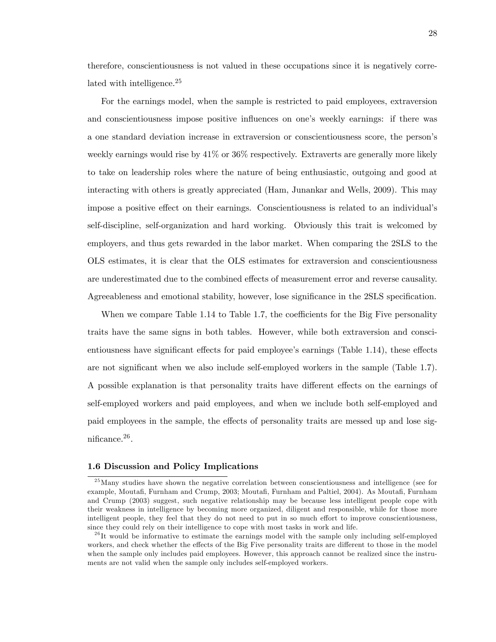therefore, conscientiousness is not valued in these occupations since it is negatively correlated with intelligence.<sup>25</sup>

For the earnings model, when the sample is restricted to paid employees, extraversion and conscientiousness impose positive influences on one's weekly earnings: if there was a one standard deviation increase in extraversion or conscientiousness score, the personís weekly earnings would rise by 41% or 36% respectively. Extraverts are generally more likely to take on leadership roles where the nature of being enthusiastic, outgoing and good at interacting with others is greatly appreciated (Ham, Junankar and Wells, 2009). This may impose a positive effect on their earnings. Conscientiousness is related to an individual's self-discipline, self-organization and hard working. Obviously this trait is welcomed by employers, and thus gets rewarded in the labor market. When comparing the 2SLS to the OLS estimates, it is clear that the OLS estimates for extraversion and conscientiousness are underestimated due to the combined effects of measurement error and reverse causality. Agreeableness and emotional stability, however, lose significance in the 2SLS specification.

When we compare Table 1.14 to Table 1.7, the coefficients for the Big Five personality traits have the same signs in both tables. However, while both extraversion and conscientiousness have significant effects for paid employee's earnings (Table 1.14), these effects are not significant when we also include self-employed workers in the sample (Table 1.7). A possible explanation is that personality traits have different effects on the earnings of self-employed workers and paid employees, and when we include both self-employed and paid employees in the sample, the effects of personality traits are messed up and lose sig $n$ ificance.<sup>26</sup>.

### 1.6 Discussion and Policy Implications

<sup>&</sup>lt;sup>25</sup>Many studies have shown the negative correlation between conscientiousness and intelligence (see for example, Moutafi, Furnham and Crump, 2003; Moutafi, Furnham and Paltiel, 2004). As Moutafi, Furnham and Crump (2003) suggest, such negative relationship may be because less intelligent people cope with their weakness in intelligence by becoming more organized, diligent and responsible, while for those more intelligent people, they feel that they do not need to put in so much effort to improve conscientiousness, since they could rely on their intelligence to cope with most tasks in work and life.

 $^{26}$ It would be informative to estimate the earnings model with the sample only including self-employed workers, and check whether the effects of the Big Five personality traits are different to those in the model when the sample only includes paid employees. However, this approach cannot be realized since the instruments are not valid when the sample only includes self-employed workers.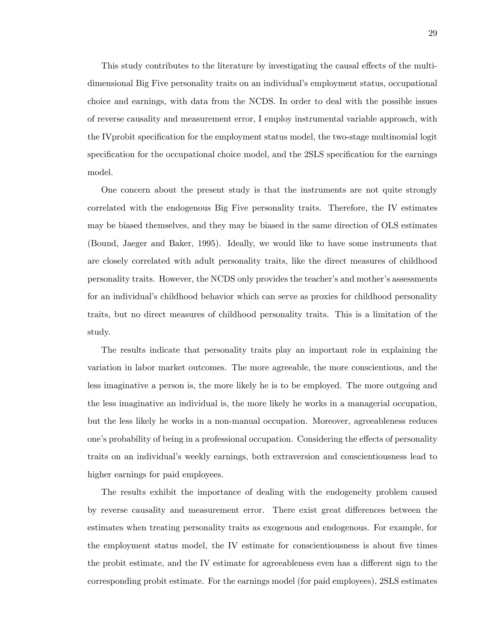This study contributes to the literature by investigating the causal effects of the multidimensional Big Five personality traits on an individual's employment status, occupational choice and earnings, with data from the NCDS. In order to deal with the possible issues of reverse causality and measurement error, I employ instrumental variable approach, with the IV probit specification for the employment status model, the two-stage multinomial logit specification for the occupational choice model, and the 2SLS specification for the earnings model.

One concern about the present study is that the instruments are not quite strongly correlated with the endogenous Big Five personality traits. Therefore, the IV estimates may be biased themselves, and they may be biased in the same direction of OLS estimates (Bound, Jaeger and Baker, 1995). Ideally, we would like to have some instruments that are closely correlated with adult personality traits, like the direct measures of childhood personality traits. However, the NCDS only provides the teacher's and mother's assessments for an individual's childhood behavior which can serve as proxies for childhood personality traits, but no direct measures of childhood personality traits. This is a limitation of the study.

The results indicate that personality traits play an important role in explaining the variation in labor market outcomes. The more agreeable, the more conscientious, and the less imaginative a person is, the more likely he is to be employed. The more outgoing and the less imaginative an individual is, the more likely he works in a managerial occupation, but the less likely he works in a non-manual occupation. Moreover, agreeableness reduces one's probability of being in a professional occupation. Considering the effects of personality traits on an individual's weekly earnings, both extraversion and conscientiousness lead to higher earnings for paid employees.

The results exhibit the importance of dealing with the endogeneity problem caused by reverse causality and measurement error. There exist great differences between the estimates when treating personality traits as exogenous and endogenous. For example, for the employment status model, the IV estimate for conscientiousness is about five times the probit estimate, and the IV estimate for agreeableness even has a different sign to the corresponding probit estimate. For the earnings model (for paid employees), 2SLS estimates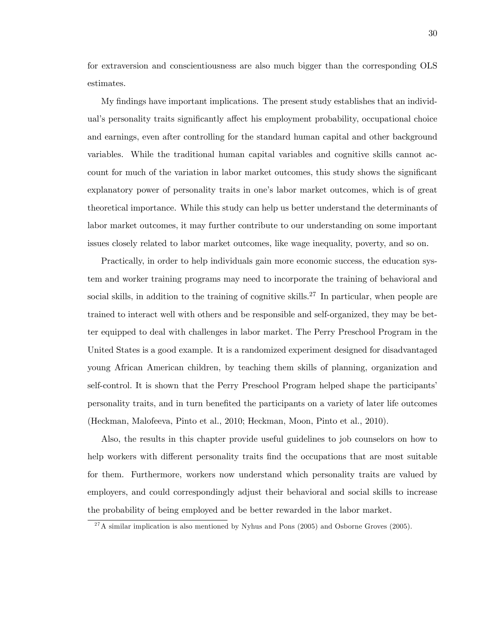for extraversion and conscientiousness are also much bigger than the corresponding OLS estimates.

My findings have important implications. The present study establishes that an individual's personality traits significantly affect his employment probability, occupational choice and earnings, even after controlling for the standard human capital and other background variables. While the traditional human capital variables and cognitive skills cannot account for much of the variation in labor market outcomes, this study shows the significant explanatory power of personality traits in one's labor market outcomes, which is of great theoretical importance. While this study can help us better understand the determinants of labor market outcomes, it may further contribute to our understanding on some important issues closely related to labor market outcomes, like wage inequality, poverty, and so on.

Practically, in order to help individuals gain more economic success, the education system and worker training programs may need to incorporate the training of behavioral and social skills, in addition to the training of cognitive skills.<sup>27</sup> In particular, when people are trained to interact well with others and be responsible and self-organized, they may be better equipped to deal with challenges in labor market. The Perry Preschool Program in the United States is a good example. It is a randomized experiment designed for disadvantaged young African American children, by teaching them skills of planning, organization and self-control. It is shown that the Perry Preschool Program helped shape the participants' personality traits, and in turn benefited the participants on a variety of later life outcomes (Heckman, Malofeeva, Pinto et al., 2010; Heckman, Moon, Pinto et al., 2010).

Also, the results in this chapter provide useful guidelines to job counselors on how to help workers with different personality traits find the occupations that are most suitable for them. Furthermore, workers now understand which personality traits are valued by employers, and could correspondingly adjust their behavioral and social skills to increase the probability of being employed and be better rewarded in the labor market.

 $^{27}$ A similar implication is also mentioned by Nyhus and Pons (2005) and Osborne Groves (2005).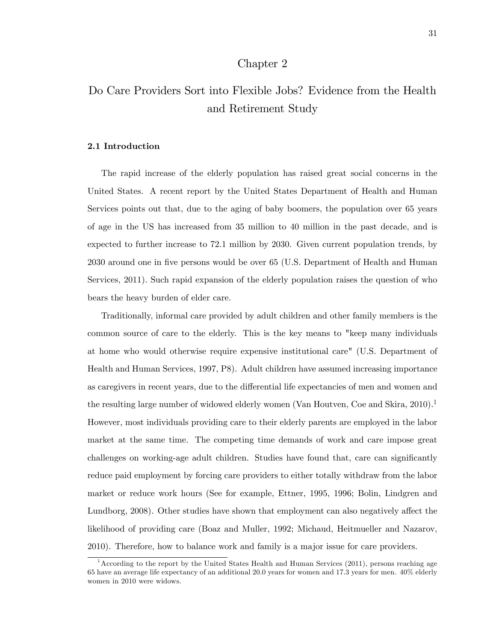# Chapter 2

# Do Care Providers Sort into Flexible Jobs? Evidence from the Health and Retirement Study

# 2.1 Introduction

The rapid increase of the elderly population has raised great social concerns in the United States. A recent report by the United States Department of Health and Human Services points out that, due to the aging of baby boomers, the population over 65 years of age in the US has increased from 35 million to 40 million in the past decade, and is expected to further increase to 72.1 million by 2030. Given current population trends, by 2030 around one in Öve persons would be over 65 (U.S. Department of Health and Human Services, 2011). Such rapid expansion of the elderly population raises the question of who bears the heavy burden of elder care.

Traditionally, informal care provided by adult children and other family members is the common source of care to the elderly. This is the key means to "keep many individuals at home who would otherwise require expensive institutional care" (U.S. Department of Health and Human Services, 1997, P8). Adult children have assumed increasing importance as caregivers in recent years, due to the differential life expectancies of men and women and the resulting large number of widowed elderly women (Van Houtven, Coe and Skira,  $2010$ ).<sup>1</sup> However, most individuals providing care to their elderly parents are employed in the labor market at the same time. The competing time demands of work and care impose great challenges on working-age adult children. Studies have found that, care can significantly reduce paid employment by forcing care providers to either totally withdraw from the labor market or reduce work hours (See for example, Ettner, 1995, 1996; Bolin, Lindgren and Lundborg, 2008). Other studies have shown that employment can also negatively affect the likelihood of providing care (Boaz and Muller, 1992; Michaud, Heitmueller and Nazarov, 2010). Therefore, how to balance work and family is a major issue for care providers.

<sup>&</sup>lt;sup>1</sup> According to the report by the United States Health and Human Services (2011), persons reaching age 65 have an average life expectancy of an additional 20.0 years for women and 17.3 years for men. 40% elderly women in 2010 were widows.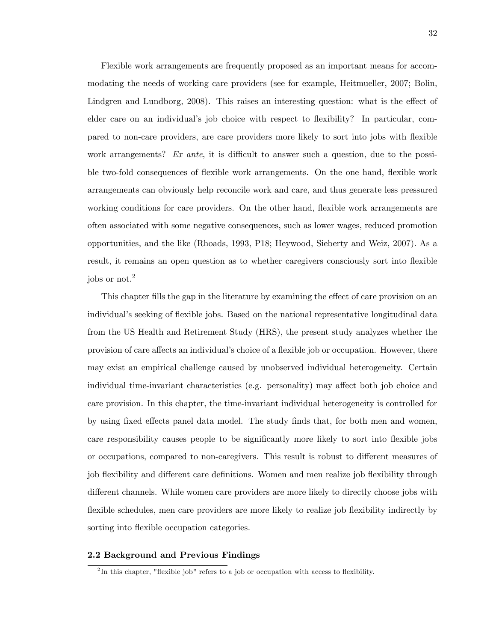Flexible work arrangements are frequently proposed as an important means for accommodating the needs of working care providers (see for example, Heitmueller, 2007; Bolin, Lindgren and Lundborg, 2008). This raises an interesting question: what is the effect of elder care on an individual's job choice with respect to flexibility? In particular, compared to non-care providers, are care providers more likely to sort into jobs with áexible work arrangements? Ex ante, it is difficult to answer such a question, due to the possible two-fold consequences of flexible work arrangements. On the one hand, flexible work arrangements can obviously help reconcile work and care, and thus generate less pressured working conditions for care providers. On the other hand, flexible work arrangements are often associated with some negative consequences, such as lower wages, reduced promotion opportunities, and the like (Rhoads, 1993, P18; Heywood, Sieberty and Weiz, 2007). As a result, it remains an open question as to whether caregivers consciously sort into flexible jobs or not.<sup>2</sup>

This chapter fills the gap in the literature by examining the effect of care provision on an individual's seeking of flexible jobs. Based on the national representative longitudinal data from the US Health and Retirement Study (HRS), the present study analyzes whether the provision of care affects an individual's choice of a flexible job or occupation. However, there may exist an empirical challenge caused by unobserved individual heterogeneity. Certain individual time-invariant characteristics (e.g. personality) may affect both job choice and care provision. In this chapter, the time-invariant individual heterogeneity is controlled for by using fixed effects panel data model. The study finds that, for both men and women, care responsibility causes people to be significantly more likely to sort into flexible jobs or occupations, compared to non-caregivers. This result is robust to different measures of job flexibility and different care definitions. Women and men realize job flexibility through different channels. While women care providers are more likely to directly choose jobs with flexible schedules, men care providers are more likely to realize job flexibility indirectly by sorting into flexible occupation categories.

### 2.2 Background and Previous Findings

 $2<sup>2</sup>$ In this chapter, "flexible job" refers to a job or occupation with access to flexibility.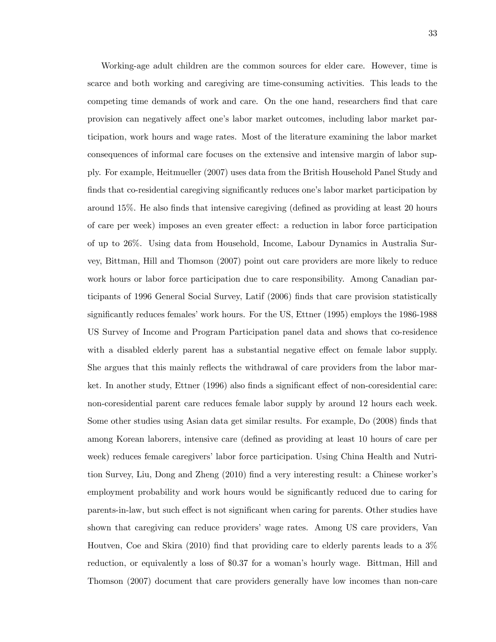Working-age adult children are the common sources for elder care. However, time is scarce and both working and caregiving are time-consuming activities. This leads to the competing time demands of work and care. On the one hand, researchers find that care provision can negatively affect one's labor market outcomes, including labor market participation, work hours and wage rates. Most of the literature examining the labor market consequences of informal care focuses on the extensive and intensive margin of labor supply. For example, Heitmueller (2007) uses data from the British Household Panel Study and finds that co-residential caregiving significantly reduces one's labor market participation by around 15%. He also finds that intensive caregiving (defined as providing at least 20 hours of care per week) imposes an even greater effect: a reduction in labor force participation of up to 26%. Using data from Household, Income, Labour Dynamics in Australia Survey, Bittman, Hill and Thomson (2007) point out care providers are more likely to reduce work hours or labor force participation due to care responsibility. Among Canadian participants of 1996 General Social Survey, Latif (2006) Önds that care provision statistically significantly reduces females' work hours. For the US, Ettner (1995) employs the 1986-1988 US Survey of Income and Program Participation panel data and shows that co-residence with a disabled elderly parent has a substantial negative effect on female labor supply. She argues that this mainly reflects the withdrawal of care providers from the labor market. In another study, Ettner  $(1996)$  also finds a significant effect of non-coresidential care: non-coresidential parent care reduces female labor supply by around 12 hours each week. Some other studies using Asian data get similar results. For example, Do (2008) finds that among Korean laborers, intensive care (defined as providing at least 10 hours of care per week) reduces female caregivers' labor force participation. Using China Health and Nutrition Survey, Liu, Dong and Zheng (2010) find a very interesting result: a Chinese worker's employment probability and work hours would be significantly reduced due to caring for parents-in-law, but such effect is not significant when caring for parents. Other studies have shown that caregiving can reduce providersí wage rates. Among US care providers, Van Houtven, Coe and Skira (2010) find that providing care to elderly parents leads to a  $3\%$ reduction, or equivalently a loss of \$0.37 for a woman's hourly wage. Bittman, Hill and Thomson (2007) document that care providers generally have low incomes than non-care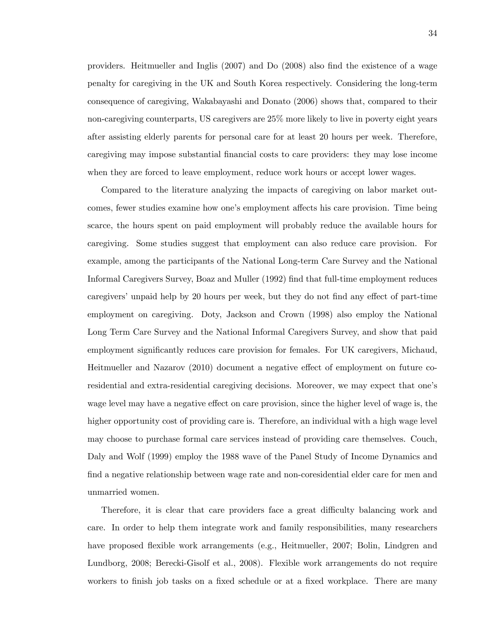providers. Heitmueller and Inglis (2007) and Do (2008) also find the existence of a wage penalty for caregiving in the UK and South Korea respectively. Considering the long-term consequence of caregiving, Wakabayashi and Donato (2006) shows that, compared to their non-caregiving counterparts, US caregivers are 25% more likely to live in poverty eight years after assisting elderly parents for personal care for at least 20 hours per week. Therefore, caregiving may impose substantial Önancial costs to care providers: they may lose income when they are forced to leave employment, reduce work hours or accept lower wages.

Compared to the literature analyzing the impacts of caregiving on labor market outcomes, fewer studies examine how one's employment affects his care provision. Time being scarce, the hours spent on paid employment will probably reduce the available hours for caregiving. Some studies suggest that employment can also reduce care provision. For example, among the participants of the National Long-term Care Survey and the National Informal Caregivers Survey, Boaz and Muller (1992) Önd that full-time employment reduces caregivers' unpaid help by 20 hours per week, but they do not find any effect of part-time employment on caregiving. Doty, Jackson and Crown (1998) also employ the National Long Term Care Survey and the National Informal Caregivers Survey, and show that paid employment significantly reduces care provision for females. For UK caregivers, Michaud, Heitmueller and Nazarov (2010) document a negative effect of employment on future coresidential and extra-residential caregiving decisions. Moreover, we may expect that one's wage level may have a negative effect on care provision, since the higher level of wage is, the higher opportunity cost of providing care is. Therefore, an individual with a high wage level may choose to purchase formal care services instead of providing care themselves. Couch, Daly and Wolf (1999) employ the 1988 wave of the Panel Study of Income Dynamics and find a negative relationship between wage rate and non-coresidential elder care for men and unmarried women.

Therefore, it is clear that care providers face a great difficulty balancing work and care. In order to help them integrate work and family responsibilities, many researchers have proposed flexible work arrangements (e.g., Heitmueller, 2007; Bolin, Lindgren and Lundborg, 2008; Berecki-Gisolf et al., 2008). Flexible work arrangements do not require workers to finish job tasks on a fixed schedule or at a fixed workplace. There are many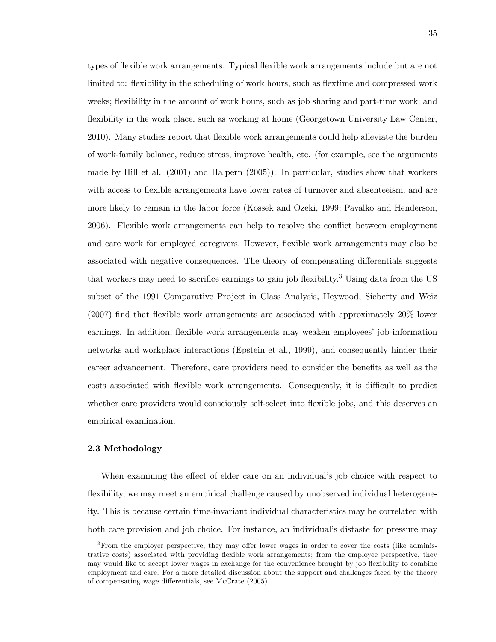types of flexible work arrangements. Typical flexible work arrangements include but are not limited to: flexibility in the scheduling of work hours, such as flextime and compressed work weeks; flexibility in the amount of work hours, such as job sharing and part-time work; and flexibility in the work place, such as working at home (Georgetown University Law Center, 2010). Many studies report that flexible work arrangements could help alleviate the burden of work-family balance, reduce stress, improve health, etc. (for example, see the arguments made by Hill et al. (2001) and Halpern (2005)). In particular, studies show that workers with access to flexible arrangements have lower rates of turnover and absenteeism, and are more likely to remain in the labor force (Kossek and Ozeki, 1999; Pavalko and Henderson, 2006). Flexible work arrangements can help to resolve the conflict between employment and care work for employed caregivers. However, flexible work arrangements may also be associated with negative consequences. The theory of compensating differentials suggests that workers may need to sacrifice earnings to gain job flexibility.<sup>3</sup> Using data from the US subset of the 1991 Comparative Project in Class Analysis, Heywood, Sieberty and Weiz  $(2007)$  find that flexible work arrangements are associated with approximately  $20\%$  lower earnings. In addition, flexible work arrangements may weaken employees' job-information networks and workplace interactions (Epstein et al., 1999), and consequently hinder their career advancement. Therefore, care providers need to consider the benefits as well as the costs associated with flexible work arrangements. Consequently, it is difficult to predict whether care providers would consciously self-select into flexible jobs, and this deserves an empirical examination.

### 2.3 Methodology

When examining the effect of elder care on an individual's job choice with respect to flexibility, we may meet an empirical challenge caused by unobserved individual heterogeneity. This is because certain time-invariant individual characteristics may be correlated with both care provision and job choice. For instance, an individual's distaste for pressure may

 $3$ From the employer perspective, they may offer lower wages in order to cover the costs (like administrative costs) associated with providing flexible work arrangements; from the employee perspective, they may would like to accept lower wages in exchange for the convenience brought by job áexibility to combine employment and care. For a more detailed discussion about the support and challenges faced by the theory of compensating wage differentials, see McCrate (2005).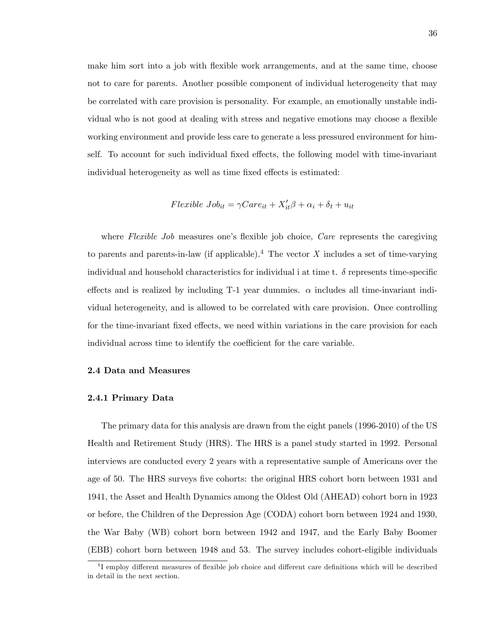make him sort into a job with flexible work arrangements, and at the same time, choose not to care for parents. Another possible component of individual heterogeneity that may be correlated with care provision is personality. For example, an emotionally unstable individual who is not good at dealing with stress and negative emotions may choose a flexible working environment and provide less care to generate a less pressured environment for himself. To account for such individual fixed effects, the following model with time-invariant individual heterogeneity as well as time fixed effects is estimated:

$$
Flexible\ Job_{it} = \gamma Care_{it} + X_{it}'\beta + \alpha_i + \delta_t + u_{it}
$$

where Flexible Job measures one's flexible job choice, Care represents the caregiving to parents and parents-in-law (if applicable).<sup>4</sup> The vector X includes a set of time-varying individual and household characteristics for individual i at time t.  $\delta$  represents time-specific effects and is realized by including T-1 year dummies.  $\alpha$  includes all time-invariant individual heterogeneity, and is allowed to be correlated with care provision. Once controlling for the time-invariant fixed effects, we need within variations in the care provision for each individual across time to identify the coefficient for the care variable.

# 2.4 Data and Measures

### 2.4.1 Primary Data

The primary data for this analysis are drawn from the eight panels (1996-2010) of the US Health and Retirement Study (HRS). The HRS is a panel study started in 1992. Personal interviews are conducted every 2 years with a representative sample of Americans over the age of 50. The HRS surveys five cohorts: the original HRS cohort born between 1931 and 1941, the Asset and Health Dynamics among the Oldest Old (AHEAD) cohort born in 1923 or before, the Children of the Depression Age (CODA) cohort born between 1924 and 1930, the War Baby (WB) cohort born between 1942 and 1947, and the Early Baby Boomer (EBB) cohort born between 1948 and 53. The survey includes cohort-eligible individuals

<sup>&</sup>lt;sup>4</sup>I employ different measures of flexible job choice and different care definitions which will be described in detail in the next section.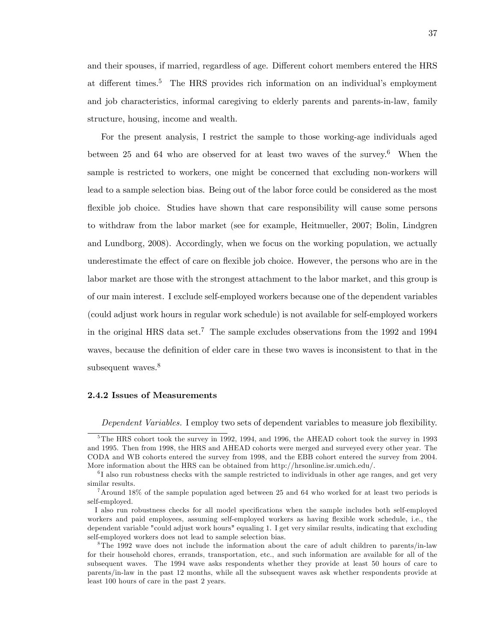and their spouses, if married, regardless of age. Different cohort members entered the HRS at different times.<sup>5</sup> The HRS provides rich information on an individual's employment and job characteristics, informal caregiving to elderly parents and parents-in-law, family structure, housing, income and wealth.

For the present analysis, I restrict the sample to those working-age individuals aged between 25 and 64 who are observed for at least two waves of the survey.<sup>6</sup> When the sample is restricted to workers, one might be concerned that excluding non-workers will lead to a sample selection bias. Being out of the labor force could be considered as the most flexible job choice. Studies have shown that care responsibility will cause some persons to withdraw from the labor market (see for example, Heitmueller, 2007; Bolin, Lindgren and Lundborg, 2008). Accordingly, when we focus on the working population, we actually underestimate the effect of care on flexible job choice. However, the persons who are in the labor market are those with the strongest attachment to the labor market, and this group is of our main interest. I exclude self-employed workers because one of the dependent variables (could adjust work hours in regular work schedule) is not available for self-employed workers in the original HRS data set.<sup>7</sup> The sample excludes observations from the 1992 and 1994 waves, because the definition of elder care in these two waves is inconsistent to that in the subsequent waves.<sup>8</sup>

### 2.4.2 Issues of Measurements

Dependent Variables. I employ two sets of dependent variables to measure job flexibility.

 $5$ The HRS cohort took the survey in 1992, 1994, and 1996, the AHEAD cohort took the survey in 1993 and 1995. Then from 1998, the HRS and AHEAD cohorts were merged and surveyed every other year. The CODA and WB cohorts entered the survey from 1998, and the EBB cohort entered the survey from 2004. More information about the HRS can be obtained from http://hrsonline.isr.umich.edu/.

<sup>&</sup>lt;sup>6</sup>I also run robustness checks with the sample restricted to individuals in other age ranges, and get very similar results.

<sup>7</sup>Around 18% of the sample population aged between 25 and 64 who worked for at least two periods is self-employed.

I also run robustness checks for all model speciÖcations when the sample includes both self-employed workers and paid employees, assuming self-employed workers as having flexible work schedule, i.e., the dependent variable "could adjust work hours" equaling 1. I get very similar results, indicating that excluding self-employed workers does not lead to sample selection bias.

<sup>&</sup>lt;sup>8</sup>The 1992 wave does not include the information about the care of adult children to parents/in-law for their household chores, errands, transportation, etc., and such information are available for all of the subsequent waves. The 1994 wave asks respondents whether they provide at least 50 hours of care to parents/in-law in the past 12 months, while all the subsequent waves ask whether respondents provide at least 100 hours of care in the past 2 years.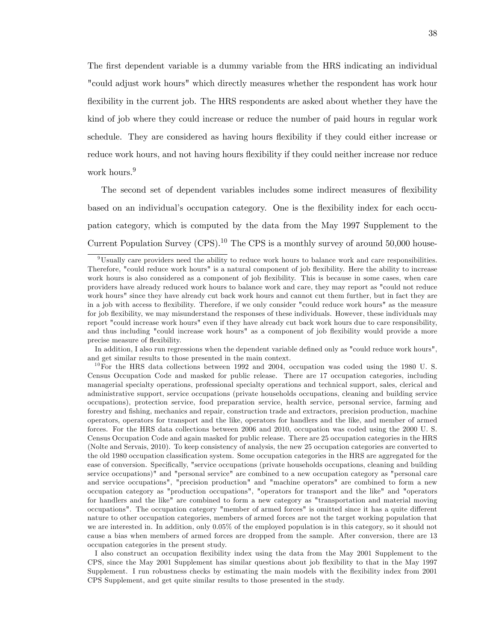The first dependent variable is a dummy variable from the HRS indicating an individual "could adjust work hours" which directly measures whether the respondent has work hour flexibility in the current job. The HRS respondents are asked about whether they have the kind of job where they could increase or reduce the number of paid hours in regular work schedule. They are considered as having hours flexibility if they could either increase or reduce work hours, and not having hours flexibility if they could neither increase nor reduce work hours.<sup>9</sup>

The second set of dependent variables includes some indirect measures of flexibility based on an individual's occupation category. One is the flexibility index for each occupation category, which is computed by the data from the May 1997 Supplement to the Current Population Survey  $(CPS)$ .<sup>10</sup> The CPS is a monthly survey of around 50,000 house-

In addition, I also run regressions when the dependent variable defined only as "could reduce work hours", and get similar results to those presented in the main context.

I also construct an occupation flexibility index using the data from the May 2001 Supplement to the CPS, since the May 2001 Supplement has similar questions about job áexibility to that in the May 1997 Supplement. I run robustness checks by estimating the main models with the flexibility index from 2001 CPS Supplement, and get quite similar results to those presented in the study.

<sup>9</sup>Usually care providers need the ability to reduce work hours to balance work and care responsibilities. Therefore, "could reduce work hours" is a natural component of job flexibility. Here the ability to increase work hours is also considered as a component of job flexibility. This is because in some cases, when care providers have already reduced work hours to balance work and care, they may report as "could not reduce work hours" since they have already cut back work hours and cannot cut them further, but in fact they are in a job with access to flexibility. Therefore, if we only consider "could reduce work hours" as the measure for job flexibility, we may misunderstand the responses of these individuals. However, these individuals may report "could increase work hours" even if they have already cut back work hours due to care responsibility, and thus including "could increase work hours" as a component of job flexibility would provide a more precise measure of flexibility.

 $^{10}$  For the HRS data collections between 1992 and 2004, occupation was coded using the 1980 U.S. Census Occupation Code and masked for public release. There are 17 occupation categories, including managerial specialty operations, professional specialty operations and technical support, sales, clerical and administrative support, service occupations (private households occupations, cleaning and building service occupations), protection service, food preparation service, health service, personal service, farming and forestry and Öshing, mechanics and repair, construction trade and extractors, precision production, machine operators, operators for transport and the like, operators for handlers and the like, and member of armed forces. For the HRS data collections between 2006 and 2010, occupation was coded using the 2000 U. S. Census Occupation Code and again masked for public release. There are 25 occupation categories in the HRS (Nolte and Servais, 2010). To keep consistency of analysis, the new 25 occupation categories are converted to the old 1980 occupation classification system. Some occupation categories in the HRS are aggregated for the ease of conversion. Specifically, "service occupations (private households occupations, cleaning and building service occupations)" and "personal service" are combined to a new occupation category as "personal care and service occupations", "precision production" and "machine operators" are combined to form a new occupation category as "production occupations", "operators for transport and the like" and "operators for handlers and the like" are combined to form a new category as "transportation and material moving occupations". The occupation category "member of armed forces" is omitted since it has a quite different nature to other occupation categories, members of armed forces are not the target working population that we are interested in. In addition, only 0.05% of the employed population is in this category, so it should not cause a bias when members of armed forces are dropped from the sample. After conversion, there are 13 occupation categories in the present study.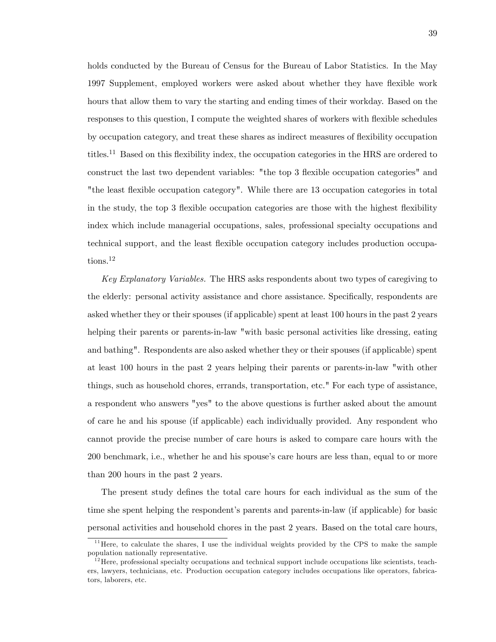holds conducted by the Bureau of Census for the Bureau of Labor Statistics. In the May 1997 Supplement, employed workers were asked about whether they have flexible work hours that allow them to vary the starting and ending times of their workday. Based on the responses to this question, I compute the weighted shares of workers with flexible schedules by occupation category, and treat these shares as indirect measures of áexibility occupation titles.<sup>11</sup> Based on this flexibility index, the occupation categories in the HRS are ordered to construct the last two dependent variables: "the top 3 flexible occupation categories" and "the least flexible occupation category". While there are 13 occupation categories in total in the study, the top 3 flexible occupation categories are those with the highest flexibility index which include managerial occupations, sales, professional specialty occupations and technical support, and the least flexible occupation category includes production occupations.<sup>12</sup>

Key Explanatory Variables. The HRS asks respondents about two types of caregiving to the elderly: personal activity assistance and chore assistance. Specifically, respondents are asked whether they or their spouses (if applicable) spent at least 100 hours in the past 2 years helping their parents or parents-in-law "with basic personal activities like dressing, eating and bathing". Respondents are also asked whether they or their spouses (if applicable) spent at least 100 hours in the past 2 years helping their parents or parents-in-law "with other things, such as household chores, errands, transportation, etc." For each type of assistance, a respondent who answers "yes" to the above questions is further asked about the amount of care he and his spouse (if applicable) each individually provided. Any respondent who cannot provide the precise number of care hours is asked to compare care hours with the 200 benchmark, i.e., whether he and his spouse's care hours are less than, equal to or more than 200 hours in the past 2 years.

The present study defines the total care hours for each individual as the sum of the time she spent helping the respondent's parents and parents-in-law (if applicable) for basic personal activities and household chores in the past 2 years. Based on the total care hours,

<sup>&</sup>lt;sup>11</sup> Here, to calculate the shares, I use the individual weights provided by the CPS to make the sample population nationally representative.

 $12$  Here, professional specialty occupations and technical support include occupations like scientists, teachers, lawyers, technicians, etc. Production occupation category includes occupations like operators, fabricators, laborers, etc.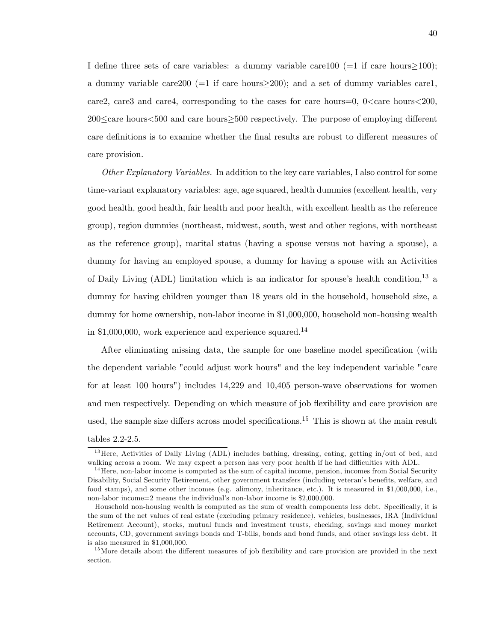I define three sets of care variables: a dummy variable care 100 ( $=1$  if care hours $\geq100$ ); a dummy variable care 200 ( $=1$  if care hours $>$ 200); and a set of dummy variables care1, care2, care3 and care4, corresponding to the cases for care hours=0,  $0 \leq$  care hours $\leq$ 200,  $200 \leq$  care hours $< 500$  and care hours $\geq 500$  respectively. The purpose of employing different care definitions is to examine whether the final results are robust to different measures of care provision.

Other Explanatory Variables. In addition to the key care variables, I also control for some time-variant explanatory variables: age, age squared, health dummies (excellent health, very good health, good health, fair health and poor health, with excellent health as the reference group), region dummies (northeast, midwest, south, west and other regions, with northeast as the reference group), marital status (having a spouse versus not having a spouse), a dummy for having an employed spouse, a dummy for having a spouse with an Activities of Daily Living (ADL) limitation which is an indicator for spouse's health condition,<sup>13</sup> a dummy for having children younger than 18 years old in the household, household size, a dummy for home ownership, non-labor income in \$1,000,000, household non-housing wealth in  $$1,000,000$ , work experience and experience squared.<sup>14</sup>

After eliminating missing data, the sample for one baseline model specification (with the dependent variable "could adjust work hours" and the key independent variable "care for at least 100 hours") includes 14,229 and 10,405 person-wave observations for women and men respectively. Depending on which measure of job flexibility and care provision are used, the sample size differs across model specifications.<sup>15</sup> This is shown at the main result tables 2.2-2.5.

 $13$  Here, Activities of Daily Living (ADL) includes bathing, dressing, eating, getting in/out of bed, and walking across a room. We may expect a person has very poor health if he had difficulties with ADL.

<sup>&</sup>lt;sup>14</sup> Here, non-labor income is computed as the sum of capital income, pension, incomes from Social Security Disability, Social Security Retirement, other government transfers (including veteran's benefits, welfare, and food stamps), and some other incomes (e.g. alimony, inheritance, etc.). It is measured in \$1,000,000, i.e., non-labor income=2 means the individual's non-labor income is \$2,000,000.

Household non-housing wealth is computed as the sum of wealth components less debt. Specifically, it is the sum of the net values of real estate (excluding primary residence), vehicles, businesses, IRA (Individual Retirement Account), stocks, mutual funds and investment trusts, checking, savings and money market accounts, CD, government savings bonds and T-bills, bonds and bond funds, and other savings less debt. It is also measured in \$1,000,000.

 $15$ More details about the different measures of job flexibility and care provision are provided in the next section.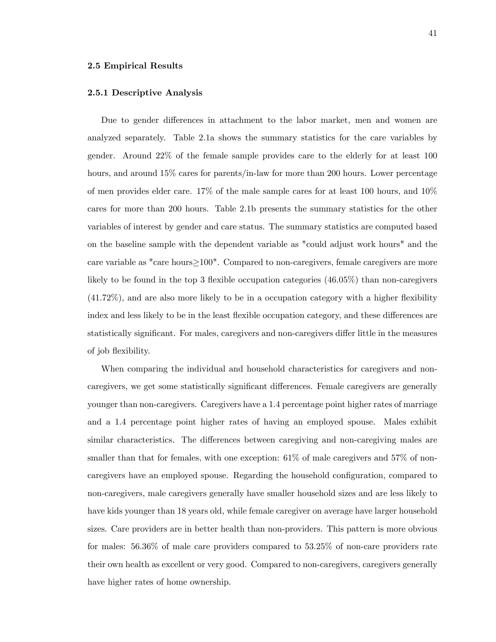### 2.5 Empirical Results

# 2.5.1 Descriptive Analysis

Due to gender differences in attachment to the labor market, men and women are analyzed separately. Table 2.1a shows the summary statistics for the care variables by gender. Around 22% of the female sample provides care to the elderly for at least 100 hours, and around  $15\%$  cares for parents/in-law for more than 200 hours. Lower percentage of men provides elder care. 17% of the male sample cares for at least 100 hours, and 10% cares for more than 200 hours. Table 2.1b presents the summary statistics for the other variables of interest by gender and care status. The summary statistics are computed based on the baseline sample with the dependent variable as "could adjust work hours" and the care variable as "care hours $\geq100$ ". Compared to non-caregivers, female caregivers are more likely to be found in the top 3 flexible occupation categories  $(46.05\%)$  than non-caregivers  $(41.72\%)$ , and are also more likely to be in a occupation category with a higher flexibility index and less likely to be in the least flexible occupation category, and these differences are statistically significant. For males, caregivers and non-caregivers differ little in the measures of job áexibility.

When comparing the individual and household characteristics for caregivers and noncaregivers, we get some statistically significant differences. Female caregivers are generally younger than non-caregivers. Caregivers have a 1.4 percentage point higher rates of marriage and a 1.4 percentage point higher rates of having an employed spouse. Males exhibit similar characteristics. The differences between caregiving and non-caregiving males are smaller than that for females, with one exception:  $61\%$  of male caregivers and 57% of noncaregivers have an employed spouse. Regarding the household configuration, compared to non-caregivers, male caregivers generally have smaller household sizes and are less likely to have kids younger than 18 years old, while female caregiver on average have larger household sizes. Care providers are in better health than non-providers. This pattern is more obvious for males: 56.36% of male care providers compared to 53.25% of non-care providers rate their own health as excellent or very good. Compared to non-caregivers, caregivers generally have higher rates of home ownership.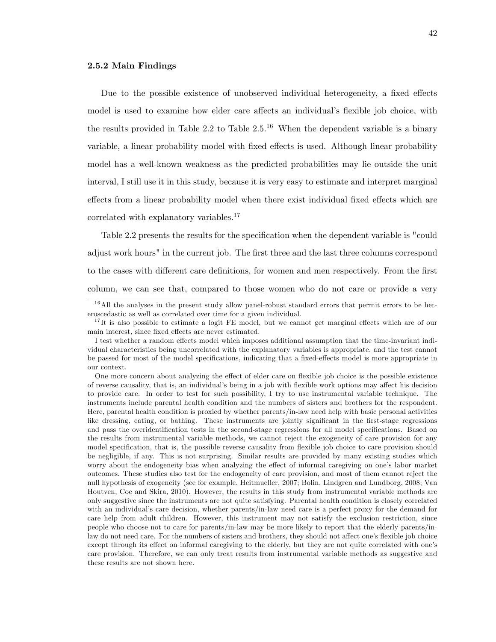# 2.5.2 Main Findings

Due to the possible existence of unobserved individual heterogeneity, a fixed effects model is used to examine how elder care affects an individual's flexible job choice, with the results provided in Table 2.2 to Table  $2.5^{16}$  When the dependent variable is a binary variable, a linear probability model with fixed effects is used. Although linear probability model has a well-known weakness as the predicted probabilities may lie outside the unit interval, I still use it in this study, because it is very easy to estimate and interpret marginal effects from a linear probability model when there exist individual fixed effects which are correlated with explanatory variables.<sup>17</sup>

Table 2.2 presents the results for the specification when the dependent variable is "could adjust work hours" in the current job. The first three and the last three columns correspond to the cases with different care definitions, for women and men respectively. From the first column, we can see that, compared to those women who do not care or provide a very

 $16$ All the analyses in the present study allow panel-robust standard errors that permit errors to be heteroscedastic as well as correlated over time for a given individual.

 $17$ It is also possible to estimate a logit FE model, but we cannot get marginal effects which are of our main interest, since fixed effects are never estimated.

I test whether a random effects model which imposes additional assumption that the time-invariant individual characteristics being uncorrelated with the explanatory variables is appropriate, and the test cannot be passed for most of the model specifications, indicating that a fixed-effects model is more appropriate in our context.

One more concern about analyzing the effect of elder care on flexible job choice is the possible existence of reverse causality, that is, an individual's being in a job with flexible work options may affect his decision to provide care. In order to test for such possibility, I try to use instrumental variable technique. The instruments include parental health condition and the numbers of sisters and brothers for the respondent. Here, parental health condition is proxied by whether parents/in-law need help with basic personal activities like dressing, eating, or bathing. These instruments are jointly significant in the first-stage regressions and pass the overidentification tests in the second-stage regressions for all model specifications. Based on the results from instrumental variable methods, we cannot reject the exogeneity of care provision for any model specification, that is, the possible reverse causality from flexible job choice to care provision should be negligible, if any. This is not surprising. Similar results are provided by many existing studies which worry about the endogeneity bias when analyzing the effect of informal caregiving on one's labor market outcomes. These studies also test for the endogeneity of care provision, and most of them cannot reject the null hypothesis of exogeneity (see for example, Heitmueller, 2007; Bolin, Lindgren and Lundborg, 2008; Van Houtven, Coe and Skira, 2010). However, the results in this study from instrumental variable methods are only suggestive since the instruments are not quite satisfying. Parental health condition is closely correlated with an individual's care decision, whether parents/in-law need care is a perfect proxy for the demand for care help from adult children. However, this instrument may not satisfy the exclusion restriction, since people who choose not to care for parents/in-law may be more likely to report that the elderly parents/inlaw do not need care. For the numbers of sisters and brothers, they should not affect one's flexible job choice except through its effect on informal caregiving to the elderly, but they are not quite correlated with one's care provision. Therefore, we can only treat results from instrumental variable methods as suggestive and these results are not shown here.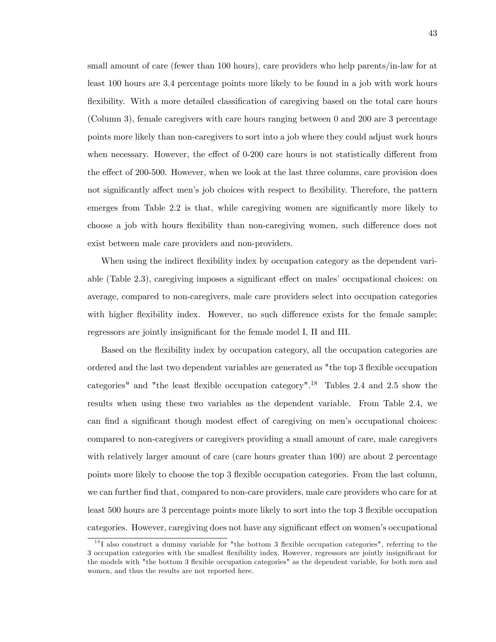small amount of care (fewer than 100 hours), care providers who help parents/in-law for at least 100 hours are 3.4 percentage points more likely to be found in a job with work hours flexibility. With a more detailed classification of caregiving based on the total care hours (Column 3), female caregivers with care hours ranging between 0 and 200 are 3 percentage points more likely than non-caregivers to sort into a job where they could adjust work hours when necessary. However, the effect of  $0\n-200$  care hours is not statistically different from the effect of 200-500. However, when we look at the last three columns, care provision does not significantly affect men's job choices with respect to flexibility. Therefore, the pattern emerges from Table 2.2 is that, while caregiving women are significantly more likely to choose a job with hours flexibility than non-caregiving women, such difference does not exist between male care providers and non-providers.

When using the indirect flexibility index by occupation category as the dependent variable (Table 2.3), caregiving imposes a significant effect on males' occupational choices: on average, compared to non-caregivers, male care providers select into occupation categories with higher flexibility index. However, no such difference exists for the female sample: regressors are jointly insignificant for the female model I, II and III.

Based on the flexibility index by occupation category, all the occupation categories are ordered and the last two dependent variables are generated as "the top 3 flexible occupation categories" and "the least flexible occupation category".<sup>18</sup> Tables 2.4 and 2.5 show the results when using these two variables as the dependent variable. From Table 2.4, we can find a significant though modest effect of caregiving on men's occupational choices: compared to non-caregivers or caregivers providing a small amount of care, male caregivers with relatively larger amount of care (care hours greater than 100) are about 2 percentage points more likely to choose the top 3 áexible occupation categories. From the last column, we can further find that, compared to non-care providers, male care providers who care for at least 500 hours are 3 percentage points more likely to sort into the top 3 flexible occupation categories. However, caregiving does not have any significant effect on women's occupational

 $18$ I also construct a dummy variable for "the bottom 3 flexible occupation categories", referring to the 3 occupation categories with the smallest flexibility index. However, regressors are jointly insignificant for the models with "the bottom 3 flexible occupation categories" as the dependent variable, for both men and women, and thus the results are not reported here.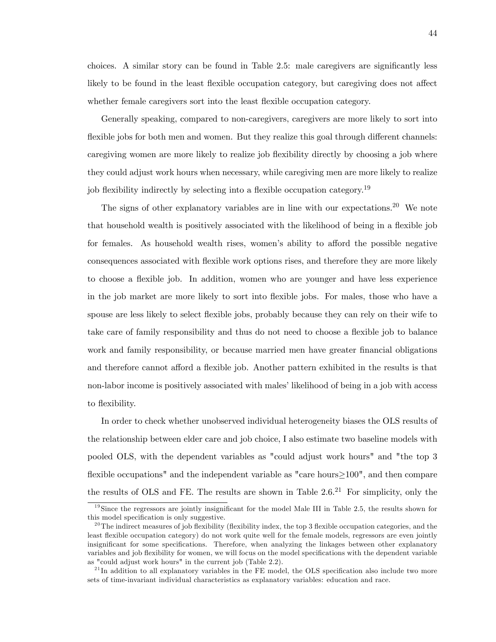choices. A similar story can be found in Table  $2.5$ : male caregivers are significantly less likely to be found in the least flexible occupation category, but caregiving does not affect whether female caregivers sort into the least flexible occupation category.

Generally speaking, compared to non-caregivers, caregivers are more likely to sort into flexible jobs for both men and women. But they realize this goal through different channels: caregiving women are more likely to realize job flexibility directly by choosing a job where they could adjust work hours when necessary, while caregiving men are more likely to realize job flexibility indirectly by selecting into a flexible occupation category.<sup>19</sup>

The signs of other explanatory variables are in line with our expectations.<sup>20</sup> We note that household wealth is positively associated with the likelihood of being in a áexible job for females. As household wealth rises, women's ability to afford the possible negative consequences associated with áexible work options rises, and therefore they are more likely to choose a áexible job. In addition, women who are younger and have less experience in the job market are more likely to sort into flexible jobs. For males, those who have a spouse are less likely to select flexible jobs, probably because they can rely on their wife to take care of family responsibility and thus do not need to choose a flexible job to balance work and family responsibility, or because married men have greater financial obligations and therefore cannot afford a flexible job. Another pattern exhibited in the results is that non-labor income is positively associated with males' likelihood of being in a job with access to flexibility.

In order to check whether unobserved individual heterogeneity biases the OLS results of the relationship between elder care and job choice, I also estimate two baseline models with pooled OLS, with the dependent variables as "could adjust work hours" and "the top 3 flexible occupations" and the independent variable as "care hours $>100$ ", and then compare the results of OLS and FE. The results are shown in Table  $2.6^{21}$  For simplicity, only the

 $19$ Since the regressors are jointly insignificant for the model Male III in Table 2.5, the results shown for this model specification is only suggestive.

<sup>&</sup>lt;sup>20</sup>The indirect measures of job flexibility (flexibility index, the top 3 flexible occupation categories, and the least flexible occupation category) do not work quite well for the female models, regressors are even jointly insignificant for some specifications. Therefore, when analyzing the linkages between other explanatory variables and job flexibility for women, we will focus on the model specifications with the dependent variable as "could adjust work hours" in the current job (Table 2.2).

 $^{21}$ In addition to all explanatory variables in the FE model, the OLS specification also include two more sets of time-invariant individual characteristics as explanatory variables: education and race.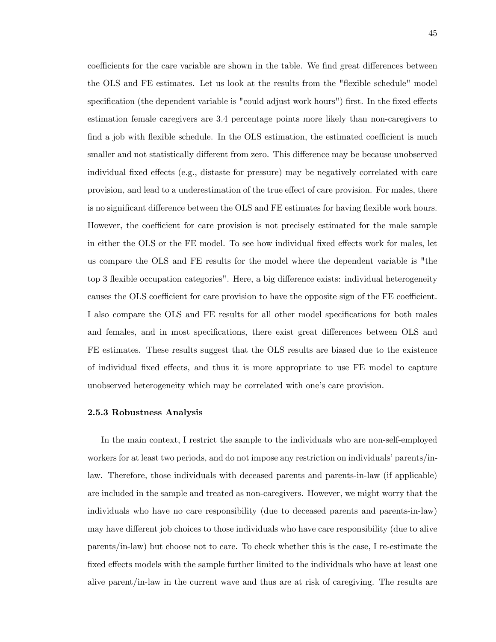coefficients for the care variable are shown in the table. We find great differences between the OLS and FE estimates. Let us look at the results from the "flexible schedule" model specification (the dependent variable is "could adjust work hours") first. In the fixed effects estimation female caregivers are 3.4 percentage points more likely than non-caregivers to find a job with flexible schedule. In the OLS estimation, the estimated coefficient is much smaller and not statistically different from zero. This difference may be because unobserved individual fixed effects (e.g., distaste for pressure) may be negatively correlated with care provision, and lead to a underestimation of the true effect of care provision. For males, there is no significant difference between the OLS and FE estimates for having flexible work hours. However, the coefficient for care provision is not precisely estimated for the male sample in either the OLS or the FE model. To see how individual fixed effects work for males, let us compare the OLS and FE results for the model where the dependent variable is "the top 3 flexible occupation categories". Here, a big difference exists: individual heterogeneity causes the OLS coefficient for care provision to have the opposite sign of the FE coefficient. I also compare the OLS and FE results for all other model specifications for both males and females, and in most specifications, there exist great differences between OLS and FE estimates. These results suggest that the OLS results are biased due to the existence of individual Öxed e§ects, and thus it is more appropriate to use FE model to capture unobserved heterogeneity which may be correlated with one's care provision.

### 2.5.3 Robustness Analysis

In the main context, I restrict the sample to the individuals who are non-self-employed workers for at least two periods, and do not impose any restriction on individuals' parents/inlaw. Therefore, those individuals with deceased parents and parents-in-law (if applicable) are included in the sample and treated as non-caregivers. However, we might worry that the individuals who have no care responsibility (due to deceased parents and parents-in-law) may have different job choices to those individuals who have care responsibility (due to alive parents/in-law) but choose not to care. To check whether this is the case, I re-estimate the fixed effects models with the sample further limited to the individuals who have at least one alive parent/in-law in the current wave and thus are at risk of caregiving. The results are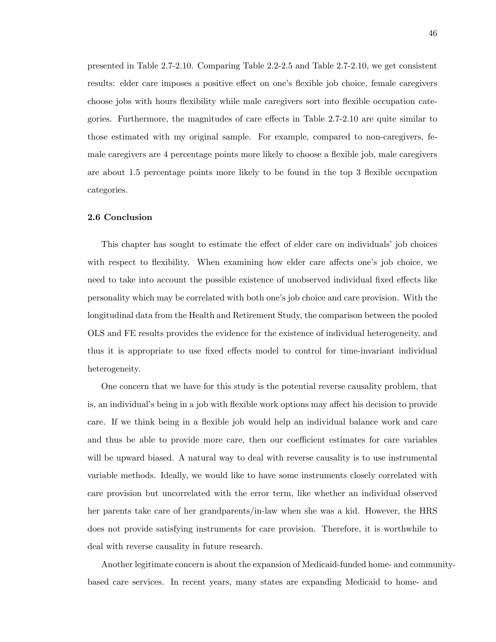presented in Table 2.7-2.10. Comparing Table 2.2-2.5 and Table 2.7-2.10, we get consistent results: elder care imposes a positive effect on one's flexible job choice, female caregivers choose jobs with hours flexibility while male caregivers sort into flexible occupation categories. Furthermore, the magnitudes of care effects in Table  $2.7-2.10$  are quite similar to those estimated with my original sample. For example, compared to non-caregivers, female caregivers are 4 percentage points more likely to choose a flexible job, male caregivers are about 1.5 percentage points more likely to be found in the top 3 flexible occupation categories.

### 2.6 Conclusion

This chapter has sought to estimate the effect of elder care on individuals' job choices with respect to flexibility. When examining how elder care affects one's job choice, we need to take into account the possible existence of unobserved individual fixed effects like personality which may be correlated with both one's job choice and care provision. With the longitudinal data from the Health and Retirement Study, the comparison between the pooled OLS and FE results provides the evidence for the existence of individual heterogeneity, and thus it is appropriate to use fixed effects model to control for time-invariant individual heterogeneity.

One concern that we have for this study is the potential reverse causality problem, that is, an individual's being in a job with flexible work options may affect his decision to provide care. If we think being in a flexible job would help an individual balance work and care and thus be able to provide more care, then our coefficient estimates for care variables will be upward biased. A natural way to deal with reverse causality is to use instrumental variable methods. Ideally, we would like to have some instruments closely correlated with care provision but uncorrelated with the error term, like whether an individual observed her parents take care of her grandparents/in-law when she was a kid. However, the HRS does not provide satisfying instruments for care provision. Therefore, it is worthwhile to deal with reverse causality in future research.

Another legitimate concern is about the expansion of Medicaid-funded home- and communitybased care services. In recent years, many states are expanding Medicaid to home- and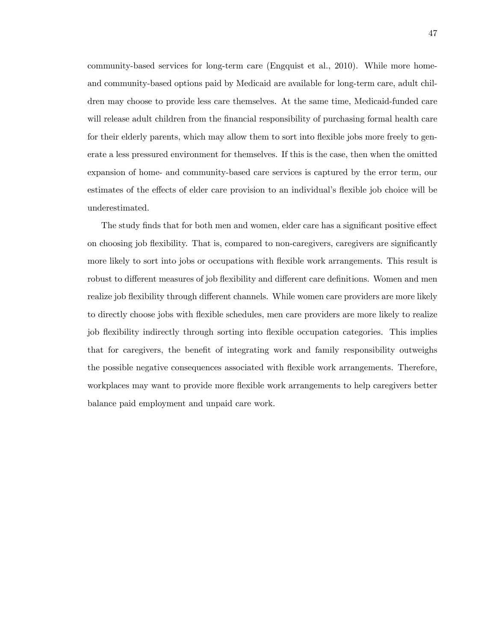community-based services for long-term care (Engquist et al., 2010). While more homeand community-based options paid by Medicaid are available for long-term care, adult children may choose to provide less care themselves. At the same time, Medicaid-funded care will release adult children from the financial responsibility of purchasing formal health care for their elderly parents, which may allow them to sort into flexible jobs more freely to generate a less pressured environment for themselves. If this is the case, then when the omitted expansion of home- and community-based care services is captured by the error term, our estimates of the effects of elder care provision to an individual's flexible job choice will be underestimated.

The study finds that for both men and women, elder care has a significant positive effect on choosing job flexibility. That is, compared to non-caregivers, caregivers are significantly more likely to sort into jobs or occupations with áexible work arrangements. This result is robust to different measures of job flexibility and different care definitions. Women and men realize job flexibility through different channels. While women care providers are more likely to directly choose jobs with áexible schedules, men care providers are more likely to realize job flexibility indirectly through sorting into flexible occupation categories. This implies that for caregivers, the benefit of integrating work and family responsibility outweighs the possible negative consequences associated with flexible work arrangements. Therefore, workplaces may want to provide more flexible work arrangements to help caregivers better balance paid employment and unpaid care work.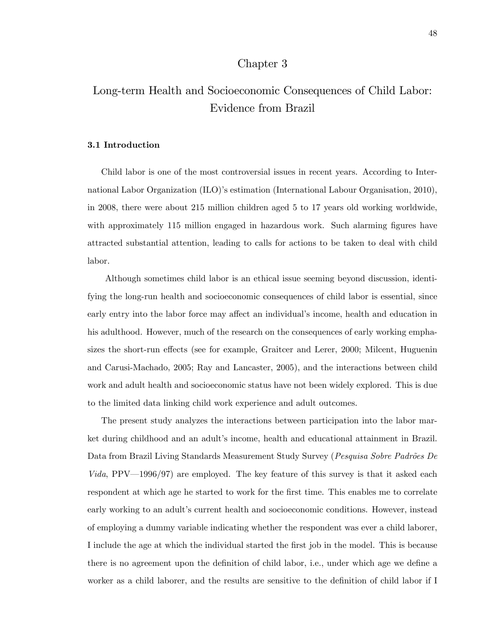# Chapter 3

# Long-term Health and Socioeconomic Consequences of Child Labor: Evidence from Brazil

# 3.1 Introduction

Child labor is one of the most controversial issues in recent years. According to International Labor Organization (ILO)'s estimation (International Labour Organisation, 2010), in 2008, there were about 215 million children aged 5 to 17 years old working worldwide, with approximately 115 million engaged in hazardous work. Such alarming figures have attracted substantial attention, leading to calls for actions to be taken to deal with child labor.

Although sometimes child labor is an ethical issue seeming beyond discussion, identifying the long-run health and socioeconomic consequences of child labor is essential, since early entry into the labor force may affect an individual's income, health and education in his adulthood. However, much of the research on the consequences of early working emphasizes the short-run effects (see for example, Graitcer and Lerer, 2000; Milcent, Huguenin and Carusi-Machado, 2005; Ray and Lancaster, 2005), and the interactions between child work and adult health and socioeconomic status have not been widely explored. This is due to the limited data linking child work experience and adult outcomes.

The present study analyzes the interactions between participation into the labor market during childhood and an adult's income, health and educational attainment in Brazil. Data from Brazil Living Standards Measurement Study Survey (Pesquisa Sobre Padrões De *Vida*, PPV $-1996/97$  are employed. The key feature of this survey is that it asked each respondent at which age he started to work for the first time. This enables me to correlate early working to an adult's current health and socioeconomic conditions. However, instead of employing a dummy variable indicating whether the respondent was ever a child laborer, I include the age at which the individual started the first job in the model. This is because there is no agreement upon the definition of child labor, i.e., under which age we define a worker as a child laborer, and the results are sensitive to the definition of child labor if I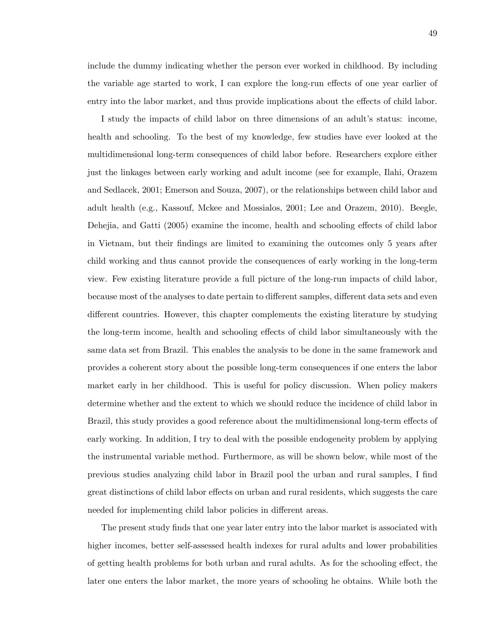include the dummy indicating whether the person ever worked in childhood. By including the variable age started to work, I can explore the long-run effects of one year earlier of entry into the labor market, and thus provide implications about the effects of child labor.

I study the impacts of child labor on three dimensions of an adult's status: income, health and schooling. To the best of my knowledge, few studies have ever looked at the multidimensional long-term consequences of child labor before. Researchers explore either just the linkages between early working and adult income (see for example, Ilahi, Orazem and Sedlacek, 2001; Emerson and Souza, 2007), or the relationships between child labor and adult health (e.g., Kassouf, Mckee and Mossialos, 2001; Lee and Orazem, 2010). Beegle, Dehejia, and Gatti (2005) examine the income, health and schooling effects of child labor in Vietnam, but their Öndings are limited to examining the outcomes only 5 years after child working and thus cannot provide the consequences of early working in the long-term view. Few existing literature provide a full picture of the long-run impacts of child labor, because most of the analyses to date pertain to different samples, different data sets and even different countries. However, this chapter complements the existing literature by studying the long-term income, health and schooling effects of child labor simultaneously with the same data set from Brazil. This enables the analysis to be done in the same framework and provides a coherent story about the possible long-term consequences if one enters the labor market early in her childhood. This is useful for policy discussion. When policy makers determine whether and the extent to which we should reduce the incidence of child labor in Brazil, this study provides a good reference about the multidimensional long-term effects of early working. In addition, I try to deal with the possible endogeneity problem by applying the instrumental variable method. Furthermore, as will be shown below, while most of the previous studies analyzing child labor in Brazil pool the urban and rural samples, I find great distinctions of child labor effects on urban and rural residents, which suggests the care needed for implementing child labor policies in different areas.

The present study finds that one year later entry into the labor market is associated with higher incomes, better self-assessed health indexes for rural adults and lower probabilities of getting health problems for both urban and rural adults. As for the schooling effect, the later one enters the labor market, the more years of schooling he obtains. While both the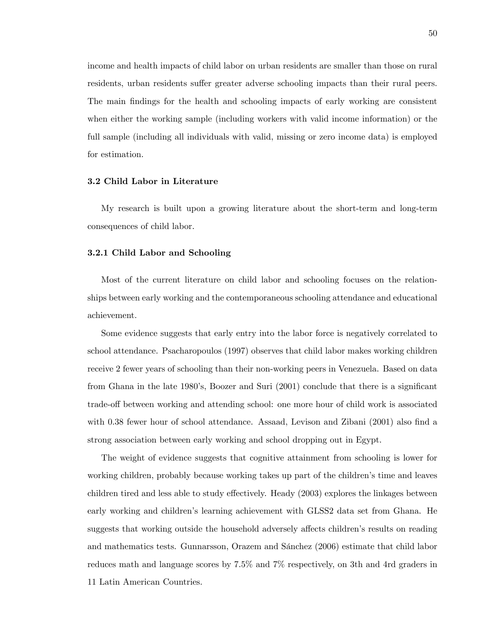income and health impacts of child labor on urban residents are smaller than those on rural residents, urban residents suffer greater adverse schooling impacts than their rural peers. The main findings for the health and schooling impacts of early working are consistent when either the working sample (including workers with valid income information) or the full sample (including all individuals with valid, missing or zero income data) is employed for estimation.

### 3.2 Child Labor in Literature

My research is built upon a growing literature about the short-term and long-term consequences of child labor.

# 3.2.1 Child Labor and Schooling

Most of the current literature on child labor and schooling focuses on the relationships between early working and the contemporaneous schooling attendance and educational achievement.

Some evidence suggests that early entry into the labor force is negatively correlated to school attendance. Psacharopoulos (1997) observes that child labor makes working children receive 2 fewer years of schooling than their non-working peers in Venezuela. Based on data from Ghana in the late 1980's, Boozer and Suri  $(2001)$  conclude that there is a significant trade-off between working and attending school: one more hour of child work is associated with  $0.38$  fewer hour of school attendance. Assaad, Levison and Zibani  $(2001)$  also find a strong association between early working and school dropping out in Egypt.

The weight of evidence suggests that cognitive attainment from schooling is lower for working children, probably because working takes up part of the children's time and leaves children tired and less able to study effectively. Heady (2003) explores the linkages between early working and children's learning achievement with GLSS2 data set from Ghana. He suggests that working outside the household adversely affects children's results on reading and mathematics tests. Gunnarsson, Orazem and Sánchez (2006) estimate that child labor reduces math and language scores by 7.5% and 7% respectively, on 3th and 4rd graders in 11 Latin American Countries.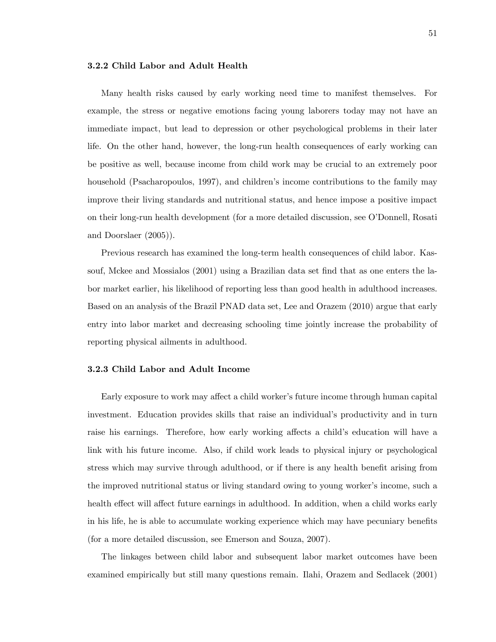# 3.2.2 Child Labor and Adult Health

Many health risks caused by early working need time to manifest themselves. For example, the stress or negative emotions facing young laborers today may not have an immediate impact, but lead to depression or other psychological problems in their later life. On the other hand, however, the long-run health consequences of early working can be positive as well, because income from child work may be crucial to an extremely poor household (Psacharopoulos, 1997), and children's income contributions to the family may improve their living standards and nutritional status, and hence impose a positive impact on their long-run health development (for a more detailed discussion, see O'Donnell, Rosati and Doorslaer (2005)).

Previous research has examined the long-term health consequences of child labor. Kassouf, Mckee and Mossialos (2001) using a Brazilian data set find that as one enters the labor market earlier, his likelihood of reporting less than good health in adulthood increases. Based on an analysis of the Brazil PNAD data set, Lee and Orazem (2010) argue that early entry into labor market and decreasing schooling time jointly increase the probability of reporting physical ailments in adulthood.

# 3.2.3 Child Labor and Adult Income

Early exposure to work may affect a child worker's future income through human capital investment. Education provides skills that raise an individual's productivity and in turn raise his earnings. Therefore, how early working affects a child's education will have a link with his future income. Also, if child work leads to physical injury or psychological stress which may survive through adulthood, or if there is any health benefit arising from the improved nutritional status or living standard owing to young worker's income, such a health effect will affect future earnings in adulthood. In addition, when a child works early in his life, he is able to accumulate working experience which may have pecuniary benefits (for a more detailed discussion, see Emerson and Souza, 2007).

The linkages between child labor and subsequent labor market outcomes have been examined empirically but still many questions remain. Ilahi, Orazem and Sedlacek (2001)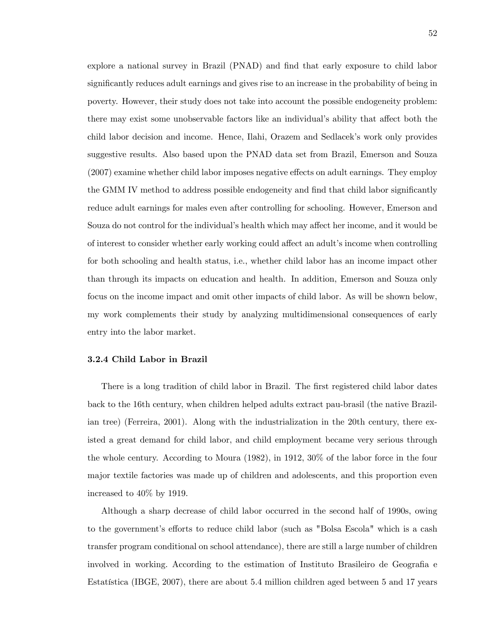explore a national survey in Brazil (PNAD) and find that early exposure to child labor significantly reduces adult earnings and gives rise to an increase in the probability of being in poverty. However, their study does not take into account the possible endogeneity problem: there may exist some unobservable factors like an individual's ability that affect both the child labor decision and income. Hence, Ilahi, Orazem and Sedlacekís work only provides suggestive results. Also based upon the PNAD data set from Brazil, Emerson and Souza  $(2007)$  examine whether child labor imposes negative effects on adult earnings. They employ the GMM IV method to address possible endogeneity and find that child labor significantly reduce adult earnings for males even after controlling for schooling. However, Emerson and Souza do not control for the individual's health which may affect her income, and it would be of interest to consider whether early working could affect an adult's income when controlling for both schooling and health status, i.e., whether child labor has an income impact other than through its impacts on education and health. In addition, Emerson and Souza only focus on the income impact and omit other impacts of child labor. As will be shown below, my work complements their study by analyzing multidimensional consequences of early entry into the labor market.

### 3.2.4 Child Labor in Brazil

There is a long tradition of child labor in Brazil. The first registered child labor dates back to the 16th century, when children helped adults extract pau-brasil (the native Brazilian tree) (Ferreira, 2001). Along with the industrialization in the 20th century, there existed a great demand for child labor, and child employment became very serious through the whole century. According to Moura (1982), in 1912, 30% of the labor force in the four major textile factories was made up of children and adolescents, and this proportion even increased to 40% by 1919.

Although a sharp decrease of child labor occurred in the second half of 1990s, owing to the government's efforts to reduce child labor (such as "Bolsa Escola" which is a cash transfer program conditional on school attendance), there are still a large number of children involved in working. According to the estimation of Instituto Brasileiro de Geografia e Estatística (IBGE, 2007), there are about 5.4 million children aged between 5 and 17 years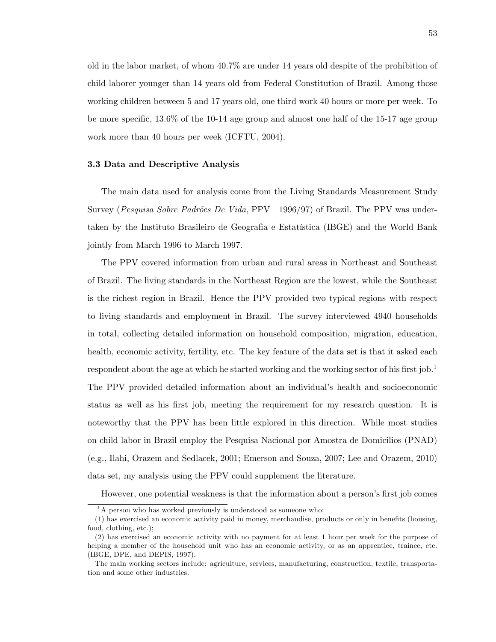old in the labor market, of whom 40.7% are under 14 years old despite of the prohibition of child laborer younger than 14 years old from Federal Constitution of Brazil. Among those working children between 5 and 17 years old, one third work 40 hours or more per week. To be more specific,  $13.6\%$  of the 10-14 age group and almost one half of the 15-17 age group work more than 40 hours per week (ICFTU, 2004).

# 3.3 Data and Descriptive Analysis

The main data used for analysis come from the Living Standards Measurement Study Survey (Pesquisa Sobre Padrões De Vida, PPV $-1996/97$ ) of Brazil. The PPV was undertaken by the Instituto Brasileiro de Geografia e Estatística (IBGE) and the World Bank jointly from March 1996 to March 1997.

The PPV covered information from urban and rural areas in Northeast and Southeast of Brazil. The living standards in the Northeast Region are the lowest, while the Southeast is the richest region in Brazil. Hence the PPV provided two typical regions with respect to living standards and employment in Brazil. The survey interviewed 4940 households in total, collecting detailed information on household composition, migration, education, health, economic activity, fertility, etc. The key feature of the data set is that it asked each respondent about the age at which he started working and the working sector of his first job.<sup>1</sup> The PPV provided detailed information about an individual's health and socioeconomic status as well as his first job, meeting the requirement for my research question. It is noteworthy that the PPV has been little explored in this direction. While most studies on child labor in Brazil employ the Pesquisa Nacional por Amostra de Domicilios (PNAD) (e.g., Ilahi, Orazem and Sedlacek, 2001; Emerson and Souza, 2007; Lee and Orazem, 2010) data set, my analysis using the PPV could supplement the literature.

However, one potential weakness is that the information about a person's first job comes

 $1<sup>1</sup>A$  person who has worked previously is understood as someone who:

<sup>(1)</sup> has exercised an economic activity paid in money, merchandise, products or only in benefits (housing, food, clothing, etc.);

<sup>(2)</sup> has exercised an economic activity with no payment for at least 1 hour per week for the purpose of helping a member of the household unit who has an economic activity, or as an apprentice, trainee, etc. (IBGE, DPE, and DEPIS, 1997).

The main working sectors include: agriculture, services, manufacturing, construction, textile, transportation and some other industries.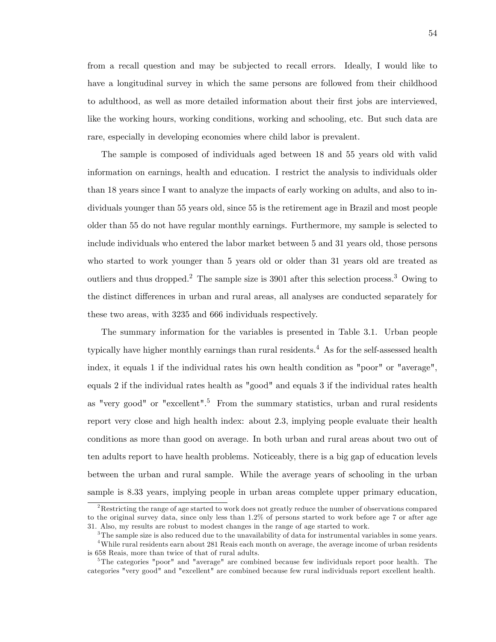from a recall question and may be subjected to recall errors. Ideally, I would like to have a longitudinal survey in which the same persons are followed from their childhood to adulthood, as well as more detailed information about their first jobs are interviewed, like the working hours, working conditions, working and schooling, etc. But such data are rare, especially in developing economies where child labor is prevalent.

The sample is composed of individuals aged between 18 and 55 years old with valid information on earnings, health and education. I restrict the analysis to individuals older than 18 years since I want to analyze the impacts of early working on adults, and also to individuals younger than 55 years old, since 55 is the retirement age in Brazil and most people older than 55 do not have regular monthly earnings. Furthermore, my sample is selected to include individuals who entered the labor market between 5 and 31 years old, those persons who started to work younger than 5 years old or older than 31 years old are treated as outliers and thus dropped.<sup>2</sup> The sample size is  $3901$  after this selection process.<sup>3</sup> Owing to the distinct differences in urban and rural areas, all analyses are conducted separately for these two areas, with 3235 and 666 individuals respectively.

The summary information for the variables is presented in Table 3.1. Urban people typically have higher monthly earnings than rural residents.<sup>4</sup> As for the self-assessed health index, it equals 1 if the individual rates his own health condition as "poor" or "average", equals 2 if the individual rates health as "good" and equals 3 if the individual rates health as "very good" or "excellent".<sup>5</sup> From the summary statistics, urban and rural residents report very close and high health index: about 2.3, implying people evaluate their health conditions as more than good on average. In both urban and rural areas about two out of ten adults report to have health problems. Noticeably, there is a big gap of education levels between the urban and rural sample. While the average years of schooling in the urban sample is 8.33 years, implying people in urban areas complete upper primary education,

 $2$ Restricting the range of age started to work does not greatly reduce the number of observations compared to the original survey data, since only less than 1.2% of persons started to work before age 7 or after age 31. Also, my results are robust to modest changes in the range of age started to work.

 $3$ The sample size is also reduced due to the unavailability of data for instrumental variables in some years.

<sup>&</sup>lt;sup>4</sup>While rural residents earn about 281 Reais each month on average, the average income of urban residents is 658 Reais, more than twice of that of rural adults.

 $5$ The categories "poor" and "average" are combined because few individuals report poor health. The categories "very good" and "excellent" are combined because few rural individuals report excellent health.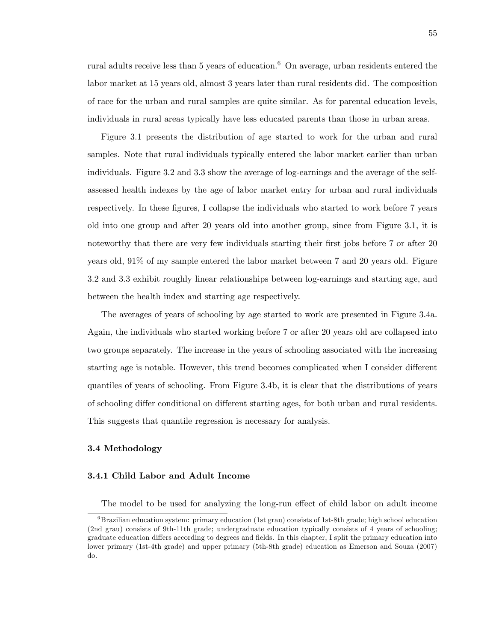rural adults receive less than 5 years of education.<sup>6</sup> On average, urban residents entered the labor market at 15 years old, almost 3 years later than rural residents did. The composition of race for the urban and rural samples are quite similar. As for parental education levels, individuals in rural areas typically have less educated parents than those in urban areas.

Figure 3.1 presents the distribution of age started to work for the urban and rural samples. Note that rural individuals typically entered the labor market earlier than urban individuals. Figure 3.2 and 3.3 show the average of log-earnings and the average of the selfassessed health indexes by the age of labor market entry for urban and rural individuals respectively. In these figures, I collapse the individuals who started to work before 7 years old into one group and after 20 years old into another group, since from Figure 3.1, it is noteworthy that there are very few individuals starting their first jobs before 7 or after 20 years old, 91% of my sample entered the labor market between 7 and 20 years old. Figure 3.2 and 3.3 exhibit roughly linear relationships between log-earnings and starting age, and between the health index and starting age respectively.

The averages of years of schooling by age started to work are presented in Figure 3.4a. Again, the individuals who started working before 7 or after 20 years old are collapsed into two groups separately. The increase in the years of schooling associated with the increasing starting age is notable. However, this trend becomes complicated when I consider different quantiles of years of schooling. From Figure 3.4b, it is clear that the distributions of years of schooling differ conditional on different starting ages, for both urban and rural residents. This suggests that quantile regression is necessary for analysis.

# 3.4 Methodology

# 3.4.1 Child Labor and Adult Income

The model to be used for analyzing the long-run effect of child labor on adult income

 ${}^{6}$ Brazilian education system: primary education (1st grau) consists of 1st-8th grade; high school education (2nd grau) consists of 9th-11th grade; undergraduate education typically consists of 4 years of schooling; graduate education differs according to degrees and fields. In this chapter, I split the primary education into lower primary (1st-4th grade) and upper primary (5th-8th grade) education as Emerson and Souza (2007) do.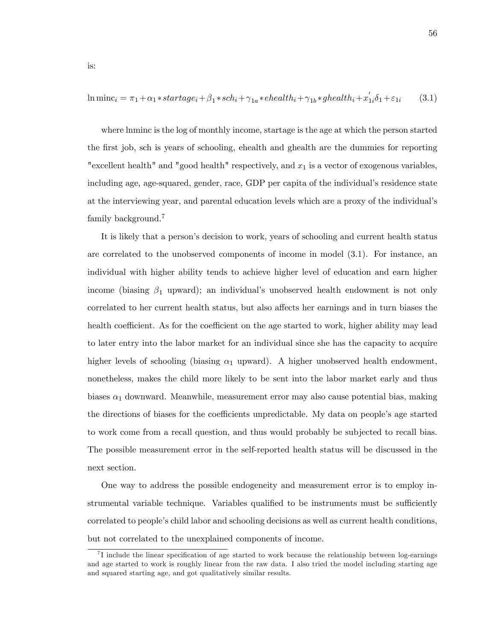$$
\ln \text{minc}_i = \pi_1 + \alpha_1 * startage_i + \beta_1 * sch_i + \gamma_{1a} * chealth_i + \gamma_{1b} * ghealth_i + x_{1i}'\delta_1 + \varepsilon_{1i} \tag{3.1}
$$

where lnminc is the log of monthly income, startage is the age at which the person started the first job, sch is years of schooling, ehealth and ghealth are the dummies for reporting "excellent health" and "good health" respectively, and  $x_1$  is a vector of exogenous variables, including age, age-squared, gender, race, GDP per capita of the individual's residence state at the interviewing year, and parental education levels which are a proxy of the individualís family background.<sup>7</sup>

It is likely that a person's decision to work, years of schooling and current health status are correlated to the unobserved components of income in model (3.1). For instance, an individual with higher ability tends to achieve higher level of education and earn higher income (biasing  $\beta_1$  upward); an individual's unobserved health endowment is not only correlated to her current health status, but also affects her earnings and in turn biases the health coefficient. As for the coefficient on the age started to work, higher ability may lead to later entry into the labor market for an individual since she has the capacity to acquire higher levels of schooling (biasing  $\alpha_1$  upward). A higher unobserved health endowment, nonetheless, makes the child more likely to be sent into the labor market early and thus biases  $\alpha_1$  downward. Meanwhile, measurement error may also cause potential bias, making the directions of biases for the coefficients unpredictable. My data on people's age started to work come from a recall question, and thus would probably be subjected to recall bias. The possible measurement error in the self-reported health status will be discussed in the next section.

One way to address the possible endogeneity and measurement error is to employ instrumental variable technique. Variables qualified to be instruments must be sufficiently correlated to people's child labor and schooling decisions as well as current health conditions, but not correlated to the unexplained components of income.

 $^{7}$ I include the linear specification of age started to work because the relationship between log-earnings and age started to work is roughly linear from the raw data. I also tried the model including starting age and squared starting age, and got qualitatively similar results.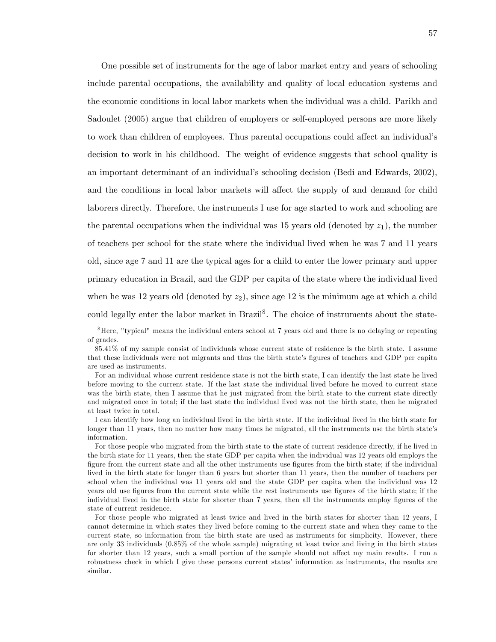One possible set of instruments for the age of labor market entry and years of schooling include parental occupations, the availability and quality of local education systems and the economic conditions in local labor markets when the individual was a child. Parikh and Sadoulet (2005) argue that children of employers or self-employed persons are more likely to work than children of employees. Thus parental occupations could affect an individual's decision to work in his childhood. The weight of evidence suggests that school quality is an important determinant of an individual's schooling decision (Bedi and Edwards, 2002), and the conditions in local labor markets will affect the supply of and demand for child laborers directly. Therefore, the instruments I use for age started to work and schooling are the parental occupations when the individual was 15 years old (denoted by  $z_1$ ), the number of teachers per school for the state where the individual lived when he was 7 and 11 years old, since age 7 and 11 are the typical ages for a child to enter the lower primary and upper primary education in Brazil, and the GDP per capita of the state where the individual lived when he was 12 years old (denoted by  $z_2$ ), since age 12 is the minimum age at which a child could legally enter the labor market in Brazil<sup>8</sup>. The choice of instruments about the state-

<sup>&</sup>lt;sup>8</sup>Here, "typical" means the individual enters school at 7 years old and there is no delaying or repeating of grades.

<sup>85.41%</sup> of my sample consist of individuals whose current state of residence is the birth state. I assume that these individuals were not migrants and thus the birth state's figures of teachers and GDP per capita are used as instruments.

For an individual whose current residence state is not the birth state, I can identify the last state he lived before moving to the current state. If the last state the individual lived before he moved to current state was the birth state, then I assume that he just migrated from the birth state to the current state directly and migrated once in total; if the last state the individual lived was not the birth state, then he migrated at least twice in total.

I can identify how long an individual lived in the birth state. If the individual lived in the birth state for longer than 11 years, then no matter how many times he migrated, all the instruments use the birth state's information.

For those people who migrated from the birth state to the state of current residence directly, if he lived in the birth state for 11 years, then the state GDP per capita when the individual was 12 years old employs the figure from the current state and all the other instruments use figures from the birth state; if the individual lived in the birth state for longer than 6 years but shorter than 11 years, then the number of teachers per school when the individual was 11 years old and the state GDP per capita when the individual was 12 years old use figures from the current state while the rest instruments use figures of the birth state; if the individual lived in the birth state for shorter than 7 years, then all the instruments employ figures of the state of current residence.

For those people who migrated at least twice and lived in the birth states for shorter than 12 years, I cannot determine in which states they lived before coming to the current state and when they came to the current state, so information from the birth state are used as instruments for simplicity. However, there are only 33 individuals (0.85% of the whole sample) migrating at least twice and living in the birth states for shorter than 12 years, such a small portion of the sample should not affect my main results. I run a robustness check in which I give these persons current states' information as instruments, the results are similar.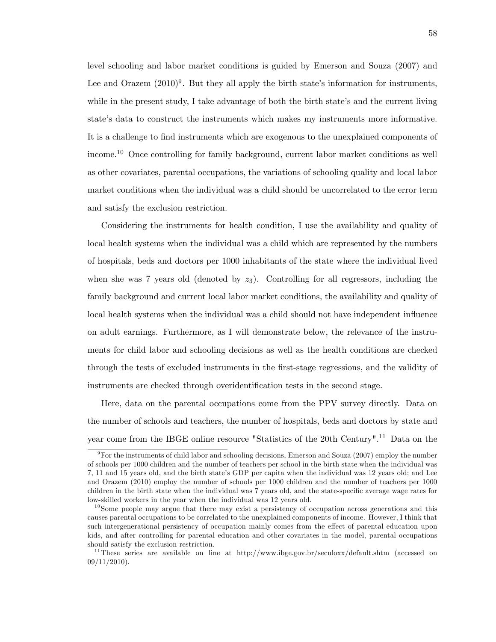level schooling and labor market conditions is guided by Emerson and Souza (2007) and Lee and Orazem  $(2010)^9$ . But they all apply the birth state's information for instruments, while in the present study, I take advantage of both the birth state's and the current living state's data to construct the instruments which makes my instruments more informative. It is a challenge to find instruments which are exogenous to the unexplained components of income.<sup>10</sup> Once controlling for family background, current labor market conditions as well as other covariates, parental occupations, the variations of schooling quality and local labor market conditions when the individual was a child should be uncorrelated to the error term and satisfy the exclusion restriction.

Considering the instruments for health condition, I use the availability and quality of local health systems when the individual was a child which are represented by the numbers of hospitals, beds and doctors per 1000 inhabitants of the state where the individual lived when she was 7 years old (denoted by  $z_3$ ). Controlling for all regressors, including the family background and current local labor market conditions, the availability and quality of local health systems when the individual was a child should not have independent ináuence on adult earnings. Furthermore, as I will demonstrate below, the relevance of the instruments for child labor and schooling decisions as well as the health conditions are checked through the tests of excluded instruments in the Örst-stage regressions, and the validity of instruments are checked through overidentification tests in the second stage.

Here, data on the parental occupations come from the PPV survey directly. Data on the number of schools and teachers, the number of hospitals, beds and doctors by state and year come from the IBGE online resource "Statistics of the 20th Century".<sup>11</sup> Data on the

 $9$ For the instruments of child labor and schooling decisions, Emerson and Souza (2007) employ the number of schools per 1000 children and the number of teachers per school in the birth state when the individual was 7, 11 and 15 years old, and the birth stateís GDP per capita when the individual was 12 years old; and Lee and Orazem (2010) employ the number of schools per 1000 children and the number of teachers per 1000 children in the birth state when the individual was 7 years old, and the state-specific average wage rates for low-skilled workers in the year when the individual was 12 years old.

 $10$  Some people may argue that there may exist a persistency of occupation across generations and this causes parental occupations to be correlated to the unexplained components of income. However, I think that such intergenerational persistency of occupation mainly comes from the effect of parental education upon kids, and after controlling for parental education and other covariates in the model, parental occupations should satisfy the exclusion restriction.

<sup>&</sup>lt;sup>11</sup>These series are available on line at http://www.ibge.gov.br/seculoxx/default.shtm (accessed on  $09/11/2010$ .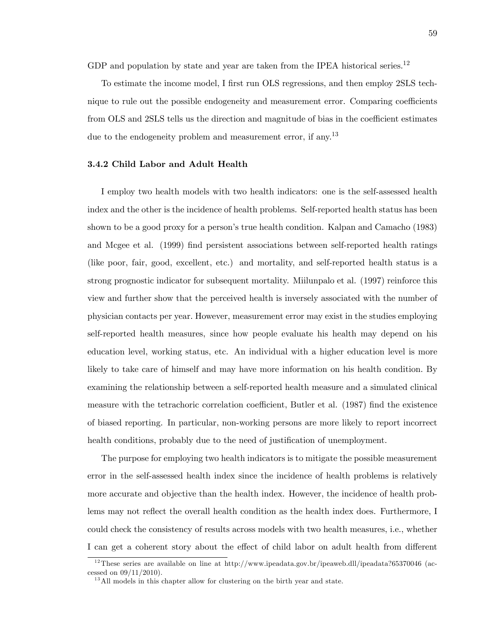GDP and population by state and year are taken from the IPEA historical series.<sup>12</sup>

To estimate the income model, I first run OLS regressions, and then employ 2SLS technique to rule out the possible endogeneity and measurement error. Comparing coefficients from OLS and 2SLS tells us the direction and magnitude of bias in the coefficient estimates due to the endogeneity problem and measurement error, if any.<sup>13</sup>

### 3.4.2 Child Labor and Adult Health

I employ two health models with two health indicators: one is the self-assessed health index and the other is the incidence of health problems. Self-reported health status has been shown to be a good proxy for a person's true health condition. Kalpan and Camacho (1983) and Mcgee et al. (1999) Önd persistent associations between self-reported health ratings (like poor, fair, good, excellent, etc.) and mortality, and self-reported health status is a strong prognostic indicator for subsequent mortality. Miilunpalo et al. (1997) reinforce this view and further show that the perceived health is inversely associated with the number of physician contacts per year. However, measurement error may exist in the studies employing self-reported health measures, since how people evaluate his health may depend on his education level, working status, etc. An individual with a higher education level is more likely to take care of himself and may have more information on his health condition. By examining the relationship between a self-reported health measure and a simulated clinical measure with the tetrachoric correlation coefficient, Butler et al. (1987) find the existence of biased reporting. In particular, non-working persons are more likely to report incorrect health conditions, probably due to the need of justification of unemployment.

The purpose for employing two health indicators is to mitigate the possible measurement error in the self-assessed health index since the incidence of health problems is relatively more accurate and objective than the health index. However, the incidence of health problems may not reflect the overall health condition as the health index does. Furthermore, I could check the consistency of results across models with two health measures, i.e., whether I can get a coherent story about the effect of child labor on adult health from different

<sup>&</sup>lt;sup>12</sup>These series are available on line at http://www.ipeadata.gov.br/ipeaweb.dll/ipeadata?65370046 (accessed on  $09/11/2010$ .

 $13$  All models in this chapter allow for clustering on the birth year and state.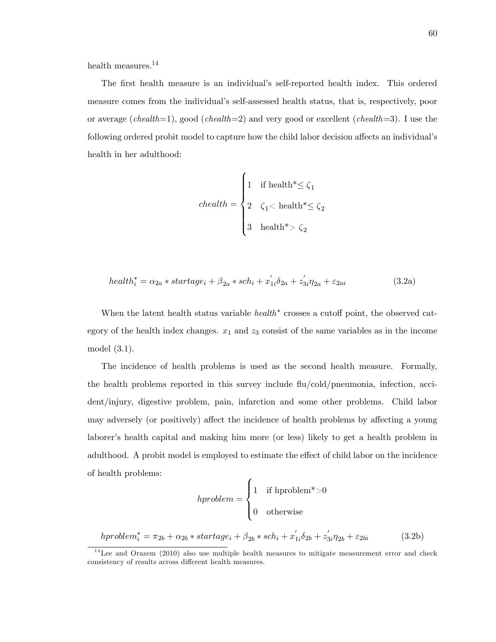health measures.<sup>14</sup>

The first health measure is an individual's self-reported health index. This ordered measure comes from the individual's self-assessed health status, that is, respectively, poor or average (chealth=1), good (chealth=2) and very good or excellent (chealth=3). I use the following ordered probit model to capture how the child labor decision affects an individual's health in her adulthood:

$$
chealth = \begin{cases} 1 & \text{if health*} \leq \zeta_1 \\ 2 & \zeta_1 < \text{health*} \leq \zeta_2 \\ 3 & \text{health*} > \zeta_2 \end{cases}
$$

$$
health_i^* = \alpha_{2a} * startage_i + \beta_{2a} * sch_i + x_{1i}'\delta_{2a} + z_{3i}'\eta_{2a} + \varepsilon_{2ai}
$$
\n
$$
(3.2a)
$$

When the latent health status variable  $\text{health}^*$  crosses a cutoff point, the observed category of the health index changes.  $x_1$  and  $z_3$  consist of the same variables as in the income model (3.1).

The incidence of health problems is used as the second health measure. Formally, the health problems reported in this survey include  $\text{flu/cold/pneumonia}$ , infection, accident/injury, digestive problem, pain, infarction and some other problems. Child labor may adversely (or positively) affect the incidence of health problems by affecting a young laborer's health capital and making him more (or less) likely to get a health problem in adulthood. A probit model is employed to estimate the effect of child labor on the incidence of health problems: 7

$$
hproblem = \begin{cases} 1 & \text{if hproblem}^* > 0 \\ 0 & \text{otherwise} \end{cases}
$$

hproblem<sup>\*</sup><sub>i</sub> =  $\pi_{2b} + \alpha_{2b} * startage_i + \beta_{2b} * sch_i + x'_{1i} \delta_{2b} + z'_{3i} \eta_{2b} + \varepsilon_{2bi}$  (3.2b)

 $14$ Lee and Orazem (2010) also use multiple health measures to mitigate measurement error and check consistency of results across different health measures.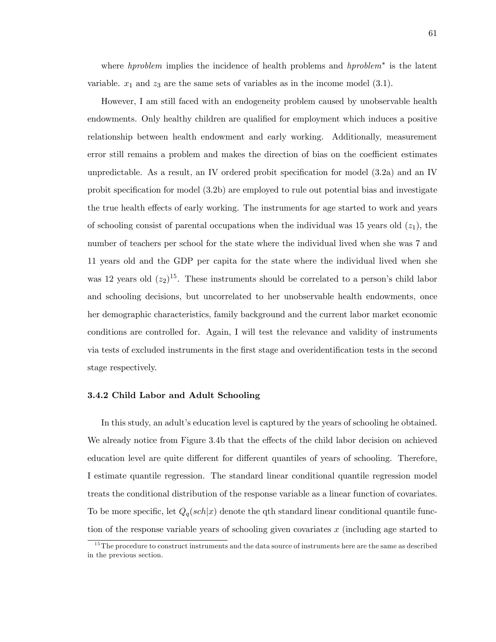where  $h$ *problem* implies the incidence of health problems and  $h$ *problem*<sup>\*</sup> is the latent variable.  $x_1$  and  $z_3$  are the same sets of variables as in the income model (3.1).

However, I am still faced with an endogeneity problem caused by unobservable health endowments. Only healthy children are qualified for employment which induces a positive relationship between health endowment and early working. Additionally, measurement error still remains a problem and makes the direction of bias on the coefficient estimates unpredictable. As a result, an IV ordered probit specification for model  $(3.2a)$  and an IV probit specification for model  $(3.2b)$  are employed to rule out potential bias and investigate the true health effects of early working. The instruments for age started to work and years of schooling consist of parental occupations when the individual was 15 years old  $(z_1)$ , the number of teachers per school for the state where the individual lived when she was 7 and 11 years old and the GDP per capita for the state where the individual lived when she was 12 years old  $(z_2)^{15}$ . These instruments should be correlated to a person's child labor and schooling decisions, but uncorrelated to her unobservable health endowments, once her demographic characteristics, family background and the current labor market economic conditions are controlled for. Again, I will test the relevance and validity of instruments via tests of excluded instruments in the first stage and overidentification tests in the second stage respectively.

### 3.4.2 Child Labor and Adult Schooling

In this study, an adult's education level is captured by the years of schooling he obtained. We already notice from Figure 3.4b that the effects of the child labor decision on achieved education level are quite different for different quantiles of years of schooling. Therefore, I estimate quantile regression. The standard linear conditional quantile regression model treats the conditional distribution of the response variable as a linear function of covariates. To be more specific, let  $Q_q(sch|x)$  denote the qth standard linear conditional quantile function of the response variable years of schooling given covariates  $x$  (including age started to

<sup>&</sup>lt;sup>15</sup>The procedure to construct instruments and the data source of instruments here are the same as described in the previous section.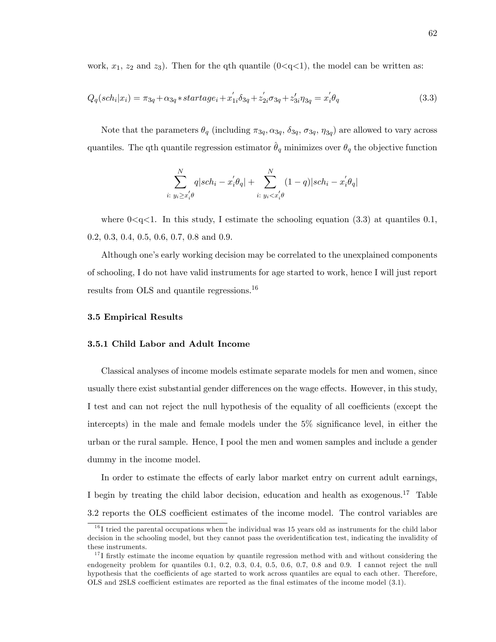work,  $x_1$ ,  $z_2$  and  $z_3$ ). Then for the qth quantile (0<q<1), the model can be written as:

$$
Q_q(sch_i|x_i) = \pi_{3q} + \alpha_{3q} * startage_i + x'_{1i}\delta_{3q} + z'_{2i}\sigma_{3q} + z'_{3i}\eta_{3q} = x'_i\theta_q
$$
\n(3.3)

Note that the parameters  $\theta_q$  (including  $\pi_{3q}, \alpha_{3q}, \delta_{3q}, \sigma_{3q}, \eta_{3q}$ ) are allowed to vary across quantiles. The qth quantile regression estimator  $\theta_q$  minimizes over  $\theta_q$  the objective function

$$
\sum_{i:\ y_i \ge x_i' \theta}^N q |sch_i - x_i' \theta_q| + \sum_{i:\ y_i < x_i' \theta}^N (1-q) |sch_i - x_i' \theta_q|
$$

where  $0 < q < 1$ . In this study, I estimate the schooling equation (3.3) at quantiles 0.1, 0.2, 0.3, 0.4, 0.5, 0.6, 0.7, 0.8 and 0.9.

Although one's early working decision may be correlated to the unexplained components of schooling, I do not have valid instruments for age started to work, hence I will just report results from OLS and quantile regressions.<sup>16</sup>

# 3.5 Empirical Results

### 3.5.1 Child Labor and Adult Income

Classical analyses of income models estimate separate models for men and women, since usually there exist substantial gender differences on the wage effects. However, in this study, I test and can not reject the null hypothesis of the equality of all coefficients (except the intercepts) in the male and female models under the  $5\%$  significance level, in either the urban or the rural sample. Hence, I pool the men and women samples and include a gender dummy in the income model.

In order to estimate the effects of early labor market entry on current adult earnings, I begin by treating the child labor decision, education and health as exogenous.<sup>17</sup> Table 3.2 reports the OLS coefficient estimates of the income model. The control variables are

 $16$  I tried the parental occupations when the individual was 15 years old as instruments for the child labor decision in the schooling model, but they cannot pass the overidentification test, indicating the invalidity of these instruments.

 $17$  I firstly estimate the income equation by quantile regression method with and without considering the endogeneity problem for quantiles 0.1, 0.2, 0.3, 0.4, 0.5, 0.6, 0.7, 0.8 and 0.9. I cannot reject the null hypothesis that the coefficients of age started to work across quantiles are equal to each other. Therefore, OLS and 2SLS coefficient estimates are reported as the final estimates of the income model (3.1).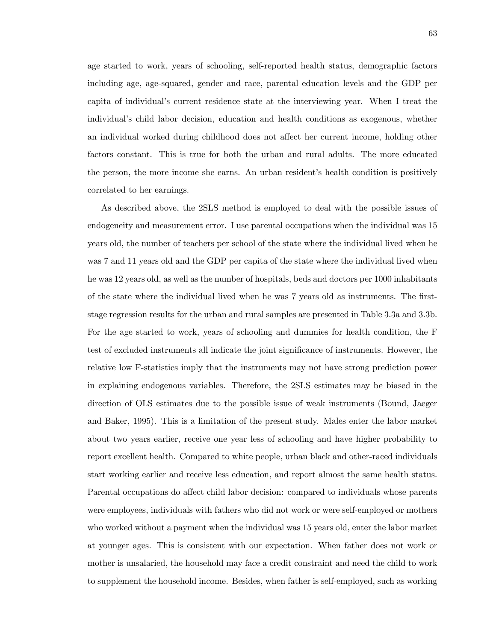age started to work, years of schooling, self-reported health status, demographic factors including age, age-squared, gender and race, parental education levels and the GDP per capita of individualís current residence state at the interviewing year. When I treat the individual's child labor decision, education and health conditions as exogenous, whether an individual worked during childhood does not affect her current income, holding other factors constant. This is true for both the urban and rural adults. The more educated the person, the more income she earns. An urban resident's health condition is positively correlated to her earnings.

As described above, the 2SLS method is employed to deal with the possible issues of endogeneity and measurement error. I use parental occupations when the individual was 15 years old, the number of teachers per school of the state where the individual lived when he was 7 and 11 years old and the GDP per capita of the state where the individual lived when he was 12 years old, as well as the number of hospitals, beds and doctors per 1000 inhabitants of the state where the individual lived when he was 7 years old as instruments. The Örststage regression results for the urban and rural samples are presented in Table 3.3a and 3.3b. For the age started to work, years of schooling and dummies for health condition, the F test of excluded instruments all indicate the joint significance of instruments. However, the relative low F-statistics imply that the instruments may not have strong prediction power in explaining endogenous variables. Therefore, the 2SLS estimates may be biased in the direction of OLS estimates due to the possible issue of weak instruments (Bound, Jaeger and Baker, 1995). This is a limitation of the present study. Males enter the labor market about two years earlier, receive one year less of schooling and have higher probability to report excellent health. Compared to white people, urban black and other-raced individuals start working earlier and receive less education, and report almost the same health status. Parental occupations do affect child labor decision: compared to individuals whose parents were employees, individuals with fathers who did not work or were self-employed or mothers who worked without a payment when the individual was 15 years old, enter the labor market at younger ages. This is consistent with our expectation. When father does not work or mother is unsalaried, the household may face a credit constraint and need the child to work to supplement the household income. Besides, when father is self-employed, such as working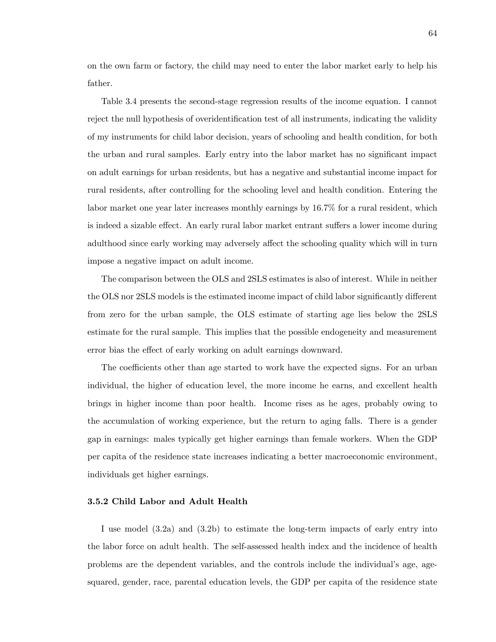on the own farm or factory, the child may need to enter the labor market early to help his father.

Table 3.4 presents the second-stage regression results of the income equation. I cannot reject the null hypothesis of overidentification test of all instruments, indicating the validity of my instruments for child labor decision, years of schooling and health condition, for both the urban and rural samples. Early entry into the labor market has no significant impact on adult earnings for urban residents, but has a negative and substantial income impact for rural residents, after controlling for the schooling level and health condition. Entering the labor market one year later increases monthly earnings by 16.7% for a rural resident, which is indeed a sizable effect. An early rural labor market entrant suffers a lower income during adulthood since early working may adversely affect the schooling quality which will in turn impose a negative impact on adult income.

The comparison between the OLS and 2SLS estimates is also of interest. While in neither the OLS nor 2SLS models is the estimated income impact of child labor significantly different from zero for the urban sample, the OLS estimate of starting age lies below the 2SLS estimate for the rural sample. This implies that the possible endogeneity and measurement error bias the effect of early working on adult earnings downward.

The coefficients other than age started to work have the expected signs. For an urban individual, the higher of education level, the more income he earns, and excellent health brings in higher income than poor health. Income rises as he ages, probably owing to the accumulation of working experience, but the return to aging falls. There is a gender gap in earnings: males typically get higher earnings than female workers. When the GDP per capita of the residence state increases indicating a better macroeconomic environment, individuals get higher earnings.

## 3.5.2 Child Labor and Adult Health

I use model (3.2a) and (3.2b) to estimate the long-term impacts of early entry into the labor force on adult health. The self-assessed health index and the incidence of health problems are the dependent variables, and the controls include the individual's age, agesquared, gender, race, parental education levels, the GDP per capita of the residence state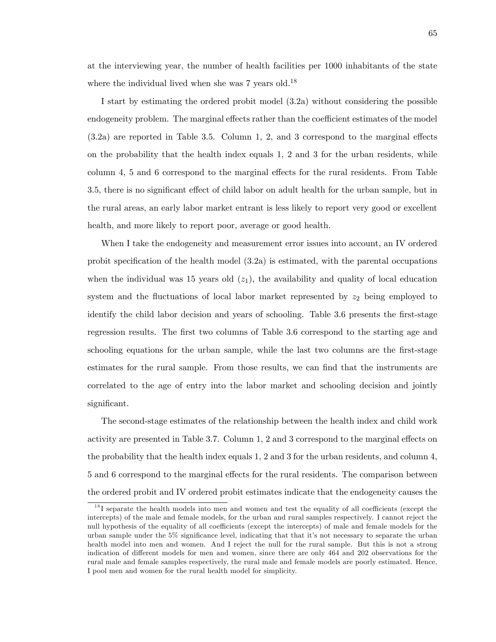at the interviewing year, the number of health facilities per 1000 inhabitants of the state where the individual lived when she was  $7$  years old.<sup>18</sup>

I start by estimating the ordered probit model (3.2a) without considering the possible endogeneity problem. The marginal effects rather than the coefficient estimates of the model  $(3.2a)$  are reported in Table 3.5. Column 1, 2, and 3 correspond to the marginal effects on the probability that the health index equals 1, 2 and 3 for the urban residents, while column 4, 5 and 6 correspond to the marginal effects for the rural residents. From Table 3.5, there is no significant effect of child labor on adult health for the urban sample, but in the rural areas, an early labor market entrant is less likely to report very good or excellent health, and more likely to report poor, average or good health.

When I take the endogeneity and measurement error issues into account, an IV ordered probit specification of the health model  $(3.2a)$  is estimated, with the parental occupations when the individual was 15 years old  $(z_1)$ , the availability and quality of local education system and the fluctuations of local labor market represented by  $z_2$  being employed to identify the child labor decision and years of schooling. Table 3.6 presents the first-stage regression results. The first two columns of Table 3.6 correspond to the starting age and schooling equations for the urban sample, while the last two columns are the first-stage estimates for the rural sample. From those results, we can find that the instruments are correlated to the age of entry into the labor market and schooling decision and jointly significant.

The second-stage estimates of the relationship between the health index and child work activity are presented in Table 3.7. Column  $1, 2$  and 3 correspond to the marginal effects on the probability that the health index equals 1, 2 and 3 for the urban residents, and column 4, 5 and 6 correspond to the marginal effects for the rural residents. The comparison between the ordered probit and IV ordered probit estimates indicate that the endogeneity causes the

 $18$ I separate the health models into men and women and test the equality of all coefficients (except the intercepts) of the male and female models, for the urban and rural samples respectively. I cannot reject the null hypothesis of the equality of all coefficients (except the intercepts) of male and female models for the urban sample under the 5% significance level, indicating that that it's not necessary to separate the urban health model into men and women. And I reject the null for the rural sample. But this is not a strong indication of different models for men and women, since there are only 464 and 202 observations for the rural male and female samples respectively, the rural male and female models are poorly estimated. Hence, I pool men and women for the rural health model for simplicity.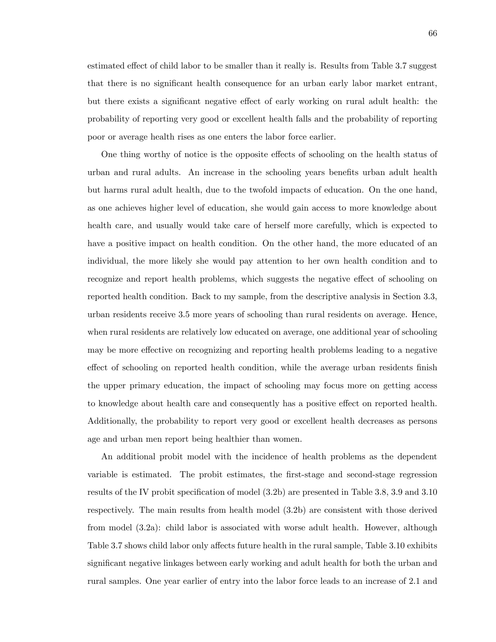estimated effect of child labor to be smaller than it really is. Results from Table 3.7 suggest that there is no significant health consequence for an urban early labor market entrant, but there exists a significant negative effect of early working on rural adult health: the probability of reporting very good or excellent health falls and the probability of reporting poor or average health rises as one enters the labor force earlier.

One thing worthy of notice is the opposite effects of schooling on the health status of urban and rural adults. An increase in the schooling years benefits urban adult health but harms rural adult health, due to the twofold impacts of education. On the one hand, as one achieves higher level of education, she would gain access to more knowledge about health care, and usually would take care of herself more carefully, which is expected to have a positive impact on health condition. On the other hand, the more educated of an individual, the more likely she would pay attention to her own health condition and to recognize and report health problems, which suggests the negative effect of schooling on reported health condition. Back to my sample, from the descriptive analysis in Section 3.3, urban residents receive 3.5 more years of schooling than rural residents on average. Hence, when rural residents are relatively low educated on average, one additional year of schooling may be more effective on recognizing and reporting health problems leading to a negative effect of schooling on reported health condition, while the average urban residents finish the upper primary education, the impact of schooling may focus more on getting access to knowledge about health care and consequently has a positive effect on reported health. Additionally, the probability to report very good or excellent health decreases as persons age and urban men report being healthier than women.

An additional probit model with the incidence of health problems as the dependent variable is estimated. The probit estimates, the Örst-stage and second-stage regression results of the IV probit specification of model  $(3.2b)$  are presented in Table 3.8, 3.9 and 3.10 respectively. The main results from health model (3.2b) are consistent with those derived from model (3.2a): child labor is associated with worse adult health. However, although Table 3.7 shows child labor only affects future health in the rural sample, Table 3.10 exhibits significant negative linkages between early working and adult health for both the urban and rural samples. One year earlier of entry into the labor force leads to an increase of 2.1 and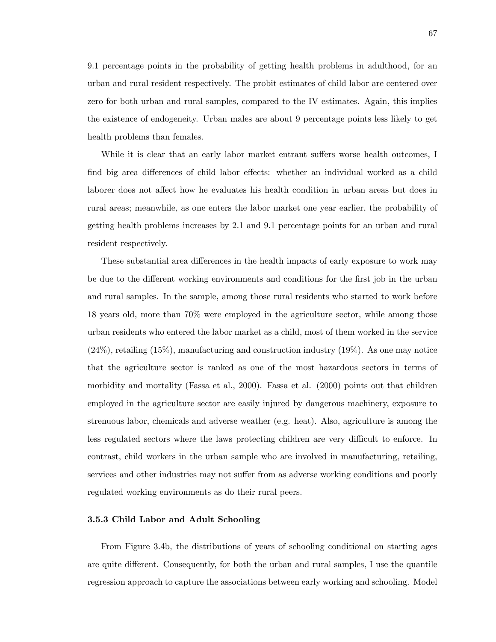9.1 percentage points in the probability of getting health problems in adulthood, for an urban and rural resident respectively. The probit estimates of child labor are centered over zero for both urban and rural samples, compared to the IV estimates. Again, this implies the existence of endogeneity. Urban males are about 9 percentage points less likely to get health problems than females.

While it is clear that an early labor market entrant suffers worse health outcomes, I find big area differences of child labor effects: whether an individual worked as a child laborer does not affect how he evaluates his health condition in urban areas but does in rural areas; meanwhile, as one enters the labor market one year earlier, the probability of getting health problems increases by 2.1 and 9.1 percentage points for an urban and rural resident respectively.

These substantial area differences in the health impacts of early exposure to work may be due to the different working environments and conditions for the first job in the urban and rural samples. In the sample, among those rural residents who started to work before 18 years old, more than 70% were employed in the agriculture sector, while among those urban residents who entered the labor market as a child, most of them worked in the service  $(24\%)$ , retailing  $(15\%)$ , manufacturing and construction industry  $(19\%)$ . As one may notice that the agriculture sector is ranked as one of the most hazardous sectors in terms of morbidity and mortality (Fassa et al., 2000). Fassa et al. (2000) points out that children employed in the agriculture sector are easily injured by dangerous machinery, exposure to strenuous labor, chemicals and adverse weather (e.g. heat). Also, agriculture is among the less regulated sectors where the laws protecting children are very difficult to enforce. In contrast, child workers in the urban sample who are involved in manufacturing, retailing, services and other industries may not suffer from as adverse working conditions and poorly regulated working environments as do their rural peers.

## 3.5.3 Child Labor and Adult Schooling

From Figure 3.4b, the distributions of years of schooling conditional on starting ages are quite different. Consequently, for both the urban and rural samples, I use the quantile regression approach to capture the associations between early working and schooling. Model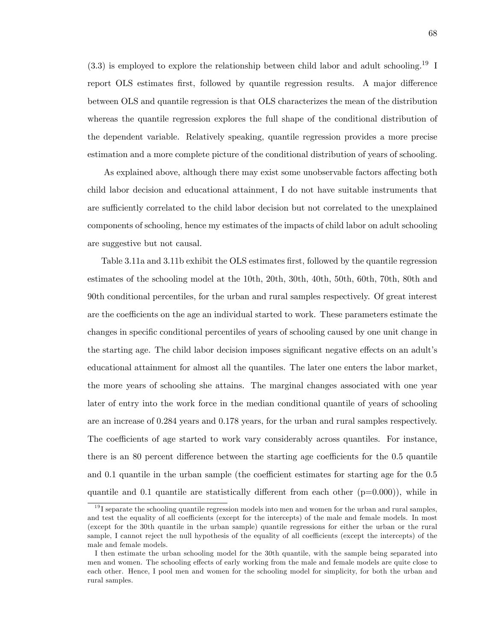$(3.3)$  is employed to explore the relationship between child labor and adult schooling.<sup>19</sup> I report OLS estimates first, followed by quantile regression results. A major difference between OLS and quantile regression is that OLS characterizes the mean of the distribution whereas the quantile regression explores the full shape of the conditional distribution of the dependent variable. Relatively speaking, quantile regression provides a more precise estimation and a more complete picture of the conditional distribution of years of schooling.

As explained above, although there may exist some unobservable factors affecting both child labor decision and educational attainment, I do not have suitable instruments that are sufficiently correlated to the child labor decision but not correlated to the unexplained components of schooling, hence my estimates of the impacts of child labor on adult schooling are suggestive but not causal.

Table 3.11a and 3.11b exhibit the OLS estimates first, followed by the quantile regression estimates of the schooling model at the 10th, 20th, 30th, 40th, 50th, 60th, 70th, 80th and 90th conditional percentiles, for the urban and rural samples respectively. Of great interest are the coefficients on the age an individual started to work. These parameters estimate the changes in specific conditional percentiles of years of schooling caused by one unit change in the starting age. The child labor decision imposes significant negative effects on an adult's educational attainment for almost all the quantiles. The later one enters the labor market, the more years of schooling she attains. The marginal changes associated with one year later of entry into the work force in the median conditional quantile of years of schooling are an increase of 0.284 years and 0.178 years, for the urban and rural samples respectively. The coefficients of age started to work vary considerably across quantiles. For instance, there is an 80 percent difference between the starting age coefficients for the  $0.5$  quantile and  $0.1$  quantile in the urban sample (the coefficient estimates for starting age for the  $0.5$ quantile and 0.1 quantile are statistically different from each other  $(p=0.000)$ , while in

 $19$ I separate the schooling quantile regression models into men and women for the urban and rural samples, and test the equality of all coefficients (except for the intercepts) of the male and female models. In most (except for the 30th quantile in the urban sample) quantile regressions for either the urban or the rural sample, I cannot reject the null hypothesis of the equality of all coefficients (except the intercepts) of the male and female models.

I then estimate the urban schooling model for the 30th quantile, with the sample being separated into men and women. The schooling effects of early working from the male and female models are quite close to each other. Hence, I pool men and women for the schooling model for simplicity, for both the urban and rural samples.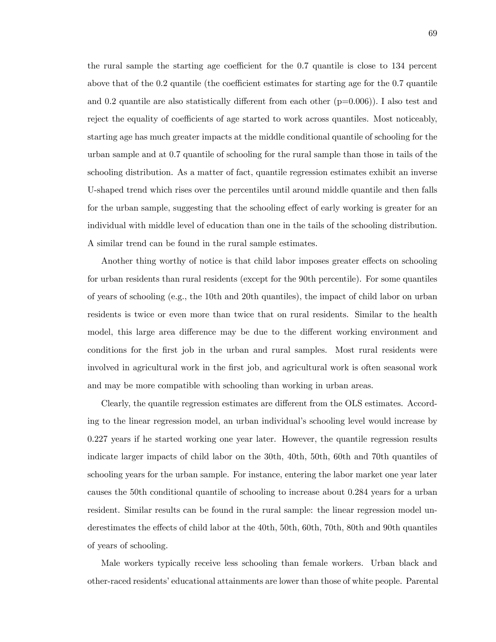the rural sample the starting age coefficient for the  $0.7$  quantile is close to  $134$  percent above that of the  $0.2$  quantile (the coefficient estimates for starting age for the  $0.7$  quantile and 0.2 quantile are also statistically different from each other  $(p=0.006)$ ). I also test and reject the equality of coefficients of age started to work across quantiles. Most noticeably, starting age has much greater impacts at the middle conditional quantile of schooling for the urban sample and at 0.7 quantile of schooling for the rural sample than those in tails of the schooling distribution. As a matter of fact, quantile regression estimates exhibit an inverse U-shaped trend which rises over the percentiles until around middle quantile and then falls for the urban sample, suggesting that the schooling effect of early working is greater for an individual with middle level of education than one in the tails of the schooling distribution. A similar trend can be found in the rural sample estimates.

Another thing worthy of notice is that child labor imposes greater effects on schooling for urban residents than rural residents (except for the 90th percentile). For some quantiles of years of schooling (e.g., the 10th and 20th quantiles), the impact of child labor on urban residents is twice or even more than twice that on rural residents. Similar to the health model, this large area difference may be due to the different working environment and conditions for the first job in the urban and rural samples. Most rural residents were involved in agricultural work in the first job, and agricultural work is often seasonal work and may be more compatible with schooling than working in urban areas.

Clearly, the quantile regression estimates are different from the OLS estimates. According to the linear regression model, an urban individual's schooling level would increase by 0.227 years if he started working one year later. However, the quantile regression results indicate larger impacts of child labor on the 30th, 40th, 50th, 60th and 70th quantiles of schooling years for the urban sample. For instance, entering the labor market one year later causes the 50th conditional quantile of schooling to increase about 0.284 years for a urban resident. Similar results can be found in the rural sample: the linear regression model underestimates the effects of child labor at the 40th, 50th, 60th, 70th, 80th and 90th quantiles of years of schooling.

Male workers typically receive less schooling than female workers. Urban black and other-raced residentsíeducational attainments are lower than those of white people. Parental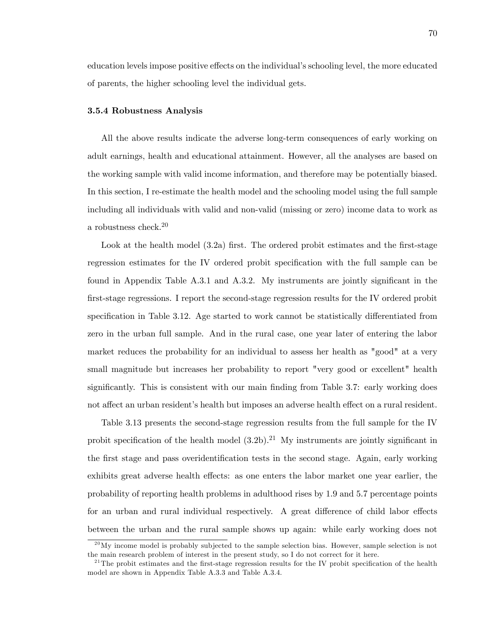education levels impose positive effects on the individual's schooling level, the more educated of parents, the higher schooling level the individual gets.

## 3.5.4 Robustness Analysis

All the above results indicate the adverse long-term consequences of early working on adult earnings, health and educational attainment. However, all the analyses are based on the working sample with valid income information, and therefore may be potentially biased. In this section, I re-estimate the health model and the schooling model using the full sample including all individuals with valid and non-valid (missing or zero) income data to work as a robustness check. $20$ 

Look at the health model (3.2a) first. The ordered probit estimates and the first-stage regression estimates for the IV ordered probit specification with the full sample can be found in Appendix Table A.3.1 and A.3.2. My instruments are jointly significant in the first-stage regressions. I report the second-stage regression results for the IV ordered probit specification in Table 3.12. Age started to work cannot be statistically differentiated from zero in the urban full sample. And in the rural case, one year later of entering the labor market reduces the probability for an individual to assess her health as "good" at a very small magnitude but increases her probability to report "very good or excellent" health significantly. This is consistent with our main finding from Table 3.7: early working does not affect an urban resident's health but imposes an adverse health effect on a rural resident.

Table 3.13 presents the second-stage regression results from the full sample for the IV probit specification of the health model  $(3.2b)$ .<sup>21</sup> My instruments are jointly significant in the first stage and pass overidentification tests in the second stage. Again, early working exhibits great adverse health effects: as one enters the labor market one year earlier, the probability of reporting health problems in adulthood rises by 1.9 and 5.7 percentage points for an urban and rural individual respectively. A great difference of child labor effects between the urban and the rural sample shows up again: while early working does not

 $^{20}$ My income model is probably subjected to the sample selection bias. However, sample selection is not the main research problem of interest in the present study, so I do not correct for it here.

<sup>&</sup>lt;sup>21</sup>The probit estimates and the first-stage regression results for the IV probit specification of the health model are shown in Appendix Table A.3.3 and Table A.3.4.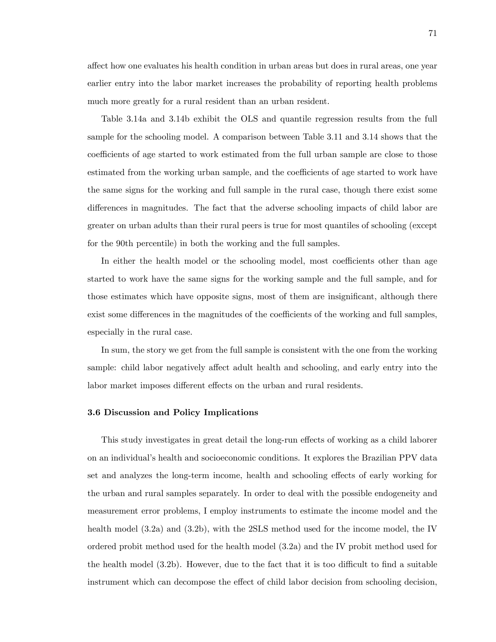a§ect how one evaluates his health condition in urban areas but does in rural areas, one year earlier entry into the labor market increases the probability of reporting health problems much more greatly for a rural resident than an urban resident.

Table 3.14a and 3.14b exhibit the OLS and quantile regression results from the full sample for the schooling model. A comparison between Table 3.11 and 3.14 shows that the coefficients of age started to work estimated from the full urban sample are close to those estimated from the working urban sample, and the coefficients of age started to work have the same signs for the working and full sample in the rural case, though there exist some differences in magnitudes. The fact that the adverse schooling impacts of child labor are greater on urban adults than their rural peers is true for most quantiles of schooling (except for the 90th percentile) in both the working and the full samples.

In either the health model or the schooling model, most coefficients other than age started to work have the same signs for the working sample and the full sample, and for those estimates which have opposite signs, most of them are insignificant, although there exist some differences in the magnitudes of the coefficients of the working and full samples, especially in the rural case.

In sum, the story we get from the full sample is consistent with the one from the working sample: child labor negatively affect adult health and schooling, and early entry into the labor market imposes different effects on the urban and rural residents.

## 3.6 Discussion and Policy Implications

This study investigates in great detail the long-run effects of working as a child laborer on an individualís health and socioeconomic conditions. It explores the Brazilian PPV data set and analyzes the long-term income, health and schooling effects of early working for the urban and rural samples separately. In order to deal with the possible endogeneity and measurement error problems, I employ instruments to estimate the income model and the health model (3.2a) and (3.2b), with the 2SLS method used for the income model, the IV ordered probit method used for the health model (3.2a) and the IV probit method used for the health model  $(3.2b)$ . However, due to the fact that it is too difficult to find a suitable instrument which can decompose the effect of child labor decision from schooling decision,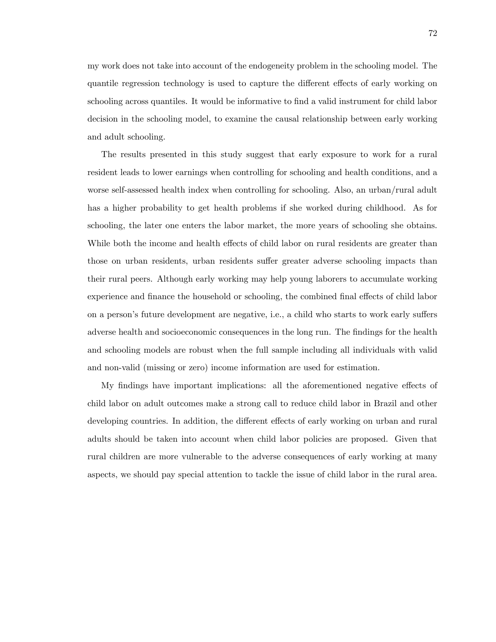my work does not take into account of the endogeneity problem in the schooling model. The quantile regression technology is used to capture the different effects of early working on schooling across quantiles. It would be informative to find a valid instrument for child labor decision in the schooling model, to examine the causal relationship between early working and adult schooling.

The results presented in this study suggest that early exposure to work for a rural resident leads to lower earnings when controlling for schooling and health conditions, and a worse self-assessed health index when controlling for schooling. Also, an urban/rural adult has a higher probability to get health problems if she worked during childhood. As for schooling, the later one enters the labor market, the more years of schooling she obtains. While both the income and health effects of child labor on rural residents are greater than those on urban residents, urban residents suffer greater adverse schooling impacts than their rural peers. Although early working may help young laborers to accumulate working experience and finance the household or schooling, the combined final effects of child labor on a person's future development are negative, i.e., a child who starts to work early suffers adverse health and socioeconomic consequences in the long run. The findings for the health and schooling models are robust when the full sample including all individuals with valid and non-valid (missing or zero) income information are used for estimation.

My findings have important implications: all the aforementioned negative effects of child labor on adult outcomes make a strong call to reduce child labor in Brazil and other developing countries. In addition, the different effects of early working on urban and rural adults should be taken into account when child labor policies are proposed. Given that rural children are more vulnerable to the adverse consequences of early working at many aspects, we should pay special attention to tackle the issue of child labor in the rural area.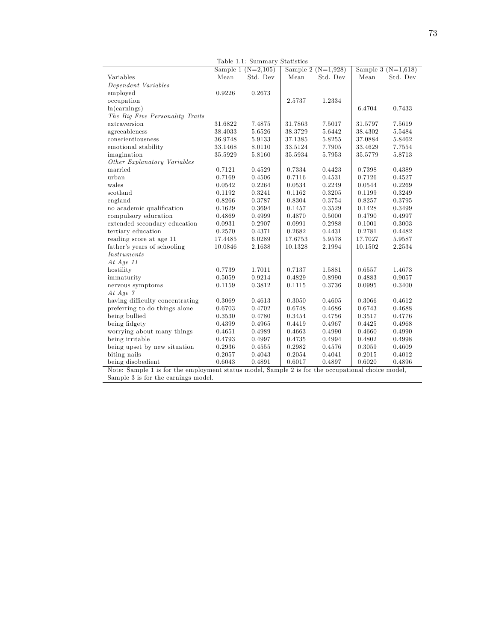|                                 |         | Sample 1 $(N=2,105)$ |            | Sample 2 $(N=1,928)$ |         | Sample 3 $(N=1,618)$ |
|---------------------------------|---------|----------------------|------------|----------------------|---------|----------------------|
| Variables                       | Mean    | Std. Dev             | Mean       | Std. Dev             | Mean    | Std. Dev             |
| Dependent Variables             |         |                      |            |                      |         |                      |
| employed                        | 0.9226  | 0.2673               |            |                      |         |                      |
| occupation                      |         |                      | 2.5737     | 1.2334               |         |                      |
| ln(earnings)                    |         |                      |            |                      | 6.4704  | 0.7433               |
| The Big Five Personality Traits |         |                      |            |                      |         |                      |
| extraversion                    | 31.6822 | 7.4875               | 31.7863    | 7.5017               | 31.5797 | 7.5619               |
| agreeableness                   | 38.4033 | 5.6526               | 38.3729    | 5.6442               | 38.4302 | 5.5484               |
| conscientiousness               | 36.9748 | 5.9133               | 37.1385    | 5.8255               | 37.0884 | 5.8462               |
| emotional stability             | 33.1468 | 8.0110               | 33.5124    | 7.7905               | 33.4629 | 7.7554               |
| imagination                     | 35.5929 | $5.8160\,$           | 35.5934    | 5.7953               | 35.5779 | 5.8713               |
| Other Explanatory Variables     |         |                      |            |                      |         |                      |
| married                         | 0.7121  | 0.4529               | 0.7334     | 0.4423               | 0.7398  | 0.4389               |
| urban                           | 0.7169  | 0.4506               | 0.7116     | 0.4531               | 0.7126  | 0.4527               |
| wales                           | 0.0542  | 0.2264               | 0.0534     | 0.2249               | 0.0544  | 0.2269               |
| scotland                        | 0.1192  | 0.3241               | 0.1162     | 0.3205               | 0.1199  | 0.3249               |
| england                         | 0.8266  | 0.3787               | 0.8304     | 0.3754               | 0.8257  | 0.3795               |
| no academic qualification       | 0.1629  | 0.3694               | 0.1457     | 0.3529               | 0.1428  | 0.3499               |
| compulsory education            | 0.4869  | 0.4999               | 0.4870     | 0.5000               | 0.4790  | 0.4997               |
| extended secondary education    | 0.0931  | 0.2907               | 0.0991     | 0.2988               | 0.1001  | 0.3003               |
| tertiary education              | 0.2570  | 0.4371               | 0.2682     | 0.4431               | 0.2781  | 0.4482               |
| reading score at age 11         | 17.4485 | 6.0289               | 17.6753    | 5.9578               | 17.7027 | 5.9587               |
| father's years of schooling     | 10.0846 | 2.1638               | 10.1328    | 2.1994               | 10.1502 | 2.2534               |
| <i>Instruments</i>              |         |                      |            |                      |         |                      |
| At $Age 11$                     |         |                      |            |                      |         |                      |
| hostility                       | 0.7739  | 1.7011               | 0.7137     | 1.5881               | 0.6557  | 1.4673               |
| immaturity                      | 0.5059  | 0.9214               | 0.4829     | 0.8990               | 0.4883  | 0.9057               |
| nervous symptoms                | 0.1159  | 0.3812               | 0.1115     | 0.3736               | 0.0995  | 0.3400               |
| At Age $\gamma$                 |         |                      |            |                      |         |                      |
| having difficulty concentrating | 0.3069  | 0.4613               | $0.3050\,$ | 0.4605               | 0.3066  | 0.4612               |
| preferring to do things alone   | 0.6703  | 0.4702               | 0.6748     | 0.4686               | 0.6743  | 0.4688               |
| being bullied                   | 0.3530  | 0.4780               | 0.3454     | 0.4756               | 0.3517  | 0.4776               |
| being fidgety                   | 0.4399  | 0.4965               | 0.4419     | 0.4967               | 0.4425  | 0.4968               |
| worrying about many things      | 0.4651  | 0.4989               | 0.4663     | 0.4990               | 0.4660  | 0.4990               |
| being irritable                 | 0.4793  | 0.4997               | 0.4735     | 0.4994               | 0.4802  | 0.4998               |
| being upset by new situation    | 0.2936  | 0.4555               | 0.2982     | 0.4576               | 0.3059  | 0.4609               |
| biting nails                    | 0.2057  | 0.4043               | 0.2054     | 0.4041               | 0.2015  | 0.4012               |
| being disobedient               | 0.6043  | 0.4891               | 0.6017     | 0.4897               | 0.6020  | 0.4896               |

Table 1.1: Summary Statistics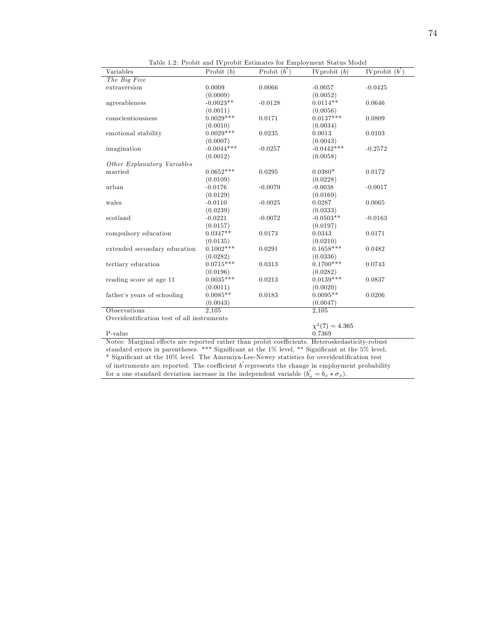| Variables                                  | Probit $(b)$ | Probit $(b')$ | IV probit $(b)$     | IV probit $(b')$ |
|--------------------------------------------|--------------|---------------|---------------------|------------------|
| The Big Five                               |              |               |                     |                  |
| extraversion                               | 0.0009       | 0.0066        | $-0.0057$           | $-0.0425$        |
|                                            | (0.0009)     |               | (0.0052)            |                  |
| agreeableness                              | $-0.0023**$  | $-0.0128$     | $0.0114**$          | 0.0646           |
|                                            | (0.0011)     |               | (0.0056)            |                  |
| conscientiousness                          | $0.0029***$  | 0.0171        | $0.0137***$         | 0.0809           |
|                                            | (0.0010)     |               | (0.0034)            |                  |
| emotional stability                        | $0.0029***$  | 0.0235        | 0.0013              | 0.0103           |
|                                            | (0.0007)     |               | (0.0043)            |                  |
| imagination                                | $-0.0044***$ | $-0.0257$     | $-0.0442***$        | $-0.2572$        |
|                                            | (0.0012)     |               | (0.0058)            |                  |
| Other Explanatory Variables                |              |               |                     |                  |
| married                                    | $0.0652***$  | 0.0295        | $0.0380*$           | 0.0172           |
|                                            | (0.0109)     |               | (0.0228)            |                  |
| urban                                      | $-0.0176$    | $-0.0079$     | $-0.0038$           | $-0.0017$        |
|                                            | (0.0129)     |               | (0.0169)            |                  |
| wales                                      | $-0.0110$    | $-0.0025$     | 0.0287              | 0.0065           |
|                                            | (0.0239)     |               | (0.0333)            |                  |
| scotland                                   | $-0.0221$    | $-0.0072$     | $-0.0503**$         | $-0.0163$        |
|                                            | (0.0157)     |               | (0.0197)            |                  |
| compulsory education                       | $0.0347**$   | 0.0173        | 0.0343              | 0.0171           |
|                                            | (0.0135)     |               | (0.0210)            |                  |
| extended secondary education               | $0.1002***$  | 0.0291        | $0.1658***$         | 0.0482           |
|                                            | (0.0282)     |               | (0.0336)            |                  |
| tertiary education                         | $0.0715***$  | 0.0313        | $0.1700***$         | 0.0743           |
|                                            | (0.0196)     |               | (0.0282)            |                  |
| reading score at age 11                    | $0.0035***$  | 0.0213        | $0.0139***$         | 0.0837           |
|                                            | (0.0011)     |               | (0.0020)            |                  |
| father's years of schooling                | $0.0085**$   | 0.0183        | $0.0095**$          | 0.0206           |
|                                            | (0.0043)     |               | (0.0047)            |                  |
| <b>Observations</b>                        | 2.105        |               | 2,105               |                  |
| Overidentification test of all instruments |              |               |                     |                  |
|                                            |              |               | $\chi^2(7) = 4.365$ |                  |
| P-value                                    |              |               | 0.7369              |                  |

Table 1.2: Probit and IVprobit Estimates for Employment Status Model

standard errors in parentheses. \*\*\* Significant at the 1% level, \*\* Significant at the 5% level, \* Significant at the 10% level. The Amemiya-Lee-Newey statistics for overidentification test of instruments are reported. The coefficient  $b'$  represents the change in employment probability

for a one standard deviation increase in the independent variable  $(b'_x = b_x * \sigma_x)$ .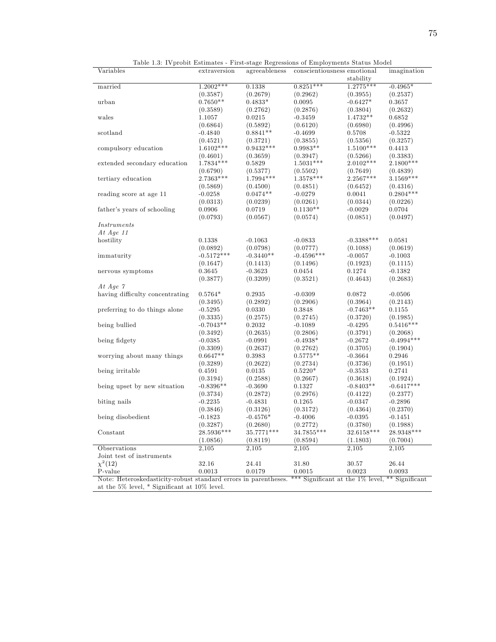| rapic 1.0. Iv propre modification<br>Variables | extraversion |             | They suge regressions of Employments Duties Model<br>agreeableness conscientiousness emotional |                    | imagination  |
|------------------------------------------------|--------------|-------------|------------------------------------------------------------------------------------------------|--------------------|--------------|
|                                                |              |             |                                                                                                |                    |              |
|                                                |              |             |                                                                                                | stability          |              |
| married                                        | $1.2002***$  | 0.1338      | $0.8251***$                                                                                    | $1.2775***$        | $-0.4965*$   |
|                                                | (0.3587)     | (0.2679)    | (0.2962)                                                                                       | (0.3955)           | (0.2537)     |
| urban                                          | $0.7650**$   | $0.4833*$   | 0.0095                                                                                         | $-0.6427*$         | 0.3657       |
|                                                | (0.3589)     | (0.2762)    | (0.2876)                                                                                       | (0.3804)           | (0.2632)     |
| wales                                          | 1.1057       | 0.0215      | $-0.3459$                                                                                      | $1.4732**$         | 0.6852       |
|                                                | (0.6864)     | (0.5892)    | (0.6120)                                                                                       | (0.6980)           | (0.4996)     |
| scotland                                       | $-0.4840$    | $0.8841**$  | $-0.4699$                                                                                      | 0.5708             | $-0.5322$    |
|                                                | (0.4521)     | (0.3721)    | (0.3855)                                                                                       | (0.5356)           | (0.3257)     |
| compulsory education                           | $1.6102***$  | $0.9432***$ | $0.9983**$                                                                                     | $1.5100***$        | 0.4413       |
|                                                | (0.4601)     | (0.3659)    | (0.3947)                                                                                       | (0.5266)           | (0.3383)     |
| extended secondary education                   | 1.7834 ***   | 0.5829      | $1.5031***$                                                                                    | $2.0102***$        | $2.1800***$  |
|                                                | (0.6790)     | (0.5377)    | (0.5502)                                                                                       | (0.7649)           | (0.4839)     |
| tertiary education                             | 2.7363***    | $1.7994***$ | $1.3578***$                                                                                    | $2.2567***$        | 3.1569***    |
|                                                | (0.5869)     | (0.4500)    | (0.4851)                                                                                       | (0.6452)           | (0.4316)     |
| reading score at age 11                        | $-0.0258$    | $0.0474**$  | $-0.0279$                                                                                      | 0.0041             | $0.2804***$  |
|                                                | (0.0313)     | (0.0239)    | (0.0261)                                                                                       | (0.0344)           | (0.0226)     |
| father's years of schooling                    | 0.0906       | 0.0719      | $0.1130**$                                                                                     | $-0.0029$          | 0.0704       |
|                                                |              |             |                                                                                                |                    |              |
|                                                | (0.0793)     | (0.0567)    | (0.0574)                                                                                       | (0.0851)           | (0.0497)     |
| <i>Instruments</i>                             |              |             |                                                                                                |                    |              |
| At Age $11$                                    |              |             |                                                                                                |                    |              |
| hostility                                      | 0.1338       | $-0.1063$   | $-0.0833$                                                                                      | $-0.3388***$       | 0.0581       |
|                                                | (0.0892)     | (0.0798)    | (0.0777)                                                                                       | (0.1088)           | (0.0619)     |
| immaturity                                     | $-0.5172***$ | $-0.3440**$ | $-0.4596***$                                                                                   | $-0.0057$          | $-0.1003$    |
|                                                | (0.1647)     | (0.1413)    | (0.1496)                                                                                       | (0.1923)           | (0.1115)     |
| nervous symptoms                               | $\,0.3645\,$ | $-0.3623$   | 0.0454                                                                                         | 0.1274             | $-0.1382$    |
|                                                | (0.3877)     | (0.3209)    | (0.3521)                                                                                       | (0.4643)           | (0.2683)     |
| At Age $\gamma$                                |              |             |                                                                                                |                    |              |
| having difficulty concentrating                | $0.5764*$    | 0.2935      | $-0.0309$                                                                                      | 0.0872             | $-0.0506$    |
|                                                | (0.3495)     | (0.2892)    | (0.2906)                                                                                       | (0.3964)           | (0.2143)     |
| preferring to do things alone                  | $-0.5295$    | 0.0330      | 0.3848                                                                                         | $-0.7463**$        | 0.1155       |
|                                                | (0.3335)     | (0.2575)    | (0.2745)                                                                                       | (0.3720)           | (0.1985)     |
| being bullied                                  | $-0.7043**$  | 0.2032      | $-0.1089$                                                                                      | $-0.4295$          | $0.5416***$  |
|                                                | (0.3492)     | (0.2635)    | (0.2806)                                                                                       | (0.3791)           | (0.2068)     |
| being fidgety                                  | $-0.0385$    | $-0.0991$   | $-0.4938*$                                                                                     | $-0.2672$          | $-0.4994***$ |
|                                                | (0.3309)     |             |                                                                                                |                    |              |
|                                                |              | (0.2637)    | (0.2762)                                                                                       | (0.3705)           | (0.1904)     |
| worrying about many things                     | $0.6647**$   | 0.3983      | $0.5775**$                                                                                     | $-0.3664$          | 0.2946       |
|                                                | (0.3289)     | (0.2622)    | (0.2734)                                                                                       | (0.3736)           | (0.1951)     |
| being irritable                                | 0.4591       | 0.0135      | $0.5220*$                                                                                      | $-0.3533$          | 0.2741       |
|                                                | (0.3194)     | (0.2588)    | (0.2667)                                                                                       | (0.3618)           | (0.1924)     |
| being upset by new situation                   | $-0.8396**$  | $-0.3690$   | 0.1327                                                                                         | $-0.8403**$        | $-0.6417***$ |
|                                                | (0.3734)     | (0.2872)    | (0.2976)                                                                                       | (0.4122)           | (0.2377)     |
| biting nails                                   | $-0.2235$    | $-0.4831$   | 0.1265                                                                                         | $-0.0347$          | $-0.2896$    |
|                                                | (0.3846)     | (0.3126)    | (0.3172)                                                                                       | (0.4364)           | (0.2370)     |
| being disobedient                              | $-0.1823$    | $-0.4576*$  | $-0.4006$                                                                                      | $-0.0395$          | $-0.1451$    |
|                                                | (0.3287)     | (0.2680)    | (0.2772)                                                                                       | (0.3780)           | (0.1988)     |
| Constant                                       | 28.5936***   | 35.7771***  | 34.7855***                                                                                     | 32.6158***         | 28.9348***   |
|                                                | (1.0856)     | (0.8119)    | (0.8594)                                                                                       | (1.1803)           | (0.7004)     |
| Observations                                   | 2,105        | 2,105       | 2,105                                                                                          | $\overline{2,}105$ | 2,105        |
| Joint test of instruments                      |              |             |                                                                                                |                    |              |
| $\chi^2(12)$                                   | 32.16        | 24.41       | 31.80                                                                                          | 30.57              | 26.44        |
| P-value                                        | 0.0013       | 0.0179      | 0.0015                                                                                         | 0.0023             | 0.0093       |
|                                                |              |             |                                                                                                |                    |              |

Table 1.3: IVprobit Estimates - First-stage Regressions of Employments Status Model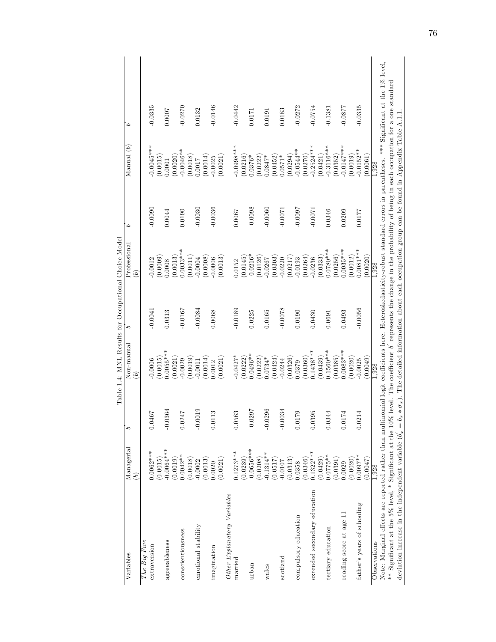|                                                                                                                                                                                 |               |                | Table 1.4: MNL Results for Occupational Choice Model |           |                    |           |                                                                                                                |           |
|---------------------------------------------------------------------------------------------------------------------------------------------------------------------------------|---------------|----------------|------------------------------------------------------|-----------|--------------------|-----------|----------------------------------------------------------------------------------------------------------------|-----------|
| Variables                                                                                                                                                                       | Managerial    | ما             | Non-manual                                           | 6         | Professional       | ءَ        | $M$ anual $(b)$                                                                                                | ۵         |
|                                                                                                                                                                                 | $\widehat{b}$ |                | $\widehat{b}$                                        |           | $\widehat{b}$      |           |                                                                                                                |           |
| The Big Five                                                                                                                                                                    |               |                |                                                      |           |                    |           |                                                                                                                |           |
| extraversion                                                                                                                                                                    | $0.0062***$   | 0.0467         | 0.0006                                               | $-0.0041$ | $-0.0012$          | $-0.0090$ | $0.0045***$                                                                                                    | $-0.0335$ |
|                                                                                                                                                                                 | (0.0015)      |                | (0.0015)                                             |           | (60000)            |           | (0.0015)                                                                                                       |           |
| agreeableness                                                                                                                                                                   | $-0.0064***$  | $-0.0364$      | $0.0055***$                                          | 0.0313    | 0.0008             | 0.0044    | 0.0001                                                                                                         | 0.0007    |
|                                                                                                                                                                                 | (6.0019)      |                | (0.0021)                                             |           | 0.0013             |           | (0.0020)                                                                                                       |           |
| conscientiousness                                                                                                                                                               | $0.0042**$    | 0.0247         | 0.0029                                               | $-0.0167$ | $0.0033***$        | 0.0190    | $-0.0046**$                                                                                                    | $-0.0270$ |
|                                                                                                                                                                                 | (0.0018)      |                | (0.0019)                                             |           | 0.0011             |           | (0.0018)                                                                                                       |           |
| emotional stability                                                                                                                                                             | $-0.0002$     | $-0.0019$      | $-0.0011$                                            | $-0.0084$ | 0.0004             | $-0.0030$ | 1.0017                                                                                                         | 0.0132    |
|                                                                                                                                                                                 | (0.0013)      |                | (0.0014)                                             |           | (80000)            |           | (0.0014)                                                                                                       |           |
| imagination                                                                                                                                                                     | 0.0020        | 0.0113         | 0.0012                                               | 0.0068    | 0.0006             | $-0.0036$ | $-0.0025$                                                                                                      | $-0.0146$ |
|                                                                                                                                                                                 | (0.0021)      |                | (0.0021)                                             |           | 0.0013)            |           | (0.0021)                                                                                                       |           |
| Other Explanatory Variables                                                                                                                                                     |               |                |                                                      |           |                    |           |                                                                                                                |           |
| married                                                                                                                                                                         | $0.1273***$   | 0.0563         | $-0.0427*$                                           | $-0.0189$ | 0.0152             | 0.0067    | $-0.0998***$                                                                                                   | $-0.0442$ |
|                                                                                                                                                                                 | (0.0239)      |                | (0.0222)                                             |           | (0.0145)           |           | (0.0216)                                                                                                       |           |
| urban                                                                                                                                                                           | $-0.0656***$  | $-0.0297$      | $0.0496**$                                           | 0.0225    | $0.0216*$          | $-0.0098$ | 1.0376*                                                                                                        | 0.0171    |
|                                                                                                                                                                                 | (0.0208)      |                | (0.0222)                                             |           | 0.0126             |           | (0.0222)                                                                                                       |           |
| wales                                                                                                                                                                           | $-0.1314**$   | 0296<br>$-0.0$ | $0.0734*$                                            | 0.0165    | 0.0267             | $-0.0060$ | $0.0847*$                                                                                                      | 0.0191    |
|                                                                                                                                                                                 | (0.0517)      |                | (0.0424)                                             |           | (0.0303)           |           | (0.0452)                                                                                                       |           |
| scotland                                                                                                                                                                        | $-0.0107$     | $-0.0034$      | 0.0244                                               | $-0.0078$ | 0.0220             | $-0.0071$ | $0.0571*$                                                                                                      | 0.0183    |
|                                                                                                                                                                                 | (0.0313)      |                | (0.0326)                                             |           | (0.0217)           |           | (0.0294)                                                                                                       |           |
| compulsory education                                                                                                                                                            | 0.358         | 0.0179         | 0.0379                                               | 0.0190    | 0.0193             | $-0.0007$ | $-0.0544**$                                                                                                    | $-0.0272$ |
|                                                                                                                                                                                 | 0.0346        |                | (0.0360)                                             |           | (0.0264)           |           | (0.0270)                                                                                                       |           |
| extended secondary education                                                                                                                                                    | $0.1322***$   | 0.0395         | $0.1438***$                                          | 0.0430    | 0.0236             | $-0.007$  | $-0.2524***$                                                                                                   | $-0.0754$ |
|                                                                                                                                                                                 | (0.0429)      |                | (0.0439)                                             |           | (0.0333)           |           | (0.0421)                                                                                                       |           |
| tertiary education                                                                                                                                                              | $0.0775**$    | 0.0344         | $0.1560***$                                          | 0.0691    | $0.0780***$        | 0.0346    | $-0.3116***$                                                                                                   | $-0.1381$ |
|                                                                                                                                                                                 | (0.0391)      |                | (0.0385)                                             |           | 0.0256)            |           | (0.0352)                                                                                                       |           |
| reading score at age 11                                                                                                                                                         | 0.0029        | 0.0174         | $0.0083***$                                          | 0.0493    | $0.0035***$        | 0.0209    | $-0.0147***$                                                                                                   | $-0.0877$ |
|                                                                                                                                                                                 | 0.0020)       |                | (0.0020)                                             |           | 0.0012             |           | (0.0019)                                                                                                       |           |
| father's years of schooling                                                                                                                                                     | $0.0097**$    | 0.0214         | $-0.0025$                                            | $-0.0056$ | $0.0081***$        | 0.0177    | $-0.0152**$                                                                                                    | $-0.0335$ |
|                                                                                                                                                                                 | (2.0047)      |                | (6100.0)                                             |           | 0.0020)            |           | (0.0061)                                                                                                       |           |
| Observations                                                                                                                                                                    | 1.928         |                | 1.928                                                |           | $1,9\overline{28}$ |           | 1,928                                                                                                          |           |
| Note: Marginal effects are reported rather than multinomial logit coefficients here. Heteroskedasticity-robust standard errors in parentheses. *** Significant at the 1% level, |               |                |                                                      |           |                    |           |                                                                                                                |           |
| ** Significant at the 5% level, * Significant at the 10% level. The coefficient b' represents the change in the probability of being in each occupation for a one standard      |               |                |                                                      |           |                    |           |                                                                                                                |           |
| deviation increase in the independent variable $(b_x)$                                                                                                                          |               | $\mathbf{I}$   |                                                      |           |                    |           | $b_x * \sigma_x$ ). The detailed information about each occupation group can be found in Appendix Table A.1.1. |           |
|                                                                                                                                                                                 |               |                |                                                      |           |                    |           |                                                                                                                |           |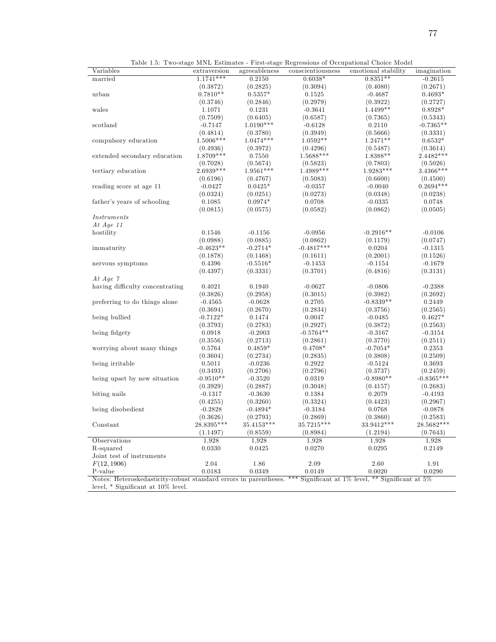| $1.1741***$<br>0.2150<br>$0.6038*$<br>$0.8351**$<br>$-0.2615$<br>married<br>(0.2671)<br>(0.3872)<br>(0.2825)<br>(0.3094)<br>(0.4080)<br>$0.7810**$<br>$0.5357*$<br>$0.4693*$<br>urban<br>0.1525<br>$-0.4687$<br>(0.2979)<br>(0.3746)<br>(0.2846)<br>(0.3922)<br>(0.2727)<br>1.4499**<br>$0.8928*$<br>1.1071<br>0.1231<br>$-0.3641$<br>wales<br>(0.7509)<br>(0.6405)<br>(0.6587)<br>(0.7365)<br>(0.5343)<br>$1.0190***$<br>$-0.6128$<br>0.2110<br>$-0.7365**$<br>scotland<br>$-0.7147$<br>(0.4814)<br>(0.3780)<br>(0.3949)<br>(0.5666)<br>(0.3331)<br>1.5006***<br>$1.0474***$<br>$1.0592**$<br>1.2471**<br>$0.6532*$<br>compulsory education<br>(0.4936)<br>(0.3972)<br>(0.4296)<br>(0.3614)<br>(0.5487)<br>$1.8709***$<br>$1.5688***$<br>$2.4482***$<br>1.8388**<br>0.7550<br>extended secondary education<br>(0.7028)<br>(0.5674)<br>(0.5823)<br>(0.5026)<br>(0.7803)<br>2.6939***<br>$1.9561***$<br>$1.4989***$<br>1.9283***<br>$3.4366***$<br>tertiary education<br>(0.6196)<br>(0.4767)<br>(0.5083)<br>(0.6600)<br>(0.4500)<br>$0.2694***$<br>$-0.0427$<br>$0.0425*$<br>$-0.0357$<br>$-0.0040$<br>reading score at age 11<br>(0.0324)<br>(0.0251)<br>(0.0273)<br>(0.0348)<br>(0.0238)<br>0.1085<br>$0.0974*$<br>0.0708<br>father's years of schooling<br>$-0.0335$<br>0.0748<br>(0.0815)<br>(0.0575)<br>(0.0582)<br>(0.0862)<br>(0.0505)<br>Instruments<br>At Age $11$<br>hostility<br>0.1546<br>$-0.1156$<br>$-0.0956$<br>$-0.2916**$<br>$-0.0106$<br>(0.0885)<br>(0.0862)<br>(0.0747)<br>(0.0988)<br>(0.1179)<br>$-0.4623**$<br>$-0.4817***$<br>$-0.2714*$<br>0.0204<br>$-0.1315$<br>immaturity<br>(0.1468)<br>(0.1611)<br>(0.2001)<br>(0.1526)<br>(0.1878)<br>0.4396<br>$-0.5516*$<br>$-0.1453$<br>$-0.1679$<br>$-0.1154$<br>nervous symptoms<br>(0.3701)<br>(0.3131)<br>(0.4397)<br>(0.3331)<br>(0.4816)<br>At Age $\gamma$<br>having difficulty concentrating<br>0.4021<br>0.1940<br>$-0.0627$<br>$-0.0806$<br>$-0.2388$<br>(0.3826)<br>(0.2958)<br>(0.3015)<br>(0.3982)<br>(0.2692)<br>0.2705<br>$-0.8339**$<br>0.2449<br>preferring to do things alone<br>$-0.4565$<br>$-0.0628$<br>(0.3694)<br>(0.2670)<br>(0.2834)<br>(0.3756)<br>(0.2565)<br>$-0.7122*$<br>0.1474<br>0.0047<br>$0.4627*$<br>being bullied<br>$-0.0485$<br>(0.3793)<br>(0.2783)<br>(0.2927)<br>(0.3872)<br>(0.2563)<br>$-0.5764**$<br>$-0.3154$<br>being fidgety<br>0.0918<br>$-0.2003$<br>$-0.3167$<br>(0.3556)<br>(0.2713)<br>(0.2861)<br>(0.3770)<br>(0.2511)<br>$0.4708*$<br>0.5764<br>$0.4859*$<br>$-0.7054*$<br>0.2353<br>worrying about many things<br>(0.3604)<br>(0.2734)<br>(0.2835)<br>(0.3808)<br>(0.2509)<br>0.2922<br>0.3693<br>being irritable<br>0.5011<br>$-0.0236$<br>$-0.5124$<br>(0.3493)<br>(0.2706)<br>(0.2796)<br>(0.3737)<br>(0.2459)<br>$-0.9510**$<br>$-0.8365***$<br>0.0319<br>$-0.8980**$<br>being upset by new situation<br>$-0.3520$<br>(0.3929)<br>(0.2887)<br>(0.3048)<br>(0.4157)<br>(0.2683)<br>$-0.3630$<br>biting nails<br>$-0.1317$<br>0.1384<br>0.2079<br>$-0.4193$<br>(0.4255)<br>(0.3260)<br>(0.3324)<br>(0.4423)<br>(0.2967)<br>$-0.2828$<br>$-0.4894*$<br>$-0.3184$<br>0.0768<br>$-0.0878$<br>being disobedient<br>(0.2793)<br>(0.2869)<br>(0.2583)<br>(0.3626)<br>(0.3860)<br>28.8395***<br>35.4153***<br>35.7215***<br>33.9412***<br>28.5682***<br>Constant<br>(0.8984)<br>(0.7643)<br>(1.1497)<br>(0.8559)<br>(1.2194)<br>Observations<br>1,928<br>1,928<br>1,928<br>1,928<br>1,928<br>R-squared<br>0.0330<br>0.0270<br>0.0295<br>0.2149<br>0.0425<br>Joint test of instruments<br>2.04<br>1.86<br>2.09<br>2.60<br>1.91<br>F(12, 1906)<br>0.0183<br>0.0349<br>0.0149<br>0.0020<br>0.0290<br>P-value<br>Notes: Heteroskedasticity-robust standard errors in parentheses. *** Significant at 1% level, ** Significant at 5%<br>level, $*$ Significant at $10\%$ level. | Variables | extraversion | agreeableness | conscientiousness | emotional stability | imagination |
|-------------------------------------------------------------------------------------------------------------------------------------------------------------------------------------------------------------------------------------------------------------------------------------------------------------------------------------------------------------------------------------------------------------------------------------------------------------------------------------------------------------------------------------------------------------------------------------------------------------------------------------------------------------------------------------------------------------------------------------------------------------------------------------------------------------------------------------------------------------------------------------------------------------------------------------------------------------------------------------------------------------------------------------------------------------------------------------------------------------------------------------------------------------------------------------------------------------------------------------------------------------------------------------------------------------------------------------------------------------------------------------------------------------------------------------------------------------------------------------------------------------------------------------------------------------------------------------------------------------------------------------------------------------------------------------------------------------------------------------------------------------------------------------------------------------------------------------------------------------------------------------------------------------------------------------------------------------------------------------------------------------------------------------------------------------------------------------------------------------------------------------------------------------------------------------------------------------------------------------------------------------------------------------------------------------------------------------------------------------------------------------------------------------------------------------------------------------------------------------------------------------------------------------------------------------------------------------------------------------------------------------------------------------------------------------------------------------------------------------------------------------------------------------------------------------------------------------------------------------------------------------------------------------------------------------------------------------------------------------------------------------------------------------------------------------------------------------------------------------------------------------------------------------------------------------------------------------------------------------------------------------------------------------------------------------------------------------------------------------------------------------------------------------------------------------------------------------------------------------------------------------------------------------------------------------------------------------------------------------------------------------------------------------------------------------------------------------------------------------------------------------------------------------------------|-----------|--------------|---------------|-------------------|---------------------|-------------|
|                                                                                                                                                                                                                                                                                                                                                                                                                                                                                                                                                                                                                                                                                                                                                                                                                                                                                                                                                                                                                                                                                                                                                                                                                                                                                                                                                                                                                                                                                                                                                                                                                                                                                                                                                                                                                                                                                                                                                                                                                                                                                                                                                                                                                                                                                                                                                                                                                                                                                                                                                                                                                                                                                                                                                                                                                                                                                                                                                                                                                                                                                                                                                                                                                                                                                                                                                                                                                                                                                                                                                                                                                                                                                                                                                                                                 |           |              |               |                   |                     |             |
|                                                                                                                                                                                                                                                                                                                                                                                                                                                                                                                                                                                                                                                                                                                                                                                                                                                                                                                                                                                                                                                                                                                                                                                                                                                                                                                                                                                                                                                                                                                                                                                                                                                                                                                                                                                                                                                                                                                                                                                                                                                                                                                                                                                                                                                                                                                                                                                                                                                                                                                                                                                                                                                                                                                                                                                                                                                                                                                                                                                                                                                                                                                                                                                                                                                                                                                                                                                                                                                                                                                                                                                                                                                                                                                                                                                                 |           |              |               |                   |                     |             |
|                                                                                                                                                                                                                                                                                                                                                                                                                                                                                                                                                                                                                                                                                                                                                                                                                                                                                                                                                                                                                                                                                                                                                                                                                                                                                                                                                                                                                                                                                                                                                                                                                                                                                                                                                                                                                                                                                                                                                                                                                                                                                                                                                                                                                                                                                                                                                                                                                                                                                                                                                                                                                                                                                                                                                                                                                                                                                                                                                                                                                                                                                                                                                                                                                                                                                                                                                                                                                                                                                                                                                                                                                                                                                                                                                                                                 |           |              |               |                   |                     |             |
|                                                                                                                                                                                                                                                                                                                                                                                                                                                                                                                                                                                                                                                                                                                                                                                                                                                                                                                                                                                                                                                                                                                                                                                                                                                                                                                                                                                                                                                                                                                                                                                                                                                                                                                                                                                                                                                                                                                                                                                                                                                                                                                                                                                                                                                                                                                                                                                                                                                                                                                                                                                                                                                                                                                                                                                                                                                                                                                                                                                                                                                                                                                                                                                                                                                                                                                                                                                                                                                                                                                                                                                                                                                                                                                                                                                                 |           |              |               |                   |                     |             |
|                                                                                                                                                                                                                                                                                                                                                                                                                                                                                                                                                                                                                                                                                                                                                                                                                                                                                                                                                                                                                                                                                                                                                                                                                                                                                                                                                                                                                                                                                                                                                                                                                                                                                                                                                                                                                                                                                                                                                                                                                                                                                                                                                                                                                                                                                                                                                                                                                                                                                                                                                                                                                                                                                                                                                                                                                                                                                                                                                                                                                                                                                                                                                                                                                                                                                                                                                                                                                                                                                                                                                                                                                                                                                                                                                                                                 |           |              |               |                   |                     |             |
|                                                                                                                                                                                                                                                                                                                                                                                                                                                                                                                                                                                                                                                                                                                                                                                                                                                                                                                                                                                                                                                                                                                                                                                                                                                                                                                                                                                                                                                                                                                                                                                                                                                                                                                                                                                                                                                                                                                                                                                                                                                                                                                                                                                                                                                                                                                                                                                                                                                                                                                                                                                                                                                                                                                                                                                                                                                                                                                                                                                                                                                                                                                                                                                                                                                                                                                                                                                                                                                                                                                                                                                                                                                                                                                                                                                                 |           |              |               |                   |                     |             |
|                                                                                                                                                                                                                                                                                                                                                                                                                                                                                                                                                                                                                                                                                                                                                                                                                                                                                                                                                                                                                                                                                                                                                                                                                                                                                                                                                                                                                                                                                                                                                                                                                                                                                                                                                                                                                                                                                                                                                                                                                                                                                                                                                                                                                                                                                                                                                                                                                                                                                                                                                                                                                                                                                                                                                                                                                                                                                                                                                                                                                                                                                                                                                                                                                                                                                                                                                                                                                                                                                                                                                                                                                                                                                                                                                                                                 |           |              |               |                   |                     |             |
|                                                                                                                                                                                                                                                                                                                                                                                                                                                                                                                                                                                                                                                                                                                                                                                                                                                                                                                                                                                                                                                                                                                                                                                                                                                                                                                                                                                                                                                                                                                                                                                                                                                                                                                                                                                                                                                                                                                                                                                                                                                                                                                                                                                                                                                                                                                                                                                                                                                                                                                                                                                                                                                                                                                                                                                                                                                                                                                                                                                                                                                                                                                                                                                                                                                                                                                                                                                                                                                                                                                                                                                                                                                                                                                                                                                                 |           |              |               |                   |                     |             |
|                                                                                                                                                                                                                                                                                                                                                                                                                                                                                                                                                                                                                                                                                                                                                                                                                                                                                                                                                                                                                                                                                                                                                                                                                                                                                                                                                                                                                                                                                                                                                                                                                                                                                                                                                                                                                                                                                                                                                                                                                                                                                                                                                                                                                                                                                                                                                                                                                                                                                                                                                                                                                                                                                                                                                                                                                                                                                                                                                                                                                                                                                                                                                                                                                                                                                                                                                                                                                                                                                                                                                                                                                                                                                                                                                                                                 |           |              |               |                   |                     |             |
|                                                                                                                                                                                                                                                                                                                                                                                                                                                                                                                                                                                                                                                                                                                                                                                                                                                                                                                                                                                                                                                                                                                                                                                                                                                                                                                                                                                                                                                                                                                                                                                                                                                                                                                                                                                                                                                                                                                                                                                                                                                                                                                                                                                                                                                                                                                                                                                                                                                                                                                                                                                                                                                                                                                                                                                                                                                                                                                                                                                                                                                                                                                                                                                                                                                                                                                                                                                                                                                                                                                                                                                                                                                                                                                                                                                                 |           |              |               |                   |                     |             |
|                                                                                                                                                                                                                                                                                                                                                                                                                                                                                                                                                                                                                                                                                                                                                                                                                                                                                                                                                                                                                                                                                                                                                                                                                                                                                                                                                                                                                                                                                                                                                                                                                                                                                                                                                                                                                                                                                                                                                                                                                                                                                                                                                                                                                                                                                                                                                                                                                                                                                                                                                                                                                                                                                                                                                                                                                                                                                                                                                                                                                                                                                                                                                                                                                                                                                                                                                                                                                                                                                                                                                                                                                                                                                                                                                                                                 |           |              |               |                   |                     |             |
|                                                                                                                                                                                                                                                                                                                                                                                                                                                                                                                                                                                                                                                                                                                                                                                                                                                                                                                                                                                                                                                                                                                                                                                                                                                                                                                                                                                                                                                                                                                                                                                                                                                                                                                                                                                                                                                                                                                                                                                                                                                                                                                                                                                                                                                                                                                                                                                                                                                                                                                                                                                                                                                                                                                                                                                                                                                                                                                                                                                                                                                                                                                                                                                                                                                                                                                                                                                                                                                                                                                                                                                                                                                                                                                                                                                                 |           |              |               |                   |                     |             |
|                                                                                                                                                                                                                                                                                                                                                                                                                                                                                                                                                                                                                                                                                                                                                                                                                                                                                                                                                                                                                                                                                                                                                                                                                                                                                                                                                                                                                                                                                                                                                                                                                                                                                                                                                                                                                                                                                                                                                                                                                                                                                                                                                                                                                                                                                                                                                                                                                                                                                                                                                                                                                                                                                                                                                                                                                                                                                                                                                                                                                                                                                                                                                                                                                                                                                                                                                                                                                                                                                                                                                                                                                                                                                                                                                                                                 |           |              |               |                   |                     |             |
|                                                                                                                                                                                                                                                                                                                                                                                                                                                                                                                                                                                                                                                                                                                                                                                                                                                                                                                                                                                                                                                                                                                                                                                                                                                                                                                                                                                                                                                                                                                                                                                                                                                                                                                                                                                                                                                                                                                                                                                                                                                                                                                                                                                                                                                                                                                                                                                                                                                                                                                                                                                                                                                                                                                                                                                                                                                                                                                                                                                                                                                                                                                                                                                                                                                                                                                                                                                                                                                                                                                                                                                                                                                                                                                                                                                                 |           |              |               |                   |                     |             |
|                                                                                                                                                                                                                                                                                                                                                                                                                                                                                                                                                                                                                                                                                                                                                                                                                                                                                                                                                                                                                                                                                                                                                                                                                                                                                                                                                                                                                                                                                                                                                                                                                                                                                                                                                                                                                                                                                                                                                                                                                                                                                                                                                                                                                                                                                                                                                                                                                                                                                                                                                                                                                                                                                                                                                                                                                                                                                                                                                                                                                                                                                                                                                                                                                                                                                                                                                                                                                                                                                                                                                                                                                                                                                                                                                                                                 |           |              |               |                   |                     |             |
|                                                                                                                                                                                                                                                                                                                                                                                                                                                                                                                                                                                                                                                                                                                                                                                                                                                                                                                                                                                                                                                                                                                                                                                                                                                                                                                                                                                                                                                                                                                                                                                                                                                                                                                                                                                                                                                                                                                                                                                                                                                                                                                                                                                                                                                                                                                                                                                                                                                                                                                                                                                                                                                                                                                                                                                                                                                                                                                                                                                                                                                                                                                                                                                                                                                                                                                                                                                                                                                                                                                                                                                                                                                                                                                                                                                                 |           |              |               |                   |                     |             |
|                                                                                                                                                                                                                                                                                                                                                                                                                                                                                                                                                                                                                                                                                                                                                                                                                                                                                                                                                                                                                                                                                                                                                                                                                                                                                                                                                                                                                                                                                                                                                                                                                                                                                                                                                                                                                                                                                                                                                                                                                                                                                                                                                                                                                                                                                                                                                                                                                                                                                                                                                                                                                                                                                                                                                                                                                                                                                                                                                                                                                                                                                                                                                                                                                                                                                                                                                                                                                                                                                                                                                                                                                                                                                                                                                                                                 |           |              |               |                   |                     |             |
|                                                                                                                                                                                                                                                                                                                                                                                                                                                                                                                                                                                                                                                                                                                                                                                                                                                                                                                                                                                                                                                                                                                                                                                                                                                                                                                                                                                                                                                                                                                                                                                                                                                                                                                                                                                                                                                                                                                                                                                                                                                                                                                                                                                                                                                                                                                                                                                                                                                                                                                                                                                                                                                                                                                                                                                                                                                                                                                                                                                                                                                                                                                                                                                                                                                                                                                                                                                                                                                                                                                                                                                                                                                                                                                                                                                                 |           |              |               |                   |                     |             |
|                                                                                                                                                                                                                                                                                                                                                                                                                                                                                                                                                                                                                                                                                                                                                                                                                                                                                                                                                                                                                                                                                                                                                                                                                                                                                                                                                                                                                                                                                                                                                                                                                                                                                                                                                                                                                                                                                                                                                                                                                                                                                                                                                                                                                                                                                                                                                                                                                                                                                                                                                                                                                                                                                                                                                                                                                                                                                                                                                                                                                                                                                                                                                                                                                                                                                                                                                                                                                                                                                                                                                                                                                                                                                                                                                                                                 |           |              |               |                   |                     |             |
|                                                                                                                                                                                                                                                                                                                                                                                                                                                                                                                                                                                                                                                                                                                                                                                                                                                                                                                                                                                                                                                                                                                                                                                                                                                                                                                                                                                                                                                                                                                                                                                                                                                                                                                                                                                                                                                                                                                                                                                                                                                                                                                                                                                                                                                                                                                                                                                                                                                                                                                                                                                                                                                                                                                                                                                                                                                                                                                                                                                                                                                                                                                                                                                                                                                                                                                                                                                                                                                                                                                                                                                                                                                                                                                                                                                                 |           |              |               |                   |                     |             |
|                                                                                                                                                                                                                                                                                                                                                                                                                                                                                                                                                                                                                                                                                                                                                                                                                                                                                                                                                                                                                                                                                                                                                                                                                                                                                                                                                                                                                                                                                                                                                                                                                                                                                                                                                                                                                                                                                                                                                                                                                                                                                                                                                                                                                                                                                                                                                                                                                                                                                                                                                                                                                                                                                                                                                                                                                                                                                                                                                                                                                                                                                                                                                                                                                                                                                                                                                                                                                                                                                                                                                                                                                                                                                                                                                                                                 |           |              |               |                   |                     |             |
|                                                                                                                                                                                                                                                                                                                                                                                                                                                                                                                                                                                                                                                                                                                                                                                                                                                                                                                                                                                                                                                                                                                                                                                                                                                                                                                                                                                                                                                                                                                                                                                                                                                                                                                                                                                                                                                                                                                                                                                                                                                                                                                                                                                                                                                                                                                                                                                                                                                                                                                                                                                                                                                                                                                                                                                                                                                                                                                                                                                                                                                                                                                                                                                                                                                                                                                                                                                                                                                                                                                                                                                                                                                                                                                                                                                                 |           |              |               |                   |                     |             |
|                                                                                                                                                                                                                                                                                                                                                                                                                                                                                                                                                                                                                                                                                                                                                                                                                                                                                                                                                                                                                                                                                                                                                                                                                                                                                                                                                                                                                                                                                                                                                                                                                                                                                                                                                                                                                                                                                                                                                                                                                                                                                                                                                                                                                                                                                                                                                                                                                                                                                                                                                                                                                                                                                                                                                                                                                                                                                                                                                                                                                                                                                                                                                                                                                                                                                                                                                                                                                                                                                                                                                                                                                                                                                                                                                                                                 |           |              |               |                   |                     |             |
|                                                                                                                                                                                                                                                                                                                                                                                                                                                                                                                                                                                                                                                                                                                                                                                                                                                                                                                                                                                                                                                                                                                                                                                                                                                                                                                                                                                                                                                                                                                                                                                                                                                                                                                                                                                                                                                                                                                                                                                                                                                                                                                                                                                                                                                                                                                                                                                                                                                                                                                                                                                                                                                                                                                                                                                                                                                                                                                                                                                                                                                                                                                                                                                                                                                                                                                                                                                                                                                                                                                                                                                                                                                                                                                                                                                                 |           |              |               |                   |                     |             |
|                                                                                                                                                                                                                                                                                                                                                                                                                                                                                                                                                                                                                                                                                                                                                                                                                                                                                                                                                                                                                                                                                                                                                                                                                                                                                                                                                                                                                                                                                                                                                                                                                                                                                                                                                                                                                                                                                                                                                                                                                                                                                                                                                                                                                                                                                                                                                                                                                                                                                                                                                                                                                                                                                                                                                                                                                                                                                                                                                                                                                                                                                                                                                                                                                                                                                                                                                                                                                                                                                                                                                                                                                                                                                                                                                                                                 |           |              |               |                   |                     |             |
|                                                                                                                                                                                                                                                                                                                                                                                                                                                                                                                                                                                                                                                                                                                                                                                                                                                                                                                                                                                                                                                                                                                                                                                                                                                                                                                                                                                                                                                                                                                                                                                                                                                                                                                                                                                                                                                                                                                                                                                                                                                                                                                                                                                                                                                                                                                                                                                                                                                                                                                                                                                                                                                                                                                                                                                                                                                                                                                                                                                                                                                                                                                                                                                                                                                                                                                                                                                                                                                                                                                                                                                                                                                                                                                                                                                                 |           |              |               |                   |                     |             |
|                                                                                                                                                                                                                                                                                                                                                                                                                                                                                                                                                                                                                                                                                                                                                                                                                                                                                                                                                                                                                                                                                                                                                                                                                                                                                                                                                                                                                                                                                                                                                                                                                                                                                                                                                                                                                                                                                                                                                                                                                                                                                                                                                                                                                                                                                                                                                                                                                                                                                                                                                                                                                                                                                                                                                                                                                                                                                                                                                                                                                                                                                                                                                                                                                                                                                                                                                                                                                                                                                                                                                                                                                                                                                                                                                                                                 |           |              |               |                   |                     |             |
|                                                                                                                                                                                                                                                                                                                                                                                                                                                                                                                                                                                                                                                                                                                                                                                                                                                                                                                                                                                                                                                                                                                                                                                                                                                                                                                                                                                                                                                                                                                                                                                                                                                                                                                                                                                                                                                                                                                                                                                                                                                                                                                                                                                                                                                                                                                                                                                                                                                                                                                                                                                                                                                                                                                                                                                                                                                                                                                                                                                                                                                                                                                                                                                                                                                                                                                                                                                                                                                                                                                                                                                                                                                                                                                                                                                                 |           |              |               |                   |                     |             |
|                                                                                                                                                                                                                                                                                                                                                                                                                                                                                                                                                                                                                                                                                                                                                                                                                                                                                                                                                                                                                                                                                                                                                                                                                                                                                                                                                                                                                                                                                                                                                                                                                                                                                                                                                                                                                                                                                                                                                                                                                                                                                                                                                                                                                                                                                                                                                                                                                                                                                                                                                                                                                                                                                                                                                                                                                                                                                                                                                                                                                                                                                                                                                                                                                                                                                                                                                                                                                                                                                                                                                                                                                                                                                                                                                                                                 |           |              |               |                   |                     |             |
|                                                                                                                                                                                                                                                                                                                                                                                                                                                                                                                                                                                                                                                                                                                                                                                                                                                                                                                                                                                                                                                                                                                                                                                                                                                                                                                                                                                                                                                                                                                                                                                                                                                                                                                                                                                                                                                                                                                                                                                                                                                                                                                                                                                                                                                                                                                                                                                                                                                                                                                                                                                                                                                                                                                                                                                                                                                                                                                                                                                                                                                                                                                                                                                                                                                                                                                                                                                                                                                                                                                                                                                                                                                                                                                                                                                                 |           |              |               |                   |                     |             |
|                                                                                                                                                                                                                                                                                                                                                                                                                                                                                                                                                                                                                                                                                                                                                                                                                                                                                                                                                                                                                                                                                                                                                                                                                                                                                                                                                                                                                                                                                                                                                                                                                                                                                                                                                                                                                                                                                                                                                                                                                                                                                                                                                                                                                                                                                                                                                                                                                                                                                                                                                                                                                                                                                                                                                                                                                                                                                                                                                                                                                                                                                                                                                                                                                                                                                                                                                                                                                                                                                                                                                                                                                                                                                                                                                                                                 |           |              |               |                   |                     |             |
|                                                                                                                                                                                                                                                                                                                                                                                                                                                                                                                                                                                                                                                                                                                                                                                                                                                                                                                                                                                                                                                                                                                                                                                                                                                                                                                                                                                                                                                                                                                                                                                                                                                                                                                                                                                                                                                                                                                                                                                                                                                                                                                                                                                                                                                                                                                                                                                                                                                                                                                                                                                                                                                                                                                                                                                                                                                                                                                                                                                                                                                                                                                                                                                                                                                                                                                                                                                                                                                                                                                                                                                                                                                                                                                                                                                                 |           |              |               |                   |                     |             |
|                                                                                                                                                                                                                                                                                                                                                                                                                                                                                                                                                                                                                                                                                                                                                                                                                                                                                                                                                                                                                                                                                                                                                                                                                                                                                                                                                                                                                                                                                                                                                                                                                                                                                                                                                                                                                                                                                                                                                                                                                                                                                                                                                                                                                                                                                                                                                                                                                                                                                                                                                                                                                                                                                                                                                                                                                                                                                                                                                                                                                                                                                                                                                                                                                                                                                                                                                                                                                                                                                                                                                                                                                                                                                                                                                                                                 |           |              |               |                   |                     |             |
|                                                                                                                                                                                                                                                                                                                                                                                                                                                                                                                                                                                                                                                                                                                                                                                                                                                                                                                                                                                                                                                                                                                                                                                                                                                                                                                                                                                                                                                                                                                                                                                                                                                                                                                                                                                                                                                                                                                                                                                                                                                                                                                                                                                                                                                                                                                                                                                                                                                                                                                                                                                                                                                                                                                                                                                                                                                                                                                                                                                                                                                                                                                                                                                                                                                                                                                                                                                                                                                                                                                                                                                                                                                                                                                                                                                                 |           |              |               |                   |                     |             |
|                                                                                                                                                                                                                                                                                                                                                                                                                                                                                                                                                                                                                                                                                                                                                                                                                                                                                                                                                                                                                                                                                                                                                                                                                                                                                                                                                                                                                                                                                                                                                                                                                                                                                                                                                                                                                                                                                                                                                                                                                                                                                                                                                                                                                                                                                                                                                                                                                                                                                                                                                                                                                                                                                                                                                                                                                                                                                                                                                                                                                                                                                                                                                                                                                                                                                                                                                                                                                                                                                                                                                                                                                                                                                                                                                                                                 |           |              |               |                   |                     |             |
|                                                                                                                                                                                                                                                                                                                                                                                                                                                                                                                                                                                                                                                                                                                                                                                                                                                                                                                                                                                                                                                                                                                                                                                                                                                                                                                                                                                                                                                                                                                                                                                                                                                                                                                                                                                                                                                                                                                                                                                                                                                                                                                                                                                                                                                                                                                                                                                                                                                                                                                                                                                                                                                                                                                                                                                                                                                                                                                                                                                                                                                                                                                                                                                                                                                                                                                                                                                                                                                                                                                                                                                                                                                                                                                                                                                                 |           |              |               |                   |                     |             |
|                                                                                                                                                                                                                                                                                                                                                                                                                                                                                                                                                                                                                                                                                                                                                                                                                                                                                                                                                                                                                                                                                                                                                                                                                                                                                                                                                                                                                                                                                                                                                                                                                                                                                                                                                                                                                                                                                                                                                                                                                                                                                                                                                                                                                                                                                                                                                                                                                                                                                                                                                                                                                                                                                                                                                                                                                                                                                                                                                                                                                                                                                                                                                                                                                                                                                                                                                                                                                                                                                                                                                                                                                                                                                                                                                                                                 |           |              |               |                   |                     |             |
|                                                                                                                                                                                                                                                                                                                                                                                                                                                                                                                                                                                                                                                                                                                                                                                                                                                                                                                                                                                                                                                                                                                                                                                                                                                                                                                                                                                                                                                                                                                                                                                                                                                                                                                                                                                                                                                                                                                                                                                                                                                                                                                                                                                                                                                                                                                                                                                                                                                                                                                                                                                                                                                                                                                                                                                                                                                                                                                                                                                                                                                                                                                                                                                                                                                                                                                                                                                                                                                                                                                                                                                                                                                                                                                                                                                                 |           |              |               |                   |                     |             |
|                                                                                                                                                                                                                                                                                                                                                                                                                                                                                                                                                                                                                                                                                                                                                                                                                                                                                                                                                                                                                                                                                                                                                                                                                                                                                                                                                                                                                                                                                                                                                                                                                                                                                                                                                                                                                                                                                                                                                                                                                                                                                                                                                                                                                                                                                                                                                                                                                                                                                                                                                                                                                                                                                                                                                                                                                                                                                                                                                                                                                                                                                                                                                                                                                                                                                                                                                                                                                                                                                                                                                                                                                                                                                                                                                                                                 |           |              |               |                   |                     |             |
|                                                                                                                                                                                                                                                                                                                                                                                                                                                                                                                                                                                                                                                                                                                                                                                                                                                                                                                                                                                                                                                                                                                                                                                                                                                                                                                                                                                                                                                                                                                                                                                                                                                                                                                                                                                                                                                                                                                                                                                                                                                                                                                                                                                                                                                                                                                                                                                                                                                                                                                                                                                                                                                                                                                                                                                                                                                                                                                                                                                                                                                                                                                                                                                                                                                                                                                                                                                                                                                                                                                                                                                                                                                                                                                                                                                                 |           |              |               |                   |                     |             |
|                                                                                                                                                                                                                                                                                                                                                                                                                                                                                                                                                                                                                                                                                                                                                                                                                                                                                                                                                                                                                                                                                                                                                                                                                                                                                                                                                                                                                                                                                                                                                                                                                                                                                                                                                                                                                                                                                                                                                                                                                                                                                                                                                                                                                                                                                                                                                                                                                                                                                                                                                                                                                                                                                                                                                                                                                                                                                                                                                                                                                                                                                                                                                                                                                                                                                                                                                                                                                                                                                                                                                                                                                                                                                                                                                                                                 |           |              |               |                   |                     |             |
|                                                                                                                                                                                                                                                                                                                                                                                                                                                                                                                                                                                                                                                                                                                                                                                                                                                                                                                                                                                                                                                                                                                                                                                                                                                                                                                                                                                                                                                                                                                                                                                                                                                                                                                                                                                                                                                                                                                                                                                                                                                                                                                                                                                                                                                                                                                                                                                                                                                                                                                                                                                                                                                                                                                                                                                                                                                                                                                                                                                                                                                                                                                                                                                                                                                                                                                                                                                                                                                                                                                                                                                                                                                                                                                                                                                                 |           |              |               |                   |                     |             |
|                                                                                                                                                                                                                                                                                                                                                                                                                                                                                                                                                                                                                                                                                                                                                                                                                                                                                                                                                                                                                                                                                                                                                                                                                                                                                                                                                                                                                                                                                                                                                                                                                                                                                                                                                                                                                                                                                                                                                                                                                                                                                                                                                                                                                                                                                                                                                                                                                                                                                                                                                                                                                                                                                                                                                                                                                                                                                                                                                                                                                                                                                                                                                                                                                                                                                                                                                                                                                                                                                                                                                                                                                                                                                                                                                                                                 |           |              |               |                   |                     |             |
|                                                                                                                                                                                                                                                                                                                                                                                                                                                                                                                                                                                                                                                                                                                                                                                                                                                                                                                                                                                                                                                                                                                                                                                                                                                                                                                                                                                                                                                                                                                                                                                                                                                                                                                                                                                                                                                                                                                                                                                                                                                                                                                                                                                                                                                                                                                                                                                                                                                                                                                                                                                                                                                                                                                                                                                                                                                                                                                                                                                                                                                                                                                                                                                                                                                                                                                                                                                                                                                                                                                                                                                                                                                                                                                                                                                                 |           |              |               |                   |                     |             |
|                                                                                                                                                                                                                                                                                                                                                                                                                                                                                                                                                                                                                                                                                                                                                                                                                                                                                                                                                                                                                                                                                                                                                                                                                                                                                                                                                                                                                                                                                                                                                                                                                                                                                                                                                                                                                                                                                                                                                                                                                                                                                                                                                                                                                                                                                                                                                                                                                                                                                                                                                                                                                                                                                                                                                                                                                                                                                                                                                                                                                                                                                                                                                                                                                                                                                                                                                                                                                                                                                                                                                                                                                                                                                                                                                                                                 |           |              |               |                   |                     |             |
|                                                                                                                                                                                                                                                                                                                                                                                                                                                                                                                                                                                                                                                                                                                                                                                                                                                                                                                                                                                                                                                                                                                                                                                                                                                                                                                                                                                                                                                                                                                                                                                                                                                                                                                                                                                                                                                                                                                                                                                                                                                                                                                                                                                                                                                                                                                                                                                                                                                                                                                                                                                                                                                                                                                                                                                                                                                                                                                                                                                                                                                                                                                                                                                                                                                                                                                                                                                                                                                                                                                                                                                                                                                                                                                                                                                                 |           |              |               |                   |                     |             |
|                                                                                                                                                                                                                                                                                                                                                                                                                                                                                                                                                                                                                                                                                                                                                                                                                                                                                                                                                                                                                                                                                                                                                                                                                                                                                                                                                                                                                                                                                                                                                                                                                                                                                                                                                                                                                                                                                                                                                                                                                                                                                                                                                                                                                                                                                                                                                                                                                                                                                                                                                                                                                                                                                                                                                                                                                                                                                                                                                                                                                                                                                                                                                                                                                                                                                                                                                                                                                                                                                                                                                                                                                                                                                                                                                                                                 |           |              |               |                   |                     |             |
|                                                                                                                                                                                                                                                                                                                                                                                                                                                                                                                                                                                                                                                                                                                                                                                                                                                                                                                                                                                                                                                                                                                                                                                                                                                                                                                                                                                                                                                                                                                                                                                                                                                                                                                                                                                                                                                                                                                                                                                                                                                                                                                                                                                                                                                                                                                                                                                                                                                                                                                                                                                                                                                                                                                                                                                                                                                                                                                                                                                                                                                                                                                                                                                                                                                                                                                                                                                                                                                                                                                                                                                                                                                                                                                                                                                                 |           |              |               |                   |                     |             |
|                                                                                                                                                                                                                                                                                                                                                                                                                                                                                                                                                                                                                                                                                                                                                                                                                                                                                                                                                                                                                                                                                                                                                                                                                                                                                                                                                                                                                                                                                                                                                                                                                                                                                                                                                                                                                                                                                                                                                                                                                                                                                                                                                                                                                                                                                                                                                                                                                                                                                                                                                                                                                                                                                                                                                                                                                                                                                                                                                                                                                                                                                                                                                                                                                                                                                                                                                                                                                                                                                                                                                                                                                                                                                                                                                                                                 |           |              |               |                   |                     |             |
|                                                                                                                                                                                                                                                                                                                                                                                                                                                                                                                                                                                                                                                                                                                                                                                                                                                                                                                                                                                                                                                                                                                                                                                                                                                                                                                                                                                                                                                                                                                                                                                                                                                                                                                                                                                                                                                                                                                                                                                                                                                                                                                                                                                                                                                                                                                                                                                                                                                                                                                                                                                                                                                                                                                                                                                                                                                                                                                                                                                                                                                                                                                                                                                                                                                                                                                                                                                                                                                                                                                                                                                                                                                                                                                                                                                                 |           |              |               |                   |                     |             |
|                                                                                                                                                                                                                                                                                                                                                                                                                                                                                                                                                                                                                                                                                                                                                                                                                                                                                                                                                                                                                                                                                                                                                                                                                                                                                                                                                                                                                                                                                                                                                                                                                                                                                                                                                                                                                                                                                                                                                                                                                                                                                                                                                                                                                                                                                                                                                                                                                                                                                                                                                                                                                                                                                                                                                                                                                                                                                                                                                                                                                                                                                                                                                                                                                                                                                                                                                                                                                                                                                                                                                                                                                                                                                                                                                                                                 |           |              |               |                   |                     |             |
|                                                                                                                                                                                                                                                                                                                                                                                                                                                                                                                                                                                                                                                                                                                                                                                                                                                                                                                                                                                                                                                                                                                                                                                                                                                                                                                                                                                                                                                                                                                                                                                                                                                                                                                                                                                                                                                                                                                                                                                                                                                                                                                                                                                                                                                                                                                                                                                                                                                                                                                                                                                                                                                                                                                                                                                                                                                                                                                                                                                                                                                                                                                                                                                                                                                                                                                                                                                                                                                                                                                                                                                                                                                                                                                                                                                                 |           |              |               |                   |                     |             |
|                                                                                                                                                                                                                                                                                                                                                                                                                                                                                                                                                                                                                                                                                                                                                                                                                                                                                                                                                                                                                                                                                                                                                                                                                                                                                                                                                                                                                                                                                                                                                                                                                                                                                                                                                                                                                                                                                                                                                                                                                                                                                                                                                                                                                                                                                                                                                                                                                                                                                                                                                                                                                                                                                                                                                                                                                                                                                                                                                                                                                                                                                                                                                                                                                                                                                                                                                                                                                                                                                                                                                                                                                                                                                                                                                                                                 |           |              |               |                   |                     |             |
|                                                                                                                                                                                                                                                                                                                                                                                                                                                                                                                                                                                                                                                                                                                                                                                                                                                                                                                                                                                                                                                                                                                                                                                                                                                                                                                                                                                                                                                                                                                                                                                                                                                                                                                                                                                                                                                                                                                                                                                                                                                                                                                                                                                                                                                                                                                                                                                                                                                                                                                                                                                                                                                                                                                                                                                                                                                                                                                                                                                                                                                                                                                                                                                                                                                                                                                                                                                                                                                                                                                                                                                                                                                                                                                                                                                                 |           |              |               |                   |                     |             |
|                                                                                                                                                                                                                                                                                                                                                                                                                                                                                                                                                                                                                                                                                                                                                                                                                                                                                                                                                                                                                                                                                                                                                                                                                                                                                                                                                                                                                                                                                                                                                                                                                                                                                                                                                                                                                                                                                                                                                                                                                                                                                                                                                                                                                                                                                                                                                                                                                                                                                                                                                                                                                                                                                                                                                                                                                                                                                                                                                                                                                                                                                                                                                                                                                                                                                                                                                                                                                                                                                                                                                                                                                                                                                                                                                                                                 |           |              |               |                   |                     |             |

Table 1.5: Two-stage MNL Estimates - First-stage Regressions of Occupational Choice Model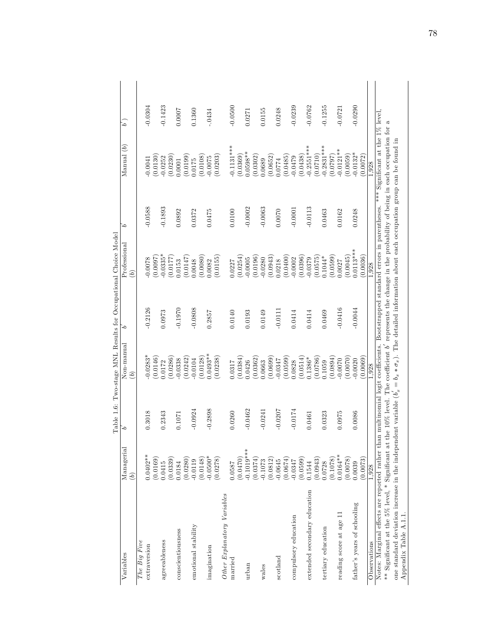|                                                                                                                                                                |                       |           |                | yvuudauundu |                                                                                                                |           |                 |           |
|----------------------------------------------------------------------------------------------------------------------------------------------------------------|-----------------------|-----------|----------------|-------------|----------------------------------------------------------------------------------------------------------------|-----------|-----------------|-----------|
| Variables                                                                                                                                                      | Managerial            | `۵        | Non-manual     | `۵          | Professional                                                                                                   | 5         | $M$ anual $(b)$ | $\dot{a}$ |
|                                                                                                                                                                | $\widehat{b}$         |           | $\widehat{b})$ |             | $\widehat{b}$                                                                                                  |           |                 |           |
| The Big Five                                                                                                                                                   |                       |           |                |             |                                                                                                                |           |                 |           |
| extraversion                                                                                                                                                   | $0.0402**$            | 0.3018    | $-0.0283*$     | $-0.2126$   | 0.0078                                                                                                         | $-0.0588$ | $-0.0041$       | $-0.0304$ |
|                                                                                                                                                                | 0.0169)               |           | (0.0146)       |             | 16000                                                                                                          |           | (0.0130)        |           |
| agreeableness                                                                                                                                                  | 0.0415                | 0.2343    | 0.0172         | 0.0973      | $0.0335*$                                                                                                      | $-0.1893$ | $-0.0252$       | $-0.1423$ |
|                                                                                                                                                                | (0.0339)              |           | (0.0286)       |             | 0.0177                                                                                                         |           | (0.0230)        |           |
| conscientiousness                                                                                                                                              | 0.0184                | 0.1071    | $-0.0338$      | $-0.1970$   | 0.0153                                                                                                         | 0.0892    | 1.0001          | 0.0007    |
|                                                                                                                                                                | (0.0280)              |           | (0.0242)       |             | 0.0147                                                                                                         |           | (0.0199)        |           |
| emotional stability                                                                                                                                            | $-0.0119$             | $-0.0924$ | $-0.0104$      | $-0.0808$   | 0.0048                                                                                                         | 0.0372    | 0.0175          | 0.1360    |
|                                                                                                                                                                | (8110.0)              |           | (0.0128)       |             | 0.0080                                                                                                         |           | (0.0108)        |           |
| imagination                                                                                                                                                    | $-0.0500*$            | $-0.2898$ | $0.0493**$     | 0.2857      | 0.0082                                                                                                         | 0.0475    | $-0.0075$       | $-.0434$  |
|                                                                                                                                                                | (0.0278)              |           | (0.0238)       |             | (0.0155)                                                                                                       |           | (0.0203)        |           |
| Other Explanatory Variables                                                                                                                                    |                       |           |                |             |                                                                                                                |           |                 |           |
| married                                                                                                                                                        | 0.0587                | 0.0260    | 0.0317         | 0.0140      | 0.0227                                                                                                         | 0.0100    | $0.1131***$     | $-0.0500$ |
|                                                                                                                                                                | (0.1470)              |           | (0.0384)       |             | (0.0254)                                                                                                       |           | (0.0369)        |           |
| urban                                                                                                                                                          | $-0.1019$ **          | $-0.0462$ | 0.0426         | 0.0193      | 0.0005                                                                                                         | $-0.0002$ | $0.0598**$      | 0.0271    |
|                                                                                                                                                                | (0.0374)              |           | (0.0362)       |             | (0.0196)                                                                                                       |           | (0.0302)        |           |
| wales                                                                                                                                                          | $-0.1073$             | $-0.0241$ | 0.0663         | 0.0149      | $-0.0280$                                                                                                      | $-0.0063$ | 0.0689          | 0.0155    |
|                                                                                                                                                                | (0.0812)              |           | (0.0699)       |             | (0.0943)                                                                                                       |           | (0.0652)        |           |
| scotland                                                                                                                                                       | $-0.0645$             | $-0.0207$ | $-0.0347$      | $-0.0111$   | 0.0218                                                                                                         | 0.0070    | 0.0774          | 0.0248    |
|                                                                                                                                                                |                       |           | (0.0599)       |             | (0.0400)                                                                                                       |           | (0.0485)        |           |
| compulsory education                                                                                                                                           | $(0.0674)$<br>-0.0347 | $-0.0174$ | 0.0828         | 0.0414      | $-0.0002$                                                                                                      | $-0.0001$ | $-0.0479$       | $-0.0239$ |
|                                                                                                                                                                | (0.0599)              |           | (0.0514)       |             | (0.0396)                                                                                                       |           | (0.0438)        |           |
| extended secondary education                                                                                                                                   | 0.1544                | 0.0461    | 0.1386*        | 0.0414      | 0.0379                                                                                                         | $-0.0113$ | $-0.2551***$    | $-0.0762$ |
|                                                                                                                                                                | 0.0943                |           | (0.0786)       |             | (0.0575)                                                                                                       |           | (0.0710)        |           |
| tertiary education                                                                                                                                             | 0.0728                | 0.0323    | 0.1059         | 0.0469      | $0.1044*$                                                                                                      | 0.0463    | $-0.2831***$    | $-0.1255$ |
|                                                                                                                                                                | 0.1078                |           | (0.0894)       |             | (6.0590)                                                                                                       |           | (0.0797)        |           |
| reading score at age 1                                                                                                                                         | $0.0164**$            | 0.0975    | $-0.0070$      | $-0.0416$   | 1.0027                                                                                                         | 0.0162    | $0.0121***$     | $-0.0721$ |
|                                                                                                                                                                | (8200.0)              |           | (0.0070)       |             | (6400.00)                                                                                                      |           | (0.0059)        |           |
| father's years of schooling                                                                                                                                    | 0.0039                | 0.0086    | 0.0020         | $-0.0044$   | $0.0113***$                                                                                                    | 0.0248    | $-0.0132*$      | $-0.0290$ |
|                                                                                                                                                                | 0.0073                |           | (0.0069)       |             | 0.0036)                                                                                                        |           | 0.0072          |           |
| Observations                                                                                                                                                   | 1.928                 |           | 1.928          |             | 1,928                                                                                                          |           | 1,928           |           |
| Notes: Marginal effects are reported rather than multinomial logit coefficients. Bootstrapped standard errors in parentheses. *** Significant at the 1% level, |                       |           |                |             |                                                                                                                |           |                 |           |
| ** Significant at the 5% level, * Significant at                                                                                                               |                       |           |                |             | the 10% level. The coefficient $b'$ represents the change in the probability of being in each occupation for a |           |                 |           |
| one standard deviation increase in the independent variable $(b_x = b_x * \sigma_x)$ . The detailed information about each occupation group can be found in    |                       |           |                |             |                                                                                                                |           |                 |           |
| Appendix Table A.1.1.                                                                                                                                          |                       |           |                |             |                                                                                                                |           |                 |           |

Table 1.6: Two-stage MNL Results for Occupational Choice Model Table 1.6: Two-stage MNL Results for Occupational Choice Model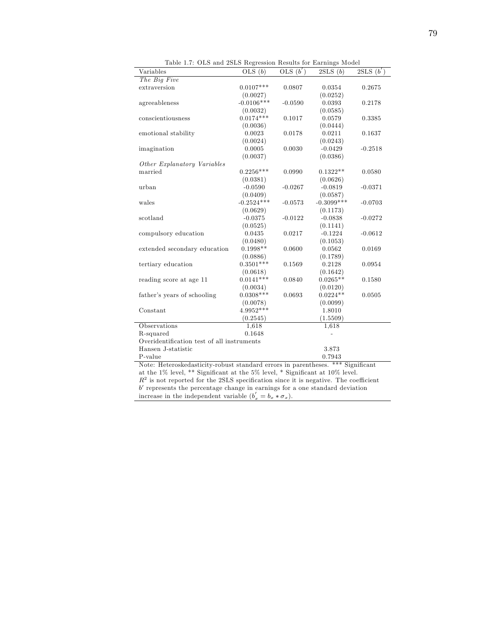| Variables                                  | OLS(b)       | OLS $(b')$ | 2SLS(b)      | 2SLS(b')  |
|--------------------------------------------|--------------|------------|--------------|-----------|
| The Big Five                               |              |            |              |           |
| extraversion                               | $0.0107***$  | 0.0807     | 0.0354       | 0.2675    |
|                                            | (0.0027)     |            | (0.0252)     |           |
| agreeableness                              | $-0.0106***$ | $-0.0590$  | 0.0393       | 0.2178    |
|                                            | (0.0032)     |            | (0.0585)     |           |
| conscientiousness                          | $0.0174***$  | 0.1017     | 0.0579       | 0.3385    |
|                                            | (0.0036)     |            | (0.0444)     |           |
| emotional stability                        | 0.0023       | 0.0178     | 0.0211       | 0.1637    |
|                                            | (0.0024)     |            | (0.0243)     |           |
| imagination                                | 0.0005       | 0.0030     | $-0.0429$    | $-0.2518$ |
|                                            | (0.0037)     |            | (0.0386)     |           |
| Other Explanatory Variables                |              |            |              |           |
| married                                    | $0.2256***$  | 0.0990     | $0.1322**$   | 0.0580    |
|                                            | (0.0381)     |            | (0.0626)     |           |
| urban                                      | $-0.0590$    | $-0.0267$  | $-0.0819$    | $-0.0371$ |
|                                            | (0.0409)     |            | (0.0587)     |           |
| wales                                      | $-0.2524***$ | $-0.0573$  | $-0.3099***$ | $-0.0703$ |
|                                            | (0.0629)     |            | (0.1173)     |           |
| scotland                                   | $-0.0375$    | $-0.0122$  | $-0.0838$    | $-0.0272$ |
|                                            | (0.0525)     |            | (0.1141)     |           |
| compulsory education                       | 0.0435       | 0.0217     | $-0.1224$    | $-0.0612$ |
|                                            | (0.0480)     |            | (0.1053)     |           |
| extended secondary education               | $0.1998**$   | 0.0600     | 0.0562       | 0.0169    |
|                                            | (0.0886)     |            | (0.1789)     |           |
| tertiary education                         | $0.3501***$  | 0.1569     | 0.2128       | 0.0954    |
|                                            | (0.0618)     |            | (0.1642)     |           |
| reading score at age 11                    | $0.0141***$  | 0.0840     | $0.0265**$   | 0.1580    |
|                                            | (0.0034)     |            | (0.0120)     |           |
| father's years of schooling                | $0.0308***$  | 0.0693     | $0.0224**$   | 0.0505    |
|                                            | (0.0078)     |            | (0.0099)     |           |
| Constant                                   | 4.9952***    |            | 1.8010       |           |
|                                            | (0.2545)     |            | (1.5509)     |           |
| Observations                               | 1,618        |            | 1,618        |           |
| R-squared                                  | 0.1648       |            |              |           |
| Overidentification test of all instruments |              |            |              |           |
| Hansen J-statistic                         |              |            | 3.873        |           |
|                                            |              |            |              |           |
| P-value                                    |              |            | 0.7943       |           |

Table 1.7: OLS and 2SLS Regression Results for Earnings Model

at the 1% level, \*\* Significant at the 5% level, \* Significant at 10% level.  $R<sup>2</sup>$  is not reported for the 2SLS specification since it is negative. The coefficient b 0 represents the percentage change in earnings for a one standard deviation increase in the independent variable  $(b'_x = b_x * \sigma_x)$ .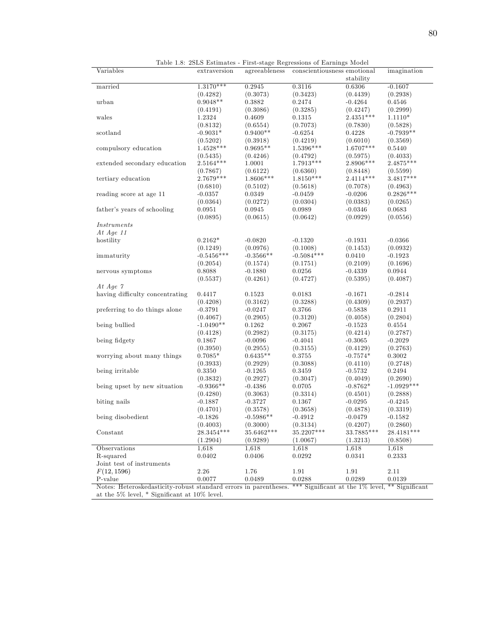| Variables                                                        | extraversion            | agreeableness          | conscientiousness emotional                     |                         | imagination  |
|------------------------------------------------------------------|-------------------------|------------------------|-------------------------------------------------|-------------------------|--------------|
|                                                                  |                         |                        |                                                 | stability               |              |
| married                                                          | $1.3170***$             | 0.2945                 | 0.3116                                          | 0.6306                  | $-0.1607$    |
|                                                                  | (0.4282)                | (0.3073)               | (0.3423)                                        | (0.4439)                | (0.2938)     |
| urban                                                            | $0.9048**$              | ${ 0.3882}$            | 0.2474                                          | $-0.4264$               | 0.4546       |
|                                                                  | (0.4191)                | (0.3086)               | (0.3285)                                        | (0.4247)                | (0.2999)     |
| wales                                                            | 1.2324                  | 0.4609                 | 0.1315                                          | $2.4351***$             | $1.1110*$    |
|                                                                  | (0.8132)                | (0.6554)               | (0.7073)                                        | (0.7830)                | (0.5828)     |
| scotland                                                         | $-0.9031*$              | $0.9400**$             | $-0.6254$                                       | 0.4228                  | $-0.7939**$  |
|                                                                  |                         |                        |                                                 |                         |              |
|                                                                  | (0.5202)<br>$1.4528***$ | (0.3918)<br>$0.9695**$ | (0.4219)<br>$1.5396***$                         | (0.6010)<br>$1.6707***$ | (0.3569)     |
| compulsory education                                             |                         |                        |                                                 |                         | 0.5440       |
|                                                                  | (0.5435)                | (0.4246)               | (0.4792)                                        | (0.5975)                | (0.4033)     |
| extended secondary education                                     | 2.5164***               | 1.0001                 | $1.7913***$                                     | 2.8906***               | $2.4875***$  |
|                                                                  | (0.7867)                | (0.6122)               | (0.6360)                                        | (0.8448)                | (0.5599)     |
| tertiary education                                               | $2.7679***$             | 1.8606***              | $1.8150***$                                     | $2.4114***$             | $3.4817***$  |
|                                                                  | (0.6810)                | (0.5102)               | (0.5618)                                        | (0.7078)                | (0.4963)     |
| reading score at age 11                                          | $-0.0357$               | 0.0349                 | $-0.0459$                                       | $-0.0206$               | $0.2826***$  |
|                                                                  | (0.0364)                | (0.0272)               | (0.0304)                                        | (0.0383)                | (0.0265)     |
| father's years of schooling                                      | 0.0951                  | 0.0945                 | 0.0989                                          | $-0.0346$               | 0.0683       |
|                                                                  | (0.0895)                | (0.0615)               | (0.0642)                                        | (0.0929)                | (0.0556)     |
| <i>Instruments</i>                                               |                         |                        |                                                 |                         |              |
| At Age $11$                                                      |                         |                        |                                                 |                         |              |
| hostility                                                        | $0.2162*$               | $-0.0820$              | $-0.1320$                                       | $-0.1931$               | $-0.0366$    |
|                                                                  | (0.1249)                | (0.0976)               | (0.1008)                                        | (0.1453)                | (0.0932)     |
| immaturity                                                       | $-0.5456***$            | $-0.3566**$            | $-0.5084***$                                    | 0.0410                  | $-0.1923$    |
|                                                                  |                         | (0.1574)               |                                                 | (0.2109)                |              |
|                                                                  | (0.2054)                |                        | (0.1751)                                        |                         | (0.1696)     |
| nervous symptoms                                                 | 0.8088                  | $-0.1880$              | 0.0256                                          | $-0.4339$               | 0.0944       |
|                                                                  | (0.5537)                | (0.4261)               | (0.4727)                                        | (0.5395)                | (0.4087)     |
| At Age $\gamma$                                                  |                         |                        |                                                 |                         |              |
| having difficulty concentrating                                  | 0.4417                  | 0.1523                 | 0.0183                                          | $-0.1671$               | $-0.2814$    |
|                                                                  | (0.4208)                | (0.3162)               | (0.3288)                                        | (0.4309)                | (0.2937)     |
| preferring to do things alone                                    | $-0.3791$               | $-0.0247$              | 0.3766                                          | $-0.5838$               | 0.2911       |
|                                                                  | (0.4067)                | (0.2905)               | (0.3120)                                        | (0.4058)                | (0.2804)     |
| being bullied                                                    | $-1.0490**$             | $0.1262\,$             | 0.2067                                          | $-0.1523$               | 0.4554       |
|                                                                  | (0.4128)                | (0.2982)               | (0.3175)                                        | (0.4214)                | (0.2787)     |
| being fidgety                                                    | 0.1867                  | $-0.0096$              | $-0.4041$                                       | $-0.3065$               | $-0.2029$    |
|                                                                  | (0.3950)                | (0.2955)               | (0.3155)                                        | (0.4129)                | (0.2763)     |
| worrying about many things                                       | $0.7085*$               | $0.6435**$             | 0.3755                                          | $-0.7574*$              | 0.3002       |
|                                                                  | (0.3933)                | (0.2929)               | (0.3088)                                        | (0.4110)                | (0.2748)     |
| being irritable                                                  | 0.3350                  | $-0.1265$              | 0.3459                                          | $-0.5732$               | 0.2494       |
|                                                                  | (0.3832)                | (0.2927)               | (0.3047)                                        | (0.4049)                | (0.2690)     |
| being upset by new situation                                     | $-0.9366**$             | $-0.4386$              | 0.0705                                          | $-0.8762*$              | $-1.0929***$ |
|                                                                  |                         |                        |                                                 |                         |              |
|                                                                  | (0.4280)                | (0.3063)               | (0.3314)                                        | (0.4501)                | (0.2888)     |
| biting nails                                                     | $-0.1887$               | $-0.3727$              | 0.1367                                          | $-0.0295$               | $-0.4245$    |
|                                                                  | (0.4701)                | (0.3578)               | (0.3658)                                        | (0.4878)                | (0.3319)     |
| being disobedient                                                | $-0.1826$               | $-0.5986**$            | $-0.4912$                                       | $-0.0479$               | $-0.1582$    |
|                                                                  | (0.4003)                | (0.3000)               | (0.3134)                                        | (0.4207)                | (0.2860)     |
| Constant                                                         | 28.3454***              | $35.6462***$           | $35.2207***$                                    | 33.7885***              | 28.4181***   |
|                                                                  | (1.2904)                | (0.9289)               | (1.0067)                                        | (1.3213)                | (0.8508)     |
| Observations                                                     | 1,618                   | 1,618                  | 1,618                                           | 1,618                   | 1,618        |
| R-squared                                                        | 0.0402                  | 0.0406                 | 0.0292                                          | 0.0341                  | 0.2333       |
| Joint test of instruments                                        |                         |                        |                                                 |                         |              |
| F(12, 1596)                                                      | 2.26                    | 1.76                   | 1.91                                            | 1.91                    | 2.11         |
| P-value                                                          | 0.0077                  | 0.0489                 | 0.0288                                          | 0.0289                  | 0.0139       |
| Notes: Heteroskedasticity-robust standard errors in parentheses. |                         |                        | *** Significant at the 1% level, ** Significant |                         |              |
|                                                                  |                         |                        |                                                 |                         |              |
| at the 5% level, $*$ Significant at 10% level.                   |                         |                        |                                                 |                         |              |

Table 1.8: 2SLS Estimates - First-stage Regressions of Earnings Model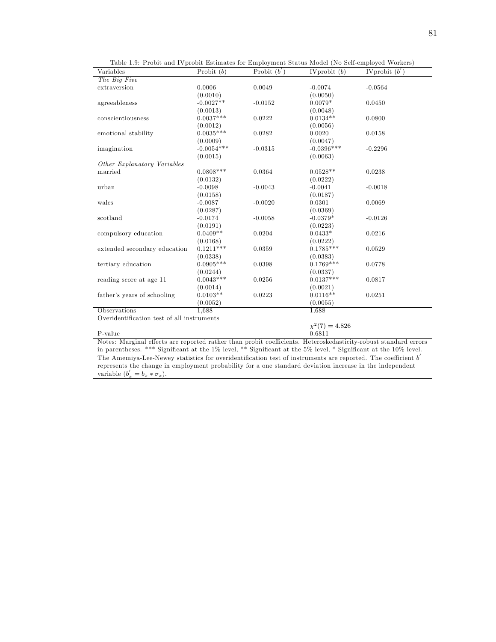| Variables                                                                                                       | Probit $(b)$ | Probit $(b')$ | IVprobit $(b)$      | IVprobit $\overline{(b')}$ |
|-----------------------------------------------------------------------------------------------------------------|--------------|---------------|---------------------|----------------------------|
| The Big Five                                                                                                    |              |               |                     |                            |
| extraversion                                                                                                    | 0.0006       | 0.0049        | $-0.0074$           | $-0.0564$                  |
|                                                                                                                 | (0.0010)     |               | (0.0050)            |                            |
| agreeableness                                                                                                   | $-0.0027**$  | $-0.0152$     | $0.0079*$           | 0.0450                     |
|                                                                                                                 | (0.0013)     |               | (0.0048)            |                            |
| conscientiousness                                                                                               | $0.0037***$  | 0.0222        | $0.0134**$          | 0.0800                     |
|                                                                                                                 | (0.0012)     |               | (0.0056)            |                            |
| emotional stability                                                                                             | $0.0035***$  | 0.0282        | 0.0020              | 0.0158                     |
|                                                                                                                 | (0.0009)     |               | (0.0047)            |                            |
| imagination                                                                                                     | $-0.0054***$ | $-0.0315$     | $-0.0396***$        | $-0.2296$                  |
|                                                                                                                 | (0.0015)     |               | (0.0063)            |                            |
| $\label{thm:other} Other\ \pmb{Explanatory\ Variables}$                                                         |              |               |                     |                            |
| married                                                                                                         | $0.0808***$  | 0.0364        | $0.0528**$          | 0.0238                     |
|                                                                                                                 | (0.0132)     |               | (0.0222)            |                            |
| urban                                                                                                           | $-0.0098$    | $-0.0043$     | $-0.0041$           | $-0.0018$                  |
|                                                                                                                 | (0.0158)     |               | (0.0187)            |                            |
| wales                                                                                                           | $-0.0087$    | $-0.0020$     | 0.0301              | 0.0069                     |
|                                                                                                                 | (0.0287)     |               | (0.0369)            |                            |
| scotland                                                                                                        | $-0.0174$    | $-0.0058$     | $-0.0379*$          | $-0.0126$                  |
|                                                                                                                 | (0.0191)     |               | (0.0223)            |                            |
| compulsory education                                                                                            | $0.0409**$   | 0.0204        | $0.0433*$           | 0.0216                     |
|                                                                                                                 | (0.0168)     |               | (0.0222)            |                            |
| extended secondary education                                                                                    | $0.1211***$  | 0.0359        | $0.1785***$         | 0.0529                     |
|                                                                                                                 | (0.0338)     |               | (0.0383)            |                            |
| tertiary education                                                                                              | $0.0905***$  | 0.0398        | $0.1769***$         | 0.0778                     |
|                                                                                                                 | (0.0244)     |               | (0.0337)            |                            |
| reading score at age 11                                                                                         | $0.0043***$  | 0.0256        | $0.0137***$         | 0.0817                     |
|                                                                                                                 | (0.0014)     |               | (0.0021)            |                            |
| father's years of schooling                                                                                     | $0.0103**$   | 0.0223        | $0.0116**$          | 0.0251                     |
|                                                                                                                 | (0.0052)     |               | (0.0055)            |                            |
| Observations                                                                                                    | 1.688        |               | 1.688               |                            |
| Overidentification test of all instruments                                                                      |              |               |                     |                            |
|                                                                                                                 |              |               | $\chi^2(7) = 4.826$ |                            |
| P-value                                                                                                         |              |               | 0.6811              |                            |
| Notes: Marginal effects are reported rather than probit coefficients. Heteroskedasticity-robust standard errors |              |               |                     |                            |

Table 1.9: Probit and IVprobit Estimates for Employment Status Model (No Self-employed Workers)

Notes: Marginal effects are reported rather than probit coefficients. Heteroskedasticity-robust standard errors in parentheses. \*\*\* Significant at the 1% level, \*\* Significant at the 5% level, \* Significant at the 10% level. The Amemiya-Lee-Newey statistics for overidentification test of instruments are reported. The coefficient  $b'$ represents the change in employment probability for a one standard deviation increase in the independent variable  $(b'_x = b_x * \sigma_x)$ .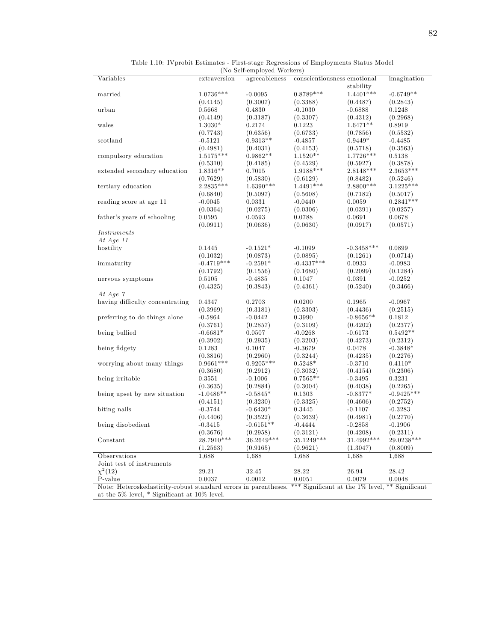|                                                                 |                         | (To pen-employed Morkers) |                             |                                                 |                          |
|-----------------------------------------------------------------|-------------------------|---------------------------|-----------------------------|-------------------------------------------------|--------------------------|
| Variables                                                       | extraversion            | agreeableness             | conscientiousness emotional | stability                                       | imagination              |
| married                                                         | $1.0736***$             | $-0.0095$                 | $0.8789***$                 | $1.4401***$                                     | $-0.6749**$              |
|                                                                 | (0.4145)                | (0.3007)                  | (0.3388)                    | (0.4487)                                        | (0.2843)                 |
| urban                                                           | 0.5668                  | 0.4830                    | $-0.1030$                   | $-0.6888$                                       | 0.1248                   |
|                                                                 | (0.4149)                | (0.3187)                  | (0.3307)                    | (0.4312)                                        | (0.2968)                 |
| wales                                                           | $1.3030*$               | 0.2174                    | 0.1223                      | $1.6471**$                                      | 0.8919                   |
|                                                                 | (0.7743)                | (0.6356)                  | (0.6733)                    |                                                 | (0.5532)                 |
| scotland                                                        | $-0.5121$               | $0.9313**$                | $-0.4857$                   | (0.7856)<br>$0.9449*$                           | $-0.4485$                |
|                                                                 |                         |                           |                             |                                                 |                          |
|                                                                 | (0.4981)<br>$1.5175***$ | (0.4031)<br>$0.9862**$    | (0.4153)<br>$1.1520**$      | (0.5718)<br>$1.7726***$                         | (0.3563)                 |
| compulsory education                                            |                         |                           |                             |                                                 | 0.5138                   |
|                                                                 | (0.5310)                | (0.4185)                  | (0.4529)                    | (0.5927)                                        | (0.3878)                 |
| extended secondary education                                    | 1.8316**                | 0.7015                    | 1.9188***                   | $2.8148***$                                     | 2.3653***                |
|                                                                 | (0.7629)                | (0.5830)                  | (0.6129)                    | (0.8482)                                        | (0.5246)                 |
| tertiary education                                              | 2.2835***               | $1.6390***$               | 1.4491***                   | 2.8800***                                       | $3.1225***$              |
|                                                                 | (0.6840)                | (0.5097)                  | (0.5608)                    | (0.7182)                                        | (0.5017)                 |
| reading score at age 11                                         | $-0.0045$               | 0.0331                    | $-0.0440$                   | 0.0059                                          | $0.2841***$              |
|                                                                 | (0.0364)                | (0.0275)                  | (0.0306)                    | (0.0391)                                        | (0.0257)                 |
| father's years of schooling                                     | 0.0595                  | 0.0593                    | 0.0788                      | 0.0691                                          | 0.0678                   |
|                                                                 | (0.0911)                | (0.0636)                  | (0.0630)                    | (0.0917)                                        | (0.0571)                 |
| <i>Instruments</i>                                              |                         |                           |                             |                                                 |                          |
| At Age $11$                                                     |                         |                           |                             |                                                 |                          |
| hostility                                                       | 0.1445                  | $-0.1521*$                | $-0.1099$                   | $-0.3458***$                                    | 0.0899                   |
|                                                                 | (0.1032)                | (0.0873)                  | (0.0895)                    | (0.1261)                                        | (0.0714)                 |
| immaturity                                                      | $-0.4719***$            | $-0.2591*$                | $-0.4337***$                | 0.0933                                          | $-0.0983$                |
|                                                                 | (0.1792)                | (0.1556)                  | (0.1680)                    | (0.2099)                                        | (0.1284)                 |
| nervous symptoms                                                | 0.5105                  | $-0.4835$                 | 0.1047                      | 0.0391                                          | $-0.0252$                |
|                                                                 | (0.4325)                | (0.3843)                  | (0.4361)                    | (0.5240)                                        | (0.3466)                 |
| At Age $\gamma$                                                 |                         |                           |                             |                                                 |                          |
| having difficulty concentrating                                 | $\phantom{-}0.4347$     | 0.2703                    | 0.0200                      | 0.1965                                          | $-0.0967$                |
|                                                                 | (0.3969)                | (0.3181)                  | (0.3303)                    | (0.4436)                                        | (0.2515)                 |
| preferring to do things alone                                   | $-0.5864$               | $-0.0442$                 | 0.3990                      | $-0.8656**$                                     | 0.1812                   |
|                                                                 | (0.3761)                | (0.2857)                  | (0.3109)                    | (0.4202)                                        | (0.2377)                 |
| being bullied                                                   | $-0.6681*$              | 0.0507                    | $-0.0268$                   | $-0.6173$                                       | $0.5492**$               |
|                                                                 | (0.3902)                | (0.2935)                  | (0.3203)                    | (0.4273)                                        | (0.2312)                 |
| being fidgety                                                   | 0.1283                  | 0.1047                    | $-0.3679$                   | 0.0478                                          | $-0.3848*$               |
|                                                                 | (0.3816)                | (0.2960)                  | (0.3244)                    | (0.4235)                                        | (0.2276)                 |
| worrying about many things                                      | $0.9661***$             | $0.9205***$               | $0.5248*$                   | $-0.3710$                                       | $0.4110*$                |
|                                                                 | (0.3680)                | (0.2912)                  | (0.3032)                    | (0.4154)                                        | (0.2306)                 |
| being irritable                                                 | 0.3551                  | $-0.1006$                 | $0.7565**$                  | $-0.3495$                                       | 0.3231                   |
|                                                                 |                         |                           |                             | (0.4038)                                        |                          |
|                                                                 | (0.3635)<br>$-1.0486**$ | (0.2884)                  | (0.3004)                    |                                                 | (0.2265)<br>$-0.9425***$ |
| being upset by new situation                                    |                         | $-0.5845*$                | 0.1303                      | $-0.8377*$                                      |                          |
|                                                                 | (0.4151)                | (0.3230)                  | (0.3325)                    | (0.4606)                                        | (0.2752)                 |
| biting nails                                                    | $-0.3744$               | $-0.6430*$                | 0.3445                      | $-0.1107$                                       | $-0.3283$                |
|                                                                 | (0.4406)                | (0.3522)                  | (0.3639)                    | (0.4981)                                        | (0.2770)                 |
| being disobedient                                               | $-0.3415$               | $-0.6151**$               | $-0.4444$                   | $-0.2858$                                       | $-0.1906$                |
|                                                                 | (0.3676)                | (0.2958)                  | (0.3121)                    | (0.4208)                                        | (0.2311)                 |
| Constant                                                        | $28.7910***$            | $36.2649***$              | $35.1249^{\ast\ast\ast}$    | $31.4992***$                                    | 29.0238***               |
|                                                                 | (1.2563)                | (0.9165)                  | (0.9621)                    | (1.3047)                                        | (0.8009)                 |
| Observations                                                    | 1,688                   | 1,688                     | 1,688                       | 1,688                                           | 1,688                    |
| Joint test of instruments                                       |                         |                           |                             |                                                 |                          |
| $\chi^2(12)$                                                    | 29.21                   | 32.45                     | 28.22                       | 26.94                                           | 28.42                    |
| P-value                                                         | 0.0037                  | 0.0012                    | 0.0051                      | 0.0079                                          | 0.0048                   |
| Note: Heteroskedasticity-robust standard errors in parentheses. |                         |                           |                             | *** Significant at the 1% level, ** Significant |                          |
| at the $5\%$ level, $*$ Significant at $10\%$ level.            |                         |                           |                             |                                                 |                          |

Table 1.10: IVprobit Estimates - First-stage Regressions of Employments Status Model (No Self-employed Workers)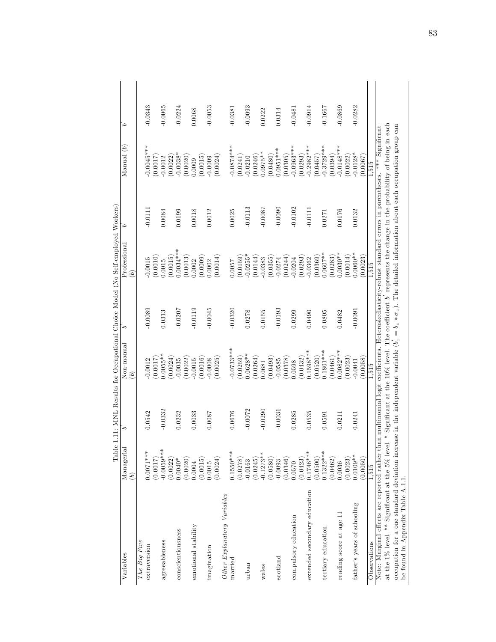|                                                                                                                                                                  | $\frac{1}{2}$ | <b>CATTLE TO THATTA</b> |                 | TI TANATAI ANN | <b>NATHLET</b>                                                                                                 |           |                 |           |
|------------------------------------------------------------------------------------------------------------------------------------------------------------------|---------------|-------------------------|-----------------|----------------|----------------------------------------------------------------------------------------------------------------|-----------|-----------------|-----------|
| Variables                                                                                                                                                        | Managerial    | `۵                      | Non-manual      | `0             | Professional                                                                                                   | $\sim$    | $M$ anual $(b)$ | `۵        |
|                                                                                                                                                                  | $\widehat{b}$ |                         | $\widetilde{b}$ |                | $\widehat{b}$                                                                                                  |           |                 |           |
| The Big Five                                                                                                                                                     |               |                         |                 |                |                                                                                                                |           |                 |           |
| extraversion                                                                                                                                                     | $0.0071***$   | 0.0542                  | $-0.0012$       | $-0.0089$      | 0.0015                                                                                                         | $-0.0111$ | $-0.0045***$    | $-0.0343$ |
|                                                                                                                                                                  | (7100.0)      |                         | (0.0017)        |                | 0.0010)                                                                                                        |           | 7100.00         |           |
| agreeableness                                                                                                                                                    | $-0.0059***$  | $-0.0332$               | $0.0055***$     | 0.0313         | 0.0015                                                                                                         | 0.0084    | $-0.0012$       | $-0.0065$ |
|                                                                                                                                                                  | (0.0022)      |                         | (0.0024)        |                | 0.0015                                                                                                         |           | 0.0022          |           |
| conscientiousness                                                                                                                                                | $0.0040*$     | 0.0232                  | $-0.0035$       | $-0.0207$      | $0.0034***$                                                                                                    | 0.0199    | $-0.0038*$      | $-0.0224$ |
|                                                                                                                                                                  | (0.0020)      |                         | (0.0022)        |                | 0.0013)                                                                                                        |           | (0.0020)        |           |
| emotional stability                                                                                                                                              | 0.0004        | 0.0033                  | 0.0015          | $-0.0119$      | 0.0002                                                                                                         | 0.0018    | 0.0009          | 0.0068    |
|                                                                                                                                                                  | (0.0015)      |                         | (0.0016)        |                | 0.0009                                                                                                         |           | (0.0015)        |           |
| imagination                                                                                                                                                      | 0.0015        | 0.0087                  | 0.0008          | $-0.0045$      | 0.0002                                                                                                         | 0.0012    | $-0.0009$       | $-0.0053$ |
|                                                                                                                                                                  | (0.0024)      |                         | 0.0025          |                | (0.0014)                                                                                                       |           | (0.0024)        |           |
| Other Explanatory Variables                                                                                                                                      |               |                         |                 |                |                                                                                                                |           |                 |           |
| married                                                                                                                                                          | $0.1550***$   | 0.0676                  | $-0.0733***$    | $-0.0320$      | 0.0057                                                                                                         | 0.0025    | $-0.0874***$    | $-0.0381$ |
|                                                                                                                                                                  | (0.0278)      |                         | (0.0259)        |                | (0.0159)                                                                                                       |           | (0.0241)        |           |
| urban                                                                                                                                                            | $-0.0163$     | $-0.0072$               | $0.0628**$      | 0.0278         | $0.0255*$                                                                                                      | $-0.0113$ | $-0.0210$       | $-0.0093$ |
|                                                                                                                                                                  | (0.0245)      |                         | (0.0264)        |                | (0.0144)                                                                                                       |           | (0.0246)        |           |
| wales                                                                                                                                                            | $-0.1273**$   | $-0.0290$               | 0.0681          | 0.0155         | $-0.0383$                                                                                                      | $-0.0087$ | $0.0975***$     | 0.0222    |
|                                                                                                                                                                  | (0.0580)      |                         | (0.0493)        |                | (0.0355)                                                                                                       |           | (0.0480)        |           |
| scotland                                                                                                                                                         | $-0.0093$     | $-0.0031$               | $-0.0585$       | $-0.0193$      | $-0.0274$                                                                                                      | $-0.0090$ | $0.0951***$     | 0.0314    |
|                                                                                                                                                                  | (0.0346)      |                         | (0.0378)        |                | (0.0244)                                                                                                       |           | (0.0305)        |           |
| compulsory education                                                                                                                                             | 0.0570        | 0.0285                  | 0.598           | 0.0299         | 0.0204                                                                                                         | $-0.0102$ | $-0.0963***$    | $-0.0481$ |
|                                                                                                                                                                  | 0.0423        |                         | (0.0432)        |                | (0.0293)                                                                                                       |           | (0.0293)        |           |
| extended secondary education                                                                                                                                     | $0.1746***$   | 0.0535                  | $0.1598***$     | 0.0490         | 0.0362                                                                                                         | $-0.0111$ | $-0.2982***$    | $-0.0914$ |
|                                                                                                                                                                  | (0.0500)      |                         | (0.0520)        |                | (0.0369)                                                                                                       |           | (0.0457)        |           |
| tertiary education                                                                                                                                               | $0.1322***$   | 0.0591                  | $0.1801***$     | 0.0805         | 1.0607**                                                                                                       | 0.0271    | $-0.3729***$    | $-0.1667$ |
|                                                                                                                                                                  | 0.0462)       |                         | (0.0461)        |                | 0.0283)                                                                                                        |           | (0.0394)        |           |
| reading score at age 11                                                                                                                                          | 0.0036        | 0.0211                  | $0.0082***$     | 0.0482         | $0.0030**$                                                                                                     | 0.0176    | $-0.0148***$    | $-0.0869$ |
|                                                                                                                                                                  | (0.0023)      |                         | (0.0023)        |                | 0.0014)                                                                                                        |           | (0.0022)        |           |
| father's years of schooling                                                                                                                                      | $0.0109**$    | 0.0241                  | $-0.0041$       | $-0.0091$      | 1.0060**                                                                                                       | 0.0132    | $0.0128*$       | $-0.0282$ |
|                                                                                                                                                                  | (0.0050)      |                         | (0.0058)        |                | 0.0023)                                                                                                        |           | (0.0067)        |           |
| Observations                                                                                                                                                     | 1,515         |                         | 1,515           |                | 1,515                                                                                                          |           | 1.515           |           |
| Note: Marginal effects are reported rather than multinomial logit coefficients. Heteroskedasticity-robust standard errors in parentheses. *** Significant        |               |                         |                 |                |                                                                                                                |           |                 |           |
| at the 1% level, ** Significant at the 5% level,                                                                                                                 |               |                         |                 |                | * Significant at the 10% level. The coefficient $b'$ represents the change in the probability of being in each |           |                 |           |
| occupation for a one standard deviation increase in the independent variable $(b_x = b_x * \sigma_x)$ . The detailed information about each occupation group can |               |                         |                 |                |                                                                                                                |           |                 |           |
| be found in Appendix Table A.1.1.                                                                                                                                |               |                         |                 |                |                                                                                                                |           |                 |           |

Table 1.11: MNL Results for Occupational Choice Model (No Self-employed Workers) Table 1.11: MNL Results for Occupational Choice Model (No Self-employed Workers)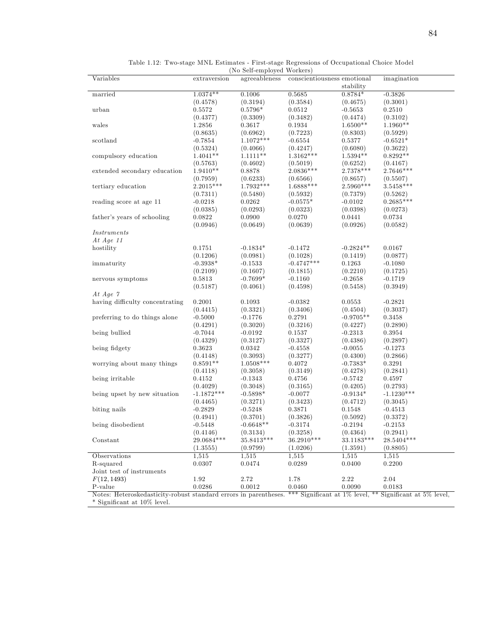| ۰,<br>i<br>i<br>۰.<br>۰. | ш |
|--------------------------|---|
|                          |   |

| Table 1.12: Two-stage MNL Estimates - First-stage Regressions of Occupational Choice Model |  |
|--------------------------------------------------------------------------------------------|--|
| (No Self-employed Workers)                                                                 |  |

|                                                                                                                           |              | (10 Seifemployed Morrers) |                             |             |              |
|---------------------------------------------------------------------------------------------------------------------------|--------------|---------------------------|-----------------------------|-------------|--------------|
| Variables                                                                                                                 | extraversion | agreeableness             | conscientiousness emotional |             | imagination  |
|                                                                                                                           |              |                           |                             | stability   |              |
| married                                                                                                                   | $1.0374**$   | 0.1006                    | 0.5685                      | $0.8784*$   | $-0.3826$    |
|                                                                                                                           | (0.4578)     | (0.3194)                  | (0.3584)                    | (0.4675)    | (0.3001)     |
|                                                                                                                           |              | $0.5796*$                 |                             |             | 0.2510       |
| urban                                                                                                                     | 0.5572       |                           | 0.0512                      | $-0.5653$   |              |
|                                                                                                                           | (0.4377)     | (0.3309)                  | (0.3482)                    | (0.4474)    | (0.3102)     |
| wales                                                                                                                     | 1.2856       | 0.3617                    | 0.1934                      | $1.6500**$  | $1.1960**$   |
|                                                                                                                           | (0.8635)     | (0.6962)                  | (0.7223)                    | (0.8303)    | (0.5929)     |
| scotland                                                                                                                  | $-0.7854$    | $1.1072***$               | $-0.6554$                   | 0.5377      | $-0.6521*$   |
|                                                                                                                           | (0.5324)     | (0.4066)                  | (0.4247)                    | (0.6080)    | (0.3622)     |
| compulsory education                                                                                                      | $1.4041**$   | $1.1111**$                | $1.3162***$                 | 1.5394**    | $0.8292**$   |
|                                                                                                                           |              |                           |                             |             |              |
|                                                                                                                           | (0.5763)     | (0.4602)                  | (0.5019)                    | (0.6252)    | (0.4167)     |
| extended secondary education                                                                                              | $1.9410**$   | 0.8878                    | $2.0836***$                 | 2.7378 ***  | $2.7646***$  |
|                                                                                                                           | (0.7959)     | (0.6233)                  | (0.6566)                    | (0.8657)    | (0.5507)     |
| tertiary education                                                                                                        | 2.2015***    | 1.7932***                 | $1.6888***$                 | 2.5960***   | $3.5458***$  |
|                                                                                                                           | (0.7311)     | (0.5480)                  | (0.5932)                    | (0.7379)    | (0.5262)     |
| reading score at age 11                                                                                                   | $-0.0218$    | 0.0262                    | $-0.0575*$                  | $-0.0102$   | $0.2685***$  |
|                                                                                                                           |              |                           |                             |             |              |
|                                                                                                                           | (0.0385)     | (0.0293)                  | (0.0323)                    | (0.0398)    | (0.0273)     |
| father's years of schooling                                                                                               | 0.0822       | 0.0900                    | 0.0270                      | 0.0441      | 0.0734       |
|                                                                                                                           | (0.0946)     | (0.0649)                  | (0.0639)                    | (0.0926)    | (0.0582)     |
| <i>Instruments</i>                                                                                                        |              |                           |                             |             |              |
| At Age $11$                                                                                                               |              |                           |                             |             |              |
| hostility                                                                                                                 | 0.1751       | $-0.1834*$                | $-0.1472$                   | $-0.2824**$ | 0.0167       |
|                                                                                                                           | (0.1206)     | (0.0981)                  | (0.1028)                    | (0.1419)    | (0.0877)     |
|                                                                                                                           |              |                           |                             |             |              |
| immaturity                                                                                                                | $-0.3938*$   | $-0.1533$                 | $-0.4747***$                | 0.1263      | $-0.1080$    |
|                                                                                                                           | (0.2109)     | (0.1607)                  | (0.1815)                    | (0.2210)    | (0.1725)     |
| nervous symptoms                                                                                                          | 0.5813       | $-0.7699*$                | $-0.1160$                   | $-0.2658$   | $-0.1719$    |
|                                                                                                                           | (0.5187)     | (0.4061)                  | (0.4598)                    | (0.5458)    | (0.3949)     |
| At Age $\gamma$                                                                                                           |              |                           |                             |             |              |
| having difficulty concentrating                                                                                           | 0.2001       | 0.1093                    | $-0.0382$                   | 0.0553      | $-0.2821$    |
|                                                                                                                           | (0.4415)     | (0.3321)                  | (0.3406)                    | (0.4504)    | (0.3037)     |
|                                                                                                                           |              |                           |                             |             |              |
| preferring to do things alone                                                                                             | $-0.5000$    | $-0.1776$                 | 0.2791                      | $-0.9705**$ | 0.3458       |
|                                                                                                                           | (0.4291)     | (0.3020)                  | (0.3216)                    | (0.4227)    | (0.2890)     |
| being bullied                                                                                                             | $-0.7044$    | $-0.0192$                 | 0.1537                      | $-0.2313$   | 0.3954       |
|                                                                                                                           | (0.4329)     | (0.3127)                  | (0.3327)                    | (0.4386)    | (0.2897)     |
| being fidgety                                                                                                             | 0.3623       | 0.0342                    | $-0.4558$                   | $-0.0055$   | $-0.1273$    |
|                                                                                                                           | (0.4148)     | (0.3093)                  | (0.3277)                    | (0.4300)    | (0.2866)     |
| worrying about many things                                                                                                | $0.8591**$   | $1.0508***$               | 0.4072                      | $-0.7383*$  | 0.3291       |
|                                                                                                                           |              |                           |                             |             |              |
|                                                                                                                           | (0.4118)     | (0.3058)                  | (0.3149)                    | (0.4278)    | (0.2841)     |
| being irritable                                                                                                           | 0.4152       | $-0.1343$                 | 0.4756                      | $-0.5742$   | 0.4597       |
|                                                                                                                           | (0.4029)     | (0.3048)                  | (0.3165)                    | (0.4205)    | (0.2793)     |
| being upset by new situation                                                                                              | $-1.1872***$ | $-0.5898*$                | $-0.0077$                   | $-0.9134*$  | $-1.1230***$ |
|                                                                                                                           | (0.4465)     | (0.3271)                  | (0.3423)                    | (0.4712)    | (0.3045)     |
| biting nails                                                                                                              | $-0.2829$    | $-0.5248$                 | 0.3871                      | 0.1548      | $-0.4513$    |
|                                                                                                                           | (0.4941)     | (0.3701)                  | (0.3826)                    | (0.5092)    | (0.3372)     |
|                                                                                                                           | $-0.5448$    | $-0.6648**$               |                             |             |              |
| being disobedient                                                                                                         |              |                           | $-0.3174$                   | $-0.2194$   | $-0.2153$    |
|                                                                                                                           | (0.4146)     | (0.3134)                  | (0.3258)                    | (0.4364)    | (0.2941)     |
| Constant                                                                                                                  | $29.0684***$ | 35.8413***                | $36.2910***$                | 33.1183***  | $28.5404***$ |
|                                                                                                                           | (1.3555)     | (0.9799)                  | (1.0206)                    | (1.3591)    | (0.8805)     |
| Observations                                                                                                              | 1,515        | 1,515                     | 1,515                       | 1,515       | 1,515        |
| R-squared                                                                                                                 | 0.0307       | 0.0474                    | 0.0289                      | 0.0400      | 0.2200       |
| Joint test of instruments                                                                                                 |              |                           |                             |             |              |
|                                                                                                                           |              |                           |                             |             |              |
| F(12, 1493)                                                                                                               | 1.92         | 2.72                      | 1.78                        | 2.22        | 2.04         |
| P-value                                                                                                                   | 0.0286       | 0.0012                    | $\,0.0460\,$                | 0.0090      | 0.0183       |
| Notes: Heteroskedasticity-robust standard errors in parentheses. *** Significant at 1% level, ** Significant at 5% level, |              |                           |                             |             |              |
| * Significant at 10% level.                                                                                               |              |                           |                             |             |              |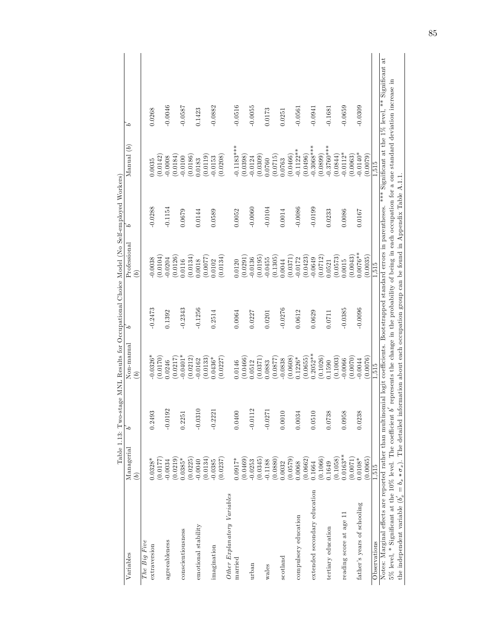|                                                                                                                                                                                   | 1 anjie 1.19. |               | TOT entrepries in the spoor |           | Specifical parties in the parameter of the parameter of the parameter of the parameter of the parameter of the parameter of the parameter of the parameter of the parameter of the parameter of the parameter of the parameter |           |                          |           |
|-----------------------------------------------------------------------------------------------------------------------------------------------------------------------------------|---------------|---------------|-----------------------------|-----------|--------------------------------------------------------------------------------------------------------------------------------------------------------------------------------------------------------------------------------|-----------|--------------------------|-----------|
| Variables                                                                                                                                                                         | Managerial    | 5             | Non-manual                  | ć         | Professional                                                                                                                                                                                                                   | `0        | Manual $\left( b\right)$ | ć         |
|                                                                                                                                                                                   | $\widehat{e}$ |               | $\widetilde{b}$             |           | $\widehat{b}$                                                                                                                                                                                                                  |           |                          |           |
| The Big Five                                                                                                                                                                      |               |               |                             |           |                                                                                                                                                                                                                                |           |                          |           |
| extraversion                                                                                                                                                                      | $0.0328*$     | 0.2493        | $0.0326*$                   | $-0.2473$ | $-0.0038$                                                                                                                                                                                                                      | $-0.0288$ | 0.0035                   | 0.0268    |
|                                                                                                                                                                                   | (7710.0)      |               | (0.170)                     |           | (0.0104)                                                                                                                                                                                                                       |           | (0.0142)                 |           |
| agreeableness                                                                                                                                                                     | $-0.0034$     | $-0.0192$     | 0.0246                      | 0.1392    | 0.0204                                                                                                                                                                                                                         | $-0.1154$ | $-0.0008$                | $-0.0046$ |
|                                                                                                                                                                                   | (0.0219)      |               | 0.0217                      |           | (0.0126)                                                                                                                                                                                                                       |           | (0.0184)                 |           |
| conscientiousness                                                                                                                                                                 | $0.0385*$     | 0.2251        | $0.0401*$                   | $-0.2343$ | 0.0116                                                                                                                                                                                                                         | 0.0679    | $-0.0100$                | $-0.0587$ |
|                                                                                                                                                                                   | (0.0225)      |               | (0.0212)                    |           | (0.0134)                                                                                                                                                                                                                       |           | (0.0186)                 |           |
| emotional stability                                                                                                                                                               | $-0.0040$     | $-0.0310$     | 0.0162                      | $-0.1256$ | 0.0018                                                                                                                                                                                                                         | 0.0144    | 0.0183                   | 0.1423    |
|                                                                                                                                                                                   | (0.0134)      |               | (0.0133)                    |           | 0.0077                                                                                                                                                                                                                         |           | (0.0119)                 |           |
| imagination                                                                                                                                                                       | $-0.0385$     | $-0.2221$     | 0.0436*                     | 0.2514    | 0.0102                                                                                                                                                                                                                         | 0.0589    | $-0.0153$                | $-0.0882$ |
|                                                                                                                                                                                   | (0.0237)      |               | (0.0227)                    |           | 0.0134                                                                                                                                                                                                                         |           | (0.0208)                 |           |
| Other Explanatory Variables                                                                                                                                                       |               |               |                             |           |                                                                                                                                                                                                                                |           |                          |           |
| married                                                                                                                                                                           | $0.0917*$     | 0.0400        | 0.0146                      | 0.0064    | 0.0120                                                                                                                                                                                                                         | 0.0052    | $0.1183***$              | $-0.0516$ |
|                                                                                                                                                                                   | (0.0469)      |               | 0.0466                      |           | (0.0291)                                                                                                                                                                                                                       |           | (0.0398)                 |           |
| urban                                                                                                                                                                             | $-0.0253$     | S<br>$-0.011$ | 0.512                       | 0.0227    | 0.0136                                                                                                                                                                                                                         | $-0.0060$ | $-0.0124$                | $-0.0055$ |
|                                                                                                                                                                                   | (0.0345)      |               | 0.0371                      |           | (0.0195)                                                                                                                                                                                                                       |           | (0.0309)                 |           |
| wales                                                                                                                                                                             | $-0.1188$     | $-0.0271$     | 1.0883                      | 0.0201    | $-0.0455$                                                                                                                                                                                                                      | $-0.0104$ | 0.0760                   | 0.0173    |
|                                                                                                                                                                                   | (0.0880)      |               | 0.0877                      |           | (0.1305)                                                                                                                                                                                                                       |           | (0.0715)                 |           |
| scotland                                                                                                                                                                          | 0.0032        | 0.0010        | 0.0838                      | $-0.0276$ | 0.0044                                                                                                                                                                                                                         | 0.0014    | 0.0763                   | 0.0251    |
|                                                                                                                                                                                   | (6750, 0)     |               | 0.0608                      |           | (0.0371)                                                                                                                                                                                                                       |           | (0.0466)                 |           |
| compulsory education                                                                                                                                                              | 0.0068        | 0.0034        | $0.1226*$                   | 0.0612    | 0.0172                                                                                                                                                                                                                         | $-0.0086$ | $-0.1122***$             | $-0.0561$ |
|                                                                                                                                                                                   | (0.0662)      |               | (0.0655)                    |           | (0.0423)                                                                                                                                                                                                                       |           | (0.0496)                 |           |
| extended secondary education                                                                                                                                                      | 0.1664        | 0.051(        | $0.2052***$                 | 0.0629    | $-0.0649$                                                                                                                                                                                                                      | $-0.0199$ | $-0.3068***$             | $-0.0941$ |
|                                                                                                                                                                                   | (0.1066)      |               | 0.1026                      |           | (0.0712)                                                                                                                                                                                                                       |           | (0.0899)                 |           |
| tertiary education                                                                                                                                                                | 0.1649        | 0.0738        | 1590                        | 0.0711    | 0.521                                                                                                                                                                                                                          | 0.0233    | $-0.3760***$             | $-0.1681$ |
|                                                                                                                                                                                   | (0.1058)      |               | 0.1003                      |           | (0.0573)                                                                                                                                                                                                                       |           | (0.0844)                 |           |
| reading score at age 11                                                                                                                                                           | $0.0163**$    | 0.0958        | 0.0066                      | $-0.0385$ | 0.0015                                                                                                                                                                                                                         | 0.0086    | $-0.0112*$               | $-0.0659$ |
|                                                                                                                                                                                   | (1700.00)     |               | 0.0070                      |           | (0.0043)                                                                                                                                                                                                                       |           | (0.0063)                 |           |
| father's years of schooling                                                                                                                                                       | 1.0108*       | 0.0238        | 0.0044                      | $-0.0096$ | $0.0076**$                                                                                                                                                                                                                     | 0.0167    | $0.0140*$                | $-0.0309$ |
|                                                                                                                                                                                   | 0.0065        |               | 0.0076                      |           | (0.0035)                                                                                                                                                                                                                       |           | (6700.0)                 |           |
| Observations                                                                                                                                                                      | 1.515         |               | 1,515                       |           | 1.515                                                                                                                                                                                                                          |           | 1,515                    |           |
| Notes: Marginal effects are reported rather than multinomial logit coefficients. Bootstrapped standard errors in parentheses. *** Significant at the 1% level, ** Significant at  |               |               |                             |           |                                                                                                                                                                                                                                |           |                          |           |
| $5\%$ level, $*$ Significant at the 10% level. The coefficient $b'$ represents the change in the probability of being in each occupation for a one standard deviation increase in |               |               |                             |           |                                                                                                                                                                                                                                |           |                          |           |
| the independent variable $(b'_x = b_x * \sigma_x)$ . The detailed information about each occupation group can be found in Appendix Table A.1.1                                    |               |               |                             |           |                                                                                                                                                                                                                                |           |                          |           |
|                                                                                                                                                                                   |               |               |                             |           |                                                                                                                                                                                                                                |           |                          |           |

Table 1.13: Two-stage MNL Results for Occupational Choice Model (No Self-employed Workers) Table 1.13: Two-stage MNL Results for Occupational Choice Model (No Self-employed Workers)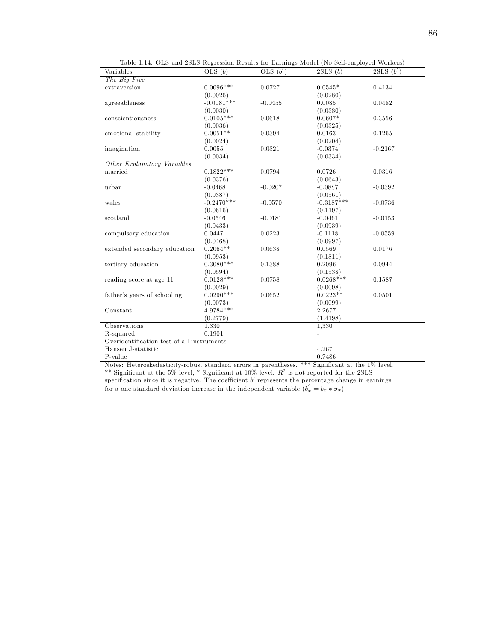| Variables                                                                                         | OLS $(b)$    | OLS $(b')$ | 2SLS(b)        | 2SLS(b')  |
|---------------------------------------------------------------------------------------------------|--------------|------------|----------------|-----------|
| The Big Five                                                                                      |              |            |                |           |
| extraversion                                                                                      | $0.0096***$  | 0.0727     | $0.0545*$      | 0.4134    |
|                                                                                                   | (0.0026)     |            | (0.0280)       |           |
| agreeableness                                                                                     | $-0.0081***$ | $-0.0455$  | 0.0085         | 0.0482    |
|                                                                                                   | (0.0030)     |            | (0.0380)       |           |
| conscientiousness                                                                                 | $0.0105***$  | 0.0618     | $0.0607*$      | 0.3556    |
|                                                                                                   | (0.0036)     |            | (0.0325)       |           |
| emotional stability                                                                               | $0.0051**$   | 0.0394     | 0.0163         | 0.1265    |
|                                                                                                   | (0.0024)     |            | (0.0204)       |           |
| imagination                                                                                       | 0.0055       | 0.0321     | $-0.0374$      | $-0.2167$ |
|                                                                                                   | (0.0034)     |            | (0.0334)       |           |
| Other Explanatory Variables                                                                       |              |            |                |           |
| married                                                                                           | $0.1822***$  | 0.0794     | 0.0726         | 0.0316    |
|                                                                                                   | (0.0376)     |            | (0.0643)       |           |
| urban                                                                                             | $-0.0468$    | $-0.0207$  | $-0.0887$      | $-0.0392$ |
|                                                                                                   | (0.0387)     |            | (0.0561)       |           |
| wales                                                                                             | $-0.2470***$ | $-0.0570$  | $-0.3187***$   | $-0.0736$ |
|                                                                                                   | (0.0616)     |            | (0.1197)       |           |
| scotland                                                                                          | $-0.0546$    | $-0.0181$  | $-0.0461$      | $-0.0153$ |
|                                                                                                   | (0.0433)     |            | (0.0939)       |           |
| compulsory education                                                                              | 0.0447       | 0.0223     | $-0.1118$      | $-0.0559$ |
|                                                                                                   | (0.0468)     |            | (0.0997)       |           |
| extended secondary education                                                                      | $0.2064**$   | 0.0638     | 0.0569         | 0.0176    |
|                                                                                                   | (0.0953)     |            | (0.1811)       |           |
| tertiary education                                                                                | $0.3080***$  | 0.1388     | 0.2096         | 0.0944    |
|                                                                                                   | (0.0594)     |            | (0.1538)       |           |
| reading score at age 11                                                                           | $0.0128***$  | 0.0758     | $0.0268***$    | 0.1587    |
|                                                                                                   | (0.0029)     |            | (0.0098)       |           |
| father's years of schooling                                                                       | $0.0290***$  | 0.0652     | $0.0223**$     | 0.0501    |
|                                                                                                   | (0.0073)     |            | (0.0099)       |           |
| Constant                                                                                          | 4.9784***    |            | 2.2677         |           |
|                                                                                                   | (0.2779)     |            | (1.4198)       |           |
| Observations                                                                                      | 1,330        |            | 1,330          |           |
| R-squared                                                                                         | 0.1901       |            | $\overline{a}$ |           |
| Overidentification test of all instruments                                                        |              |            |                |           |
| Hansen J-statistic                                                                                |              |            | 4.267          |           |
| P-value                                                                                           |              |            | 0.7486         |           |
| Notes: Heteroskedasticity-robust standard errors in parentheses. *** Significant at the 1% level, |              |            |                |           |
| ** Significant at the 5% level, * Significant at $10\%$ level. $R^2$ is not reported for the 2SLS |              |            |                |           |

specification since it is negative. The coefficient  $b'$  represents the percentage change in earnings

for a one standard deviation increase in the independent variable  $(b'_x = b_x * \sigma_x)$ .

Table 1.14: OLS and 2SLS Regression Results for Earnings Model (No Self-employed Workers)

86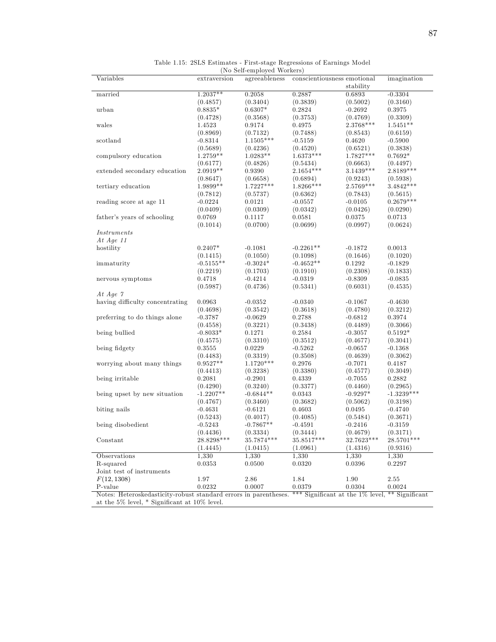| 87 |
|----|
|    |

| Variables                       | extraversion   | agreeableness           | conscientiousness emotional |                | imagination    |
|---------------------------------|----------------|-------------------------|-----------------------------|----------------|----------------|
|                                 |                |                         |                             | stability      |                |
| married                         | $1.2037**$     | 0.2058                  | 0.2887                      | 0.6893         | $-0.3304$      |
|                                 | (0.4857)       | (0.3404)                | (0.3839)                    | (0.5002)       | (0.3160)       |
| urban                           | $0.8835*$      | $0.6307*$               | 0.2824                      | $-0.2692$      | 0.3975         |
|                                 | (0.4728)       | (0.3568)                | (0.3753)                    | (0.4769)       | (0.3309)       |
| wales                           | 1.4523         | 0.9174                  | 0.4975                      | $2.3768***$    | $1.5451**$     |
|                                 | (0.8969)       | (0.7132)                | (0.7488)                    | (0.8543)       | (0.6159)       |
| scotland                        | $-0.8314$      | $1.1505***$             | $-0.5159$                   | 0.4620         | $-0.5900$      |
|                                 | (0.5689)       | (0.4236)                | (0.4520)                    | (0.6521)       | (0.3838)       |
| compulsory education            | $1.2759**$     | $1.0283**$              | $1.6373***$                 | $1.7827***$    | $0.7692*$      |
|                                 | (0.6177)       | (0.4826)                | (0.5434)                    | (0.6663)       | (0.4497)       |
| extended secondary education    | $2.0919**$     | 0.9390                  | $2.1654***$                 | $3.1439***$    | $2.8189***$    |
|                                 | (0.8647)       | (0.6658)                | (0.6894)                    | (0.9243)       | (0.5938)       |
| tertiary education              | 1.9899**       | $1.7227***$             | 1.8266***                   | 2.5769***      | $3.4842***$    |
|                                 | (0.7812)       | (0.5737)                | (0.6362)                    | (0.7843)       | (0.5615)       |
| reading score at age 11         | $-0.0224$      | 0.0121                  | $-0.0557$                   | $-0.0105$      | $0.2679***$    |
|                                 | (0.0409)       | (0.0309)                | (0.0342)                    | (0.0426)       | (0.0290)       |
|                                 |                |                         |                             |                |                |
| father's years of schooling     | 0.0769         | 0.1117                  | 0.0581                      | 0.0375         | 0.0713         |
|                                 | (0.1014)       | (0.0700)                | (0.0699)                    | (0.0997)       | (0.0624)       |
| <i>Instruments</i>              |                |                         |                             |                |                |
| At $Age 11$                     |                |                         |                             |                |                |
| hostility                       | $0.2407*$      | $-0.1081$               | $-0.2261**$                 | $-0.1872$      | 0.0013         |
|                                 | (0.1415)       | (0.1050)                | (0.1098)                    | (0.1646)       | (0.1020)       |
| immaturity                      | $-0.5155**$    | $-0.3024*$              | $-0.4652**$                 | 0.1292         | $-0.1829$      |
|                                 | (0.2219)       | (0.1703)                | (0.1910)                    | (0.2308)       | (0.1833)       |
| nervous symptoms                | 0.4718         | $-0.4214$               | $-0.0319$                   | $-0.8309$      | $-0.0835$      |
|                                 | (0.5987)       | (0.4736)                | (0.5341)                    | (0.6031)       | (0.4535)       |
| At Age $\gamma$                 |                |                         |                             |                |                |
| having difficulty concentrating | 0.0963         | $-0.0352$               | $-0.0340$                   | $-0.1067$      | $-0.4630$      |
|                                 | (0.4698)       | (0.3542)                | (0.3618)                    | (0.4780)       | (0.3212)       |
| preferring to do things alone   | $-0.3787$      | $-0.0629$               | 0.2788                      | $-0.6812$      | 0.3974         |
|                                 | (0.4558)       | (0.3221)                | (0.3438)                    | (0.4489)       | (0.3066)       |
| being bullied                   | $-0.8033*$     | 0.1271                  | 0.2584                      | $-0.3057$      | $0.5192*$      |
|                                 | (0.4575)       | (0.3310)                | (0.3512)                    | (0.4677)       | (0.3041)       |
| being fidgety                   | 0.3555         | 0.0229                  | $-0.5262$                   | $-0.0657$      | $-0.1368$      |
|                                 | (0.4483)       |                         |                             |                |                |
|                                 |                | (0.3319)<br>$1.1720***$ | (0.3508)                    | (0.4639)       | (0.3062)       |
| worrying about many things      | $0.9527**$     |                         | 0.2976                      | $-0.7071$      | 0.4187         |
|                                 | (0.4413)       | (0.3238)                | (0.3380)                    | (0.4577)       | (0.3049)       |
| being irritable                 | 0.2081         | $-0.2901$               | 0.4339                      | $-0.7055$      | 0.2882         |
|                                 | (0.4290)       | (0.3240)                | (0.3377)                    | (0.4460)       | (0.2965)       |
| being upset by new situation    | $-1.2207**$    | $-0.6844**$             | 0.0343                      | $-0.9297*$     | $-1.3239***$   |
|                                 | (0.4767)       | (0.3460)                | (0.3682)                    | (0.5062)       | (0.3198)       |
| biting nails                    | $-0.4631$      | $-0.6121$               | 0.4603                      | 0.0495         | $-0.4740$      |
|                                 | (0.5243)       | (0.4017)                | (0.4085)                    | (0.5484)       | (0.3671)       |
| being disobedient               | $-0.5243$      | $-0.7867**$             | $-0.4591$                   | $-0.2416$      | $-0.3159$      |
|                                 | (0.4436)       | (0.3334)                | (0.3444)                    | (0.4679)       | (0.3171)       |
| Constant                        | 28.8298***     | 35.7874***              | 35.8517***                  | 32.7623***     | 28.5701***     |
|                                 | (1.4445)       | (1.0415)                | (1.0961)                    | (1.4316)       | (0.9316)       |
|                                 | 1,330          | 1,330                   | 1,330                       | 1,330          | 1,330          |
|                                 |                |                         | 0.0320                      | $\,0.0396\,$   | 0.2297         |
|                                 |                |                         |                             |                |                |
| Observations<br>R-squared       | 0.0353         | 0.0500                  |                             |                |                |
| Joint test of instruments       |                |                         |                             |                |                |
| F(12, 1308)<br>P-value          | 1.97<br>0.0232 | 2.86<br>0.0007          | 1.84<br>0.0379              | 1.90<br>0.0304 | 2.55<br>0.0024 |

Table 1.15: 2SLS Estimates - First-stage Regressions of Earnings Model (No Self-employed Workers)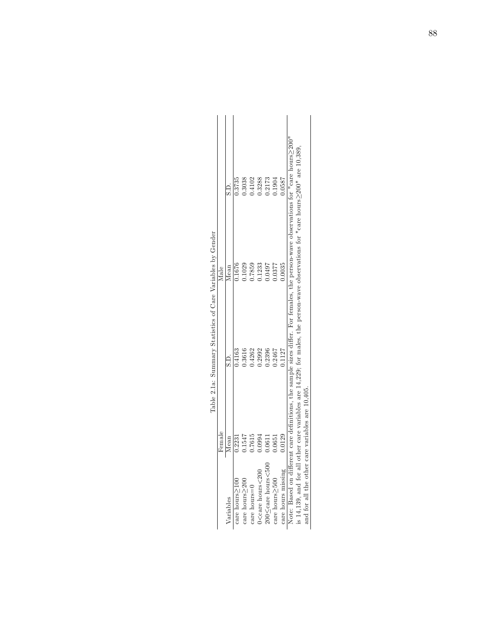|                                                                                                   |                                                  |         | companies to the companies of the companies of the companies of the companies of the companies of the companies of the companies of the companies of the companies of the companies of the companies of the companies of the c |                                                                                                                                     |
|---------------------------------------------------------------------------------------------------|--------------------------------------------------|---------|--------------------------------------------------------------------------------------------------------------------------------------------------------------------------------------------------------------------------------|-------------------------------------------------------------------------------------------------------------------------------------|
|                                                                                                   | Female                                           |         | Male                                                                                                                                                                                                                           |                                                                                                                                     |
| Variables                                                                                         | Mean                                             |         | Mean                                                                                                                                                                                                                           | C.S                                                                                                                                 |
| $care$ hours $>100$                                                                               | 0.2231                                           | 1.4163  | 0.1676                                                                                                                                                                                                                         |                                                                                                                                     |
| $care$ hours $>200$                                                                               | 1.1547                                           | $-3616$ | .1029                                                                                                                                                                                                                          | .3038                                                                                                                               |
| $care$ hours= $0$                                                                                 | 0.7615                                           | 1.4262  | 0.7859                                                                                                                                                                                                                         | 1.4102                                                                                                                              |
| $0$ <care hours<200<="" td=""><td>0.0994</td><td>1.2992</td><td>1.1233</td><td>1.3288</td></care> | 0.0994                                           | 1.2992  | 1.1233                                                                                                                                                                                                                         | 1.3288                                                                                                                              |
| 200≤care hours<500                                                                                | 1.0611                                           | 1.2396  | 1650.0                                                                                                                                                                                                                         | 1.2173                                                                                                                              |
| $care$ hours $>500$                                                                               | 1.0651                                           | 1,2467  | 1.0377                                                                                                                                                                                                                         | .1904                                                                                                                               |
| care hours missing                                                                                | 0.0129                                           | .1127   | 0.0035                                                                                                                                                                                                                         | ,0587                                                                                                                               |
|                                                                                                   |                                                  |         |                                                                                                                                                                                                                                | Note: Based on different care definitions, the sample sizes differ. For females, the person-wave observations for "care hours-2000" |
|                                                                                                   |                                                  |         | is 14,139, and for all other care variables are 14,229; for males, the person-wave observations for "care hours>200" are 10,389.                                                                                               |                                                                                                                                     |
|                                                                                                   | and for all the other care variables are 10,405. |         |                                                                                                                                                                                                                                |                                                                                                                                     |

Table 2.1a: Summary Statistics of Care Variables by Gender Table 2.1a: Summary Statistics of Care Variables by Gender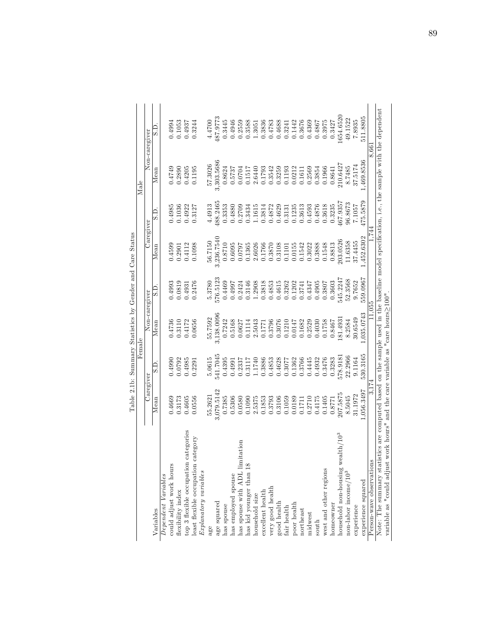|                                                                                                                                             |            |          | Table 2.1b: Summary Statistics by Gender and Care Status |          |            |          |            |               |
|---------------------------------------------------------------------------------------------------------------------------------------------|------------|----------|----------------------------------------------------------|----------|------------|----------|------------|---------------|
|                                                                                                                                             |            | Female   |                                                          |          |            |          | Male       |               |
|                                                                                                                                             | Caregiver  |          | Non-caregiver                                            |          | Caregiver  |          |            | Non-caregiver |
| Variables                                                                                                                                   | Mean       | G.S      | Mean                                                     | G.S      | Mean       | S.D.     | Mean       | C S           |
| Dependent Variables                                                                                                                         |            |          |                                                          |          |            |          |            |               |
| could adjust work hours                                                                                                                     | 0.4669     | 0.4990   | 0.4736                                                   | 0.4993   | 0.4599     | 0.4985   | 0.4749     | 0.4994        |
| flexibility index                                                                                                                           | 0.3173     | 0.0792   | 0.3110                                                   | 0.0819   | 0.2901     | 0.1036   | 0.2890     | 0.1053        |
| categories<br>top 3 flexible occupation                                                                                                     | 0.4605     | 0.4985   | 0.4172                                                   | 0.4931   | 0.4112     | 0.4922   | 0.4205     | 0.4937        |
| east flexible occupation category                                                                                                           | 0.0556     | 0.2291   | 0.0656                                                   | 0.2476   | 0.1098     | 0.3127   | 0.1195     | 0.3244        |
| $Explanatory\ variables$                                                                                                                    |            |          |                                                          |          |            |          |            |               |
|                                                                                                                                             | 55.2621    | 5.0615   | 55.7592                                                  | 5.3780   | 56.7150    | 4.4913   | 57.3026    | 4.4700        |
| age squared                                                                                                                                 | 3,079.5142 | 541.7045 | 3,138.0096                                               | 576.5123 | 3,236.7540 | 188.2465 | 3,303.5686 | 487.9773      |
| has spouse                                                                                                                                  | 0.7385     | 0.4395   | 0.7242                                                   | 0.4469   | 0.8710     | 0.3353   | 0.8624     | 0.3445        |
| has employed spouse                                                                                                                         | 0.5306     | 0.4991   | 0.5168                                                   | 0.4997   | 0.6095     | 0.4880   | 0.5737     | 0.4946        |
| has spouse with ADL limitation                                                                                                              | 0.0580     | 0.2337   | 0.0627                                                   | 0.2424   | 1620.0     | 0.2709   | 0.0704     | 0.2559        |
| has kid younger than 18                                                                                                                     | 0.1090     | 0.3117   | 0.1114                                                   | 0.3146   | 0.1365     | 0.3434   | 0.1517     | 0.3588        |
| household size                                                                                                                              | 2.5375     | 1.1740   | 2.5043                                                   | 1.2908   | 2.6026     | 1.1615   | 2.6440     | 1.3051        |
| excellent health                                                                                                                            | 0.1853     | 0.3886   | 0.1771                                                   | 0.3818   | 0.1766     | 0.3814   | 0.1793     | 0.3836        |
| very good health                                                                                                                            | 0.3793     | 0.4853   | 0.3796                                                   | 0.4853   | 0.3870     | 0.4872   | 0.3542     | 0.4783        |
| good health                                                                                                                                 | 0.3106     | 0.4628   | 0.3076                                                   | 0.4615   | 0.3108     | 0.4629   | 0.3259     | 0.4688        |
| fair health                                                                                                                                 | 0.1059     | 0.3077   | 0.1210                                                   | 0.3262   | 0.1101     | 0.3131   | 0.1193     | 0.3241        |
| poor health                                                                                                                                 | 0.0189     | 0.1362   | $0.0147\,$                                               | 0.1202   | 0.0155     | 0.1235   | 0.0212     | 0.1442        |
| northeast                                                                                                                                   | 0.1711     | 0.3766   | 0.1682                                                   | 0.3741   | 0.1542     | 0.3613   | 0.1611     | 0.3676        |
| midwest                                                                                                                                     | 0.2710     | 0.4445   | 0.2529                                                   | 0.4347   | 0.3022     | 0.4593   | 0.2569     | 0.4369        |
| $_{\rm south}$                                                                                                                              | 0.4175     | 0.4932   | 0.4030                                                   | 0.4905   | 0.3888     | 0.4876   | 0.3854     | 0.4867        |
| west and other regions                                                                                                                      | 0.1405     | 0.3476   | 0.1758                                                   | 0.3807   | 0.1548     | 0.3618   | 0.1966     | 0.3975        |
| homeowner                                                                                                                                   | 0.8771     | 0.3283   | 0.8467                                                   | 0.3603   | 0.8813     | 0.3235   | 0.8641     | 0.3427        |
| household non-housing wealth/10 <sup>3</sup>                                                                                                | 207.5875   | 578.9181 | 81.4931                                                  | 545.2247 | 203.0526   | 167.9357 | 210.6427   | 654.6520      |
| non-labor income/10 <sup>3</sup>                                                                                                            | 8.5045     | 22.2966  | 8.2584                                                   | 52.3568  | 11.6358    | 96.8673  | 8.7485     | 49.1522       |
| experience                                                                                                                                  | 31.1972    | 9.1164   | 30.6549                                                  | 9.7652   | 37.4455    | 7.1057   | 37.5174    | 7.8935        |
| experience squared                                                                                                                          | 1,056.3497 | 530.3165 | 1,035.0743                                               | 559.0967 | 1,452.6302 | 475.5879 | 1,469.8536 | 511.8805      |
| Person-wave observations                                                                                                                    | 3,174      |          | 11,055                                                   |          | 1,744      |          |            | 8.661         |
| Note: The summary statistics are computed based on the sample used in the baseline model specification, i.e., the sample with the dependent |            |          |                                                          |          |            |          |            |               |
| variable as "could adjust work hours" and the care variable as "care hours>100".                                                            |            |          |                                                          |          |            |          |            |               |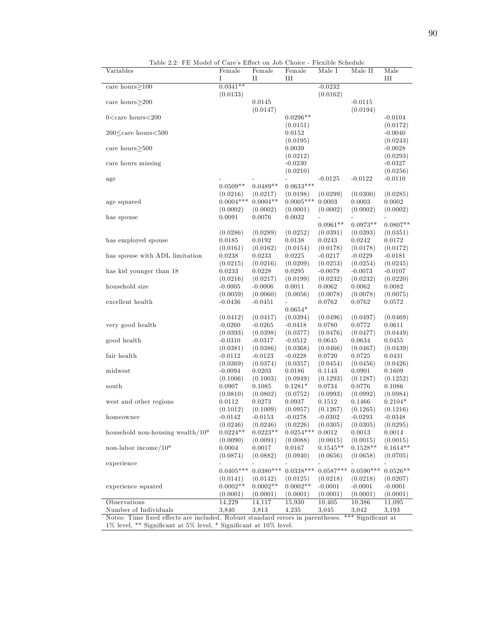Table 2.2: FE Model of Care's Effect on Job Choice - Flexible Schedule

| Variables                                                                                                                            | Female                | Female                | Female                | Male I             | Male II            | Male                  |
|--------------------------------------------------------------------------------------------------------------------------------------|-----------------------|-----------------------|-----------------------|--------------------|--------------------|-----------------------|
|                                                                                                                                      | I                     | П                     | Ш                     |                    |                    | Ш                     |
| care hours $\geq$ 100                                                                                                                | $0.0341**$            |                       |                       | $-0.0232$          |                    |                       |
|                                                                                                                                      | (0.0133)              |                       |                       | (0.0162)           |                    |                       |
| care hours $>200$                                                                                                                    |                       | 0.0145                |                       |                    | $-0.0115$          |                       |
|                                                                                                                                      |                       | (0.0147)              |                       |                    | (0.0194)           |                       |
| $0$ <care hours<200<="" td=""><td></td><td></td><td><math>0.0296**</math></td><td></td><td></td><td><math>-0.0104</math></td></care> |                       |                       | $0.0296**$            |                    |                    | $-0.0104$             |
|                                                                                                                                      |                       |                       | (0.0151)              |                    |                    | (0.0172)              |
| $200 \leq$ care hours $< 500$                                                                                                        |                       |                       | 0.0152                |                    |                    | $-0.0040$             |
| care hours $>500$                                                                                                                    |                       |                       | (0.0195)<br>0.0039    |                    |                    | (0.0243)<br>$-0.0028$ |
|                                                                                                                                      |                       |                       | (0.0212)              |                    |                    | (0.0293)              |
| care hours missing                                                                                                                   |                       |                       | $-0.0230$             |                    |                    | $-0.0327$             |
|                                                                                                                                      |                       |                       | (0.0210)              |                    |                    | (0.0256)              |
| age                                                                                                                                  |                       |                       |                       | $-0.0125$          | $-0.0122$          | $-0.0110$             |
|                                                                                                                                      | $0.0509**$            | $0.0489**$            | $0.0633***$           |                    |                    |                       |
|                                                                                                                                      | (0.0216)              | (0.0217)              | (0.0198)              | (0.0299)           | (0.0300)           | (0.0285)              |
| age squared                                                                                                                          | $0.0004***$           | $0.0004**$            | $0.0005***$           | 0.0003             | 0.0003             | 0.0002                |
|                                                                                                                                      | (0.0002)              | (0.0002)              | (0.0001)              | (0.0002)           | (0.0002)           | (0.0002)              |
| has spouse                                                                                                                           | 0.0091                | 0.0076                | 0.0032                |                    |                    |                       |
|                                                                                                                                      |                       |                       |                       | $0.0961**$         | $0.0973**$         | $0.0807**$            |
|                                                                                                                                      | (0.0286)              | (0.0289)              | (0.0252)              | (0.0391)           | (0.0393)           | (0.0351)              |
| has employed spouse                                                                                                                  | 0.0185                | 0.0192                | 0.0138                | 0.0243             | 0.0242             | 0.0172                |
|                                                                                                                                      | (0.0161)              | (0.0162)              | (0.0154)              | (0.0178)           | (0.0178)           | (0.0172)              |
| has spouse with ADL limitation                                                                                                       | 0.0238                | 0.0233                | 0.0225                | $-0.0217$          | $-0.0229$          | $-0.0181$             |
|                                                                                                                                      | (0.0215)              | (0.0216)              | (0.0209)              | (0.0253)           | (0.0254)           | (0.0245)              |
| has kid younger than 18                                                                                                              | 0.0233                | 0.0228                | 0.0295                | $-0.0079$          | $-0.0073$          | $-0.0107$             |
|                                                                                                                                      | (0.0216)              | (0.0217)              | (0.0199)              | (0.0232)           | (0.0232)           | (0.0220)              |
| household size                                                                                                                       | $-0.0005$             | $-0.0006$             | 0.0011                | 0.0062             | 0.0062             | 0.0082                |
|                                                                                                                                      | (0.0059)              | (0.0060)              | (0.0056)              | (0.0078)           | (0.0078)           | (0.0075)              |
| excellent health                                                                                                                     | $-0.0436$             | $-0.0451$             | $\overline{a}$        | 0.0762             | 0.0762             | 0.0572                |
|                                                                                                                                      |                       |                       | $0.0654*$             |                    |                    |                       |
|                                                                                                                                      | (0.0412)              | (0.0417)              | (0.0394)              | (0.0496)           | (0.0497)           | (0.0469)              |
| very good health                                                                                                                     | $-0.0260$             | $-0.0265$             | $-0.0418$             | 0.0780             | 0.0772             | 0.0611                |
|                                                                                                                                      | (0.0393)              | (0.0398)<br>$-0.0317$ | (0.0377)<br>$-0.0512$ | (0.0476)<br>0.0645 | (0.0477)<br>0.0634 | (0.0449)              |
| good health                                                                                                                          | $-0.0310$<br>(0.0381) | (0.0386)              | (0.0368)              | (0.0466)           | (0.0467)           | 0.0455<br>(0.0439)    |
| fair health                                                                                                                          | $-0.0112$             | $-0.0123$             | $-0.0228$             | 0.0720             | 0.0725             | 0.0431                |
|                                                                                                                                      | (0.0369)              | (0.0374)              | (0.0357)              | (0.0454)           | (0.0456)           | (0.0426)              |
| midwest                                                                                                                              | $-0.0094$             | 0.0203                | 0.0186                | 0.1143             | 0.0901             | 0.1609                |
|                                                                                                                                      | (0.1006)              | (0.1003)              | (0.0949)              | (0.1293)           | (0.1287)           | (0.1252)              |
| south                                                                                                                                | 0.0907                | 0.1085                | $0.1281*$             | 0.0734             | 0.0776             | 0.1086                |
|                                                                                                                                      | (0.0810)              | (0.0802)              | (0.0752)              | (0.0993)           | (0.0992)           | (0.0984)              |
| west and other regions                                                                                                               | 0.0112                | 0.0273                | 0.0937                | 0.1512             | 0.1466             | $0.2104*$             |
|                                                                                                                                      | (0.1012)              | (0.1009)              | (0.0957)              | (0.1267)           | (0.1265)           | (0.1216)              |
| homeowner                                                                                                                            | $-0.0142$             | $-0.0153$             | $-0.0278$             | $-0.0302$          | $-0.0293$          | $-0.0348$             |
|                                                                                                                                      | (0.0246)              | (0.0246)              | (0.0226)              | (0.0305)           | (0.0305)           | (0.0295)              |
| household non-housing wealth/ $106$                                                                                                  | $0.0224**$            | $0.0223**$            | $0.0254***$           | 0.0012             | 0.0013             | 0.0014                |
|                                                                                                                                      | (0.0090)              | (0.0091)              | (0.0088)              | (0.0015)           | (0.0015)           | (0.0015)              |
| non-labor income/ $10^6$                                                                                                             | 0.0004                | 0.0017                | 0.0167                | $0.1545**$         | $0.1528**$         | $0.1614**$            |
|                                                                                                                                      | (0.0874)              | (0.0882)              | (0.0940)              | (0.0656)           | (0.0658)           | (0.0705)              |
| experience                                                                                                                           |                       |                       |                       |                    |                    |                       |
|                                                                                                                                      | $0.0405***$           | $0.0380***$           | $0.0338***$           | $0.0587***$        | $0.0590***$        | $0.0526**$            |
|                                                                                                                                      | (0.0141)              | (0.0142)              | (0.0125)              | (0.0218)           | (0.0218)           | (0.0207)              |
| experience squared                                                                                                                   | $0.0002**$            | $0.0002**$            | $0.0002**$            | $-0.0001$          | $-0.0001$          | $-0.0001$             |
|                                                                                                                                      | (0.0001)              | (0.0001)              | (0.0001)              | (0.0001)           | (0.0001)           | (0.0001)              |
| Observations                                                                                                                         | 14,229                | 14,117                | 15,930                | 10,405             | 10,386             | 11,095                |
| Number of Individuals                                                                                                                | 3,840                 | 3,813                 | 4,235                 | 3,045              | 3,042              | 3,193                 |
| Notes: Time fixed effects are included. Robust standard errors in parentheses. *** Significant at                                    |                       |                       |                       |                    |                    |                       |
| 1% level, ** Significant at 5% level, * Significant at 10% level.                                                                    |                       |                       |                       |                    |                    |                       |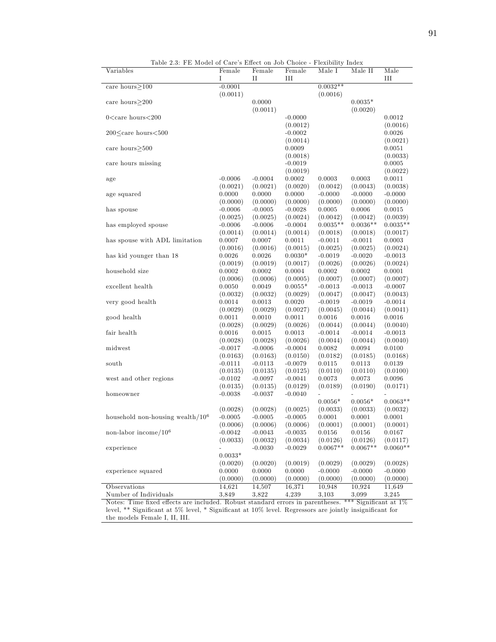Table 2.3: FE Model of Care's Effect on Job Choice - Flexibility Index

| Variables                           | Female    | Female    | Female    | <br>Male I   | Male II    | Male       |
|-------------------------------------|-----------|-----------|-----------|--------------|------------|------------|
|                                     | Ι         | П         | Ш         |              |            | Ш          |
| care hours $>100$                   | $-0.0001$ |           |           | $0.0032**$   |            |            |
|                                     | (0.0011)  |           |           | (0.0016)     |            |            |
| care hours $>200$                   |           | 0.0000    |           |              | $0.0035*$  |            |
|                                     |           | (0.0011)  |           |              | (0.0020)   |            |
| $0 <$ care hours $< 200$            |           |           | $-0.0000$ |              |            | 0.0012     |
|                                     |           |           | (0.0012)  |              |            | (0.0016)   |
| $200 \leq$ care hours $< 500$       |           |           | $-0.0002$ |              |            | 0.0026     |
|                                     |           |           | (0.0014)  |              |            | (0.0021)   |
| care hours $>500$                   |           |           | 0.0009    |              |            | 0.0051     |
|                                     |           |           | (0.0018)  |              |            | (0.0033)   |
| care hours missing                  |           |           | $-0.0019$ |              |            | 0.0005     |
|                                     |           |           | (0.0019)  |              |            | (0.0022)   |
| age                                 | $-0.0006$ | $-0.0004$ | 0.0002    | 0.0003       | 0.0003     | 0.0011     |
|                                     | (0.0021)  | (0.0021)  | (0.0020)  | (0.0042)     | (0.0043)   | (0.0038)   |
| age squared                         | 0.0000    | 0.0000    | 0.0000    | $-0.0000$    | $-0.0000$  | $-0.0000$  |
|                                     | (0.0000)  | (0.0000)  | (0.0000)  | (0.0000)     | (0.0000)   | (0.0000)   |
| has spouse                          | $-0.0006$ | $-0.0005$ | $-0.0028$ | 0.0005       | 0.0006     | 0.0015     |
|                                     | (0.0025)  | (0.0025)  | (0.0024)  | (0.0042)     | (0.0042)   | (0.0039)   |
| has employed spouse                 | $-0.0006$ | $-0.0006$ | $-0.0004$ | $0.0035**$   | $0.0036**$ | $0.0035**$ |
|                                     | (0.0014)  | (0.0014)  | (0.0014)  | (0.0018)     | (0.0018)   | (0.0017)   |
| has spouse with ADL limitation      | 0.0007    | 0.0007    | 0.0011    | $-0.0011$    | $-0.0011$  | 0.0003     |
|                                     | (0.0016)  | (0.0016)  | (0.0015)  | (0.0025)     | (0.0025)   | (0.0024)   |
| has kid younger than 18             | 0.0026    | 0.0026    | $0.0030*$ | $-0.0019$    | $-0.0020$  | $-0.0013$  |
|                                     | (0.0019)  | (0.0019)  | (0.0017)  | (0.0026)     | (0.0026)   | (0.0024)   |
| household size                      | 0.0002    | 0.0002    | 0.0004    | 0.0002       | 0.0002     | 0.0001     |
|                                     | (0.0006)  | (0.0006)  | (0.0005)  | (0.0007)     | (0.0007)   | (0.0007)   |
| excellent health                    | 0.0050    | 0.0049    | $0.0055*$ | $-0.0013$    | $-0.0013$  | $-0.0007$  |
|                                     |           |           |           |              |            |            |
|                                     | (0.0032)  | (0.0032)  | (0.0029)  | (0.0047)     | (0.0047)   | (0.0043)   |
| very good health                    | 0.0014    | 0.0013    | 0.0020    | $-0.0019$    | $-0.0019$  | $-0.0014$  |
|                                     | (0.0029)  | (0.0029)  | (0.0027)  | (0.0045)     | (0.0044)   | (0.0041)   |
| good health                         | 0.0011    | 0.0010    | 0.0011    | 0.0016       | 0.0016     | 0.0016     |
|                                     | (0.0028)  | (0.0029)  | (0.0026)  | (0.0044)     | (0.0044)   | (0.0040)   |
| fair health                         | 0.0016    | 0.0015    | 0.0013    | $-0.0014$    | $-0.0014$  | $-0.0013$  |
|                                     | (0.0028)  | (0.0028)  | (0.0026)  | (0.0044)     | (0.0044)   | (0.0040)   |
| midwest                             | $-0.0017$ | $-0.0006$ | $-0.0004$ | 0.0082       | 0.0094     | 0.0100     |
|                                     | (0.0163)  | (0.0163)  | (0.0150)  | (0.0182)     | (0.0185)   | (0.0168)   |
| south                               | $-0.0111$ | $-0.0113$ | $-0.0079$ | 0.0115       | 0.0113     | 0.0139     |
|                                     | (0.0135)  | (0.0135)  | (0.0125)  | (0.0110)     | (0.0110)   | (0.0100)   |
| west and other regions              | $-0.0102$ | $-0.0097$ | $-0.0041$ | 0.0073       | 0.0073     | 0.0096     |
|                                     | (0.0135)  | (0.0135)  | (0.0129)  | (0.0189)     | (0.0190)   | (0.0171)   |
| homeowner                           | $-0.0038$ | $-0.0037$ | $-0.0040$ |              |            |            |
|                                     |           |           |           | $0.0056*$    | $0.0056*$  | $0.0063**$ |
|                                     | (0.0028)  | (0.0028)  | (0.0025)  | (0.0033)     | (0.0033)   | (0.0032)   |
| household non-housing wealth/ $106$ | $-0.0005$ | $-0.0005$ | $-0.0005$ | 0.0001       | 0.0001     | 0.0001     |
|                                     | (0.0006)  | (0.0006)  | (0.0006)  | (0.0001)     | (0.0001)   | (0.0001)   |
| non-labor income/ $10^6$            | $-0.0042$ | $-0.0043$ | $-0.0035$ | $\,0.0156\,$ | 0.0156     | 0.0167     |
|                                     | (0.0033)  | (0.0032)  | (0.0034)  | (0.0126)     | (0.0126)   | (0.0117)   |
| experience                          |           | $-0.0030$ | $-0.0029$ | $0.0067**$   | $0.0067**$ | $0.0060**$ |
|                                     | $0.0033*$ |           |           |              |            |            |
|                                     | (0.0020)  | (0.0020)  | (0.0019)  | (0.0029)     | (0.0029)   | (0.0028)   |
| experience squared                  | 0.0000    | 0.0000    | 0.0000    | $-0.0000$    | $-0.0000$  | $-0.0000$  |
|                                     | (0.0000)  | (0.0000)  | (0.0000)  | (0.0000)     | (0.0000)   | (0.0000)   |
| Observations                        | 14,621    | 14,507    | 16,371    | 10.948       | 10,924     | 11,649     |
| Number of Individuals               | 3,849     | 3,822     | 4,239     | 3,103        | 3,099      | 3,245      |

Notes: Time fixed effects are included. Robust standard errors in parentheses. \*\*\* Significant at  $1\%$ level, \*\* Significant at 5% level, \* Significant at  $10\%$  level. Regressors are jointly insignificant for the models Female I, II, III.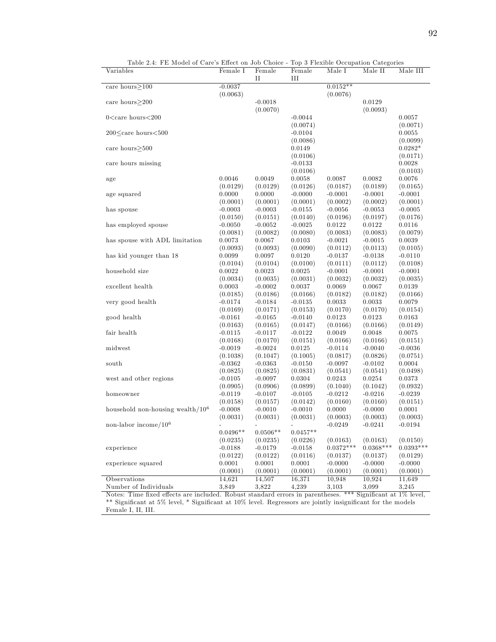| П<br>Ш<br>$0.0152**$<br>care hours $\geq$ 100<br>$-0.0037$<br>(0.0063)<br>(0.0076)<br>$-0.0018$<br>0.0129<br>care hours $>200$<br>(0.0070)<br>(0.0093)<br>$0$ <care hours<200<br=""><math>-0.0044</math><br/>0.0057<br/>(0.0074)<br/>(0.0071)<br/><math>200 \leq</math>care hours<math>&lt; 500</math><br/><math>-0.0104</math><br/>0.0055<br/>(0.0099)<br/>(0.0086)<br/><math>0.0282*</math><br/>care hours<math>&gt;500</math><br/>0.0149<br/>(0.0106)<br/>(0.0171)<br/>care hours missing<br/><math>-0.0133</math><br/>0.0028<br/>(0.0106)<br/>(0.0103)<br/>0.0046<br/>0.0049<br/>0.0058<br/>0.0087<br/>0.0082<br/>0.0076<br/>age<br/>(0.0126)<br/>(0.0165)<br/>(0.0129)<br/>(0.0129)<br/>(0.0187)<br/>(0.0189)<br/>0.0000<br/>0.0000<br/><math>-0.0000</math><br/><math>-0.0001</math><br/><math>-0.0001</math><br/><math>-0.0001</math><br/>age squared<br/>(0.0001)<br/>(0.0001)<br/>(0.0001)<br/>(0.0002)<br/>(0.0002)<br/>(0.0001)<br/><math>-0.0003</math><br/><math>-0.0003</math><br/><math>-0.0155</math><br/><math>-0.0056</math><br/><math>-0.0053</math><br/><math>-0.0005</math><br/>has spouse<br/>(0.0150)<br/>(0.0151)<br/>(0.0140)<br/>(0.0196)<br/>(0.0197)<br/>(0.0176)<br/>has employed spouse<br/><math>-0.0050</math><br/><math>-0.0052</math><br/><math>-0.0025</math><br/>0.0122<br/>0.0122<br/>0.0116<br/>(0.0082)<br/>(0.0080)<br/>(0.0083)<br/>(0.0083)<br/>(0.0079)<br/>(0.0081)<br/>has spouse with ADL limitation<br/>0.0067<br/><math>-0.0021</math><br/><math>-0.0015</math><br/>0.0039<br/>0.0073<br/>0.0103<br/>(0.0093)<br/>(0.0112)<br/>(0.0113)<br/>(0.0105)<br/>(0.0093)<br/>(0.0090)<br/>has kid younger than 18<br/>0.0099<br/>0.0097<br/>0.0120<br/><math>-0.0137</math><br/><math>-0.0138</math><br/><math>-0.0110</math><br/>(0.0104)<br/>(0.0100)<br/>(0.0111)<br/>(0.0112)<br/>(0.0108)<br/>(0.0104)<br/>household size<br/>0.0022<br/>0.0023<br/>0.0025<br/><math>-0.0001</math><br/><math>-0.0001</math><br/><math>-0.0001</math><br/>(0.0034)<br/>(0.0035)<br/>(0.0031)<br/>(0.0032)<br/>(0.0032)<br/>(0.0035)<br/>excellent health<br/>0.0003<br/><math>-0.0002</math><br/>0.0037<br/>0.0069<br/>0.0067<br/>0.0139<br/>(0.0186)<br/>(0.0166)<br/>(0.0182)<br/>(0.0166)<br/>(0.0185)<br/>(0.0182)<br/>very good health<br/><math>-0.0184</math><br/><math>-0.0135</math><br/>0.0033<br/>0.0033<br/>0.0079<br/><math>-0.0174</math><br/>(0.0171)<br/>(0.0153)<br/>(0.0170)<br/>(0.0170)<br/>(0.0154)<br/>(0.0169)<br/>good health<br/><math>-0.0161</math><br/><math>-0.0165</math><br/><math>-0.0140</math><br/>0.0123<br/>0.0123<br/>0.0163<br/>(0.0163)<br/>(0.0165)<br/>(0.0147)<br/>(0.0166)<br/>(0.0166)<br/>(0.0149)<br/>0.0049<br/>0.0048<br/>0.0075<br/>fair health<br/><math>-0.0115</math><br/><math>-0.0117</math><br/><math>-0.0122</math><br/>(0.0170)<br/>(0.0166)<br/>(0.0168)<br/>(0.0151)<br/>(0.0166)<br/>(0.0151)<br/>midwest<br/><math>-0.0019</math><br/><math>-0.0024</math><br/>0.0125<br/><math>-0.0114</math><br/><math>-0.0040</math><br/><math>-0.0036</math><br/>(0.1047)<br/>(0.1005)<br/>(0.0817)<br/>(0.0826)<br/>(0.0751)<br/>(0.1038)<br/><math>-0.0362</math><br/><math>-0.0363</math><br/><math>-0.0150</math><br/><math>-0.0097</math><br/><math>-0.0102</math><br/>0.0004<br/>south<br/>(0.0825)<br/>(0.0825)<br/>(0.0831)<br/>(0.0541)<br/>(0.0541)<br/>(0.0498)<br/>west and other regions<br/><math>-0.0097</math><br/>0.0304<br/>0.0243<br/>0.0254<br/>0.0373<br/><math>-0.0105</math><br/>(0.0899)<br/>(0.1040)<br/>(0.1042)<br/>(0.0932)<br/>(0.0905)<br/>(0.0906)<br/><math>-0.0119</math><br/><math>-0.0107</math><br/><math>-0.0105</math><br/><math>-0.0212</math><br/><math>-0.0216</math><br/><math>-0.0239</math><br/>homeowner<br/>(0.0158)<br/>(0.0157)<br/>(0.0142)<br/>(0.0160)<br/>(0.0160)<br/>(0.0151)<br/>household non-housing wealth/<math>106</math><br/><math>-0.0010</math><br/>0.0001<br/><math>-0.0008</math><br/><math>-0.0010</math><br/>0.0000<br/><math>-0.0000</math><br/>(0.0031)<br/>(0.0031)<br/>(0.0031)<br/>(0.0003)<br/>(0.0003)<br/>(0.0003)<br/>non-labor income/<math>10^6</math><br/><math>-0.0249</math><br/><math>-0.0241</math><br/><math>-0.0194</math><br/><math>0.0496**</math><br/><math>0.0506**</math><br/><math>0.0457**</math><br/>(0.0150)<br/>(0.0235)<br/>(0.0226)<br/>(0.0163)<br/>(0.0163)<br/>(0.0235)<br/><math>0.0393***</math><br/><math>0.0372***</math><br/><math>0.0368***</math><br/><math>-0.0188</math><br/><math>-0.0179</math><br/><math>-0.0158</math><br/>experience<br/>(0.0116)<br/>(0.0122)<br/>(0.0122)<br/>(0.0137)<br/>(0.0137)<br/>(0.0129)<br/><math>-0.0000</math><br/>0.0001<br/>0.0001<br/>0.0001<br/><math>-0.0000</math><br/><math>-0.0000</math><br/>experience squared<br/>(0.0001)<br/>(0.0001)<br/>(0.0001)<br/>(0.0001)<br/>(0.0001)<br/>(0.0001)<br/>16,371<br/>10,948<br/>10,924<br/>Observations<br/>14,621<br/>14,507<br/>11,649<br/>Number of Individuals<br/>3,849<br/>3,822<br/>4,239<br/>3,103<br/>3,099<br/>3,245<br/>Notes: Time fixed effects are included. Robust standard errors in parentheses. ***<br/>Significant at 1% level,</care> | Variables | Female I | Female | Female | Male I | Male II | Male III |
|------------------------------------------------------------------------------------------------------------------------------------------------------------------------------------------------------------------------------------------------------------------------------------------------------------------------------------------------------------------------------------------------------------------------------------------------------------------------------------------------------------------------------------------------------------------------------------------------------------------------------------------------------------------------------------------------------------------------------------------------------------------------------------------------------------------------------------------------------------------------------------------------------------------------------------------------------------------------------------------------------------------------------------------------------------------------------------------------------------------------------------------------------------------------------------------------------------------------------------------------------------------------------------------------------------------------------------------------------------------------------------------------------------------------------------------------------------------------------------------------------------------------------------------------------------------------------------------------------------------------------------------------------------------------------------------------------------------------------------------------------------------------------------------------------------------------------------------------------------------------------------------------------------------------------------------------------------------------------------------------------------------------------------------------------------------------------------------------------------------------------------------------------------------------------------------------------------------------------------------------------------------------------------------------------------------------------------------------------------------------------------------------------------------------------------------------------------------------------------------------------------------------------------------------------------------------------------------------------------------------------------------------------------------------------------------------------------------------------------------------------------------------------------------------------------------------------------------------------------------------------------------------------------------------------------------------------------------------------------------------------------------------------------------------------------------------------------------------------------------------------------------------------------------------------------------------------------------------------------------------------------------------------------------------------------------------------------------------------------------------------------------------------------------------------------------------------------------------------------------------------------------------------------------------------------------------------------------------------------------------------------------------------------------------------------------------------------------------------------------------------------------------------------------------------------------------------------------------------------------------------------------------------------------------------------------------------------------------------------------------------------------------------------------------------------------------------------------------------------------------------------------------------------------------------------------------------------------------------------------------------------------------------------------------------------------------------------------------------------------------------------------------------------------------------------------------------------------------------------------------------------------------------------------------------------------------------------------------------------------------------------------------------------------------------------------------------------------------------------------------------------------------------------------------------------------------------------------------------------------------------------------------------------------------------------------------------------------------------------------------------------------------------------------------------------------------------------------------------------------------------------------|-----------|----------|--------|--------|--------|---------|----------|
|                                                                                                                                                                                                                                                                                                                                                                                                                                                                                                                                                                                                                                                                                                                                                                                                                                                                                                                                                                                                                                                                                                                                                                                                                                                                                                                                                                                                                                                                                                                                                                                                                                                                                                                                                                                                                                                                                                                                                                                                                                                                                                                                                                                                                                                                                                                                                                                                                                                                                                                                                                                                                                                                                                                                                                                                                                                                                                                                                                                                                                                                                                                                                                                                                                                                                                                                                                                                                                                                                                                                                                                                                                                                                                                                                                                                                                                                                                                                                                                                                                                                                                                                                                                                                                                                                                                                                                                                                                                                                                                                                                                                                                                                                                                                                                                                                                                                                                                                                                                                                                                                                                                                          |           |          |        |        |        |         |          |
|                                                                                                                                                                                                                                                                                                                                                                                                                                                                                                                                                                                                                                                                                                                                                                                                                                                                                                                                                                                                                                                                                                                                                                                                                                                                                                                                                                                                                                                                                                                                                                                                                                                                                                                                                                                                                                                                                                                                                                                                                                                                                                                                                                                                                                                                                                                                                                                                                                                                                                                                                                                                                                                                                                                                                                                                                                                                                                                                                                                                                                                                                                                                                                                                                                                                                                                                                                                                                                                                                                                                                                                                                                                                                                                                                                                                                                                                                                                                                                                                                                                                                                                                                                                                                                                                                                                                                                                                                                                                                                                                                                                                                                                                                                                                                                                                                                                                                                                                                                                                                                                                                                                                          |           |          |        |        |        |         |          |
|                                                                                                                                                                                                                                                                                                                                                                                                                                                                                                                                                                                                                                                                                                                                                                                                                                                                                                                                                                                                                                                                                                                                                                                                                                                                                                                                                                                                                                                                                                                                                                                                                                                                                                                                                                                                                                                                                                                                                                                                                                                                                                                                                                                                                                                                                                                                                                                                                                                                                                                                                                                                                                                                                                                                                                                                                                                                                                                                                                                                                                                                                                                                                                                                                                                                                                                                                                                                                                                                                                                                                                                                                                                                                                                                                                                                                                                                                                                                                                                                                                                                                                                                                                                                                                                                                                                                                                                                                                                                                                                                                                                                                                                                                                                                                                                                                                                                                                                                                                                                                                                                                                                                          |           |          |        |        |        |         |          |
|                                                                                                                                                                                                                                                                                                                                                                                                                                                                                                                                                                                                                                                                                                                                                                                                                                                                                                                                                                                                                                                                                                                                                                                                                                                                                                                                                                                                                                                                                                                                                                                                                                                                                                                                                                                                                                                                                                                                                                                                                                                                                                                                                                                                                                                                                                                                                                                                                                                                                                                                                                                                                                                                                                                                                                                                                                                                                                                                                                                                                                                                                                                                                                                                                                                                                                                                                                                                                                                                                                                                                                                                                                                                                                                                                                                                                                                                                                                                                                                                                                                                                                                                                                                                                                                                                                                                                                                                                                                                                                                                                                                                                                                                                                                                                                                                                                                                                                                                                                                                                                                                                                                                          |           |          |        |        |        |         |          |
|                                                                                                                                                                                                                                                                                                                                                                                                                                                                                                                                                                                                                                                                                                                                                                                                                                                                                                                                                                                                                                                                                                                                                                                                                                                                                                                                                                                                                                                                                                                                                                                                                                                                                                                                                                                                                                                                                                                                                                                                                                                                                                                                                                                                                                                                                                                                                                                                                                                                                                                                                                                                                                                                                                                                                                                                                                                                                                                                                                                                                                                                                                                                                                                                                                                                                                                                                                                                                                                                                                                                                                                                                                                                                                                                                                                                                                                                                                                                                                                                                                                                                                                                                                                                                                                                                                                                                                                                                                                                                                                                                                                                                                                                                                                                                                                                                                                                                                                                                                                                                                                                                                                                          |           |          |        |        |        |         |          |
|                                                                                                                                                                                                                                                                                                                                                                                                                                                                                                                                                                                                                                                                                                                                                                                                                                                                                                                                                                                                                                                                                                                                                                                                                                                                                                                                                                                                                                                                                                                                                                                                                                                                                                                                                                                                                                                                                                                                                                                                                                                                                                                                                                                                                                                                                                                                                                                                                                                                                                                                                                                                                                                                                                                                                                                                                                                                                                                                                                                                                                                                                                                                                                                                                                                                                                                                                                                                                                                                                                                                                                                                                                                                                                                                                                                                                                                                                                                                                                                                                                                                                                                                                                                                                                                                                                                                                                                                                                                                                                                                                                                                                                                                                                                                                                                                                                                                                                                                                                                                                                                                                                                                          |           |          |        |        |        |         |          |
|                                                                                                                                                                                                                                                                                                                                                                                                                                                                                                                                                                                                                                                                                                                                                                                                                                                                                                                                                                                                                                                                                                                                                                                                                                                                                                                                                                                                                                                                                                                                                                                                                                                                                                                                                                                                                                                                                                                                                                                                                                                                                                                                                                                                                                                                                                                                                                                                                                                                                                                                                                                                                                                                                                                                                                                                                                                                                                                                                                                                                                                                                                                                                                                                                                                                                                                                                                                                                                                                                                                                                                                                                                                                                                                                                                                                                                                                                                                                                                                                                                                                                                                                                                                                                                                                                                                                                                                                                                                                                                                                                                                                                                                                                                                                                                                                                                                                                                                                                                                                                                                                                                                                          |           |          |        |        |        |         |          |
|                                                                                                                                                                                                                                                                                                                                                                                                                                                                                                                                                                                                                                                                                                                                                                                                                                                                                                                                                                                                                                                                                                                                                                                                                                                                                                                                                                                                                                                                                                                                                                                                                                                                                                                                                                                                                                                                                                                                                                                                                                                                                                                                                                                                                                                                                                                                                                                                                                                                                                                                                                                                                                                                                                                                                                                                                                                                                                                                                                                                                                                                                                                                                                                                                                                                                                                                                                                                                                                                                                                                                                                                                                                                                                                                                                                                                                                                                                                                                                                                                                                                                                                                                                                                                                                                                                                                                                                                                                                                                                                                                                                                                                                                                                                                                                                                                                                                                                                                                                                                                                                                                                                                          |           |          |        |        |        |         |          |
|                                                                                                                                                                                                                                                                                                                                                                                                                                                                                                                                                                                                                                                                                                                                                                                                                                                                                                                                                                                                                                                                                                                                                                                                                                                                                                                                                                                                                                                                                                                                                                                                                                                                                                                                                                                                                                                                                                                                                                                                                                                                                                                                                                                                                                                                                                                                                                                                                                                                                                                                                                                                                                                                                                                                                                                                                                                                                                                                                                                                                                                                                                                                                                                                                                                                                                                                                                                                                                                                                                                                                                                                                                                                                                                                                                                                                                                                                                                                                                                                                                                                                                                                                                                                                                                                                                                                                                                                                                                                                                                                                                                                                                                                                                                                                                                                                                                                                                                                                                                                                                                                                                                                          |           |          |        |        |        |         |          |
|                                                                                                                                                                                                                                                                                                                                                                                                                                                                                                                                                                                                                                                                                                                                                                                                                                                                                                                                                                                                                                                                                                                                                                                                                                                                                                                                                                                                                                                                                                                                                                                                                                                                                                                                                                                                                                                                                                                                                                                                                                                                                                                                                                                                                                                                                                                                                                                                                                                                                                                                                                                                                                                                                                                                                                                                                                                                                                                                                                                                                                                                                                                                                                                                                                                                                                                                                                                                                                                                                                                                                                                                                                                                                                                                                                                                                                                                                                                                                                                                                                                                                                                                                                                                                                                                                                                                                                                                                                                                                                                                                                                                                                                                                                                                                                                                                                                                                                                                                                                                                                                                                                                                          |           |          |        |        |        |         |          |
|                                                                                                                                                                                                                                                                                                                                                                                                                                                                                                                                                                                                                                                                                                                                                                                                                                                                                                                                                                                                                                                                                                                                                                                                                                                                                                                                                                                                                                                                                                                                                                                                                                                                                                                                                                                                                                                                                                                                                                                                                                                                                                                                                                                                                                                                                                                                                                                                                                                                                                                                                                                                                                                                                                                                                                                                                                                                                                                                                                                                                                                                                                                                                                                                                                                                                                                                                                                                                                                                                                                                                                                                                                                                                                                                                                                                                                                                                                                                                                                                                                                                                                                                                                                                                                                                                                                                                                                                                                                                                                                                                                                                                                                                                                                                                                                                                                                                                                                                                                                                                                                                                                                                          |           |          |        |        |        |         |          |
|                                                                                                                                                                                                                                                                                                                                                                                                                                                                                                                                                                                                                                                                                                                                                                                                                                                                                                                                                                                                                                                                                                                                                                                                                                                                                                                                                                                                                                                                                                                                                                                                                                                                                                                                                                                                                                                                                                                                                                                                                                                                                                                                                                                                                                                                                                                                                                                                                                                                                                                                                                                                                                                                                                                                                                                                                                                                                                                                                                                                                                                                                                                                                                                                                                                                                                                                                                                                                                                                                                                                                                                                                                                                                                                                                                                                                                                                                                                                                                                                                                                                                                                                                                                                                                                                                                                                                                                                                                                                                                                                                                                                                                                                                                                                                                                                                                                                                                                                                                                                                                                                                                                                          |           |          |        |        |        |         |          |
|                                                                                                                                                                                                                                                                                                                                                                                                                                                                                                                                                                                                                                                                                                                                                                                                                                                                                                                                                                                                                                                                                                                                                                                                                                                                                                                                                                                                                                                                                                                                                                                                                                                                                                                                                                                                                                                                                                                                                                                                                                                                                                                                                                                                                                                                                                                                                                                                                                                                                                                                                                                                                                                                                                                                                                                                                                                                                                                                                                                                                                                                                                                                                                                                                                                                                                                                                                                                                                                                                                                                                                                                                                                                                                                                                                                                                                                                                                                                                                                                                                                                                                                                                                                                                                                                                                                                                                                                                                                                                                                                                                                                                                                                                                                                                                                                                                                                                                                                                                                                                                                                                                                                          |           |          |        |        |        |         |          |
|                                                                                                                                                                                                                                                                                                                                                                                                                                                                                                                                                                                                                                                                                                                                                                                                                                                                                                                                                                                                                                                                                                                                                                                                                                                                                                                                                                                                                                                                                                                                                                                                                                                                                                                                                                                                                                                                                                                                                                                                                                                                                                                                                                                                                                                                                                                                                                                                                                                                                                                                                                                                                                                                                                                                                                                                                                                                                                                                                                                                                                                                                                                                                                                                                                                                                                                                                                                                                                                                                                                                                                                                                                                                                                                                                                                                                                                                                                                                                                                                                                                                                                                                                                                                                                                                                                                                                                                                                                                                                                                                                                                                                                                                                                                                                                                                                                                                                                                                                                                                                                                                                                                                          |           |          |        |        |        |         |          |
|                                                                                                                                                                                                                                                                                                                                                                                                                                                                                                                                                                                                                                                                                                                                                                                                                                                                                                                                                                                                                                                                                                                                                                                                                                                                                                                                                                                                                                                                                                                                                                                                                                                                                                                                                                                                                                                                                                                                                                                                                                                                                                                                                                                                                                                                                                                                                                                                                                                                                                                                                                                                                                                                                                                                                                                                                                                                                                                                                                                                                                                                                                                                                                                                                                                                                                                                                                                                                                                                                                                                                                                                                                                                                                                                                                                                                                                                                                                                                                                                                                                                                                                                                                                                                                                                                                                                                                                                                                                                                                                                                                                                                                                                                                                                                                                                                                                                                                                                                                                                                                                                                                                                          |           |          |        |        |        |         |          |
|                                                                                                                                                                                                                                                                                                                                                                                                                                                                                                                                                                                                                                                                                                                                                                                                                                                                                                                                                                                                                                                                                                                                                                                                                                                                                                                                                                                                                                                                                                                                                                                                                                                                                                                                                                                                                                                                                                                                                                                                                                                                                                                                                                                                                                                                                                                                                                                                                                                                                                                                                                                                                                                                                                                                                                                                                                                                                                                                                                                                                                                                                                                                                                                                                                                                                                                                                                                                                                                                                                                                                                                                                                                                                                                                                                                                                                                                                                                                                                                                                                                                                                                                                                                                                                                                                                                                                                                                                                                                                                                                                                                                                                                                                                                                                                                                                                                                                                                                                                                                                                                                                                                                          |           |          |        |        |        |         |          |
|                                                                                                                                                                                                                                                                                                                                                                                                                                                                                                                                                                                                                                                                                                                                                                                                                                                                                                                                                                                                                                                                                                                                                                                                                                                                                                                                                                                                                                                                                                                                                                                                                                                                                                                                                                                                                                                                                                                                                                                                                                                                                                                                                                                                                                                                                                                                                                                                                                                                                                                                                                                                                                                                                                                                                                                                                                                                                                                                                                                                                                                                                                                                                                                                                                                                                                                                                                                                                                                                                                                                                                                                                                                                                                                                                                                                                                                                                                                                                                                                                                                                                                                                                                                                                                                                                                                                                                                                                                                                                                                                                                                                                                                                                                                                                                                                                                                                                                                                                                                                                                                                                                                                          |           |          |        |        |        |         |          |
|                                                                                                                                                                                                                                                                                                                                                                                                                                                                                                                                                                                                                                                                                                                                                                                                                                                                                                                                                                                                                                                                                                                                                                                                                                                                                                                                                                                                                                                                                                                                                                                                                                                                                                                                                                                                                                                                                                                                                                                                                                                                                                                                                                                                                                                                                                                                                                                                                                                                                                                                                                                                                                                                                                                                                                                                                                                                                                                                                                                                                                                                                                                                                                                                                                                                                                                                                                                                                                                                                                                                                                                                                                                                                                                                                                                                                                                                                                                                                                                                                                                                                                                                                                                                                                                                                                                                                                                                                                                                                                                                                                                                                                                                                                                                                                                                                                                                                                                                                                                                                                                                                                                                          |           |          |        |        |        |         |          |
|                                                                                                                                                                                                                                                                                                                                                                                                                                                                                                                                                                                                                                                                                                                                                                                                                                                                                                                                                                                                                                                                                                                                                                                                                                                                                                                                                                                                                                                                                                                                                                                                                                                                                                                                                                                                                                                                                                                                                                                                                                                                                                                                                                                                                                                                                                                                                                                                                                                                                                                                                                                                                                                                                                                                                                                                                                                                                                                                                                                                                                                                                                                                                                                                                                                                                                                                                                                                                                                                                                                                                                                                                                                                                                                                                                                                                                                                                                                                                                                                                                                                                                                                                                                                                                                                                                                                                                                                                                                                                                                                                                                                                                                                                                                                                                                                                                                                                                                                                                                                                                                                                                                                          |           |          |        |        |        |         |          |
|                                                                                                                                                                                                                                                                                                                                                                                                                                                                                                                                                                                                                                                                                                                                                                                                                                                                                                                                                                                                                                                                                                                                                                                                                                                                                                                                                                                                                                                                                                                                                                                                                                                                                                                                                                                                                                                                                                                                                                                                                                                                                                                                                                                                                                                                                                                                                                                                                                                                                                                                                                                                                                                                                                                                                                                                                                                                                                                                                                                                                                                                                                                                                                                                                                                                                                                                                                                                                                                                                                                                                                                                                                                                                                                                                                                                                                                                                                                                                                                                                                                                                                                                                                                                                                                                                                                                                                                                                                                                                                                                                                                                                                                                                                                                                                                                                                                                                                                                                                                                                                                                                                                                          |           |          |        |        |        |         |          |
|                                                                                                                                                                                                                                                                                                                                                                                                                                                                                                                                                                                                                                                                                                                                                                                                                                                                                                                                                                                                                                                                                                                                                                                                                                                                                                                                                                                                                                                                                                                                                                                                                                                                                                                                                                                                                                                                                                                                                                                                                                                                                                                                                                                                                                                                                                                                                                                                                                                                                                                                                                                                                                                                                                                                                                                                                                                                                                                                                                                                                                                                                                                                                                                                                                                                                                                                                                                                                                                                                                                                                                                                                                                                                                                                                                                                                                                                                                                                                                                                                                                                                                                                                                                                                                                                                                                                                                                                                                                                                                                                                                                                                                                                                                                                                                                                                                                                                                                                                                                                                                                                                                                                          |           |          |        |        |        |         |          |
|                                                                                                                                                                                                                                                                                                                                                                                                                                                                                                                                                                                                                                                                                                                                                                                                                                                                                                                                                                                                                                                                                                                                                                                                                                                                                                                                                                                                                                                                                                                                                                                                                                                                                                                                                                                                                                                                                                                                                                                                                                                                                                                                                                                                                                                                                                                                                                                                                                                                                                                                                                                                                                                                                                                                                                                                                                                                                                                                                                                                                                                                                                                                                                                                                                                                                                                                                                                                                                                                                                                                                                                                                                                                                                                                                                                                                                                                                                                                                                                                                                                                                                                                                                                                                                                                                                                                                                                                                                                                                                                                                                                                                                                                                                                                                                                                                                                                                                                                                                                                                                                                                                                                          |           |          |        |        |        |         |          |
|                                                                                                                                                                                                                                                                                                                                                                                                                                                                                                                                                                                                                                                                                                                                                                                                                                                                                                                                                                                                                                                                                                                                                                                                                                                                                                                                                                                                                                                                                                                                                                                                                                                                                                                                                                                                                                                                                                                                                                                                                                                                                                                                                                                                                                                                                                                                                                                                                                                                                                                                                                                                                                                                                                                                                                                                                                                                                                                                                                                                                                                                                                                                                                                                                                                                                                                                                                                                                                                                                                                                                                                                                                                                                                                                                                                                                                                                                                                                                                                                                                                                                                                                                                                                                                                                                                                                                                                                                                                                                                                                                                                                                                                                                                                                                                                                                                                                                                                                                                                                                                                                                                                                          |           |          |        |        |        |         |          |
|                                                                                                                                                                                                                                                                                                                                                                                                                                                                                                                                                                                                                                                                                                                                                                                                                                                                                                                                                                                                                                                                                                                                                                                                                                                                                                                                                                                                                                                                                                                                                                                                                                                                                                                                                                                                                                                                                                                                                                                                                                                                                                                                                                                                                                                                                                                                                                                                                                                                                                                                                                                                                                                                                                                                                                                                                                                                                                                                                                                                                                                                                                                                                                                                                                                                                                                                                                                                                                                                                                                                                                                                                                                                                                                                                                                                                                                                                                                                                                                                                                                                                                                                                                                                                                                                                                                                                                                                                                                                                                                                                                                                                                                                                                                                                                                                                                                                                                                                                                                                                                                                                                                                          |           |          |        |        |        |         |          |
|                                                                                                                                                                                                                                                                                                                                                                                                                                                                                                                                                                                                                                                                                                                                                                                                                                                                                                                                                                                                                                                                                                                                                                                                                                                                                                                                                                                                                                                                                                                                                                                                                                                                                                                                                                                                                                                                                                                                                                                                                                                                                                                                                                                                                                                                                                                                                                                                                                                                                                                                                                                                                                                                                                                                                                                                                                                                                                                                                                                                                                                                                                                                                                                                                                                                                                                                                                                                                                                                                                                                                                                                                                                                                                                                                                                                                                                                                                                                                                                                                                                                                                                                                                                                                                                                                                                                                                                                                                                                                                                                                                                                                                                                                                                                                                                                                                                                                                                                                                                                                                                                                                                                          |           |          |        |        |        |         |          |
|                                                                                                                                                                                                                                                                                                                                                                                                                                                                                                                                                                                                                                                                                                                                                                                                                                                                                                                                                                                                                                                                                                                                                                                                                                                                                                                                                                                                                                                                                                                                                                                                                                                                                                                                                                                                                                                                                                                                                                                                                                                                                                                                                                                                                                                                                                                                                                                                                                                                                                                                                                                                                                                                                                                                                                                                                                                                                                                                                                                                                                                                                                                                                                                                                                                                                                                                                                                                                                                                                                                                                                                                                                                                                                                                                                                                                                                                                                                                                                                                                                                                                                                                                                                                                                                                                                                                                                                                                                                                                                                                                                                                                                                                                                                                                                                                                                                                                                                                                                                                                                                                                                                                          |           |          |        |        |        |         |          |
|                                                                                                                                                                                                                                                                                                                                                                                                                                                                                                                                                                                                                                                                                                                                                                                                                                                                                                                                                                                                                                                                                                                                                                                                                                                                                                                                                                                                                                                                                                                                                                                                                                                                                                                                                                                                                                                                                                                                                                                                                                                                                                                                                                                                                                                                                                                                                                                                                                                                                                                                                                                                                                                                                                                                                                                                                                                                                                                                                                                                                                                                                                                                                                                                                                                                                                                                                                                                                                                                                                                                                                                                                                                                                                                                                                                                                                                                                                                                                                                                                                                                                                                                                                                                                                                                                                                                                                                                                                                                                                                                                                                                                                                                                                                                                                                                                                                                                                                                                                                                                                                                                                                                          |           |          |        |        |        |         |          |
|                                                                                                                                                                                                                                                                                                                                                                                                                                                                                                                                                                                                                                                                                                                                                                                                                                                                                                                                                                                                                                                                                                                                                                                                                                                                                                                                                                                                                                                                                                                                                                                                                                                                                                                                                                                                                                                                                                                                                                                                                                                                                                                                                                                                                                                                                                                                                                                                                                                                                                                                                                                                                                                                                                                                                                                                                                                                                                                                                                                                                                                                                                                                                                                                                                                                                                                                                                                                                                                                                                                                                                                                                                                                                                                                                                                                                                                                                                                                                                                                                                                                                                                                                                                                                                                                                                                                                                                                                                                                                                                                                                                                                                                                                                                                                                                                                                                                                                                                                                                                                                                                                                                                          |           |          |        |        |        |         |          |
|                                                                                                                                                                                                                                                                                                                                                                                                                                                                                                                                                                                                                                                                                                                                                                                                                                                                                                                                                                                                                                                                                                                                                                                                                                                                                                                                                                                                                                                                                                                                                                                                                                                                                                                                                                                                                                                                                                                                                                                                                                                                                                                                                                                                                                                                                                                                                                                                                                                                                                                                                                                                                                                                                                                                                                                                                                                                                                                                                                                                                                                                                                                                                                                                                                                                                                                                                                                                                                                                                                                                                                                                                                                                                                                                                                                                                                                                                                                                                                                                                                                                                                                                                                                                                                                                                                                                                                                                                                                                                                                                                                                                                                                                                                                                                                                                                                                                                                                                                                                                                                                                                                                                          |           |          |        |        |        |         |          |
|                                                                                                                                                                                                                                                                                                                                                                                                                                                                                                                                                                                                                                                                                                                                                                                                                                                                                                                                                                                                                                                                                                                                                                                                                                                                                                                                                                                                                                                                                                                                                                                                                                                                                                                                                                                                                                                                                                                                                                                                                                                                                                                                                                                                                                                                                                                                                                                                                                                                                                                                                                                                                                                                                                                                                                                                                                                                                                                                                                                                                                                                                                                                                                                                                                                                                                                                                                                                                                                                                                                                                                                                                                                                                                                                                                                                                                                                                                                                                                                                                                                                                                                                                                                                                                                                                                                                                                                                                                                                                                                                                                                                                                                                                                                                                                                                                                                                                                                                                                                                                                                                                                                                          |           |          |        |        |        |         |          |
|                                                                                                                                                                                                                                                                                                                                                                                                                                                                                                                                                                                                                                                                                                                                                                                                                                                                                                                                                                                                                                                                                                                                                                                                                                                                                                                                                                                                                                                                                                                                                                                                                                                                                                                                                                                                                                                                                                                                                                                                                                                                                                                                                                                                                                                                                                                                                                                                                                                                                                                                                                                                                                                                                                                                                                                                                                                                                                                                                                                                                                                                                                                                                                                                                                                                                                                                                                                                                                                                                                                                                                                                                                                                                                                                                                                                                                                                                                                                                                                                                                                                                                                                                                                                                                                                                                                                                                                                                                                                                                                                                                                                                                                                                                                                                                                                                                                                                                                                                                                                                                                                                                                                          |           |          |        |        |        |         |          |
|                                                                                                                                                                                                                                                                                                                                                                                                                                                                                                                                                                                                                                                                                                                                                                                                                                                                                                                                                                                                                                                                                                                                                                                                                                                                                                                                                                                                                                                                                                                                                                                                                                                                                                                                                                                                                                                                                                                                                                                                                                                                                                                                                                                                                                                                                                                                                                                                                                                                                                                                                                                                                                                                                                                                                                                                                                                                                                                                                                                                                                                                                                                                                                                                                                                                                                                                                                                                                                                                                                                                                                                                                                                                                                                                                                                                                                                                                                                                                                                                                                                                                                                                                                                                                                                                                                                                                                                                                                                                                                                                                                                                                                                                                                                                                                                                                                                                                                                                                                                                                                                                                                                                          |           |          |        |        |        |         |          |
|                                                                                                                                                                                                                                                                                                                                                                                                                                                                                                                                                                                                                                                                                                                                                                                                                                                                                                                                                                                                                                                                                                                                                                                                                                                                                                                                                                                                                                                                                                                                                                                                                                                                                                                                                                                                                                                                                                                                                                                                                                                                                                                                                                                                                                                                                                                                                                                                                                                                                                                                                                                                                                                                                                                                                                                                                                                                                                                                                                                                                                                                                                                                                                                                                                                                                                                                                                                                                                                                                                                                                                                                                                                                                                                                                                                                                                                                                                                                                                                                                                                                                                                                                                                                                                                                                                                                                                                                                                                                                                                                                                                                                                                                                                                                                                                                                                                                                                                                                                                                                                                                                                                                          |           |          |        |        |        |         |          |
|                                                                                                                                                                                                                                                                                                                                                                                                                                                                                                                                                                                                                                                                                                                                                                                                                                                                                                                                                                                                                                                                                                                                                                                                                                                                                                                                                                                                                                                                                                                                                                                                                                                                                                                                                                                                                                                                                                                                                                                                                                                                                                                                                                                                                                                                                                                                                                                                                                                                                                                                                                                                                                                                                                                                                                                                                                                                                                                                                                                                                                                                                                                                                                                                                                                                                                                                                                                                                                                                                                                                                                                                                                                                                                                                                                                                                                                                                                                                                                                                                                                                                                                                                                                                                                                                                                                                                                                                                                                                                                                                                                                                                                                                                                                                                                                                                                                                                                                                                                                                                                                                                                                                          |           |          |        |        |        |         |          |
|                                                                                                                                                                                                                                                                                                                                                                                                                                                                                                                                                                                                                                                                                                                                                                                                                                                                                                                                                                                                                                                                                                                                                                                                                                                                                                                                                                                                                                                                                                                                                                                                                                                                                                                                                                                                                                                                                                                                                                                                                                                                                                                                                                                                                                                                                                                                                                                                                                                                                                                                                                                                                                                                                                                                                                                                                                                                                                                                                                                                                                                                                                                                                                                                                                                                                                                                                                                                                                                                                                                                                                                                                                                                                                                                                                                                                                                                                                                                                                                                                                                                                                                                                                                                                                                                                                                                                                                                                                                                                                                                                                                                                                                                                                                                                                                                                                                                                                                                                                                                                                                                                                                                          |           |          |        |        |        |         |          |
|                                                                                                                                                                                                                                                                                                                                                                                                                                                                                                                                                                                                                                                                                                                                                                                                                                                                                                                                                                                                                                                                                                                                                                                                                                                                                                                                                                                                                                                                                                                                                                                                                                                                                                                                                                                                                                                                                                                                                                                                                                                                                                                                                                                                                                                                                                                                                                                                                                                                                                                                                                                                                                                                                                                                                                                                                                                                                                                                                                                                                                                                                                                                                                                                                                                                                                                                                                                                                                                                                                                                                                                                                                                                                                                                                                                                                                                                                                                                                                                                                                                                                                                                                                                                                                                                                                                                                                                                                                                                                                                                                                                                                                                                                                                                                                                                                                                                                                                                                                                                                                                                                                                                          |           |          |        |        |        |         |          |
|                                                                                                                                                                                                                                                                                                                                                                                                                                                                                                                                                                                                                                                                                                                                                                                                                                                                                                                                                                                                                                                                                                                                                                                                                                                                                                                                                                                                                                                                                                                                                                                                                                                                                                                                                                                                                                                                                                                                                                                                                                                                                                                                                                                                                                                                                                                                                                                                                                                                                                                                                                                                                                                                                                                                                                                                                                                                                                                                                                                                                                                                                                                                                                                                                                                                                                                                                                                                                                                                                                                                                                                                                                                                                                                                                                                                                                                                                                                                                                                                                                                                                                                                                                                                                                                                                                                                                                                                                                                                                                                                                                                                                                                                                                                                                                                                                                                                                                                                                                                                                                                                                                                                          |           |          |        |        |        |         |          |
|                                                                                                                                                                                                                                                                                                                                                                                                                                                                                                                                                                                                                                                                                                                                                                                                                                                                                                                                                                                                                                                                                                                                                                                                                                                                                                                                                                                                                                                                                                                                                                                                                                                                                                                                                                                                                                                                                                                                                                                                                                                                                                                                                                                                                                                                                                                                                                                                                                                                                                                                                                                                                                                                                                                                                                                                                                                                                                                                                                                                                                                                                                                                                                                                                                                                                                                                                                                                                                                                                                                                                                                                                                                                                                                                                                                                                                                                                                                                                                                                                                                                                                                                                                                                                                                                                                                                                                                                                                                                                                                                                                                                                                                                                                                                                                                                                                                                                                                                                                                                                                                                                                                                          |           |          |        |        |        |         |          |
|                                                                                                                                                                                                                                                                                                                                                                                                                                                                                                                                                                                                                                                                                                                                                                                                                                                                                                                                                                                                                                                                                                                                                                                                                                                                                                                                                                                                                                                                                                                                                                                                                                                                                                                                                                                                                                                                                                                                                                                                                                                                                                                                                                                                                                                                                                                                                                                                                                                                                                                                                                                                                                                                                                                                                                                                                                                                                                                                                                                                                                                                                                                                                                                                                                                                                                                                                                                                                                                                                                                                                                                                                                                                                                                                                                                                                                                                                                                                                                                                                                                                                                                                                                                                                                                                                                                                                                                                                                                                                                                                                                                                                                                                                                                                                                                                                                                                                                                                                                                                                                                                                                                                          |           |          |        |        |        |         |          |
|                                                                                                                                                                                                                                                                                                                                                                                                                                                                                                                                                                                                                                                                                                                                                                                                                                                                                                                                                                                                                                                                                                                                                                                                                                                                                                                                                                                                                                                                                                                                                                                                                                                                                                                                                                                                                                                                                                                                                                                                                                                                                                                                                                                                                                                                                                                                                                                                                                                                                                                                                                                                                                                                                                                                                                                                                                                                                                                                                                                                                                                                                                                                                                                                                                                                                                                                                                                                                                                                                                                                                                                                                                                                                                                                                                                                                                                                                                                                                                                                                                                                                                                                                                                                                                                                                                                                                                                                                                                                                                                                                                                                                                                                                                                                                                                                                                                                                                                                                                                                                                                                                                                                          |           |          |        |        |        |         |          |
|                                                                                                                                                                                                                                                                                                                                                                                                                                                                                                                                                                                                                                                                                                                                                                                                                                                                                                                                                                                                                                                                                                                                                                                                                                                                                                                                                                                                                                                                                                                                                                                                                                                                                                                                                                                                                                                                                                                                                                                                                                                                                                                                                                                                                                                                                                                                                                                                                                                                                                                                                                                                                                                                                                                                                                                                                                                                                                                                                                                                                                                                                                                                                                                                                                                                                                                                                                                                                                                                                                                                                                                                                                                                                                                                                                                                                                                                                                                                                                                                                                                                                                                                                                                                                                                                                                                                                                                                                                                                                                                                                                                                                                                                                                                                                                                                                                                                                                                                                                                                                                                                                                                                          |           |          |        |        |        |         |          |
|                                                                                                                                                                                                                                                                                                                                                                                                                                                                                                                                                                                                                                                                                                                                                                                                                                                                                                                                                                                                                                                                                                                                                                                                                                                                                                                                                                                                                                                                                                                                                                                                                                                                                                                                                                                                                                                                                                                                                                                                                                                                                                                                                                                                                                                                                                                                                                                                                                                                                                                                                                                                                                                                                                                                                                                                                                                                                                                                                                                                                                                                                                                                                                                                                                                                                                                                                                                                                                                                                                                                                                                                                                                                                                                                                                                                                                                                                                                                                                                                                                                                                                                                                                                                                                                                                                                                                                                                                                                                                                                                                                                                                                                                                                                                                                                                                                                                                                                                                                                                                                                                                                                                          |           |          |        |        |        |         |          |
|                                                                                                                                                                                                                                                                                                                                                                                                                                                                                                                                                                                                                                                                                                                                                                                                                                                                                                                                                                                                                                                                                                                                                                                                                                                                                                                                                                                                                                                                                                                                                                                                                                                                                                                                                                                                                                                                                                                                                                                                                                                                                                                                                                                                                                                                                                                                                                                                                                                                                                                                                                                                                                                                                                                                                                                                                                                                                                                                                                                                                                                                                                                                                                                                                                                                                                                                                                                                                                                                                                                                                                                                                                                                                                                                                                                                                                                                                                                                                                                                                                                                                                                                                                                                                                                                                                                                                                                                                                                                                                                                                                                                                                                                                                                                                                                                                                                                                                                                                                                                                                                                                                                                          |           |          |        |        |        |         |          |
|                                                                                                                                                                                                                                                                                                                                                                                                                                                                                                                                                                                                                                                                                                                                                                                                                                                                                                                                                                                                                                                                                                                                                                                                                                                                                                                                                                                                                                                                                                                                                                                                                                                                                                                                                                                                                                                                                                                                                                                                                                                                                                                                                                                                                                                                                                                                                                                                                                                                                                                                                                                                                                                                                                                                                                                                                                                                                                                                                                                                                                                                                                                                                                                                                                                                                                                                                                                                                                                                                                                                                                                                                                                                                                                                                                                                                                                                                                                                                                                                                                                                                                                                                                                                                                                                                                                                                                                                                                                                                                                                                                                                                                                                                                                                                                                                                                                                                                                                                                                                                                                                                                                                          |           |          |        |        |        |         |          |
|                                                                                                                                                                                                                                                                                                                                                                                                                                                                                                                                                                                                                                                                                                                                                                                                                                                                                                                                                                                                                                                                                                                                                                                                                                                                                                                                                                                                                                                                                                                                                                                                                                                                                                                                                                                                                                                                                                                                                                                                                                                                                                                                                                                                                                                                                                                                                                                                                                                                                                                                                                                                                                                                                                                                                                                                                                                                                                                                                                                                                                                                                                                                                                                                                                                                                                                                                                                                                                                                                                                                                                                                                                                                                                                                                                                                                                                                                                                                                                                                                                                                                                                                                                                                                                                                                                                                                                                                                                                                                                                                                                                                                                                                                                                                                                                                                                                                                                                                                                                                                                                                                                                                          |           |          |        |        |        |         |          |
|                                                                                                                                                                                                                                                                                                                                                                                                                                                                                                                                                                                                                                                                                                                                                                                                                                                                                                                                                                                                                                                                                                                                                                                                                                                                                                                                                                                                                                                                                                                                                                                                                                                                                                                                                                                                                                                                                                                                                                                                                                                                                                                                                                                                                                                                                                                                                                                                                                                                                                                                                                                                                                                                                                                                                                                                                                                                                                                                                                                                                                                                                                                                                                                                                                                                                                                                                                                                                                                                                                                                                                                                                                                                                                                                                                                                                                                                                                                                                                                                                                                                                                                                                                                                                                                                                                                                                                                                                                                                                                                                                                                                                                                                                                                                                                                                                                                                                                                                                                                                                                                                                                                                          |           |          |        |        |        |         |          |
|                                                                                                                                                                                                                                                                                                                                                                                                                                                                                                                                                                                                                                                                                                                                                                                                                                                                                                                                                                                                                                                                                                                                                                                                                                                                                                                                                                                                                                                                                                                                                                                                                                                                                                                                                                                                                                                                                                                                                                                                                                                                                                                                                                                                                                                                                                                                                                                                                                                                                                                                                                                                                                                                                                                                                                                                                                                                                                                                                                                                                                                                                                                                                                                                                                                                                                                                                                                                                                                                                                                                                                                                                                                                                                                                                                                                                                                                                                                                                                                                                                                                                                                                                                                                                                                                                                                                                                                                                                                                                                                                                                                                                                                                                                                                                                                                                                                                                                                                                                                                                                                                                                                                          |           |          |        |        |        |         |          |
|                                                                                                                                                                                                                                                                                                                                                                                                                                                                                                                                                                                                                                                                                                                                                                                                                                                                                                                                                                                                                                                                                                                                                                                                                                                                                                                                                                                                                                                                                                                                                                                                                                                                                                                                                                                                                                                                                                                                                                                                                                                                                                                                                                                                                                                                                                                                                                                                                                                                                                                                                                                                                                                                                                                                                                                                                                                                                                                                                                                                                                                                                                                                                                                                                                                                                                                                                                                                                                                                                                                                                                                                                                                                                                                                                                                                                                                                                                                                                                                                                                                                                                                                                                                                                                                                                                                                                                                                                                                                                                                                                                                                                                                                                                                                                                                                                                                                                                                                                                                                                                                                                                                                          |           |          |        |        |        |         |          |
|                                                                                                                                                                                                                                                                                                                                                                                                                                                                                                                                                                                                                                                                                                                                                                                                                                                                                                                                                                                                                                                                                                                                                                                                                                                                                                                                                                                                                                                                                                                                                                                                                                                                                                                                                                                                                                                                                                                                                                                                                                                                                                                                                                                                                                                                                                                                                                                                                                                                                                                                                                                                                                                                                                                                                                                                                                                                                                                                                                                                                                                                                                                                                                                                                                                                                                                                                                                                                                                                                                                                                                                                                                                                                                                                                                                                                                                                                                                                                                                                                                                                                                                                                                                                                                                                                                                                                                                                                                                                                                                                                                                                                                                                                                                                                                                                                                                                                                                                                                                                                                                                                                                                          |           |          |        |        |        |         |          |
|                                                                                                                                                                                                                                                                                                                                                                                                                                                                                                                                                                                                                                                                                                                                                                                                                                                                                                                                                                                                                                                                                                                                                                                                                                                                                                                                                                                                                                                                                                                                                                                                                                                                                                                                                                                                                                                                                                                                                                                                                                                                                                                                                                                                                                                                                                                                                                                                                                                                                                                                                                                                                                                                                                                                                                                                                                                                                                                                                                                                                                                                                                                                                                                                                                                                                                                                                                                                                                                                                                                                                                                                                                                                                                                                                                                                                                                                                                                                                                                                                                                                                                                                                                                                                                                                                                                                                                                                                                                                                                                                                                                                                                                                                                                                                                                                                                                                                                                                                                                                                                                                                                                                          |           |          |        |        |        |         |          |
|                                                                                                                                                                                                                                                                                                                                                                                                                                                                                                                                                                                                                                                                                                                                                                                                                                                                                                                                                                                                                                                                                                                                                                                                                                                                                                                                                                                                                                                                                                                                                                                                                                                                                                                                                                                                                                                                                                                                                                                                                                                                                                                                                                                                                                                                                                                                                                                                                                                                                                                                                                                                                                                                                                                                                                                                                                                                                                                                                                                                                                                                                                                                                                                                                                                                                                                                                                                                                                                                                                                                                                                                                                                                                                                                                                                                                                                                                                                                                                                                                                                                                                                                                                                                                                                                                                                                                                                                                                                                                                                                                                                                                                                                                                                                                                                                                                                                                                                                                                                                                                                                                                                                          |           |          |        |        |        |         |          |
|                                                                                                                                                                                                                                                                                                                                                                                                                                                                                                                                                                                                                                                                                                                                                                                                                                                                                                                                                                                                                                                                                                                                                                                                                                                                                                                                                                                                                                                                                                                                                                                                                                                                                                                                                                                                                                                                                                                                                                                                                                                                                                                                                                                                                                                                                                                                                                                                                                                                                                                                                                                                                                                                                                                                                                                                                                                                                                                                                                                                                                                                                                                                                                                                                                                                                                                                                                                                                                                                                                                                                                                                                                                                                                                                                                                                                                                                                                                                                                                                                                                                                                                                                                                                                                                                                                                                                                                                                                                                                                                                                                                                                                                                                                                                                                                                                                                                                                                                                                                                                                                                                                                                          |           |          |        |        |        |         |          |
|                                                                                                                                                                                                                                                                                                                                                                                                                                                                                                                                                                                                                                                                                                                                                                                                                                                                                                                                                                                                                                                                                                                                                                                                                                                                                                                                                                                                                                                                                                                                                                                                                                                                                                                                                                                                                                                                                                                                                                                                                                                                                                                                                                                                                                                                                                                                                                                                                                                                                                                                                                                                                                                                                                                                                                                                                                                                                                                                                                                                                                                                                                                                                                                                                                                                                                                                                                                                                                                                                                                                                                                                                                                                                                                                                                                                                                                                                                                                                                                                                                                                                                                                                                                                                                                                                                                                                                                                                                                                                                                                                                                                                                                                                                                                                                                                                                                                                                                                                                                                                                                                                                                                          |           |          |        |        |        |         |          |
|                                                                                                                                                                                                                                                                                                                                                                                                                                                                                                                                                                                                                                                                                                                                                                                                                                                                                                                                                                                                                                                                                                                                                                                                                                                                                                                                                                                                                                                                                                                                                                                                                                                                                                                                                                                                                                                                                                                                                                                                                                                                                                                                                                                                                                                                                                                                                                                                                                                                                                                                                                                                                                                                                                                                                                                                                                                                                                                                                                                                                                                                                                                                                                                                                                                                                                                                                                                                                                                                                                                                                                                                                                                                                                                                                                                                                                                                                                                                                                                                                                                                                                                                                                                                                                                                                                                                                                                                                                                                                                                                                                                                                                                                                                                                                                                                                                                                                                                                                                                                                                                                                                                                          |           |          |        |        |        |         |          |
|                                                                                                                                                                                                                                                                                                                                                                                                                                                                                                                                                                                                                                                                                                                                                                                                                                                                                                                                                                                                                                                                                                                                                                                                                                                                                                                                                                                                                                                                                                                                                                                                                                                                                                                                                                                                                                                                                                                                                                                                                                                                                                                                                                                                                                                                                                                                                                                                                                                                                                                                                                                                                                                                                                                                                                                                                                                                                                                                                                                                                                                                                                                                                                                                                                                                                                                                                                                                                                                                                                                                                                                                                                                                                                                                                                                                                                                                                                                                                                                                                                                                                                                                                                                                                                                                                                                                                                                                                                                                                                                                                                                                                                                                                                                                                                                                                                                                                                                                                                                                                                                                                                                                          |           |          |        |        |        |         |          |

\*\* Significant at 5% level, \* Significant at 10% level. Regressors are jointly insignificant for the models

Female I, II, III.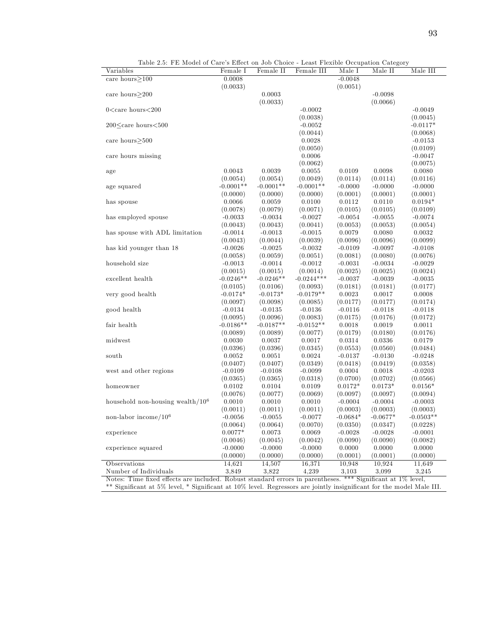| Variables                                                                                                                            | Female I    | Female II   | Female III              | $\sim$ $\sim$ $\sim$ $\sim$ $\sim$<br>Male I | Male II    | Male III              |
|--------------------------------------------------------------------------------------------------------------------------------------|-------------|-------------|-------------------------|----------------------------------------------|------------|-----------------------|
| care hours $\geq$ 100                                                                                                                | 0.0008      |             |                         | $-0.0048$                                    |            |                       |
|                                                                                                                                      | (0.0033)    |             |                         | (0.0051)                                     |            |                       |
| care hours $\geq$ 200                                                                                                                |             | 0.0003      |                         |                                              | $-0.0098$  |                       |
|                                                                                                                                      |             | (0.0033)    |                         |                                              | (0.0066)   |                       |
| $0$ <care hours<200<="" td=""><td></td><td></td><td><math>-0.0002</math></td><td></td><td></td><td><math>-0.0049</math></td></care>  |             |             | $-0.0002$               |                                              |            | $-0.0049$             |
|                                                                                                                                      |             |             | (0.0038)                |                                              |            | (0.0045)              |
| 200 <care hours<500<="" td=""><td></td><td></td><td><math>-0.0052</math></td><td></td><td></td><td><math>-0.0117*</math></td></care> |             |             | $-0.0052$               |                                              |            | $-0.0117*$            |
|                                                                                                                                      |             |             | (0.0044)                |                                              |            | (0.0068)              |
| care hours $>500$                                                                                                                    |             |             | 0.0028                  |                                              |            | $-0.0153$             |
|                                                                                                                                      |             |             | (0.0050)                |                                              |            | (0.0109)              |
| care hours missing                                                                                                                   |             |             | 0.0006                  |                                              |            | $-0.0047$             |
|                                                                                                                                      | 0.0043      | 0.0039      | (0.0062)<br>0.0055      | 0.0109                                       | 0.0098     | (0.0075)<br>0.0080    |
| age                                                                                                                                  | (0.0054)    | (0.0054)    |                         |                                              | (0.0114)   |                       |
|                                                                                                                                      | $-0.0001**$ | $-0.0001**$ | (0.0049)<br>$-0.0001**$ | (0.0114)<br>$-0.0000$                        | $-0.0000$  | (0.0116)<br>$-0.0000$ |
| age squared                                                                                                                          | (0.0000)    | (0.0000)    | (0.0000)                | (0.0001)                                     | (0.0001)   |                       |
| has spouse                                                                                                                           | 0.0066      | 0.0059      | 0.0100                  | 0.0112                                       | 0.0110     | (0.0001)<br>$0.0194*$ |
|                                                                                                                                      | (0.0078)    | (0.0079)    | (0.0071)                | (0.0105)                                     | (0.0105)   | (0.0109)              |
| has employed spouse                                                                                                                  | $-0.0033$   | $-0.0034$   | $-0.0027$               | $-0.0054$                                    | $-0.0055$  | $-0.0074$             |
|                                                                                                                                      | (0.0043)    | (0.0043)    | (0.0041)                | (0.0053)                                     | (0.0053)   | (0.0054)              |
| has spouse with ADL limitation                                                                                                       | $-0.0014$   | $-0.0013$   | $-0.0015$               | 0.0079                                       | 0.0080     | 0.0032                |
|                                                                                                                                      | (0.0043)    | (0.0044)    | (0.0039)                | (0.0096)                                     | (0.0096)   | (0.0099)              |
| has kid younger than 18                                                                                                              | $-0.0026$   | $-0.0025$   | $-0.0032$               | $-0.0109$                                    | $-0.0097$  | $-0.0108$             |
|                                                                                                                                      | (0.0058)    | (0.0059)    | (0.0051)                | (0.0081)                                     | (0.0080)   | (0.0076)              |
| household size                                                                                                                       | $-0.0013$   | $-0.0014$   | $-0.0012$               | $-0.0031$                                    | $-0.0034$  | $-0.0029$             |
|                                                                                                                                      | (0.0015)    | (0.0015)    | (0.0014)                | (0.0025)                                     | (0.0025)   | (0.0024)              |
| excellent health                                                                                                                     | $-0.0246**$ | $-0.0246**$ | $-0.0244***$            | $-0.0037$                                    | $-0.0039$  | $-0.0035$             |
|                                                                                                                                      | (0.0105)    | (0.0106)    | (0.0093)                | (0.0181)                                     | (0.0181)   | (0.0177)              |
| very good health                                                                                                                     | $-0.0174*$  | $-0.0173*$  | $-0.0179**$             | 0.0023                                       | 0.0017     | 0.0008                |
|                                                                                                                                      | (0.0097)    | (0.0098)    | (0.0085)                | (0.0177)                                     | (0.0177)   | (0.0174)              |
| good health                                                                                                                          | $-0.0134$   | $-0.0135$   | $-0.0136$               | $-0.0116$                                    | $-0.0118$  | $-0.0118$             |
|                                                                                                                                      | (0.0095)    | (0.0096)    | (0.0083)                | (0.0175)                                     | (0.0176)   | (0.0172)              |
| fair health                                                                                                                          | $-0.0186**$ | $-0.0187**$ | $-0.0152**$             | 0.0018                                       | 0.0019     | 0.0011                |
|                                                                                                                                      | (0.0089)    | (0.0089)    | (0.0077)                | (0.0179)                                     | (0.0180)   | (0.0176)              |
| midwest                                                                                                                              | 0.0030      | 0.0037      | 0.0017                  | 0.0314                                       | 0.0336     | 0.0179                |
|                                                                                                                                      | (0.0396)    | (0.0396)    | (0.0345)                | (0.0553)                                     | (0.0560)   | (0.0484)              |
| south                                                                                                                                | 0.0052      | 0.0051      | 0.0024                  | $-0.0137$                                    | $-0.0130$  | $-0.0248$             |
|                                                                                                                                      | (0.0407)    | (0.0407)    | (0.0349)                | (0.0418)                                     | (0.0419)   | (0.0358)              |
| west and other regions                                                                                                               | $-0.0109$   | $-0.0108$   | $-0.0099$               | 0.0004                                       | 0.0018     | $-0.0203$             |
|                                                                                                                                      | (0.0365)    | (0.0365)    | (0.0318)                | (0.0700)                                     | (0.0702)   | (0.0566)              |
| homeowner                                                                                                                            | 0.0102      | 0.0104      | 0.0109                  | $0.0172*$                                    | $0.0173*$  | $0.0156*$             |
|                                                                                                                                      | (0.0076)    | (0.0077)    | (0.0069)                | (0.0097)                                     | (0.0097)   | (0.0094)              |
| household non-housing wealth/ $106$                                                                                                  | 0.0010      | 0.0010      | 0.0010                  | $-0.0004$                                    | $-0.0004$  | $-0.0003$             |
|                                                                                                                                      | (0.0011)    | (0.0011)    | (0.0011)                | (0.0003)                                     | (0.0003)   | (0.0003)              |
| non-labor income/ $106$                                                                                                              | $-0.0056$   | $-0.0055$   | $-0.0077$               | $-0.0684*$                                   | $-0.0677*$ | $-0.0503**$           |
|                                                                                                                                      | (0.0064)    | (0.0064)    | (0.0070)                | (0.0350)                                     | (0.0347)   | (0.0228)              |
| experience                                                                                                                           | $0.0077*$   | 0.0073      | 0.0069                  | $-0.0028$                                    | $-0.0028$  | $-0.0001$             |
|                                                                                                                                      | (0.0046)    | (0.0045)    | (0.0042)                | (0.0090)                                     | (0.0090)   | (0.0082)              |
| experience squared                                                                                                                   | $-0.0000$   | $-0.0000$   | $-0.0000$               | 0.0000                                       | 0.0000     | 0.0000                |
|                                                                                                                                      | (0.0000)    | (0.0000)    | (0.0000)                | (0.0001)                                     | (0.0001)   | (0.0000)              |
| Observations                                                                                                                         | 14,621      | 14,507      | 16,371                  | 10,948                                       | 10,924     | 11,649                |
| Number of Individuals                                                                                                                | 3,849       | 3,822       | 4.239                   | 3,103                                        | 3,099      | 3.245                 |
| Notes: Time fixed effects are included. Robust standard errors in parentheses. *** Significant at 1% level,                          |             |             |                         |                                              |            |                       |

Table 2.5: FE Model of Care's Effect on Job Choice - Least Flexible Occupation Category

\*\* SigniÖcant at 5% level, \* SigniÖcant at 10% level. Regressors are jointly insigniÖcant for the model Male III.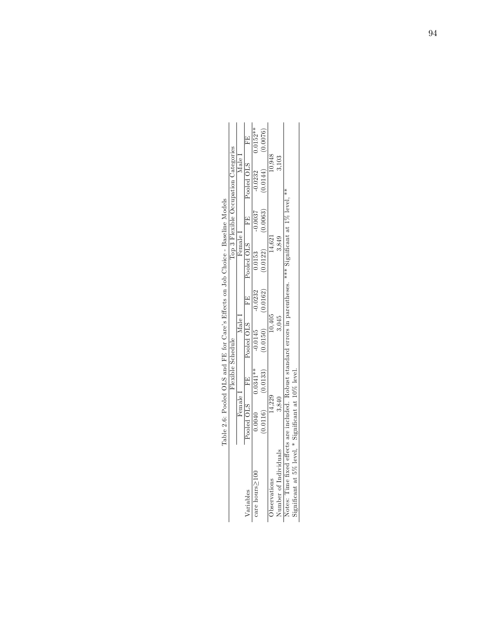|                                                                                                                   |          |                       |                       |           | TSPE 7.0: LED CHOROLO JOD CHOROLO SHIPS CHOROLO CHOROLO CHOROLO CHORAGE - DESENHE MODEL |           |                                      |            |
|-------------------------------------------------------------------------------------------------------------------|----------|-----------------------|-----------------------|-----------|-----------------------------------------------------------------------------------------|-----------|--------------------------------------|------------|
|                                                                                                                   |          | Flexible Schedule     |                       |           |                                                                                         |           | Top 3 Flexible Occupation Categories |            |
|                                                                                                                   | Female 1 |                       | Male I                |           | Female I                                                                                |           | $\text{Male } \mathbf{1}$            |            |
| Variables                                                                                                         |          |                       |                       |           | Pooled OLS FE Pooled OLS FE Pooled OLS FE Pooled OLS                                    |           |                                      | E<br>E     |
| care hours $\geq$ 100                                                                                             |          | $0.0040$ $0.0341**$   | $-0.0145$             | $-0.0232$ | 0.0153                                                                                  | $-0.0037$ | $-0.0232$                            | $0.0152**$ |
|                                                                                                                   |          | $(0.0116)$ $(0.0133)$ | $(0.0150)$ $(0.0162)$ |           | (0.0122)                                                                                | (0.0063)  | (0.0144)                             | (0.0076)   |
| Observations                                                                                                      | 4,229    |                       | 10,405                |           | (4.621)                                                                                 |           | 10,948                               |            |
| Number of Individuals                                                                                             | 3,840    |                       | 3,045                 |           | 3,849                                                                                   |           |                                      |            |
| Notes: Time fixed effects are included. Robust standard errors in parentheses. *** Significant at $1\%$ level, ** |          |                       |                       |           |                                                                                         |           |                                      |            |
| Significant at 5% level, * Significant at 10% level.                                                              |          |                       |                       |           |                                                                                         |           |                                      |            |

Table 2.6: Pooled OLS and FE for Care's Effects on Job Choice - Baseline Models Table 2.6: Pooled OLS and FE for Care's Effects on Job Choice - Baseline Models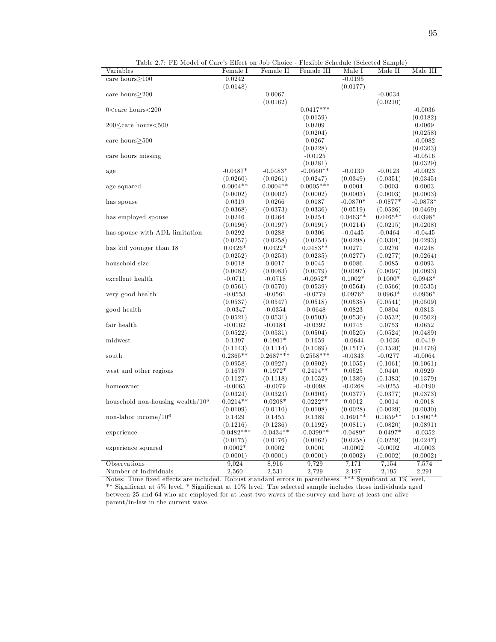| т п мючегог саге в писе он<br>Variables                                                                                               | Female I                 | Female II   | Female III  | I icaline believane (beleeved balliple)<br>Male I | Male II    | Male III   |
|---------------------------------------------------------------------------------------------------------------------------------------|--------------------------|-------------|-------------|---------------------------------------------------|------------|------------|
| care hours $>100$                                                                                                                     | 0.0242                   |             |             | $-0.0195$                                         |            |            |
|                                                                                                                                       | (0.0148)                 |             |             | (0.0177)                                          |            |            |
| care hours $>200$                                                                                                                     |                          | 0.0067      |             |                                                   | $-0.0034$  |            |
|                                                                                                                                       |                          | (0.0162)    |             |                                                   | (0.0210)   |            |
| $0$ <care hours<200<="" td=""><td></td><td></td><td><math>0.0417***</math></td><td></td><td></td><td><math>-0.0036</math></td></care> |                          |             | $0.0417***$ |                                                   |            | $-0.0036$  |
|                                                                                                                                       |                          |             | (0.0159)    |                                                   |            | (0.0182)   |
| 200 <care hours<500<="" td=""><td></td><td></td><td>0.0209</td><td></td><td></td><td>0.0069</td></care>                               |                          |             | 0.0209      |                                                   |            | 0.0069     |
|                                                                                                                                       |                          |             | (0.0204)    |                                                   |            | (0.0258)   |
|                                                                                                                                       |                          |             |             |                                                   |            |            |
| care hours $>500$                                                                                                                     |                          |             | 0.0267      |                                                   |            | $-0.0082$  |
|                                                                                                                                       |                          |             | (0.0228)    |                                                   |            | (0.0303)   |
| care hours missing                                                                                                                    |                          |             | $-0.0125$   |                                                   |            | $-0.0516$  |
|                                                                                                                                       |                          |             | (0.0281)    |                                                   |            | (0.0329)   |
| age                                                                                                                                   | $-0.0487*$               | $-0.0483*$  | $-0.0560**$ | $-0.0130$                                         | $-0.0123$  | $-0.0023$  |
|                                                                                                                                       | (0.0260)                 | (0.0261)    | (0.0247)    | (0.0349)                                          | (0.0351)   | (0.0345)   |
| age squared                                                                                                                           | $0.0004**$               | $0.0004**$  | $0.0005***$ | 0.0004                                            | 0.0003     | 0.0003     |
|                                                                                                                                       | (0.0002)                 | (0.0002)    | (0.0002)    | (0.0003)                                          | (0.0003)   | (0.0003)   |
| has spouse                                                                                                                            | 0.0319                   | 0.0266      | 0.0187      | $-0.0870*$                                        | $-0.0877*$ | $-0.0873*$ |
|                                                                                                                                       | (0.0368)                 | (0.0373)    | (0.0336)    | (0.0519)                                          | (0.0526)   | (0.0469)   |
| has employed spouse                                                                                                                   | 0.0246                   | 0.0264      | 0.0254      | $0.0463**$                                        | $0.0465**$ | $0.0398*$  |
|                                                                                                                                       | (0.0196)                 | (0.0197)    | (0.0191)    | (0.0214)                                          | (0.0215)   | (0.0208)   |
| has spouse with ADL limitation                                                                                                        | 0.0292                   | 0.0288      | 0.0306      | $-0.0445$                                         | $-0.0464$  | $-0.0445$  |
|                                                                                                                                       | (0.0257)                 | (0.0258)    | (0.0254)    | (0.0298)                                          | (0.0301)   | (0.0293)   |
| has kid younger than 18                                                                                                               | $0.0426*$                | $0.0422*$   | $0.0483**$  | 0.0271                                            | 0.0276     | 0.0248     |
|                                                                                                                                       | (0.0252)                 | (0.0253)    | (0.0235)    | (0.0277)                                          | (0.0277)   | (0.0264)   |
| household size                                                                                                                        | 0.0018                   | 0.0017      | 0.0045      | 0.0086                                            | 0.0085     | 0.0093     |
|                                                                                                                                       | (0.0082)                 | (0.0083)    | (0.0079)    | (0.0097)                                          | (0.0097)   | (0.0093)   |
| excellent health                                                                                                                      | $-0.0711$                | $-0.0718$   | $-0.0952*$  | $0.1002*$                                         | $0.1000*$  | $0.0943*$  |
|                                                                                                                                       | (0.0561)                 | (0.0570)    | (0.0539)    | (0.0564)                                          | (0.0566)   | (0.0535)   |
| very good health                                                                                                                      | $-0.0553$                | $-0.0561$   | $-0.0779$   | $0.0976*$                                         | $0.0963*$  | $0.0966*$  |
|                                                                                                                                       | (0.0537)                 | (0.0547)    | (0.0518)    | (0.0538)                                          | (0.0541)   | (0.0509)   |
| good health                                                                                                                           | $-0.0347$                | $-0.0354$   | $-0.0648$   | 0.0823                                            | 0.0804     | 0.0813     |
|                                                                                                                                       | (0.0521)                 | (0.0531)    | (0.0503)    | (0.0530)                                          | (0.0532)   | (0.0502)   |
| fair health                                                                                                                           | $-0.0162$                | $-0.0184$   | $-0.0392$   | 0.0745                                            | 0.0753     | 0.0652     |
|                                                                                                                                       | (0.0522)                 | (0.0531)    | (0.0504)    | (0.0520)                                          | (0.0524)   | (0.0489)   |
| midwest                                                                                                                               | 0.1397                   | $0.1901*$   | 0.1659      | $-0.0644$                                         | $-0.1036$  | $-0.0419$  |
|                                                                                                                                       | (0.1143)                 | (0.1114)    | (0.1089)    | (0.1517)                                          | (0.1520)   | (0.1476)   |
| south                                                                                                                                 | $0.2365**$               | $0.2687***$ | $0.2558***$ | $-0.0343$                                         | $-0.0277$  | $-0.0064$  |
|                                                                                                                                       | (0.0958)                 | (0.0927)    | (0.0902)    | (0.1055)                                          | (0.1061)   | (0.1061)   |
| west and other regions                                                                                                                | 0.1679                   | $0.1972*$   | $0.2414**$  | 0.0525                                            | 0.0440     | 0.0929     |
|                                                                                                                                       | (0.1127)                 | (0.1118)    | (0.1052)    | (0.1380)                                          | (0.1383)   | (0.1379)   |
| homeowner                                                                                                                             | $-0.0065$                | $-0.0079$   | $-0.0098$   | $-0.0268$                                         | $-0.0255$  | $-0.0190$  |
|                                                                                                                                       | (0.0324)                 | (0.0323)    | (0.0303)    | (0.0377)                                          | (0.0377)   | (0.0373)   |
| household non-housing wealth/ $106$                                                                                                   | $0.0214**$               | $0.0208*$   | $0.0222**$  | 0.0012                                            | 0.0014     | 0.0018     |
|                                                                                                                                       | (0.0109)                 | (0.0110)    | (0.0108)    | (0.0028)                                          | (0.0029)   | (0.0030)   |
| non-labor income/ $106$                                                                                                               | 0.1429                   | 0.1455      | 0.1389      | $0.1691**$                                        | $0.1659**$ | $0.1800**$ |
|                                                                                                                                       |                          | (0.1236)    | (0.1192)    |                                                   | (0.0820)   | (0.0891)   |
|                                                                                                                                       | (0.1216)<br>$-0.0482***$ | $-0.0434**$ | $-0.0399**$ | (0.0811)                                          |            |            |
| experience                                                                                                                            |                          |             |             | $-0.0489*$                                        | $-0.0497*$ | $-0.0352$  |
|                                                                                                                                       | (0.0175)                 | (0.0176)    | (0.0162)    | (0.0258)                                          | (0.0259)   | (0.0247)   |
| experience squared                                                                                                                    | $0.0002*$                | 0.0002      | 0.0001      | $-0.0002$                                         | $-0.0002$  | $-0.0003$  |
|                                                                                                                                       | (0.0001)                 | (0.0001)    | (0.0001)    | (0.0002)                                          | (0.0002)   | (0.0002)   |
| Observations                                                                                                                          | 9,024                    | 8,916       | 9.729       | 7,171                                             | 7,154      | 7,574      |
| Number of Individuals                                                                                                                 | 2,560                    | 2,531       | 2,729       | 2,197                                             | 2,195      | 2,291      |

Table 2.7: FE Model of Care's Effect on Job Choice - Flexible Schedule (Selected Sample)

Notes: Time fixed effects are included. Robust standard errors in parentheses. \*\*\* Significant at 1% level, \*\* Significant at 5% level, \* Significant at 10% level. The selected sample includes those individuals aged between 25 and 64 who are employed for at least two waves of the survey and have at least one alive parent/in-law in the current wave.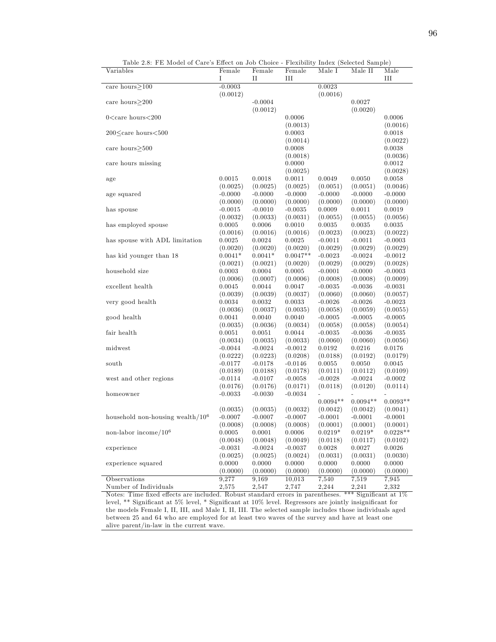| I<br>$_{II}$<br>III<br>III<br>$-0.0003$<br>0.0023<br>care hours>100<br>(0.0012)<br>(0.0016)<br>$-0.0004$<br>0.0027<br>care hours>200<br>(0.0012)<br>(0.0020)<br>$0$ <care hours<200<br="">0.0006<br/>0.0006<br/>(0.0013)<br/>(0.0016)<br/>200<care hours<500<br="">0.0003<br/>0.0018<br/>(0.0014)<br/>(0.0022)<br/>care hours<math>&gt;500</math><br/>0.0008<br/>0.0038<br/>(0.0018)<br/>(0.0036)<br/>0.0000<br/>0.0012<br/>care hours missing<br/>(0.0025)<br/>(0.0028)<br/>0.0015<br/>0.0018<br/>0.0011<br/>0.0049<br/>0.0050<br/>0.0058<br/>age<br/>(0.0025)<br/>(0.0025)<br/>(0.0025)<br/>(0.0051)<br/>(0.0051)<br/>(0.0046)<br/><math>-0.0000</math><br/><math>-0.0000</math><br/><math>-0.0000</math><br/><math>-0.0000</math><br/>age squared<br/><math>-0.0000</math><br/><math>-0.0000</math><br/>(0.0000)<br/>(0.0000)<br/>(0.0000)<br/>(0.0000)<br/>(0.0000)<br/>(0.0000)<br/><math>-0.0015</math><br/><math>-0.0010</math><br/><math>-0.0035</math><br/>0.0009<br/>0.0011<br/>0.0019<br/>has spouse<br/>(0.0031)<br/>(0.0055)<br/>(0.0055)<br/>(0.0056)<br/>(0.0032)<br/>(0.0033)<br/>0.0010<br/>has employed spouse<br/>0.0005<br/>0.0006<br/>0.0035<br/>0.0035<br/>0.0035<br/>(0.0016)<br/>(0.0016)<br/>(0.0016)<br/>(0.0023)<br/>(0.0023)<br/>(0.0022)<br/>has spouse with ADL limitation<br/>0.0025<br/>0.0024<br/>0.0025<br/><math>-0.0011</math><br/><math>-0.0011</math><br/><math>-0.0003</math><br/>(0.0020)<br/>(0.0020)<br/>(0.0020)<br/>(0.0029)<br/>(0.0029)<br/>(0.0029)<br/><math>0.0041*</math><br/><math>0.0041*</math><br/><math>0.0047**</math><br/>has kid younger than 18<br/><math>-0.0023</math><br/><math>-0.0024</math><br/><math>-0.0012</math><br/>(0.0021)<br/>(0.0021)<br/>(0.0020)<br/>(0.0029)<br/>(0.0029)<br/>(0.0028)<br/>0.0005<br/>household size<br/>0.0003<br/>0.0004<br/><math>-0.0001</math><br/><math>-0.0000</math><br/><math>-0.0003</math><br/>(0.0008)<br/>(0.0009)<br/>(0.0006)<br/>(0.0007)<br/>(0.0006)<br/>(0.0008)<br/>0.0047<br/><math>-0.0035</math><br/><math>-0.0036</math><br/><math>-0.0031</math><br/>excellent health<br/>0.0045<br/>0.0044<br/>(0.0039)<br/>(0.0039)<br/>(0.0037)<br/>(0.0060)<br/>(0.0060)<br/>(0.0057)<br/>0.0032<br/>0.0033<br/>very good health<br/>0.0034<br/><math>-0.0026</math><br/><math>-0.0026</math><br/><math>-0.0023</math><br/>(0.0035)<br/>(0.0036)<br/>(0.0037)<br/>(0.0058)<br/>(0.0059)<br/>(0.0055)<br/>0.0041<br/>0.0040<br/>0.0040<br/><math>-0.0005</math><br/><math>-0.0005</math><br/><math>-0.0005</math><br/>good health<br/>(0.0035)<br/>(0.0036)<br/>(0.0034)<br/>(0.0058)<br/>(0.0058)<br/>(0.0054)<br/>0.0051<br/>0.0051<br/>0.0044<br/><math>-0.0035</math><br/><math>-0.0036</math><br/><math>-0.0035</math><br/>fair health<br/>(0.0035)<br/>(0.0033)<br/>(0.0060)<br/>(0.0060)<br/>(0.0056)<br/>(0.0034)<br/><math>-0.0012</math><br/><math display="inline">\rm 0.0192</math><br/>midwest<br/><math>-0.0044</math><br/><math>-0.0024</math><br/>0.0216<br/>0.0176<br/>(0.0208)<br/>(0.0188)<br/>(0.0192)<br/>(0.0179)<br/>(0.0222)<br/>(0.0223)<br/><math>-0.0178</math><br/><math>-0.0146</math><br/>0.0055<br/>0.0050<br/>0.0045<br/>south<br/><math>-0.0177</math><br/>(0.0178)<br/>(0.0111)<br/>(0.0112)<br/>(0.0109)<br/>(0.0189)<br/>(0.0188)<br/><math>-0.0058</math><br/><math>-0.0028</math><br/><math>-0.0002</math><br/>west and other regions<br/><math>-0.0114</math><br/><math>-0.0107</math><br/><math>-0.0024</math><br/>(0.0176)<br/>(0.0171)<br/>(0.0118)<br/>(0.0114)<br/>(0.0176)<br/>(0.0120)<br/><math>-0.0033</math><br/><math>-0.0030</math><br/><math>-0.0034</math><br/>homeowner<br/><math>0.0094**</math><br/><math>0.0093**</math><br/><math>0.0094**</math><br/>(0.0042)<br/>(0.0041)<br/>(0.0035)<br/>(0.0032)<br/>(0.0042)<br/>(0.0035)<br/>household non-housing wealth/<math display="inline">10^6\,</math><br/><math>-0.0007</math><br/><math>-0.0007</math><br/><math>-0.0007</math><br/><math>-0.0001</math><br/><math>-0.0001</math><br/><math>-0.0001</math><br/>(0.0008)<br/>(0.0008)<br/>(0.0008)<br/>(0.0001)<br/>(0.0001)<br/>(0.0001)<br/>non-labor income/<math>106</math><br/><math display="inline">0.0006\,</math><br/><math>0.0219*</math><br/><math>0.0228**</math><br/>0.0005<br/>0.0001<br/><math>0.0219*</math><br/>(0.0049)<br/>(0.0048)<br/>(0.0048)<br/>(0.0118)<br/>(0.0117)<br/>(0.0102)<br/>0.0028<br/>experience<br/><math>-0.0031</math><br/><math>-0.0024</math><br/><math>-0.0037</math><br/>0.0027<br/>0.0026<br/>(0.0024)<br/>(0.0031)<br/>(0.0031)<br/>(0.0030)<br/>(0.0025)<br/>(0.0025)<br/>0.0000<br/>0.0000<br/>0.0000<br/>0.0000<br/>0.0000<br/>0.0000<br/>experience squared</care></care> | Variables | Female   | Female   | Female   | Male $I$ | Male II  | Male     |
|-----------------------------------------------------------------------------------------------------------------------------------------------------------------------------------------------------------------------------------------------------------------------------------------------------------------------------------------------------------------------------------------------------------------------------------------------------------------------------------------------------------------------------------------------------------------------------------------------------------------------------------------------------------------------------------------------------------------------------------------------------------------------------------------------------------------------------------------------------------------------------------------------------------------------------------------------------------------------------------------------------------------------------------------------------------------------------------------------------------------------------------------------------------------------------------------------------------------------------------------------------------------------------------------------------------------------------------------------------------------------------------------------------------------------------------------------------------------------------------------------------------------------------------------------------------------------------------------------------------------------------------------------------------------------------------------------------------------------------------------------------------------------------------------------------------------------------------------------------------------------------------------------------------------------------------------------------------------------------------------------------------------------------------------------------------------------------------------------------------------------------------------------------------------------------------------------------------------------------------------------------------------------------------------------------------------------------------------------------------------------------------------------------------------------------------------------------------------------------------------------------------------------------------------------------------------------------------------------------------------------------------------------------------------------------------------------------------------------------------------------------------------------------------------------------------------------------------------------------------------------------------------------------------------------------------------------------------------------------------------------------------------------------------------------------------------------------------------------------------------------------------------------------------------------------------------------------------------------------------------------------------------------------------------------------------------------------------------------------------------------------------------------------------------------------------------------------------------------------------------------------------------------------------------------------------------------------------------------------------------------------------------------------------------------------------------------------------------------------------------------------------------------------------------------------------------------------------------------------------------------------------------------------------------------------------------------------------------------------------------------------------------------------------------------------------------------------------------------------------------------------------------------------------------------------------------------------------------------------------------------------------------------------------------------------------------------------------------------------------------------------------------------------------------------------------------------------------------------------------------------------------------------------------------------------------------------------------------------------------------------------------------------------------------------------------------------|-----------|----------|----------|----------|----------|----------|----------|
|                                                                                                                                                                                                                                                                                                                                                                                                                                                                                                                                                                                                                                                                                                                                                                                                                                                                                                                                                                                                                                                                                                                                                                                                                                                                                                                                                                                                                                                                                                                                                                                                                                                                                                                                                                                                                                                                                                                                                                                                                                                                                                                                                                                                                                                                                                                                                                                                                                                                                                                                                                                                                                                                                                                                                                                                                                                                                                                                                                                                                                                                                                                                                                                                                                                                                                                                                                                                                                                                                                                                                                                                                                                                                                                                                                                                                                                                                                                                                                                                                                                                                                                                                                                                                                                                                                                                                                                                                                                                                                                                                                                                                                                                                               |           |          |          |          |          |          |          |
|                                                                                                                                                                                                                                                                                                                                                                                                                                                                                                                                                                                                                                                                                                                                                                                                                                                                                                                                                                                                                                                                                                                                                                                                                                                                                                                                                                                                                                                                                                                                                                                                                                                                                                                                                                                                                                                                                                                                                                                                                                                                                                                                                                                                                                                                                                                                                                                                                                                                                                                                                                                                                                                                                                                                                                                                                                                                                                                                                                                                                                                                                                                                                                                                                                                                                                                                                                                                                                                                                                                                                                                                                                                                                                                                                                                                                                                                                                                                                                                                                                                                                                                                                                                                                                                                                                                                                                                                                                                                                                                                                                                                                                                                                               |           |          |          |          |          |          |          |
|                                                                                                                                                                                                                                                                                                                                                                                                                                                                                                                                                                                                                                                                                                                                                                                                                                                                                                                                                                                                                                                                                                                                                                                                                                                                                                                                                                                                                                                                                                                                                                                                                                                                                                                                                                                                                                                                                                                                                                                                                                                                                                                                                                                                                                                                                                                                                                                                                                                                                                                                                                                                                                                                                                                                                                                                                                                                                                                                                                                                                                                                                                                                                                                                                                                                                                                                                                                                                                                                                                                                                                                                                                                                                                                                                                                                                                                                                                                                                                                                                                                                                                                                                                                                                                                                                                                                                                                                                                                                                                                                                                                                                                                                                               |           |          |          |          |          |          |          |
|                                                                                                                                                                                                                                                                                                                                                                                                                                                                                                                                                                                                                                                                                                                                                                                                                                                                                                                                                                                                                                                                                                                                                                                                                                                                                                                                                                                                                                                                                                                                                                                                                                                                                                                                                                                                                                                                                                                                                                                                                                                                                                                                                                                                                                                                                                                                                                                                                                                                                                                                                                                                                                                                                                                                                                                                                                                                                                                                                                                                                                                                                                                                                                                                                                                                                                                                                                                                                                                                                                                                                                                                                                                                                                                                                                                                                                                                                                                                                                                                                                                                                                                                                                                                                                                                                                                                                                                                                                                                                                                                                                                                                                                                                               |           |          |          |          |          |          |          |
|                                                                                                                                                                                                                                                                                                                                                                                                                                                                                                                                                                                                                                                                                                                                                                                                                                                                                                                                                                                                                                                                                                                                                                                                                                                                                                                                                                                                                                                                                                                                                                                                                                                                                                                                                                                                                                                                                                                                                                                                                                                                                                                                                                                                                                                                                                                                                                                                                                                                                                                                                                                                                                                                                                                                                                                                                                                                                                                                                                                                                                                                                                                                                                                                                                                                                                                                                                                                                                                                                                                                                                                                                                                                                                                                                                                                                                                                                                                                                                                                                                                                                                                                                                                                                                                                                                                                                                                                                                                                                                                                                                                                                                                                                               |           |          |          |          |          |          |          |
|                                                                                                                                                                                                                                                                                                                                                                                                                                                                                                                                                                                                                                                                                                                                                                                                                                                                                                                                                                                                                                                                                                                                                                                                                                                                                                                                                                                                                                                                                                                                                                                                                                                                                                                                                                                                                                                                                                                                                                                                                                                                                                                                                                                                                                                                                                                                                                                                                                                                                                                                                                                                                                                                                                                                                                                                                                                                                                                                                                                                                                                                                                                                                                                                                                                                                                                                                                                                                                                                                                                                                                                                                                                                                                                                                                                                                                                                                                                                                                                                                                                                                                                                                                                                                                                                                                                                                                                                                                                                                                                                                                                                                                                                                               |           |          |          |          |          |          |          |
|                                                                                                                                                                                                                                                                                                                                                                                                                                                                                                                                                                                                                                                                                                                                                                                                                                                                                                                                                                                                                                                                                                                                                                                                                                                                                                                                                                                                                                                                                                                                                                                                                                                                                                                                                                                                                                                                                                                                                                                                                                                                                                                                                                                                                                                                                                                                                                                                                                                                                                                                                                                                                                                                                                                                                                                                                                                                                                                                                                                                                                                                                                                                                                                                                                                                                                                                                                                                                                                                                                                                                                                                                                                                                                                                                                                                                                                                                                                                                                                                                                                                                                                                                                                                                                                                                                                                                                                                                                                                                                                                                                                                                                                                                               |           |          |          |          |          |          |          |
|                                                                                                                                                                                                                                                                                                                                                                                                                                                                                                                                                                                                                                                                                                                                                                                                                                                                                                                                                                                                                                                                                                                                                                                                                                                                                                                                                                                                                                                                                                                                                                                                                                                                                                                                                                                                                                                                                                                                                                                                                                                                                                                                                                                                                                                                                                                                                                                                                                                                                                                                                                                                                                                                                                                                                                                                                                                                                                                                                                                                                                                                                                                                                                                                                                                                                                                                                                                                                                                                                                                                                                                                                                                                                                                                                                                                                                                                                                                                                                                                                                                                                                                                                                                                                                                                                                                                                                                                                                                                                                                                                                                                                                                                                               |           |          |          |          |          |          |          |
|                                                                                                                                                                                                                                                                                                                                                                                                                                                                                                                                                                                                                                                                                                                                                                                                                                                                                                                                                                                                                                                                                                                                                                                                                                                                                                                                                                                                                                                                                                                                                                                                                                                                                                                                                                                                                                                                                                                                                                                                                                                                                                                                                                                                                                                                                                                                                                                                                                                                                                                                                                                                                                                                                                                                                                                                                                                                                                                                                                                                                                                                                                                                                                                                                                                                                                                                                                                                                                                                                                                                                                                                                                                                                                                                                                                                                                                                                                                                                                                                                                                                                                                                                                                                                                                                                                                                                                                                                                                                                                                                                                                                                                                                                               |           |          |          |          |          |          |          |
|                                                                                                                                                                                                                                                                                                                                                                                                                                                                                                                                                                                                                                                                                                                                                                                                                                                                                                                                                                                                                                                                                                                                                                                                                                                                                                                                                                                                                                                                                                                                                                                                                                                                                                                                                                                                                                                                                                                                                                                                                                                                                                                                                                                                                                                                                                                                                                                                                                                                                                                                                                                                                                                                                                                                                                                                                                                                                                                                                                                                                                                                                                                                                                                                                                                                                                                                                                                                                                                                                                                                                                                                                                                                                                                                                                                                                                                                                                                                                                                                                                                                                                                                                                                                                                                                                                                                                                                                                                                                                                                                                                                                                                                                                               |           |          |          |          |          |          |          |
|                                                                                                                                                                                                                                                                                                                                                                                                                                                                                                                                                                                                                                                                                                                                                                                                                                                                                                                                                                                                                                                                                                                                                                                                                                                                                                                                                                                                                                                                                                                                                                                                                                                                                                                                                                                                                                                                                                                                                                                                                                                                                                                                                                                                                                                                                                                                                                                                                                                                                                                                                                                                                                                                                                                                                                                                                                                                                                                                                                                                                                                                                                                                                                                                                                                                                                                                                                                                                                                                                                                                                                                                                                                                                                                                                                                                                                                                                                                                                                                                                                                                                                                                                                                                                                                                                                                                                                                                                                                                                                                                                                                                                                                                                               |           |          |          |          |          |          |          |
|                                                                                                                                                                                                                                                                                                                                                                                                                                                                                                                                                                                                                                                                                                                                                                                                                                                                                                                                                                                                                                                                                                                                                                                                                                                                                                                                                                                                                                                                                                                                                                                                                                                                                                                                                                                                                                                                                                                                                                                                                                                                                                                                                                                                                                                                                                                                                                                                                                                                                                                                                                                                                                                                                                                                                                                                                                                                                                                                                                                                                                                                                                                                                                                                                                                                                                                                                                                                                                                                                                                                                                                                                                                                                                                                                                                                                                                                                                                                                                                                                                                                                                                                                                                                                                                                                                                                                                                                                                                                                                                                                                                                                                                                                               |           |          |          |          |          |          |          |
|                                                                                                                                                                                                                                                                                                                                                                                                                                                                                                                                                                                                                                                                                                                                                                                                                                                                                                                                                                                                                                                                                                                                                                                                                                                                                                                                                                                                                                                                                                                                                                                                                                                                                                                                                                                                                                                                                                                                                                                                                                                                                                                                                                                                                                                                                                                                                                                                                                                                                                                                                                                                                                                                                                                                                                                                                                                                                                                                                                                                                                                                                                                                                                                                                                                                                                                                                                                                                                                                                                                                                                                                                                                                                                                                                                                                                                                                                                                                                                                                                                                                                                                                                                                                                                                                                                                                                                                                                                                                                                                                                                                                                                                                                               |           |          |          |          |          |          |          |
|                                                                                                                                                                                                                                                                                                                                                                                                                                                                                                                                                                                                                                                                                                                                                                                                                                                                                                                                                                                                                                                                                                                                                                                                                                                                                                                                                                                                                                                                                                                                                                                                                                                                                                                                                                                                                                                                                                                                                                                                                                                                                                                                                                                                                                                                                                                                                                                                                                                                                                                                                                                                                                                                                                                                                                                                                                                                                                                                                                                                                                                                                                                                                                                                                                                                                                                                                                                                                                                                                                                                                                                                                                                                                                                                                                                                                                                                                                                                                                                                                                                                                                                                                                                                                                                                                                                                                                                                                                                                                                                                                                                                                                                                                               |           |          |          |          |          |          |          |
|                                                                                                                                                                                                                                                                                                                                                                                                                                                                                                                                                                                                                                                                                                                                                                                                                                                                                                                                                                                                                                                                                                                                                                                                                                                                                                                                                                                                                                                                                                                                                                                                                                                                                                                                                                                                                                                                                                                                                                                                                                                                                                                                                                                                                                                                                                                                                                                                                                                                                                                                                                                                                                                                                                                                                                                                                                                                                                                                                                                                                                                                                                                                                                                                                                                                                                                                                                                                                                                                                                                                                                                                                                                                                                                                                                                                                                                                                                                                                                                                                                                                                                                                                                                                                                                                                                                                                                                                                                                                                                                                                                                                                                                                                               |           |          |          |          |          |          |          |
|                                                                                                                                                                                                                                                                                                                                                                                                                                                                                                                                                                                                                                                                                                                                                                                                                                                                                                                                                                                                                                                                                                                                                                                                                                                                                                                                                                                                                                                                                                                                                                                                                                                                                                                                                                                                                                                                                                                                                                                                                                                                                                                                                                                                                                                                                                                                                                                                                                                                                                                                                                                                                                                                                                                                                                                                                                                                                                                                                                                                                                                                                                                                                                                                                                                                                                                                                                                                                                                                                                                                                                                                                                                                                                                                                                                                                                                                                                                                                                                                                                                                                                                                                                                                                                                                                                                                                                                                                                                                                                                                                                                                                                                                                               |           |          |          |          |          |          |          |
|                                                                                                                                                                                                                                                                                                                                                                                                                                                                                                                                                                                                                                                                                                                                                                                                                                                                                                                                                                                                                                                                                                                                                                                                                                                                                                                                                                                                                                                                                                                                                                                                                                                                                                                                                                                                                                                                                                                                                                                                                                                                                                                                                                                                                                                                                                                                                                                                                                                                                                                                                                                                                                                                                                                                                                                                                                                                                                                                                                                                                                                                                                                                                                                                                                                                                                                                                                                                                                                                                                                                                                                                                                                                                                                                                                                                                                                                                                                                                                                                                                                                                                                                                                                                                                                                                                                                                                                                                                                                                                                                                                                                                                                                                               |           |          |          |          |          |          |          |
|                                                                                                                                                                                                                                                                                                                                                                                                                                                                                                                                                                                                                                                                                                                                                                                                                                                                                                                                                                                                                                                                                                                                                                                                                                                                                                                                                                                                                                                                                                                                                                                                                                                                                                                                                                                                                                                                                                                                                                                                                                                                                                                                                                                                                                                                                                                                                                                                                                                                                                                                                                                                                                                                                                                                                                                                                                                                                                                                                                                                                                                                                                                                                                                                                                                                                                                                                                                                                                                                                                                                                                                                                                                                                                                                                                                                                                                                                                                                                                                                                                                                                                                                                                                                                                                                                                                                                                                                                                                                                                                                                                                                                                                                                               |           |          |          |          |          |          |          |
|                                                                                                                                                                                                                                                                                                                                                                                                                                                                                                                                                                                                                                                                                                                                                                                                                                                                                                                                                                                                                                                                                                                                                                                                                                                                                                                                                                                                                                                                                                                                                                                                                                                                                                                                                                                                                                                                                                                                                                                                                                                                                                                                                                                                                                                                                                                                                                                                                                                                                                                                                                                                                                                                                                                                                                                                                                                                                                                                                                                                                                                                                                                                                                                                                                                                                                                                                                                                                                                                                                                                                                                                                                                                                                                                                                                                                                                                                                                                                                                                                                                                                                                                                                                                                                                                                                                                                                                                                                                                                                                                                                                                                                                                                               |           |          |          |          |          |          |          |
|                                                                                                                                                                                                                                                                                                                                                                                                                                                                                                                                                                                                                                                                                                                                                                                                                                                                                                                                                                                                                                                                                                                                                                                                                                                                                                                                                                                                                                                                                                                                                                                                                                                                                                                                                                                                                                                                                                                                                                                                                                                                                                                                                                                                                                                                                                                                                                                                                                                                                                                                                                                                                                                                                                                                                                                                                                                                                                                                                                                                                                                                                                                                                                                                                                                                                                                                                                                                                                                                                                                                                                                                                                                                                                                                                                                                                                                                                                                                                                                                                                                                                                                                                                                                                                                                                                                                                                                                                                                                                                                                                                                                                                                                                               |           |          |          |          |          |          |          |
|                                                                                                                                                                                                                                                                                                                                                                                                                                                                                                                                                                                                                                                                                                                                                                                                                                                                                                                                                                                                                                                                                                                                                                                                                                                                                                                                                                                                                                                                                                                                                                                                                                                                                                                                                                                                                                                                                                                                                                                                                                                                                                                                                                                                                                                                                                                                                                                                                                                                                                                                                                                                                                                                                                                                                                                                                                                                                                                                                                                                                                                                                                                                                                                                                                                                                                                                                                                                                                                                                                                                                                                                                                                                                                                                                                                                                                                                                                                                                                                                                                                                                                                                                                                                                                                                                                                                                                                                                                                                                                                                                                                                                                                                                               |           |          |          |          |          |          |          |
|                                                                                                                                                                                                                                                                                                                                                                                                                                                                                                                                                                                                                                                                                                                                                                                                                                                                                                                                                                                                                                                                                                                                                                                                                                                                                                                                                                                                                                                                                                                                                                                                                                                                                                                                                                                                                                                                                                                                                                                                                                                                                                                                                                                                                                                                                                                                                                                                                                                                                                                                                                                                                                                                                                                                                                                                                                                                                                                                                                                                                                                                                                                                                                                                                                                                                                                                                                                                                                                                                                                                                                                                                                                                                                                                                                                                                                                                                                                                                                                                                                                                                                                                                                                                                                                                                                                                                                                                                                                                                                                                                                                                                                                                                               |           |          |          |          |          |          |          |
|                                                                                                                                                                                                                                                                                                                                                                                                                                                                                                                                                                                                                                                                                                                                                                                                                                                                                                                                                                                                                                                                                                                                                                                                                                                                                                                                                                                                                                                                                                                                                                                                                                                                                                                                                                                                                                                                                                                                                                                                                                                                                                                                                                                                                                                                                                                                                                                                                                                                                                                                                                                                                                                                                                                                                                                                                                                                                                                                                                                                                                                                                                                                                                                                                                                                                                                                                                                                                                                                                                                                                                                                                                                                                                                                                                                                                                                                                                                                                                                                                                                                                                                                                                                                                                                                                                                                                                                                                                                                                                                                                                                                                                                                                               |           |          |          |          |          |          |          |
|                                                                                                                                                                                                                                                                                                                                                                                                                                                                                                                                                                                                                                                                                                                                                                                                                                                                                                                                                                                                                                                                                                                                                                                                                                                                                                                                                                                                                                                                                                                                                                                                                                                                                                                                                                                                                                                                                                                                                                                                                                                                                                                                                                                                                                                                                                                                                                                                                                                                                                                                                                                                                                                                                                                                                                                                                                                                                                                                                                                                                                                                                                                                                                                                                                                                                                                                                                                                                                                                                                                                                                                                                                                                                                                                                                                                                                                                                                                                                                                                                                                                                                                                                                                                                                                                                                                                                                                                                                                                                                                                                                                                                                                                                               |           |          |          |          |          |          |          |
|                                                                                                                                                                                                                                                                                                                                                                                                                                                                                                                                                                                                                                                                                                                                                                                                                                                                                                                                                                                                                                                                                                                                                                                                                                                                                                                                                                                                                                                                                                                                                                                                                                                                                                                                                                                                                                                                                                                                                                                                                                                                                                                                                                                                                                                                                                                                                                                                                                                                                                                                                                                                                                                                                                                                                                                                                                                                                                                                                                                                                                                                                                                                                                                                                                                                                                                                                                                                                                                                                                                                                                                                                                                                                                                                                                                                                                                                                                                                                                                                                                                                                                                                                                                                                                                                                                                                                                                                                                                                                                                                                                                                                                                                                               |           |          |          |          |          |          |          |
|                                                                                                                                                                                                                                                                                                                                                                                                                                                                                                                                                                                                                                                                                                                                                                                                                                                                                                                                                                                                                                                                                                                                                                                                                                                                                                                                                                                                                                                                                                                                                                                                                                                                                                                                                                                                                                                                                                                                                                                                                                                                                                                                                                                                                                                                                                                                                                                                                                                                                                                                                                                                                                                                                                                                                                                                                                                                                                                                                                                                                                                                                                                                                                                                                                                                                                                                                                                                                                                                                                                                                                                                                                                                                                                                                                                                                                                                                                                                                                                                                                                                                                                                                                                                                                                                                                                                                                                                                                                                                                                                                                                                                                                                                               |           |          |          |          |          |          |          |
|                                                                                                                                                                                                                                                                                                                                                                                                                                                                                                                                                                                                                                                                                                                                                                                                                                                                                                                                                                                                                                                                                                                                                                                                                                                                                                                                                                                                                                                                                                                                                                                                                                                                                                                                                                                                                                                                                                                                                                                                                                                                                                                                                                                                                                                                                                                                                                                                                                                                                                                                                                                                                                                                                                                                                                                                                                                                                                                                                                                                                                                                                                                                                                                                                                                                                                                                                                                                                                                                                                                                                                                                                                                                                                                                                                                                                                                                                                                                                                                                                                                                                                                                                                                                                                                                                                                                                                                                                                                                                                                                                                                                                                                                                               |           |          |          |          |          |          |          |
|                                                                                                                                                                                                                                                                                                                                                                                                                                                                                                                                                                                                                                                                                                                                                                                                                                                                                                                                                                                                                                                                                                                                                                                                                                                                                                                                                                                                                                                                                                                                                                                                                                                                                                                                                                                                                                                                                                                                                                                                                                                                                                                                                                                                                                                                                                                                                                                                                                                                                                                                                                                                                                                                                                                                                                                                                                                                                                                                                                                                                                                                                                                                                                                                                                                                                                                                                                                                                                                                                                                                                                                                                                                                                                                                                                                                                                                                                                                                                                                                                                                                                                                                                                                                                                                                                                                                                                                                                                                                                                                                                                                                                                                                                               |           |          |          |          |          |          |          |
|                                                                                                                                                                                                                                                                                                                                                                                                                                                                                                                                                                                                                                                                                                                                                                                                                                                                                                                                                                                                                                                                                                                                                                                                                                                                                                                                                                                                                                                                                                                                                                                                                                                                                                                                                                                                                                                                                                                                                                                                                                                                                                                                                                                                                                                                                                                                                                                                                                                                                                                                                                                                                                                                                                                                                                                                                                                                                                                                                                                                                                                                                                                                                                                                                                                                                                                                                                                                                                                                                                                                                                                                                                                                                                                                                                                                                                                                                                                                                                                                                                                                                                                                                                                                                                                                                                                                                                                                                                                                                                                                                                                                                                                                                               |           |          |          |          |          |          |          |
|                                                                                                                                                                                                                                                                                                                                                                                                                                                                                                                                                                                                                                                                                                                                                                                                                                                                                                                                                                                                                                                                                                                                                                                                                                                                                                                                                                                                                                                                                                                                                                                                                                                                                                                                                                                                                                                                                                                                                                                                                                                                                                                                                                                                                                                                                                                                                                                                                                                                                                                                                                                                                                                                                                                                                                                                                                                                                                                                                                                                                                                                                                                                                                                                                                                                                                                                                                                                                                                                                                                                                                                                                                                                                                                                                                                                                                                                                                                                                                                                                                                                                                                                                                                                                                                                                                                                                                                                                                                                                                                                                                                                                                                                                               |           |          |          |          |          |          |          |
|                                                                                                                                                                                                                                                                                                                                                                                                                                                                                                                                                                                                                                                                                                                                                                                                                                                                                                                                                                                                                                                                                                                                                                                                                                                                                                                                                                                                                                                                                                                                                                                                                                                                                                                                                                                                                                                                                                                                                                                                                                                                                                                                                                                                                                                                                                                                                                                                                                                                                                                                                                                                                                                                                                                                                                                                                                                                                                                                                                                                                                                                                                                                                                                                                                                                                                                                                                                                                                                                                                                                                                                                                                                                                                                                                                                                                                                                                                                                                                                                                                                                                                                                                                                                                                                                                                                                                                                                                                                                                                                                                                                                                                                                                               |           |          |          |          |          |          |          |
|                                                                                                                                                                                                                                                                                                                                                                                                                                                                                                                                                                                                                                                                                                                                                                                                                                                                                                                                                                                                                                                                                                                                                                                                                                                                                                                                                                                                                                                                                                                                                                                                                                                                                                                                                                                                                                                                                                                                                                                                                                                                                                                                                                                                                                                                                                                                                                                                                                                                                                                                                                                                                                                                                                                                                                                                                                                                                                                                                                                                                                                                                                                                                                                                                                                                                                                                                                                                                                                                                                                                                                                                                                                                                                                                                                                                                                                                                                                                                                                                                                                                                                                                                                                                                                                                                                                                                                                                                                                                                                                                                                                                                                                                                               |           |          |          |          |          |          |          |
|                                                                                                                                                                                                                                                                                                                                                                                                                                                                                                                                                                                                                                                                                                                                                                                                                                                                                                                                                                                                                                                                                                                                                                                                                                                                                                                                                                                                                                                                                                                                                                                                                                                                                                                                                                                                                                                                                                                                                                                                                                                                                                                                                                                                                                                                                                                                                                                                                                                                                                                                                                                                                                                                                                                                                                                                                                                                                                                                                                                                                                                                                                                                                                                                                                                                                                                                                                                                                                                                                                                                                                                                                                                                                                                                                                                                                                                                                                                                                                                                                                                                                                                                                                                                                                                                                                                                                                                                                                                                                                                                                                                                                                                                                               |           |          |          |          |          |          |          |
|                                                                                                                                                                                                                                                                                                                                                                                                                                                                                                                                                                                                                                                                                                                                                                                                                                                                                                                                                                                                                                                                                                                                                                                                                                                                                                                                                                                                                                                                                                                                                                                                                                                                                                                                                                                                                                                                                                                                                                                                                                                                                                                                                                                                                                                                                                                                                                                                                                                                                                                                                                                                                                                                                                                                                                                                                                                                                                                                                                                                                                                                                                                                                                                                                                                                                                                                                                                                                                                                                                                                                                                                                                                                                                                                                                                                                                                                                                                                                                                                                                                                                                                                                                                                                                                                                                                                                                                                                                                                                                                                                                                                                                                                                               |           |          |          |          |          |          |          |
|                                                                                                                                                                                                                                                                                                                                                                                                                                                                                                                                                                                                                                                                                                                                                                                                                                                                                                                                                                                                                                                                                                                                                                                                                                                                                                                                                                                                                                                                                                                                                                                                                                                                                                                                                                                                                                                                                                                                                                                                                                                                                                                                                                                                                                                                                                                                                                                                                                                                                                                                                                                                                                                                                                                                                                                                                                                                                                                                                                                                                                                                                                                                                                                                                                                                                                                                                                                                                                                                                                                                                                                                                                                                                                                                                                                                                                                                                                                                                                                                                                                                                                                                                                                                                                                                                                                                                                                                                                                                                                                                                                                                                                                                                               |           |          |          |          |          |          |          |
|                                                                                                                                                                                                                                                                                                                                                                                                                                                                                                                                                                                                                                                                                                                                                                                                                                                                                                                                                                                                                                                                                                                                                                                                                                                                                                                                                                                                                                                                                                                                                                                                                                                                                                                                                                                                                                                                                                                                                                                                                                                                                                                                                                                                                                                                                                                                                                                                                                                                                                                                                                                                                                                                                                                                                                                                                                                                                                                                                                                                                                                                                                                                                                                                                                                                                                                                                                                                                                                                                                                                                                                                                                                                                                                                                                                                                                                                                                                                                                                                                                                                                                                                                                                                                                                                                                                                                                                                                                                                                                                                                                                                                                                                                               |           |          |          |          |          |          |          |
|                                                                                                                                                                                                                                                                                                                                                                                                                                                                                                                                                                                                                                                                                                                                                                                                                                                                                                                                                                                                                                                                                                                                                                                                                                                                                                                                                                                                                                                                                                                                                                                                                                                                                                                                                                                                                                                                                                                                                                                                                                                                                                                                                                                                                                                                                                                                                                                                                                                                                                                                                                                                                                                                                                                                                                                                                                                                                                                                                                                                                                                                                                                                                                                                                                                                                                                                                                                                                                                                                                                                                                                                                                                                                                                                                                                                                                                                                                                                                                                                                                                                                                                                                                                                                                                                                                                                                                                                                                                                                                                                                                                                                                                                                               |           |          |          |          |          |          |          |
|                                                                                                                                                                                                                                                                                                                                                                                                                                                                                                                                                                                                                                                                                                                                                                                                                                                                                                                                                                                                                                                                                                                                                                                                                                                                                                                                                                                                                                                                                                                                                                                                                                                                                                                                                                                                                                                                                                                                                                                                                                                                                                                                                                                                                                                                                                                                                                                                                                                                                                                                                                                                                                                                                                                                                                                                                                                                                                                                                                                                                                                                                                                                                                                                                                                                                                                                                                                                                                                                                                                                                                                                                                                                                                                                                                                                                                                                                                                                                                                                                                                                                                                                                                                                                                                                                                                                                                                                                                                                                                                                                                                                                                                                                               |           |          |          |          |          |          |          |
|                                                                                                                                                                                                                                                                                                                                                                                                                                                                                                                                                                                                                                                                                                                                                                                                                                                                                                                                                                                                                                                                                                                                                                                                                                                                                                                                                                                                                                                                                                                                                                                                                                                                                                                                                                                                                                                                                                                                                                                                                                                                                                                                                                                                                                                                                                                                                                                                                                                                                                                                                                                                                                                                                                                                                                                                                                                                                                                                                                                                                                                                                                                                                                                                                                                                                                                                                                                                                                                                                                                                                                                                                                                                                                                                                                                                                                                                                                                                                                                                                                                                                                                                                                                                                                                                                                                                                                                                                                                                                                                                                                                                                                                                                               |           |          |          |          |          |          |          |
|                                                                                                                                                                                                                                                                                                                                                                                                                                                                                                                                                                                                                                                                                                                                                                                                                                                                                                                                                                                                                                                                                                                                                                                                                                                                                                                                                                                                                                                                                                                                                                                                                                                                                                                                                                                                                                                                                                                                                                                                                                                                                                                                                                                                                                                                                                                                                                                                                                                                                                                                                                                                                                                                                                                                                                                                                                                                                                                                                                                                                                                                                                                                                                                                                                                                                                                                                                                                                                                                                                                                                                                                                                                                                                                                                                                                                                                                                                                                                                                                                                                                                                                                                                                                                                                                                                                                                                                                                                                                                                                                                                                                                                                                                               |           |          |          |          |          |          |          |
|                                                                                                                                                                                                                                                                                                                                                                                                                                                                                                                                                                                                                                                                                                                                                                                                                                                                                                                                                                                                                                                                                                                                                                                                                                                                                                                                                                                                                                                                                                                                                                                                                                                                                                                                                                                                                                                                                                                                                                                                                                                                                                                                                                                                                                                                                                                                                                                                                                                                                                                                                                                                                                                                                                                                                                                                                                                                                                                                                                                                                                                                                                                                                                                                                                                                                                                                                                                                                                                                                                                                                                                                                                                                                                                                                                                                                                                                                                                                                                                                                                                                                                                                                                                                                                                                                                                                                                                                                                                                                                                                                                                                                                                                                               |           |          |          |          |          |          |          |
|                                                                                                                                                                                                                                                                                                                                                                                                                                                                                                                                                                                                                                                                                                                                                                                                                                                                                                                                                                                                                                                                                                                                                                                                                                                                                                                                                                                                                                                                                                                                                                                                                                                                                                                                                                                                                                                                                                                                                                                                                                                                                                                                                                                                                                                                                                                                                                                                                                                                                                                                                                                                                                                                                                                                                                                                                                                                                                                                                                                                                                                                                                                                                                                                                                                                                                                                                                                                                                                                                                                                                                                                                                                                                                                                                                                                                                                                                                                                                                                                                                                                                                                                                                                                                                                                                                                                                                                                                                                                                                                                                                                                                                                                                               |           |          |          |          |          |          |          |
|                                                                                                                                                                                                                                                                                                                                                                                                                                                                                                                                                                                                                                                                                                                                                                                                                                                                                                                                                                                                                                                                                                                                                                                                                                                                                                                                                                                                                                                                                                                                                                                                                                                                                                                                                                                                                                                                                                                                                                                                                                                                                                                                                                                                                                                                                                                                                                                                                                                                                                                                                                                                                                                                                                                                                                                                                                                                                                                                                                                                                                                                                                                                                                                                                                                                                                                                                                                                                                                                                                                                                                                                                                                                                                                                                                                                                                                                                                                                                                                                                                                                                                                                                                                                                                                                                                                                                                                                                                                                                                                                                                                                                                                                                               |           |          |          |          |          |          |          |
|                                                                                                                                                                                                                                                                                                                                                                                                                                                                                                                                                                                                                                                                                                                                                                                                                                                                                                                                                                                                                                                                                                                                                                                                                                                                                                                                                                                                                                                                                                                                                                                                                                                                                                                                                                                                                                                                                                                                                                                                                                                                                                                                                                                                                                                                                                                                                                                                                                                                                                                                                                                                                                                                                                                                                                                                                                                                                                                                                                                                                                                                                                                                                                                                                                                                                                                                                                                                                                                                                                                                                                                                                                                                                                                                                                                                                                                                                                                                                                                                                                                                                                                                                                                                                                                                                                                                                                                                                                                                                                                                                                                                                                                                                               |           |          |          |          |          |          |          |
|                                                                                                                                                                                                                                                                                                                                                                                                                                                                                                                                                                                                                                                                                                                                                                                                                                                                                                                                                                                                                                                                                                                                                                                                                                                                                                                                                                                                                                                                                                                                                                                                                                                                                                                                                                                                                                                                                                                                                                                                                                                                                                                                                                                                                                                                                                                                                                                                                                                                                                                                                                                                                                                                                                                                                                                                                                                                                                                                                                                                                                                                                                                                                                                                                                                                                                                                                                                                                                                                                                                                                                                                                                                                                                                                                                                                                                                                                                                                                                                                                                                                                                                                                                                                                                                                                                                                                                                                                                                                                                                                                                                                                                                                                               |           |          |          |          |          |          |          |
|                                                                                                                                                                                                                                                                                                                                                                                                                                                                                                                                                                                                                                                                                                                                                                                                                                                                                                                                                                                                                                                                                                                                                                                                                                                                                                                                                                                                                                                                                                                                                                                                                                                                                                                                                                                                                                                                                                                                                                                                                                                                                                                                                                                                                                                                                                                                                                                                                                                                                                                                                                                                                                                                                                                                                                                                                                                                                                                                                                                                                                                                                                                                                                                                                                                                                                                                                                                                                                                                                                                                                                                                                                                                                                                                                                                                                                                                                                                                                                                                                                                                                                                                                                                                                                                                                                                                                                                                                                                                                                                                                                                                                                                                                               |           |          |          |          |          |          |          |
|                                                                                                                                                                                                                                                                                                                                                                                                                                                                                                                                                                                                                                                                                                                                                                                                                                                                                                                                                                                                                                                                                                                                                                                                                                                                                                                                                                                                                                                                                                                                                                                                                                                                                                                                                                                                                                                                                                                                                                                                                                                                                                                                                                                                                                                                                                                                                                                                                                                                                                                                                                                                                                                                                                                                                                                                                                                                                                                                                                                                                                                                                                                                                                                                                                                                                                                                                                                                                                                                                                                                                                                                                                                                                                                                                                                                                                                                                                                                                                                                                                                                                                                                                                                                                                                                                                                                                                                                                                                                                                                                                                                                                                                                                               |           |          |          |          |          |          |          |
|                                                                                                                                                                                                                                                                                                                                                                                                                                                                                                                                                                                                                                                                                                                                                                                                                                                                                                                                                                                                                                                                                                                                                                                                                                                                                                                                                                                                                                                                                                                                                                                                                                                                                                                                                                                                                                                                                                                                                                                                                                                                                                                                                                                                                                                                                                                                                                                                                                                                                                                                                                                                                                                                                                                                                                                                                                                                                                                                                                                                                                                                                                                                                                                                                                                                                                                                                                                                                                                                                                                                                                                                                                                                                                                                                                                                                                                                                                                                                                                                                                                                                                                                                                                                                                                                                                                                                                                                                                                                                                                                                                                                                                                                                               |           |          |          |          |          |          |          |
|                                                                                                                                                                                                                                                                                                                                                                                                                                                                                                                                                                                                                                                                                                                                                                                                                                                                                                                                                                                                                                                                                                                                                                                                                                                                                                                                                                                                                                                                                                                                                                                                                                                                                                                                                                                                                                                                                                                                                                                                                                                                                                                                                                                                                                                                                                                                                                                                                                                                                                                                                                                                                                                                                                                                                                                                                                                                                                                                                                                                                                                                                                                                                                                                                                                                                                                                                                                                                                                                                                                                                                                                                                                                                                                                                                                                                                                                                                                                                                                                                                                                                                                                                                                                                                                                                                                                                                                                                                                                                                                                                                                                                                                                                               |           |          |          |          |          |          |          |
|                                                                                                                                                                                                                                                                                                                                                                                                                                                                                                                                                                                                                                                                                                                                                                                                                                                                                                                                                                                                                                                                                                                                                                                                                                                                                                                                                                                                                                                                                                                                                                                                                                                                                                                                                                                                                                                                                                                                                                                                                                                                                                                                                                                                                                                                                                                                                                                                                                                                                                                                                                                                                                                                                                                                                                                                                                                                                                                                                                                                                                                                                                                                                                                                                                                                                                                                                                                                                                                                                                                                                                                                                                                                                                                                                                                                                                                                                                                                                                                                                                                                                                                                                                                                                                                                                                                                                                                                                                                                                                                                                                                                                                                                                               |           |          |          |          |          |          |          |
|                                                                                                                                                                                                                                                                                                                                                                                                                                                                                                                                                                                                                                                                                                                                                                                                                                                                                                                                                                                                                                                                                                                                                                                                                                                                                                                                                                                                                                                                                                                                                                                                                                                                                                                                                                                                                                                                                                                                                                                                                                                                                                                                                                                                                                                                                                                                                                                                                                                                                                                                                                                                                                                                                                                                                                                                                                                                                                                                                                                                                                                                                                                                                                                                                                                                                                                                                                                                                                                                                                                                                                                                                                                                                                                                                                                                                                                                                                                                                                                                                                                                                                                                                                                                                                                                                                                                                                                                                                                                                                                                                                                                                                                                                               |           | (0.0000) | (0.0000) | (0.0000) | (0.0000) | (0.0000) | (0.0000) |

Table 2.8: FE Model of Care's Effect on Job Choice - Flexibility Index (Selected Sample)<br>bles Female - Female - Female - Male I - Male II - Male  $\overline{\phantom{a}}$  Male II

Notes: Time fixed effects are included. Robust standard errors in parentheses. \*\*\* Significant at  $1\%$ level, \*\* Significant at 5% level, \* Significant at 10% level. Regressors are jointly insignificant for the models Female I, II, III, and Male I, II, III. The selected sample includes those individuals aged between 25 and 64 who are employed for at least two waves of the survey and have at least one alive parent/in-law in the current wave.

Observations 9,277 9,169 10,013 7,540 7,519 7,945<br>Number of Individuals 2,575 2,547 2,747 2,244 2,241 2,332

 $\hbox{Number of Individuals}$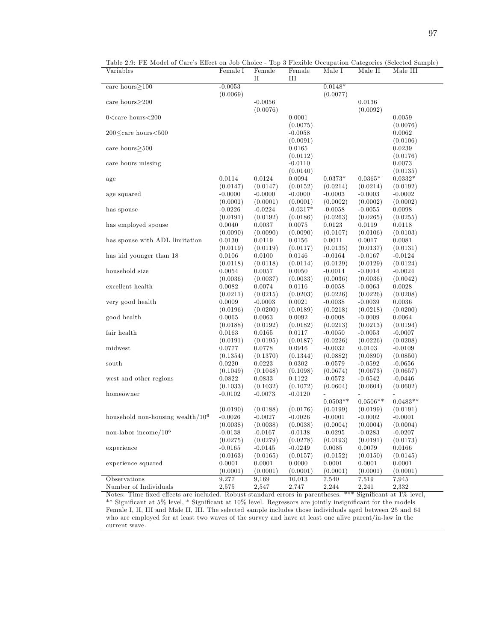| Table 2.9: FE Model of Care's Effect on Job Choice - Top 3 Flexible Occupation Categories (Selected Sample) |
|-------------------------------------------------------------------------------------------------------------|
|-------------------------------------------------------------------------------------------------------------|

| Variables                                                                                                             | Female I              | Female<br>П           | Female<br>$\rm III$   | Male I                | Male II               | Male III              |
|-----------------------------------------------------------------------------------------------------------------------|-----------------------|-----------------------|-----------------------|-----------------------|-----------------------|-----------------------|
| care hours $>100$                                                                                                     | $-0.0053$             |                       |                       | $0.0148*$             |                       |                       |
|                                                                                                                       | (0.0069)              |                       |                       | (0.0077)              |                       |                       |
| care hours $>200$                                                                                                     |                       | $-0.0056$             |                       |                       | 0.0136                |                       |
|                                                                                                                       |                       | (0.0076)              |                       |                       | (0.0092)              |                       |
| $0$ <care hours<200<="" td=""><td></td><td></td><td>0.0001</td><td></td><td></td><td>0.0059</td></care>               |                       |                       | 0.0001                |                       |                       | 0.0059                |
|                                                                                                                       |                       |                       | (0.0075)              |                       |                       | (0.0076)              |
| 200 <care hours<500<="" td=""><td></td><td></td><td><math>-0.0058</math></td><td></td><td></td><td>0.0062</td></care> |                       |                       | $-0.0058$             |                       |                       | 0.0062                |
|                                                                                                                       |                       |                       | (0.0091)              |                       |                       | (0.0106)              |
| care hours $\geq$ 500                                                                                                 |                       |                       | 0.0165                |                       |                       | 0.0239                |
|                                                                                                                       |                       |                       | (0.0112)              |                       |                       | (0.0176)              |
| care hours missing                                                                                                    |                       |                       | $-0.0110$             |                       |                       | 0.0073                |
|                                                                                                                       |                       |                       | (0.0140)              |                       |                       | (0.0135)              |
| age                                                                                                                   | 0.0114                | 0.0124                | 0.0094                | $0.0373*$             | $0.0365*$             | $0.0332*$             |
|                                                                                                                       | (0.0147)              | (0.0147)              | (0.0152)              | (0.0214)              | (0.0214)              | (0.0192)              |
| age squared                                                                                                           | $-0.0000$             | $-0.0000$             | $-0.0000$             | $-0.0003$             | $-0.0003$             | $-0.0002$             |
|                                                                                                                       | (0.0001)              | (0.0001)              | (0.0001)              | (0.0002)              | (0.0002)              | (0.0002)              |
| has spouse                                                                                                            | $-0.0226$             | $-0.0224$             | $-0.0317*$            | $-0.0058$             | $-0.0055$             | 0.0098                |
|                                                                                                                       | (0.0191)              | (0.0192)              | (0.0186)              | (0.0263)              | (0.0265)              | (0.0255)              |
| has employed spouse                                                                                                   | 0.0040                | $\,0.0037\,$          | 0.0075                | 0.0123                | 0.0119                | 0.0118                |
|                                                                                                                       | (0.0090)              | (0.0090)              | (0.0090)              | (0.0107)              | (0.0106)              | (0.0103)              |
| has spouse with ADL limitation                                                                                        | 0.0130                | 0.0119                | 0.0156                | 0.0011                | 0.0017                | 0.0081                |
|                                                                                                                       | (0.0119)              | (0.0119)              | (0.0117)              | (0.0135)              | (0.0137)              | (0.0131)              |
| has kid younger than 18                                                                                               | 0.0106                | 0.0100                | 0.0146                | $-0.0164$             | $-0.0167$             | $-0.0124$             |
|                                                                                                                       | (0.0118)              | (0.0118)              | (0.0114)              | (0.0129)              | (0.0129)              | (0.0124)              |
| household size                                                                                                        | 0.0054                | 0.0057                | 0.0050                | $-0.0014$             | $-0.0014$             | $-0.0024$             |
|                                                                                                                       | (0.0036)              | (0.0037)              | (0.0033)              | (0.0036)              | (0.0036)              | (0.0042)              |
| excellent health                                                                                                      | 0.0082                | 0.0074                | 0.0116                | $-0.0058$             | $-0.0063$             | 0.0028                |
|                                                                                                                       | (0.0211)              | (0.0215)              | (0.0203)              | (0.0226)              | (0.0226)              | (0.0208)              |
| very good health                                                                                                      | 0.0009                | $-0.0003$             | 0.0021                | $-0.0038$             | $-0.0039$             | 0.0036                |
|                                                                                                                       | (0.0196)              | (0.0200)              | (0.0189)              | (0.0218)              | (0.0218)              | (0.0200)              |
| good health                                                                                                           | 0.0065                | 0.0063                | 0.0092                | $-0.0008$             | $-0.0009$             | 0.0064                |
|                                                                                                                       | (0.0188)              | (0.0192)              | (0.0182)              | (0.0213)              | (0.0213)              | (0.0194)              |
| fair health                                                                                                           | 0.0163                | 0.0165                | 0.0117                | $-0.0050$             | $-0.0053$             | $-0.0007$             |
|                                                                                                                       | (0.0191)              | (0.0195)              | (0.0187)              | (0.0226)              | (0.0226)              | (0.0208)              |
| midwest                                                                                                               | 0.0777                | 0.0778                | 0.0916                | $-0.0032$             | 0.0103                | $-0.0109$             |
|                                                                                                                       | (0.1354)              | (0.1370)              | (0.1344)              | (0.0882)              | (0.0890)              | (0.0850)              |
| south                                                                                                                 | 0.0220                | 0.0223                | 0.0302                | $-0.0579$             | $-0.0592$             | $-0.0656$             |
|                                                                                                                       | (0.1049)              | (0.1048)              | (0.1098)              | (0.0674)              | (0.0673)              | (0.0657)              |
| west and other regions                                                                                                | 0.0822                | 0.0833                | 0.1122                | $-0.0572$             | $-0.0542$             | $-0.0446$             |
|                                                                                                                       | (0.1033)              | (0.1032)              | (0.1072)              | (0.0604)              | (0.0604)              | (0.0602)              |
| homeowner                                                                                                             | $-0.0102$             | $-0.0073$             | $-0.0120$             |                       |                       |                       |
|                                                                                                                       |                       |                       |                       | $0.0503**$            | $0.0506**$            | $0.0483**$            |
|                                                                                                                       | (0.0190)              | (0.0188)              | (0.0176)              | (0.0199)              | (0.0199)              | (0.0191)              |
| household non-housing wealth $/106$                                                                                   | $-0.0026$             | $-0.0027$             | $-0.0026$             | $-0.0001$             | $-0.0002$             | $-0.0001$             |
|                                                                                                                       |                       |                       |                       |                       |                       |                       |
| non-labor income/ $10^6$                                                                                              | (0.0038)              | (0.0038)              | (0.0038)              | (0.0004)              | (0.0004)              | (0.0004)              |
|                                                                                                                       | $-0.0138$<br>(0.0275) | $-0.0167$<br>(0.0279) | $-0.0138$<br>(0.0278) | $-0.0295$<br>(0.0193) | $-0.0283$<br>(0.0191) | $-0.0207$<br>(0.0173) |
|                                                                                                                       |                       |                       |                       | 0.0085                |                       |                       |
| experience                                                                                                            | $-0.0165$             | $-0.0145$             | $-0.0249$             |                       | 0.0079                | 0.0166<br>(0.0145)    |
|                                                                                                                       | (0.0163)              | (0.0165)              | (0.0157)              | (0.0152)              | (0.0150)<br>0.0001    |                       |
| experience squared                                                                                                    | 0.0001                | 0.0001                | 0.0000                | 0.0001                |                       | 0.0001                |
|                                                                                                                       | (0.0001)              | (0.0001)              | (0.0001)              | (0.0001)              | (0.0001)              | (0.0001)              |
| Observations                                                                                                          | 9.277                 | 9.169                 | 10,013                | 7,540                 | 7,519                 | 7,945                 |
| Number of Individuals                                                                                                 | 2,575                 | 2,547                 | 2,747                 | 2,244                 | 2,241                 | 2,332                 |

Notes: Time fixed effects are included. Robust standard errors in parentheses. \*\*\* Significant at 1% level, \*\* Significant at 5% level, \* Significant at 10% level. Regressors are jointly insignificant for the models Female I, II, III and Male II, III. The selected sample includes those individuals aged between 25 and 64 who are employed for at least two waves of the survey and have at least one alive parent/in-law in the current wave.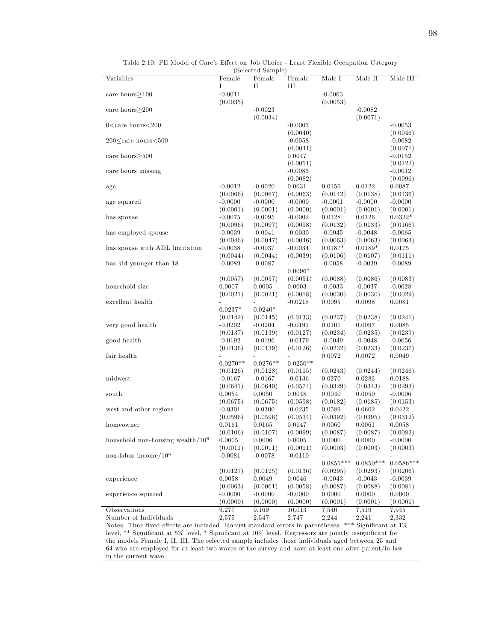|                                                                                                                                     |            | (әенестед әашріе) |                |                |             |             |
|-------------------------------------------------------------------------------------------------------------------------------------|------------|-------------------|----------------|----------------|-------------|-------------|
| Variables                                                                                                                           | Female     | Female            | Female         | Male I         | Male II     | Male III    |
|                                                                                                                                     | Ι          | П                 | Ш              |                |             |             |
| care hours $>100$                                                                                                                   | $-0.0011$  |                   |                | $-0.0063$      |             |             |
|                                                                                                                                     | (0.0035)   |                   |                | (0.0053)       |             |             |
| care hours $>200$                                                                                                                   |            | $-0.0023$         |                |                | $-0.0082$   |             |
|                                                                                                                                     |            | (0.0034)          |                |                | (0.0071)    |             |
|                                                                                                                                     |            |                   |                |                |             |             |
| $0$ <care hours<200<="" td=""><td></td><td></td><td><math>-0.0003</math></td><td></td><td></td><td><math>-0.0053</math></td></care> |            |                   | $-0.0003$      |                |             | $-0.0053$   |
|                                                                                                                                     |            |                   | (0.0040)       |                |             | (0.0046)    |
| $200 \leq$ care hours $< 500$                                                                                                       |            |                   | $-0.0058$      |                |             | $-0.0082$   |
|                                                                                                                                     |            |                   | (0.0041)       |                |             | (0.0071)    |
| care hours $\geq$ 500                                                                                                               |            |                   | 0.0047         |                |             | $-0.0152$   |
|                                                                                                                                     |            |                   | (0.0051)       |                |             | (0.0122)    |
| care hours missing                                                                                                                  |            |                   | $-0.0083$      |                |             | $-0.0012$   |
|                                                                                                                                     |            |                   |                |                |             |             |
|                                                                                                                                     |            |                   | (0.0082)       |                |             | (0.0096)    |
| age                                                                                                                                 | $-0.0012$  | $-0.0020$         | 0.0031         | 0.0156         | 0.0122      | 0.0087      |
|                                                                                                                                     | (0.0066)   | (0.0067)          | (0.0063)       | (0.0142)       | (0.0138)    | (0.0136)    |
| age squared                                                                                                                         | $-0.0000$  | $-0.0000$         | $-0.0000$      | $-0.0001$      | $-0.0000$   | $-0.0000$   |
|                                                                                                                                     | (0.0001)   | (0.0001)          | (0.0000)       | (0.0001)       | (0.0001)    | (0.0001)    |
| has spouse                                                                                                                          | $-0.0075$  | $-0.0095$         | $-0.0002$      | 0.0128         | 0.0126      | $0.0322*$   |
|                                                                                                                                     | (0.0096)   | (0.0097)          | (0.0098)       | (0.0132)       | (0.0133)    | (0.0166)    |
|                                                                                                                                     |            |                   |                |                |             |             |
| has employed spouse                                                                                                                 | $-0.0039$  | $-0.0041$         | $-0.0030$      | $-0.0045$      | $-0.0048$   | $-0.0065$   |
|                                                                                                                                     | (0.0046)   | (0.0047)          | (0.0046)       | (0.0063)       | (0.0063)    | (0.0063)    |
| has spouse with ADL limitation                                                                                                      | $-0.0038$  | $-0.0037$         | $-0.0034$      | $0.0187*$      | $0.0189*$   | 0.0175      |
|                                                                                                                                     | (0.0044)   | (0.0044)          | (0.0039)       | (0.0106)       | (0.0107)    | (0.0111)    |
| has kid younger than 18                                                                                                             | $-0.0089$  | $-0.0087$         | $\overline{a}$ | $-0.0058$      | $-0.0039$   | $-0.0089$   |
|                                                                                                                                     |            |                   | $0.0096*$      |                |             |             |
|                                                                                                                                     | (0.0057)   | (0.0057)          | (0.0051)       | (0.0088)       | (0.0086)    | (0.0083)    |
| household size                                                                                                                      | 0.0007     | 0.0005            | 0.0003         | $-0.0033$      | $-0.0037$   | $-0.0028$   |
|                                                                                                                                     |            |                   |                |                |             |             |
|                                                                                                                                     | (0.0021)   | (0.0021)          | (0.0018)       | (0.0030)       | (0.0030)    | (0.0029)    |
| excellent health                                                                                                                    |            |                   | $-0.0218$      | 0.0095         | 0.0098      | 0.0081      |
|                                                                                                                                     | $0.0237*$  | $0.0240*$         |                |                |             |             |
|                                                                                                                                     | (0.0142)   | (0.0145)          | (0.0133)       | (0.0237)       | (0.0238)    | (0.0241)    |
| very good health                                                                                                                    | $-0.0202$  | $-0.0204$         | $-0.0191$      | 0.0101         | 0.0097      | 0.0085      |
|                                                                                                                                     | (0.0137)   | (0.0139)          | (0.0127)       | (0.0234)       | (0.0235)    | (0.0239)    |
| good health                                                                                                                         | $-0.0192$  | $-0.0196$         | $-0.0179$      | $-0.0049$      | $-0.0048$   | $-0.0056$   |
|                                                                                                                                     |            |                   |                |                |             |             |
|                                                                                                                                     | (0.0136)   | (0.0139)          | (0.0126)       | (0.0232)       | (0.0233)    | (0.0237)    |
| fair health                                                                                                                         |            |                   |                | 0.0072         | 0.0072      | 0.0049      |
|                                                                                                                                     | $0.0270**$ | $0.0276**$        | $0.0250**$     |                |             |             |
|                                                                                                                                     | (0.0126)   | (0.0128)          | (0.0115)       | (0.0243)       | (0.0244)    | (0.0246)    |
| midwest                                                                                                                             | $-0.0167$  | $-0.0167$         | $-0.0136$      | 0.0270         | 0.0283      | 0.0188      |
|                                                                                                                                     | (0.0641)   | (0.0640)          | (0.0574)       | (0.0329)       | (0.0343)    | (0.0293)    |
| south                                                                                                                               | 0.0054     | 0.0050            | 0.0048         | 0.0040         | 0.0050      | $-0.0006$   |
|                                                                                                                                     | (0.0675)   | (0.0675)          | (0.0598)       | (0.0182)       | (0.0185)    | (0.0153)    |
|                                                                                                                                     |            |                   |                |                |             |             |
| west and other regions                                                                                                              | $-0.0301$  | $-0.0300$         | $-0.0235$      | 0.0589         | 0.0602      | 0.0422      |
|                                                                                                                                     | (0.0596)   | (0.0596)          | (0.0534)       | (0.0392)       | (0.0395)    | (0.0312)    |
| homeowner                                                                                                                           | 0.0161     | 0.0165            | 0.0147         | 0.0060         | 0.0061      | 0.0058      |
|                                                                                                                                     | (0.0106)   | (0.0107)          | (0.0099)       | (0.0087)       | (0.0087)    | (0.0082)    |
| household non-housing wealth/ $106$                                                                                                 | 0.0005     | 0.0006            | 0.0005         | 0.0000         | 0.0000      | $-0.0000$   |
|                                                                                                                                     | (0.0011)   | (0.0011)          | (0.0011)       | (0.0003)       | (0.0003)    | (0.0003)    |
| non-labor income/ $10^6$                                                                                                            | $-0.0081$  | $-0.0078$         | $-0.0110$      | $\overline{a}$ |             |             |
|                                                                                                                                     |            |                   |                |                | $0.0850***$ | $0.0586***$ |
|                                                                                                                                     |            |                   |                | $0.0855***$    |             |             |
|                                                                                                                                     | (0.0127)   | (0.0125)          | (0.0136)       | (0.0295)       | (0.0293)    | (0.0206)    |
| experience                                                                                                                          | 0.0058     | 0.0049            | 0.0046         | $-0.0043$      | $-0.0043$   | $-0.0039$   |
|                                                                                                                                     | (0.0063)   | (0.0061)          | (0.0058)       | (0.0087)       | (0.0088)    | (0.0081)    |
| experience squared                                                                                                                  | $-0.0000$  | $-0.0000$         | $-0.0000$      | 0.0000         | 0.0000      | 0.0000      |
|                                                                                                                                     | (0.0000)   | (0.0000)          | (0.0000)       | (0.0001)       | (0.0001)    | (0.0001)    |
| Observations                                                                                                                        | 9,277      | 9.169             | 10,013         | 7,540          | 7,519       | 7,945       |
|                                                                                                                                     |            |                   |                |                |             |             |
| Number of Individuals                                                                                                               | 2,575      | 2,547             | 2,747          | 2,244          | 2,241       | 2,332       |

Table 2.10: FE Model of Care's Effect on Job Choice - Least Flexible Occupation Category (Selected Sample)

Notes: Time fixed effects are included. Robust standard errors in parentheses. \*\*\* Significant at 1% level, \*\* Significant at 5% level, \* Significant at 10% level. Regressors are jointly insignificant for the models Female I, II, III. The selected sample includes those individuals aged between 25 and 64 who are employed for at least two waves of the survey and have at least one alive parent/in-law in the current wave.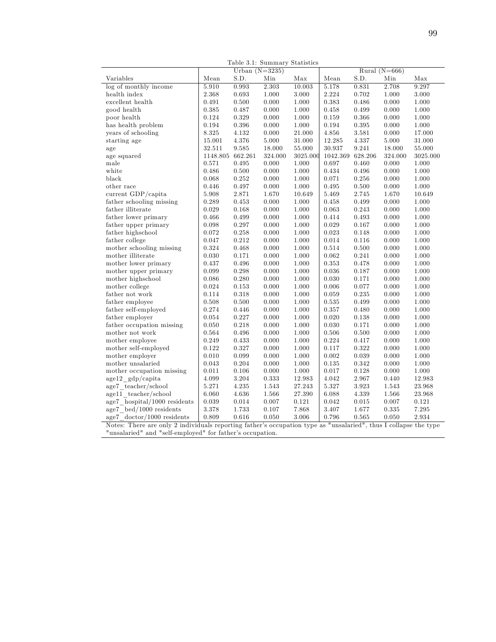|                                                                                                                  | Table 3.1: Summary Statistics |                  |         |          |                |         |                   |           |
|------------------------------------------------------------------------------------------------------------------|-------------------------------|------------------|---------|----------|----------------|---------|-------------------|-----------|
|                                                                                                                  |                               | Urban $(N=3235)$ |         |          |                |         | Rural ( $N=666$ ) |           |
| Variables                                                                                                        | Mean                          | S.D.             | Min     | Max      | Mean           | S.D.    | Min               | Max       |
| log of monthly income                                                                                            | 5.910                         | 0.993            | 2.303   | 10.003   | 5.178          | 0.831   | 2.708             | 9.297     |
| health index                                                                                                     | 2.368                         | 0.693            | 1.000   | 3.000    | 2.224          | 0.702   | 1.000             | 3.000     |
| excellent health                                                                                                 | 0.491                         | $0.500\,$        | 0.000   | 1.000    | 0.383          | 0.486   | 0.000             | 1.000     |
| good health                                                                                                      | 0.385                         | 0.487            | 0.000   | 1.000    | 0.458          | 0.499   | 0.000             | 1.000     |
| poor health                                                                                                      | 0.124                         | 0.329            | 0.000   | 1.000    | 0.159          | 0.366   | 0.000             | 1.000     |
| has health problem                                                                                               | 0.194                         | 0.396            | 0.000   | 1.000    | 0.194          | 0.395   | 0.000             | 1.000     |
| years of schooling                                                                                               | 8.325                         | 4.132            | 0.000   | 21.000   | 4.856          | 3.581   | 0.000             | 17.000    |
| starting age                                                                                                     | 15.001                        | 4.376            | 5.000   | 31.000   | 12.285         | 4.337   | 5.000             | 31.000    |
| age                                                                                                              | 32.511                        | 9.585            | 18.000  | 55.000   | 30.937         | 9.241   | 18.000            | 55.000    |
| age squared                                                                                                      | 1148.805 662.261              |                  | 324.000 | 3025.000 | 1042.369       | 628.206 | 324.000           | 3025.000  |
| male                                                                                                             | 0.571                         | 0.495            | 0.000   | 1.000    | 0.697          | 0.460   | 0.000             | 1.000     |
| white                                                                                                            | 0.486                         | 0.500            | 0.000   | 1.000    | 0.434          | 0.496   | 0.000             | 1.000     |
| black                                                                                                            | 0.068                         | 0.252            | 0.000   | 1.000    | 0.071          | 0.256   | 0.000             | 1.000     |
| other race                                                                                                       | 0.446                         | 0.497            | 0.000   | 1.000    | 0.495          | 0.500   | 0.000             | 1.000     |
| current GDP/capita                                                                                               | 5.908                         | 2.871            | 1.670   | 10.649   | 5.469          | 2.745   | 1.670             | 10.649    |
| father schooling missing                                                                                         | 0.289                         | 0.453            | 0.000   | 1.000    | 0.458          | 0.499   | 0.000             | 1.000     |
| father illiterate                                                                                                | 0.029                         | 0.168            | 0.000   | 1.000    | 0.063          | 0.243   | 0.000             | 1.000     |
| father lower primary                                                                                             | 0.466                         | 0.499            | 0.000   | 1.000    | 0.414          | 0.493   | 0.000             | 1.000     |
| father upper primary                                                                                             | 0.098                         | 0.297            | 0.000   | 1.000    | 0.029          | 0.167   | 0.000             | 1.000     |
| father highschool                                                                                                | 0.072                         | 0.258            | 0.000   | 1.000    | 0.023          | 0.148   | 0.000             | 1.000     |
| father college                                                                                                   | 0.047                         | 0.212            | 0.000   | 1.000    | 0.014          | 0.116   | 0.000             | 1.000     |
| mother schooling missing                                                                                         | 0.324                         | 0.468            | 0.000   | 1.000    | 0.514          | 0.500   | 0.000             | 1.000     |
| mother illiterate                                                                                                | 0.030                         | 0.171            | 0.000   | 1.000    | 0.062          | 0.241   | 0.000             | 1.000     |
| mother lower primary                                                                                             | 0.437                         | 0.496            | 0.000   | 1.000    | 0.353          | 0.478   | 0.000             | 1.000     |
| mother upper primary                                                                                             | 0.099                         | 0.298            | 0.000   | 1.000    | 0.036          | 0.187   | 0.000             | 1.000     |
| $% \left\vert \cdot \right\vert$ mother high<br>school                                                           | 0.086                         | 0.280            | 0.000   | 1.000    | 0.030          | 0.171   | 0.000             | 1.000     |
| mother college                                                                                                   |                               |                  | 0.000   | 1.000    | 0.006          | 0.077   | 0.000             | 1.000     |
|                                                                                                                  | 0.024<br>0.114                | 0.153<br>0.318   | 0.000   | 1.000    | 0.059          | 0.235   | 0.000             | 1.000     |
| father not work                                                                                                  |                               |                  | 0.000   | 1.000    |                |         | 0.000             |           |
| father employee                                                                                                  | 0.508<br>0.274                | 0.500            | 0.000   | 1.000    | 0.535<br>0.357 | 0.499   |                   | 1.000     |
| father self-employed                                                                                             |                               | 0.446            |         |          |                | 0.480   | 0.000             | 1.000     |
| father employer                                                                                                  | 0.054                         | 0.227            | 0.000   | 1.000    | 0.020          | 0.138   | 0.000             | 1.000     |
| father occupation missing                                                                                        | 0.050                         | 0.218            | 0.000   | 1.000    | 0.030          | 0.171   | 0.000             | 1.000     |
| mother not work                                                                                                  | 0.564                         | 0.496            | 0.000   | 1.000    | 0.506          | 0.500   | 0.000             | 1.000     |
| mother employee                                                                                                  | 0.249                         | 0.433            | 0.000   | 1.000    | 0.224          | 0.417   | 0.000             | 1.000     |
| mother self-employed                                                                                             | 0.122                         | 0.327            | 0.000   | 1.000    | 0.117          | 0.322   | 0.000             | 1.000     |
| mother employer                                                                                                  | 0.010                         | 0.099            | 0.000   | 1.000    | 0.002          | 0.039   | 0.000             | 1.000     |
| mother unsalaried                                                                                                | 0.043                         | 0.204            | 0.000   | 1.000    | 0.135          | 0.342   | 0.000             | 1.000     |
| mother occupation missing                                                                                        | 0.011                         | 0.106            | 0.000   | 1.000    | 0.017          | 0.128   | 0.000             | 1.000     |
| age12 gdp/capita                                                                                                 | 4.099                         | 3.204            | 0.333   | 12.983   | 4.042          | 2.967   | 0.440             | 12.983    |
| $age7 \_\text{teacher}/\text{school}$                                                                            | 5.271                         | 4.235            | 1.543   | 27.243   | 5.327          | 3.923   | 1.543             | 23.968    |
| age11 teacher/school                                                                                             | 6.060                         | 4.636            | 1.566   | 27.390   | 6.088          | 4.339   | 1.566             | 23.968    |
| age7 hospital/1000 residents                                                                                     | 0.039                         | 0.014            | 0.007   | 0.121    | 0.042          | 0.015   | 0.007             | 0.121     |
| age7 bed/1000 residents                                                                                          | 3.378                         | 1.733            | 0.107   | 7.868    | 3.407          | 1.677   | 0.335             | $7.295\,$ |
| $age7 \dotsc/1000$ residents                                                                                     | 0.809                         | 0.616            | 0.050   | 3.006    | 0.796          | 0.565   | 0.050             | 2.934     |
| Notes: There are only 2 individuals reporting father's occupation type as "unsalaried", thus I collapse the type |                               |                  |         |          |                |         |                   |           |
| "unsalaried" and "self-employed" for father's occupation.                                                        |                               |                  |         |          |                |         |                   |           |

Table 3.1: Summary Statistics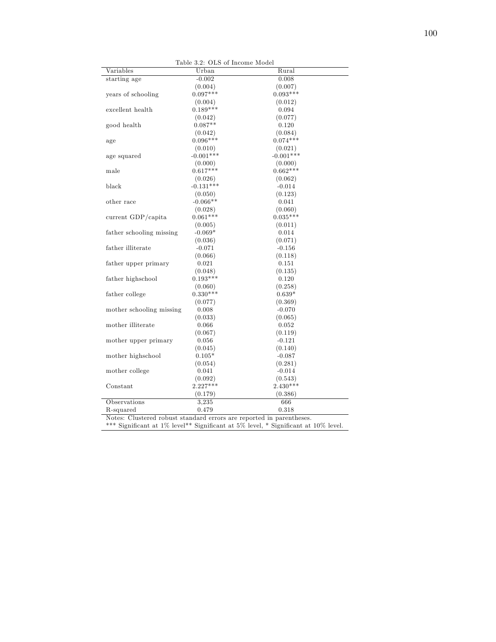|                          |             | Table 3.2: OLS of Income Model |
|--------------------------|-------------|--------------------------------|
| Variables                | Urban       | Rural                          |
| starting age             | $-0.002$    | 0.008                          |
|                          | (0.004)     | (0.007)                        |
| years of schooling       | $0.097***$  | $0.093***$                     |
|                          | (0.004)     | (0.012)                        |
| excellent health         | $0.189***$  | 0.094                          |
|                          | (0.042)     | (0.077)                        |
| good health              | $0.087**$   | 0.120                          |
|                          | (0.042)     | (0.084)                        |
| age                      | $0.096***$  | $0.074***$                     |
|                          | (0.010)     | (0.021)                        |
| age squared              | $-0.001***$ | $-0.001***$                    |
|                          | (0.000)     | (0.000)                        |
| male                     | $0.617***$  | $0.662***$                     |
|                          | (0.026)     | (0.062)                        |
| black                    | $-0.131***$ | $-0.014$                       |
|                          | (0.050)     | (0.123)                        |
| other race               | $-0.066**$  | 0.041                          |
|                          | (0.028)     | (0.060)                        |
| current GDP/capita       | $0.061***$  | $0.035***$                     |
|                          | (0.005)     | (0.011)                        |
| father schooling missing | $-0.069*$   | 0.014                          |
|                          | (0.036)     | (0.071)                        |
| father illiterate        | $-0.071$    | $-0.156$                       |
|                          | (0.066)     | (0.118)                        |
| father upper primary     | 0.021       | 0.151                          |
|                          | (0.048)     | (0.135)                        |
| father highschool        | $0.193***$  | 0.120                          |
|                          | (0.060)     | (0.258)                        |
| father college           | $0.330**$   | $0.639*$                       |
|                          | (0.077)     | (0.369)                        |
| mother schooling missing | 0.008       | $-0.070$                       |
|                          | (0.033)     | (0.065)                        |
| mother illiterate        | 0.066       | 0.052                          |
|                          | (0.067)     | (0.119)                        |
| mother upper primary     | 0.056       | $-0.121$                       |
|                          | (0.045)     | (0.140)                        |
| mother highschool        | $0.105*$    | $-0.087$                       |
|                          | (0.054)     | (0.281)                        |
| mother college           | 0.041       | $-0.014$                       |
|                          | (0.092)     | (0.543)                        |
| Constant                 | $2.227***$  | $2.430***$                     |
|                          | (0.179)     | (0.386)                        |
| Observations             | 3,235       | 666                            |
| R-squared                | 0.479       | 0.318                          |
| $\sim$ $\sim$ $\sim$     |             |                                |

Notes: Clustered robust standard errors are reported in parentheses.

\*\*\* Significant at  $1\%$  level\*\* Significant at  $5\%$  level, \* Significant at  $10\%$  level.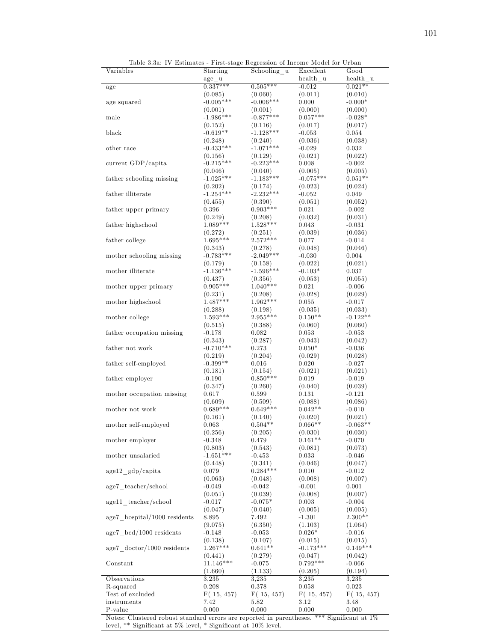|          | Table 3.3a: IV Estimates - First-stage Regression of Income Model for Urban |                       |      |  |
|----------|-----------------------------------------------------------------------------|-----------------------|------|--|
| riables. | Starting                                                                    | Schooling u Excellent | Good |  |

| Variables                                | Starting              | Schooling u           | Excellent            | Good       |
|------------------------------------------|-----------------------|-----------------------|----------------------|------------|
|                                          | age u                 |                       | health u             | health u   |
| age                                      | $0.337***$            | $0.505***$            | $-0.012$             | $0.021**$  |
|                                          | (0.085)               | (0.060)               | (0.011)              | (0.010)    |
| age squared                              | $-0.005***$           | $-0.006***$           | 0.000                | $-0.000*$  |
|                                          | (0.001)               | (0.001)               | (0.000)              | (0.000)    |
| male                                     | $-1.986***$           | $-0.877***$           | $0.057***$           | $-0.028*$  |
|                                          | (0.152)               | (0.116)               | (0.017)              | (0.017)    |
| black                                    | $-0.619**$            | $-1.128***$           | $-0.053$             | 0.054      |
|                                          | (0.248)               | (0.240)               | (0.036)              | (0.038)    |
| other race                               | $-0.433***$           | $-1.071***$           | $-0.029$             | 0.032      |
|                                          | (0.156)               | (0.129)               | (0.021)              | (0.022)    |
| current GDP/capita                       | $-0.215***$           | $-0.223***$           | 0.008                | $-0.002$   |
|                                          | (0.046)               | (0.040)               | (0.005)              | (0.005)    |
| father schooling missing                 | $-1.025***$           | $-1.183***$           | $-0.075***$          | $0.051**$  |
|                                          | (0.202)               | (0.174)               | (0.023)              | (0.024)    |
| father illiterate                        | $-1.254***$           | $-2.232***$           | $-0.052$             | 0.049      |
|                                          |                       |                       |                      |            |
|                                          | (0.455)               | (0.390)               | (0.051)              | (0.052)    |
| father upper primary                     | 0.396                 | $0.903***$            | 0.021                | $-0.002$   |
|                                          | (0.249)               | (0.208)               | (0.032)              | (0.031)    |
| ${\rm father}$ high<br>school            | $1.089***$            | $1.528***$            | 0.043                | $-0.031$   |
|                                          | (0.272)               | (0.251)               | (0.039)              | (0.036)    |
| father college                           | $1.695***$            | $2.572***$            | 0.077                | $-0.014$   |
|                                          | (0.343)               | (0.278)               | (0.048)              | (0.046)    |
| mother schooling missing                 | $-0.783***$           | $-2.049***$           | $-0.030$             | 0.004      |
|                                          | (0.179)               | (0.158)               | (0.022)              | (0.021)    |
| mother illiterate                        | $-1.136***$           | $-1.596***$           | $-0.103*$            | 0.037      |
|                                          | (0.437)               | (0.356)               | (0.053)              | (0.055)    |
| mother upper primary                     | $0.905***$            | $1.040***$            | 0.021                | $-0.006$   |
|                                          | (0.231)               | (0.208)               | (0.028)              | (0.029)    |
| mother highschool                        | $1.487***$            | $1.962***$            | 0.055                | $-0.017$   |
|                                          | (0.288)               | (0.198)               | (0.035)              | (0.033)    |
| mother college                           | $1.593***$            | $2.955***$            | $0.150**$            | $-0.122**$ |
|                                          | (0.515)               | (0.388)               | (0.060)              | (0.060)    |
| father occupation missing                | -0.178                | 0.082                 | 0.053                | $-0.053$   |
|                                          | (0.343)               | (0.287)               | (0.043)              | (0.042)    |
| father not work                          | $-0.710***$           | 0.273                 | $0.050*$             | $-0.036$   |
|                                          | (0.219)               | (0.204)               | (0.029)              | (0.028)    |
| father self-employed                     | $-0.399**$            | 0.016                 | 0.020                | $-0.027$   |
|                                          | (0.181)               | (0.154)               | (0.021)              | (0.021)    |
| father employer                          | $-0.190$              | $0.850***$            | 0.019                | $-0.019$   |
|                                          | (0.347)               | (0.260)               | (0.040)              | (0.039)    |
|                                          | 0.617                 | 0.599                 | 0.131                | $-0.121$   |
| mother occupation missing                |                       |                       |                      | (0.086)    |
| mother not work                          | (0.609)<br>$0.689***$ | (0.509)<br>$0.649***$ | (0.088)<br>$0.042**$ | $-0.010$   |
|                                          |                       |                       |                      |            |
|                                          | (0.161)               | (0.140)               | (0.020)              | (0.021)    |
| mother self-employed                     | $\,0.063\,$           | $0.504**$             | $0.066**$            | $-0.063**$ |
|                                          | (0.256)               | (0.205)               | (0.030)              | (0.030)    |
| mother employer                          | -0.348                | 0.479                 | $0.161**$            | $-0.070$   |
|                                          | (0.803)               | (0.543)               | (0.081)              | (0.073)    |
| mother unsalaried                        | $-1.651***$           | $-0.453$              | 0.033                | $-0.046$   |
|                                          | (0.448)               | (0.341)               | (0.046)              | (0.047)    |
| $age12$ gdp/capita                       | 0.079                 | $0.284***$            | 0.010                | $-0.012$   |
|                                          | (0.063)               | (0.048)               | (0.008)              | (0.007)    |
| age7 teacher/school                      | $-0.049$              | $-0.042$              | $-0.001$             | 0.001      |
|                                          | (0.051)               | (0.039)               | (0.008)              | (0.007)    |
| age11 teacher/school                     | $-0.017$              | $-0.075*$             | 0.003                | $-0.004$   |
|                                          | (0.047)               | (0.040)               | (0.005)              | (0.005)    |
| $age7$ hospital/1000 residents           | 8.895                 | 7.492                 | $-1.301$             | $2.300**$  |
|                                          | (9.075)               | (6.350)               | (1.103)              | (1.064)    |
| age7 bed/1000 residents                  | $-0.148$              | $-0.053$              | $0.026*$             | $-0.016$   |
|                                          | (0.138)               | (0.107)               | (0.015)              | (0.015)    |
| $age7 \cdot doctor/1000 \cdot residents$ | $1.267***$            | $0.641**$             | $-0.173***$          | $0.149***$ |
|                                          | (0.441)               | (0.279)               | (0.047)              | (0.042)    |
| Constant                                 | $11.146***$           | $-0.075$              | $0.792***$           | $-0.066$   |
|                                          | (1.660)               | (1.133)               | (0.205)              | (0.194)    |
| Observations                             | 3,235                 | 3,235                 | 3,235                | 3,235      |
| R-squared                                | 0.208                 | 0.378                 | 0.058                | 0.023      |
| Test of excluded                         | F(15, 457)            | F(15, 457)            | F(15, 457)           | F(15, 457) |
| instruments                              | 7.42                  | 5.82                  | 3.12                 | 3.48       |
| P-value                                  | 0.000                 | 0.000                 | 0.000                | 0.000      |

Notes: Clustered robust standard errors are reported in parentheses. \*\*\* Significant at 1% level, \*\* Significant at 5% level, \* Significant at 10% level.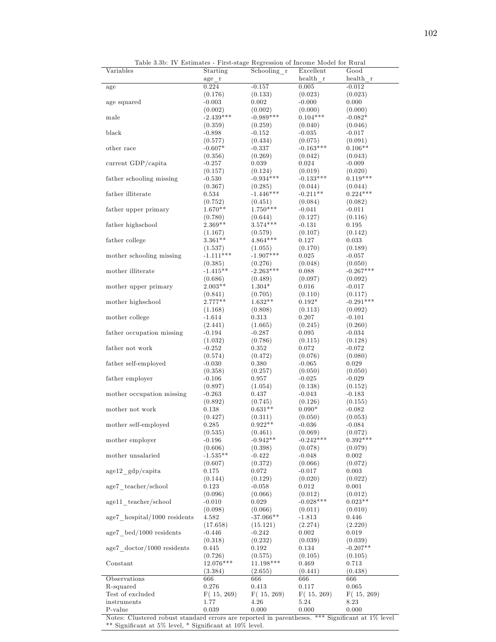| Variables                                 | Starting    | 1000<br>Schooling r | Excellent      | Good        |
|-------------------------------------------|-------------|---------------------|----------------|-------------|
|                                           | age r       |                     | health r       | health r    |
|                                           |             | $-0.157$            |                | $-0.012$    |
| age                                       | 0.224       |                     | 0.005          |             |
|                                           | (0.176)     | (0.133)             | (0.023)        | (0.023)     |
| age squared                               | $-0.003$    | 0.002               | $-0.000$       | 0.000       |
|                                           | (0.002)     | (0.002)             | (0.000)        | (0.000)     |
| male                                      | $-2.439***$ | $-0.989***$         | $0.104***$     | $-0.082*$   |
|                                           | (0.359)     | (0.259)             | (0.040)        | (0.046)     |
| black                                     | $-0.898$    | $-0.152$            | $-0.035$       | $-0.017$    |
|                                           | (0.577)     | (0.434)             | (0.075)        | (0.091)     |
| other race                                | $-0.607*$   | $-0.337$            | $-0.163***$    | $0.106**$   |
|                                           |             |                     |                |             |
|                                           | (0.356)     | (0.269)             | (0.042)        | (0.043)     |
| current GDP/capita                        | $-0.257$    | 0.039               | 0.024          | $-0.009$    |
|                                           | (0.157)     | (0.124)             | (0.019)        | (0.020)     |
| father schooling missing                  | $-0.530$    | $-0.934***$         | $-0.133***$    | $0.119***$  |
|                                           | (0.367)     | (0.285)             | (0.044)        | (0.044)     |
| father illiterate                         | 0.534       | $-1.446***$         | $-0.211**$     | $0.224***$  |
|                                           | (0.752)     | (0.451)             | (0.084)        | (0.082)     |
| father upper primary                      | $1.670**$   | $1.750***$          | $-0.041$       | $-0.011$    |
|                                           |             |                     |                |             |
|                                           | (0.780)     | (0.644)             | (0.127)        | (0.116)     |
| father highschool                         | $2.369**$   | $3.574***$          | $-0.131$       | 0.195       |
|                                           | (1.167)     | (0.579)             | (0.107)        | (0.142)     |
| father college                            | $3.361**$   | $4.864***$          | 0.127          | 0.033       |
|                                           | (1.537)     | (1.055)             | (0.170)        | (0.189)     |
| mother schooling missing                  | $-1.111***$ | $-1.907***$         | 0.025          | $-0.057$    |
|                                           |             | (0.276)             | (0.048)        |             |
|                                           | (0.385)     |                     |                | (0.050)     |
| mother illiterate                         | $-1.415**$  | $-2.263***$         | 0.088          | $-0.267***$ |
|                                           | (0.686)     | (0.489)             | (0.097)        | (0.092)     |
| mother upper primary                      | $2.003**$   | $1.304*$            | 0.016          | $-0.017$    |
|                                           | (0.841)     | (0.705)             | (0.110)        | (0.117)     |
| mother highschool                         | $2.777**$   | $1.632**$           | $0.192^{\ast}$ | $-0.291***$ |
|                                           | (1.168)     | (0.808)             | (0.113)        | (0.092)     |
| mother college                            | $-1.614$    | 0.313               | 0.207          | $-0.101$    |
|                                           | (2.441)     | (1.665)             | (0.245)        | (0.260)     |
| father occupation missing                 | $-0.194$    | $-0.287$            | 0.095          | $-0.034$    |
|                                           |             |                     |                |             |
|                                           | (1.032)     | (0.786)             | (0.115)        | (0.128)     |
| father not work                           | $-0.252$    | 0.352               | 0.072          | $-0.072$    |
|                                           | (0.574)     | (0.472)             | (0.076)        | (0.080)     |
| father self-employed                      | $-0.030$    | 0.380               | $-0.065$       | 0.029       |
|                                           | (0.358)     | (0.257)             | (0.050)        | (0.050)     |
| father employer                           | $-0.106$    | 0.957               | $-0.025$       | $-0.029$    |
|                                           | (0.897)     | (1.054)             | (0.138)        | (0.152)     |
| mother occupation missing                 | $-0.263$    | 0.437               | $-0.043$       | $-0.183$    |
|                                           |             | (0.745)             |                | (0.155)     |
|                                           | (0.892)     |                     | (0.126)        |             |
| mother not work                           | 0.138       | $0.631**$           | $0.090*$       | $-0.082$    |
|                                           | (0.427)     | (0.311)             | (0.050)        | (0.053)     |
| mother self-employed                      | 0.285       | $0.922**$           | $-0.036$       | $-0.084$    |
|                                           | (0.535)     | (0.461)             | (0.069)        | (0.072)     |
| mother employer                           | $-0.196$    | $-0.942**$          | $-0.242***$    | $0.392***$  |
|                                           | (0.606)     | (0.398)             | (0.078)        | (0.079)     |
| mother unsalaried                         | $-1.535**$  | $-0.422$            | $-0.048$       | 0.002       |
|                                           | (0.607)     | (0.372)             | (0.066)        | (0.072)     |
| $age12\_gdp/capita$                       |             | 0.072               |                |             |
|                                           | 0.175       |                     | $-0.017$       | 0.003       |
|                                           | (0.144)     | (0.129)             | (0.020)        | (0.022)     |
| age7 teacher/school                       | 0.123       | $-0.058$            | 0.012          | 0.001       |
|                                           | (0.096)     | (0.066)             | (0.012)        | (0.012)     |
| age11 teacher/school                      | $-0.010$    | 0.029               | $-0.028***$    | $0.023**$   |
|                                           | (0.098)     | (0.066)             | (0.011)        | (0.010)     |
| $age7$ hospital/1000 residents            | 4.582       | $-37.066**$         | $-1.813$       | $0.446\,$   |
|                                           | (17.658)    | (15.121)            | (2.274)        | (2.220)     |
| $age7 \text{ bed}/1000 \text{ residents}$ | $-0.446$    | $-0.242$            | 0.002          | 0.019       |
|                                           |             |                     |                |             |
|                                           | (0.318)     | (0.232)             | (0.039)        | (0.039)     |
| $age7 \cdot doctor/1000 \cdot residents$  | 0.445       | 0.192               | 0.134          | $-0.207**$  |
|                                           | (0.726)     | (0.575)             | (0.105)        | (0.105)     |
| Constant                                  | 12.076***   | $11.198***$         | 0.469          | 0.713       |
|                                           | (3.384)     | (2.655)             | (0.441)        | (0.438)     |
| Observations                              | 666         | 666                 | 666            | 666         |
| R-squared                                 | 0.276       | 0.413               | 0.117          | 0.065       |
| Test of excluded                          | F(15, 269)  | F(15, 269)          | F(15, 269)     | F(15, 269)  |
| instruments                               | 1.77        | 4.26                | 5.24           | 8.23        |
|                                           |             |                     |                |             |

Table 3.3b: IV Estimates - First-stage Regression of Income Model for Rural

Notes: Clustered robust standard errors are reported in parentheses. \*\*\* Significant at 1% level \*\* Significant at  $5\%$  level, \* Significant at  $10\%$  level.

 $P$ -value 0.039 0.000 0.000 0.000 0.000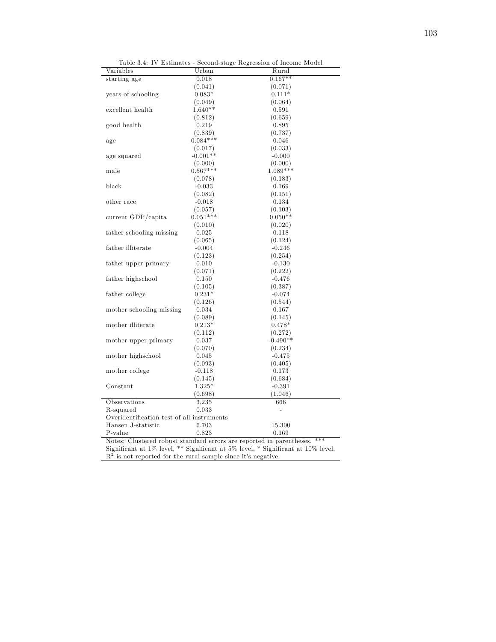| Variables                                                                     | Urban      | Rural      |  |  |  |
|-------------------------------------------------------------------------------|------------|------------|--|--|--|
| starting age                                                                  | 0.018      | $0.167**$  |  |  |  |
|                                                                               | (0.041)    | (0.071)    |  |  |  |
| years of schooling                                                            | $0.083*$   | $0.111*$   |  |  |  |
|                                                                               | (0.049)    | (0.064)    |  |  |  |
| excellent health                                                              | $1.640**$  | 0.591      |  |  |  |
|                                                                               | (0.812)    | (0.659)    |  |  |  |
| good health                                                                   | 0.219      | 0.895      |  |  |  |
|                                                                               | (0.839)    | (0.737)    |  |  |  |
| age                                                                           | $0.084***$ | 0.046      |  |  |  |
|                                                                               | (0.017)    | (0.033)    |  |  |  |
| age squared                                                                   | $-0.001**$ | $-0.000$   |  |  |  |
|                                                                               | (0.000)    | (0.000)    |  |  |  |
| male                                                                          | $0.567***$ | $1.089***$ |  |  |  |
|                                                                               | (0.078)    | (0.183)    |  |  |  |
| black                                                                         | $-0.033$   | 0.169      |  |  |  |
|                                                                               | (0.082)    | (0.151)    |  |  |  |
| other race                                                                    | $-0.018$   | 0.134      |  |  |  |
|                                                                               | (0.057)    | (0.103)    |  |  |  |
| current GDP/capita                                                            | $0.051***$ | $0.050**$  |  |  |  |
|                                                                               | (0.010)    | (0.020)    |  |  |  |
| father schooling missing                                                      | 0.025      | 0.118      |  |  |  |
|                                                                               | (0.065)    | (0.124)    |  |  |  |
| father illiterate                                                             | $-0.004$   | $-0.246$   |  |  |  |
|                                                                               | (0.123)    | (0.254)    |  |  |  |
| father upper primary                                                          | 0.010      | $-0.130$   |  |  |  |
|                                                                               | (0.071)    | (0.222)    |  |  |  |
| father highschool                                                             | 0.150      | $-0.476$   |  |  |  |
|                                                                               | (0.105)    | (0.387)    |  |  |  |
| father college                                                                | $0.231*$   | $-0.074$   |  |  |  |
|                                                                               | (0.126)    | (0.544)    |  |  |  |
| mother schooling missing                                                      | 0.034      | 0.167      |  |  |  |
|                                                                               | (0.089)    | (0.145)    |  |  |  |
| mother illiterate                                                             | $0.213*$   | $0.478*$   |  |  |  |
|                                                                               | (0.112)    | (0.272)    |  |  |  |
| mother upper primary                                                          | 0.037      | $-0.490**$ |  |  |  |
|                                                                               | (0.070)    | (0.234)    |  |  |  |
| mother highschool                                                             | 0.045      | $-0.475$   |  |  |  |
|                                                                               | (0.093)    | (0.405)    |  |  |  |
| mother college                                                                | $-0.118$   | 0.173      |  |  |  |
|                                                                               | (0.145)    | (0.684)    |  |  |  |
| Constant                                                                      | $1.325*$   | $-0.391$   |  |  |  |
|                                                                               | (0.698)    | (1.046)    |  |  |  |
| Observations                                                                  | 3.235      | 666        |  |  |  |
| R-squared                                                                     | 0.033      |            |  |  |  |
| Overidentification test of all instruments                                    |            |            |  |  |  |
| Hansen J-statistic                                                            | 6.703      | 15.300     |  |  |  |
| P-value                                                                       | 0.823      | 0.169      |  |  |  |
| $***$<br>Notes: Clustered robust standard errors are reported in parentheses. |            |            |  |  |  |

Table 3.4: IV Estimates - Second-stage Regression of Income Model

Significant at 1% level,  $**$  Significant at 5% level,  $*$  Significant at 10% level.

 $\mathbb{R}^2$  is not reported for the rural sample since it's negative.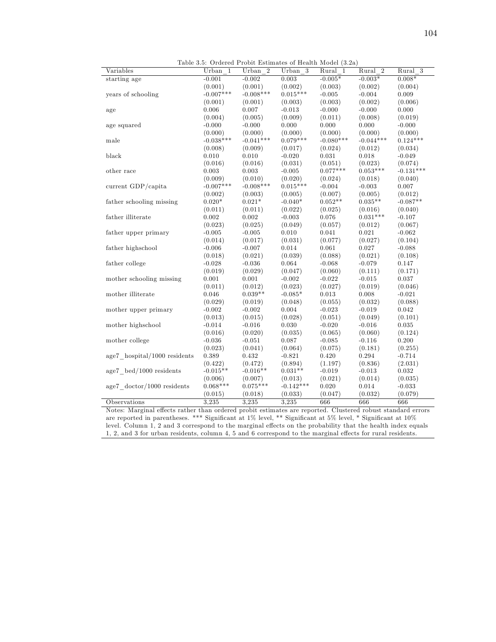Table 3.5: Ordered Probit Estimates of Health Model (3.2a)

| Variables                                 | Urban 1               | Urban<br>$\overline{2}$ | Urban 3                | Rural 1          | Rural 2          | $Rural$ 3           |
|-------------------------------------------|-----------------------|-------------------------|------------------------|------------------|------------------|---------------------|
| starting age                              | $-0.001$              | $-0.002$                | 0.003                  | $-0.005*$        | $-0.003*$        | $0.008*$            |
|                                           | (0.001)               | (0.001)                 | (0.002)                | (0.003)          | (0.002)          | (0.004)             |
| years of schooling                        | $-0.007***$           | $-0.008***$             | $0.015***$             | $-0.005$         | $-0.004$         | 0.009               |
|                                           | (0.001)               | (0.001)                 | (0.003)                | (0.003)          | (0.002)          | (0.006)             |
| age                                       | 0.006                 | 0.007                   | $-0.013$               | $-0.000$         | $-0.000$         | 0.000               |
|                                           | (0.004)               | (0.005)                 | (0.009)                | (0.011)          | (0.008)          | (0.019)             |
| age squared                               | $-0.000$              | $-0.000$                | 0.000                  | 0.000            | 0.000            | $-0.000$            |
|                                           | (0.000)               | (0.000)                 | (0.000)                | (0.000)          | (0.000)          | (0.000)             |
| male                                      | $-0.038***$           | $-0.041***$             | $0.079***$             | $-0.080***$      | $-0.044***$      | $0.124***$          |
|                                           | (0.008)               | (0.009)                 | (0.017)                | (0.024)          | (0.012)          | (0.034)             |
| black                                     | 0.010                 | 0.010                   | $-0.020$               | 0.031            | 0.018            | $-0.049$            |
|                                           | (0.016)               | (0.016)                 | (0.031)                | (0.051)          | (0.023)          | (0.074)             |
| other race                                | 0.003                 | 0.003                   | $-0.005$               | $0.077***$       | $0.053***$       | $-0.131***$         |
|                                           | (0.009)               | (0.010)                 | (0.020)                | (0.024)          | (0.018)          | (0.040)             |
| current GDP/capita                        | $-0.007***$           | $-0.008***$             | $0.015***$             | $-0.004$         | $-0.003$         | 0.007               |
|                                           | (0.002)               | (0.003)                 | (0.005)                | (0.007)          | (0.005)          | (0.012)             |
| father schooling missing                  | $0.020*$              | $0.021*$                | $-0.040*$              | $0.052**$        | $0.035**$        | $-0.087**$          |
|                                           | (0.011)               | (0.011)                 | (0.022)                | (0.025)          | (0.016)          | (0.040)             |
| father illiterate                         | 0.002                 | 0.002                   | $-0.003$               | 0.076            | $0.031***$       | $-0.107$            |
|                                           | (0.023)               | (0.025)                 | (0.049)                | (0.057)          | (0.012)          | (0.067)             |
| father upper primary                      | $-0.005$              | $-0.005$                | 0.010                  | 0.041            | 0.021            | $-0.062$            |
|                                           | (0.014)               | (0.017)                 | (0.031)                | (0.077)          | (0.027)          | (0.104)             |
| father highschool                         | $-0.006$              | $-0.007$                | 0.014                  | 0.061            | 0.027            | $-0.088$            |
|                                           | (0.018)               | (0.021)                 | (0.039)                | (0.088)          | (0.021)          | (0.108)             |
| father college                            | $-0.028$              | $-0.036$                | 0.064                  | $-0.068$         | $-0.079$         | 0.147               |
|                                           | (0.019)               | (0.029)                 | (0.047)                | (0.060)          | (0.111)          | (0.171)             |
| mother schooling missing                  | 0.001                 | 0.001                   | $-0.002$               | $-0.022$         | $-0.015$         | 0.037               |
|                                           | (0.011)               | (0.012)                 | (0.023)                | (0.027)          | (0.019)          | (0.046)             |
| mother illiterate                         | 0.046                 | $0.039**$               | $-0.085*$              | 0.013            | 0.008            | $-0.021$            |
|                                           | (0.029)               | (0.019)                 | (0.048)                | (0.055)          | (0.032)          | (0.088)             |
| mother upper primary                      | $-0.002$              | $-0.002$                | 0.004                  | $-0.023$         | $-0.019$         | 0.042               |
|                                           | (0.013)               | (0.015)                 | (0.028)                | (0.051)          | (0.049)          | (0.101)             |
| mother highschool                         | $-0.014$              | $-0.016$                | 0.030                  | $-0.020$         | $-0.016$         | 0.035               |
|                                           | (0.016)               | (0.020)                 | (0.035)                | (0.065)          | (0.060)          | (0.124)             |
| mother college                            | $-0.036$              | $-0.051$                | 0.087                  | $-0.085$         | $-0.116$         | 0.200               |
|                                           |                       |                         |                        |                  |                  |                     |
| age7 hospital/1000 residents              | (0.023)<br>0.389      | (0.041)<br>0.432        | (0.064)<br>$-0.821$    | (0.075)<br>0.420 | (0.181)<br>0.294 | (0.255)<br>$-0.714$ |
|                                           | (0.422)               | (0.472)                 | (0.894)                | (1.197)          | (0.836)          | (2.031)             |
|                                           | $-0.015**$            | $-0.016**$              | $0.031**$              | $-0.019$         | $-0.013$         | 0.032               |
| $age7 \text{ bed}/1000 \text{ residents}$ |                       |                         |                        |                  |                  |                     |
| $age7$ doctor/1000 residents              | (0.006)<br>$0.068***$ | (0.007)<br>$0.075***$   | (0.013)<br>$-0.142***$ | (0.021)<br>0.020 | (0.014)<br>0.014 | (0.035)<br>$-0.033$ |
|                                           |                       |                         |                        |                  | (0.032)          | (0.079)             |
|                                           | (0.015)               | (0.018)<br>3,235        | (0.033)                | (0.047)          | 666              |                     |
| Observations                              | 3,235                 |                         | 3.235                  | 666              |                  | 666                 |

Notes: Marginal effects rather than ordered probit estimates are reported. Clustered robust standard errors are reported in parentheses. \*\*\* Significant at 1% level, \*\* Significant at 5% level, \* Significant at 10% level. Column 1, 2 and 3 correspond to the marginal effects on the probability that the health index equals 1, 2, and 3 for urban residents, column 4, 5 and 6 correspond to the marginal effects for rural residents.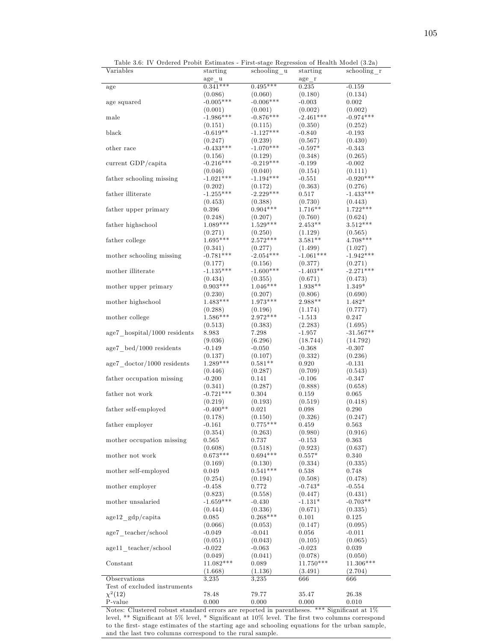| Table 5.0: TV Ordered Probit Estimates - Pirst-stage Regression of Health Model (5.2a) |                        |                        |                        |                        |
|----------------------------------------------------------------------------------------|------------------------|------------------------|------------------------|------------------------|
| Variables                                                                              | starting               | schooling u            | starting               | schooling r            |
|                                                                                        | age u<br>$0.341***$    | $0.495***$             | age r                  | $-0.159$               |
| age                                                                                    |                        |                        | 0.235                  |                        |
|                                                                                        | (0.086)<br>$-0.005***$ | (0.060)                | (0.180)                | (0.134)                |
| age squared                                                                            |                        | $-0.006***$            | $-0.003$               | 0.002                  |
|                                                                                        | (0.001)                | (0.001)                | (0.002)<br>$-2.461***$ | (0.002)                |
| male                                                                                   | $-1.986***$            | $-0.876***$            |                        | $-0.974***$            |
|                                                                                        | (0.151)                | (0.115)                | (0.350)                | (0.252)                |
| black                                                                                  | $-0.619**$             | $-1.127***$            | $-0.840$               | $-0.193$               |
| other race                                                                             | (0.247)<br>$-0.433***$ | (0.239)<br>$-1.070***$ | (0.567)<br>$-0.597*$   | (0.430)                |
|                                                                                        |                        |                        |                        | $-0.343$               |
| current GDP/capita                                                                     | (0.156)<br>$-0.216***$ | (0.129)<br>$-0.219***$ | (0.348)<br>$-0.199$    | (0.265)<br>$-0.002$    |
|                                                                                        |                        |                        |                        |                        |
| father schooling missing                                                               | (0.046)<br>$-1.021***$ | (0.040)<br>$-1.194***$ | (0.154)<br>$-0.551$    | (0.111)<br>$-0.920***$ |
|                                                                                        |                        |                        | (0.363)                | (0.276)                |
| father illiterate                                                                      | (0.202)<br>$-1.255***$ | (0.172)<br>$-2.229***$ | 0.517                  | $-1.433***$            |
|                                                                                        | (0.453)                | (0.388)                | (0.730)                | (0.443)                |
| father upper primary                                                                   | 0.396                  | $0.904***$             | $1.716**$              | $1.722***$             |
|                                                                                        | (0.248)                |                        | (0.760)                | (0.624)                |
| father highschool                                                                      | $1.089***$             | (0.207)<br>$1.529***$  | $2.453**$              | $3.512***$             |
|                                                                                        | (0.271)                | (0.250)                |                        |                        |
| father college                                                                         | 1.695***               | $2.572***$             | (1.129)<br>$3.581**$   | (0.565)<br>$4.708***$  |
|                                                                                        | (0.341)                | (0.277)                | (1.499)                | (1.027)                |
| mother schooling missing                                                               | $-0.781***$            | $-2.054***$            | $-1.061***$            | $-1.942***$            |
|                                                                                        | (0.177)                | (0.156)                | (0.377)                | (0.271)                |
| mother illiterate                                                                      | $-1.135***$            | $-1.600***$            | $-1.403**$             | $-2.271***$            |
|                                                                                        | (0.434)                | (0.355)                | (0.671)                | (0.473)                |
| mother upper primary                                                                   | $0.903***$             | $1.046***$             | $1.938**$              | $1.349*$               |
|                                                                                        | (0.230)                | (0.207)                | (0.806)                | (0.690)                |
| mother highschool                                                                      | $1.483***$             | $1.973***$             | $2.988**$              | $1.482*$               |
|                                                                                        | (0.288)                | (0.196)                | (1.174)                | (0.777)                |
| mother college                                                                         | $1.586***$             | $2.972***$             | $-1.513$               | 0.247                  |
|                                                                                        | (0.513)                | (0.383)                | (2.283)                | (1.695)                |
| $age7$ hospital/1000 residents                                                         | 8.983                  | 7.298                  | $-1.957$               | $-31.567**$            |
|                                                                                        | (9.036)                | (6.296)                | (18.744)               | (14.792)               |
| $age7 \text{ bed}/1000 \text{ residents}$                                              | $-0.149$               | $-0.050$               | $-0.368$               | $-0.307$               |
|                                                                                        | (0.137)                | (0.107)                | (0.332)                | (0.236)                |
| $age7 \cdot doctor/1000 \cdot residents$                                               | $1.289***$             | $0.581**$              | 0.920                  | $-0.131$               |
|                                                                                        | (0.446)                | (0.287)                | (0.709)                | (0.543)                |
| father occupation missing                                                              | $-0.200$               | 0.141                  | $-0.106$               | $-0.347$               |
|                                                                                        | (0.341)                | (0.287)                | (0.888)                | (0.658)                |
| father not work                                                                        | $-0.721***$            | 0.304                  | 0.159                  | 0.065                  |
|                                                                                        | (0.219)                | (0.193)                | (0.519)                | (0.418)                |
| father self-employed                                                                   | $-0.400**$             | 0.021                  | 0.098                  | 0.290                  |
|                                                                                        | (0.178)                | (0.150)                | (0.326)                | (0.247)                |
| father employer                                                                        | $-0.161$               | $0.775***$             | 0.459                  | 0.563                  |
|                                                                                        | (0.354)                | (0.263)                | (0.980)                | (0.916)                |
| mother occupation missing                                                              | 0.565                  | 0.737                  | $-0.153$               | 0.363                  |
|                                                                                        | (0.608)                | (0.518)                | (0.923)                | (0.637)                |
| mother not work                                                                        | $0.673***$             | $0.694***$             | $0.557*$               | 0.340                  |
|                                                                                        | (0.169)                | (0.130)                | (0.334)                | (0.335)                |
| mother self-employed                                                                   | 0.049                  | $0.541***$             | 0.538                  | 0.748                  |
|                                                                                        | (0.254)                | (0.194)                | (0.508)                | (0.478)                |
| mother employer                                                                        | $-0.458$               | 0.772                  | $-0.743*$              | $-0.554$               |
|                                                                                        | (0.823)                | (0.558)                | (0.447)                | (0.431)                |
| mother unsalaried                                                                      | $-1.659***$            | $-0.430$               | $-1.131*$              | $-0.703**$             |
|                                                                                        | (0.444)                | (0.336)                | (0.671)                | (0.335)                |
| $age12$ gdp/capita                                                                     | 0.085                  | $0.268***$             | 0.101                  | 0.125                  |
|                                                                                        | (0.066)                | (0.053)                | (0.147)                | (0.095)                |
| age7 teacher/school                                                                    | $-0.049$               | $-0.041$               | 0.056                  | $-0.011$               |
|                                                                                        | (0.051)                | (0.043)                | (0.105)                | (0.065)                |
| age11 teacher/school                                                                   | $-0.022$               | $-0.063$               | $-0.023$               | 0.039                  |
|                                                                                        | (0.049)                | (0.041)                | (0.078)                | (0.050)                |
| Constant                                                                               | $11.082***$            | 0.089                  | $11.750***$            | $11.306***$            |
|                                                                                        | (1.668)                | (1.136)                | (3.491)                | (2.704)                |
| Observations                                                                           | 3,235                  | 3,235                  | 666                    | 666                    |
| Test of excluded instruments                                                           |                        |                        |                        |                        |
| $\chi^2(12)$                                                                           | 78.48                  | 79.77                  | 35.47                  | 26.38                  |
| P-value                                                                                | 0.000                  | 0.000                  | 0.000                  | 0.010                  |
|                                                                                        |                        |                        |                        |                        |

Table 3.6: IV Ordered Probit Estimates - First-stage Regression of Health Model (3.2a)

Notes: Clustered robust standard errors are reported in parentheses. \*\*\* Significant at  $1\%$ level, \*\* Significant at 5% level, \* Significant at 10% level. The first two columns correspond to the first- stage estimates of the starting age and schooling equations for the urban sample, and the last two columns correspond to the rural sample.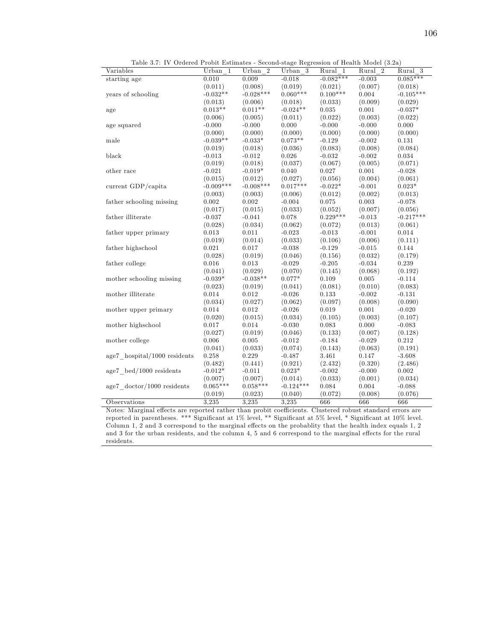| Table 9.1. IV OTGeTed I Toble Estimates - Second stage Itegression of Heatth Model (9.2a) |             |                      |             |             |                      |                      |
|-------------------------------------------------------------------------------------------|-------------|----------------------|-------------|-------------|----------------------|----------------------|
| Variables                                                                                 | Urban 1     | Urban $\overline{2}$ | Urban 3     | Rural 1     | Rural $\overline{2}$ | Rural $\overline{3}$ |
| starting age                                                                              | 0.010       | 0.009                | $-0.018$    | $-0.082***$ | $-0.003$             | $0.085***$           |
|                                                                                           | (0.011)     | (0.008)              | (0.019)     | (0.021)     | (0.007)              | (0.018)              |
| years of schooling                                                                        | $-0.032**$  | $-0.028***$          | $0.060***$  | $0.100***$  | 0.004                | $-0.105***$          |
|                                                                                           | (0.013)     | (0.006)              | (0.018)     | (0.033)     | (0.009)              | (0.029)              |
| age                                                                                       | $0.013**$   | $0.011**$            | $-0.024**$  | 0.035       | 0.001                | $-0.037*$            |
|                                                                                           | (0.006)     | (0.005)              | (0.011)     | (0.022)     | (0.003)              | (0.022)              |
| age squared                                                                               | $-0.000$    | $-0.000$             | 0.000       | $-0.000$    | $-0.000$             | 0.000                |
|                                                                                           | (0.000)     | (0.000)              | (0.000)     | (0.000)     | (0.000)              | (0.000)              |
| male                                                                                      | $-0.039**$  | $-0.033*$            | $0.073**$   | $-0.129$    | $-0.002$             | 0.131                |
|                                                                                           | (0.019)     | (0.018)              | (0.036)     | (0.083)     | (0.008)              | (0.084)              |
| black                                                                                     | $-0.013$    | $-0.012$             | 0.026       | $-0.032$    | $-0.002$             | 0.034                |
|                                                                                           | (0.019)     | (0.018)              | (0.037)     | (0.067)     | (0.005)              | (0.071)              |
| other race                                                                                | $-0.021$    | $-0.019*$            | 0.040       | 0.027       | 0.001                | $-0.028$             |
|                                                                                           | (0.015)     | (0.012)              | (0.027)     | (0.056)     | (0.004)              | (0.061)              |
| current GDP/capita                                                                        | $-0.009***$ | $-0.008***$          | $0.017***$  | $-0.022*$   | $-0.001$             | $0.023*$             |
|                                                                                           | (0.003)     | (0.003)              | (0.006)     | (0.012)     | (0.002)              | (0.013)              |
| father schooling missing                                                                  | 0.002       | 0.002                | $-0.004$    | 0.075       | 0.003                | $-0.078$             |
|                                                                                           | (0.017)     | (0.015)              | (0.033)     | (0.052)     | (0.007)              | (0.056)              |
| father illiterate                                                                         | $-0.037$    | $-0.041$             | 0.078       | $0.229***$  | $-0.013$             | $-0.217***$          |
|                                                                                           | (0.028)     | (0.034)              | (0.062)     | (0.072)     | (0.013)              | (0.061)              |
| father upper primary                                                                      | 0.013       | 0.011                | $-0.023$    | $-0.013$    | $-0.001$             | 0.014                |
|                                                                                           | (0.019)     | (0.014)              | (0.033)     | (0.106)     | (0.006)              | (0.111)              |
| father highschool                                                                         | 0.021       | 0.017                | $-0.038$    | $-0.129$    | $-0.015$             | 0.144                |
|                                                                                           | (0.028)     | (0.019)              | (0.046)     | (0.156)     | (0.032)              | (0.179)              |
| father college                                                                            | 0.016       | 0.013                | $-0.029$    | $-0.205$    | $-0.034$             | 0.239                |
|                                                                                           | (0.041)     | (0.029)              | (0.070)     | (0.145)     | (0.068)              | (0.192)              |
| mother schooling missing                                                                  | $-0.039*$   | $-0.038**$           | $0.077*$    | 0.109       | 0.005                | $-0.114$             |
|                                                                                           | (0.023)     | (0.019)              | (0.041)     | (0.081)     | (0.010)              | (0.083)              |
| mother illiterate                                                                         | 0.014       | 0.012                | $-0.026$    | 0.133       | $-0.002$             | $-0.131$             |
|                                                                                           | (0.034)     | (0.027)              | (0.062)     | (0.097)     | (0.008)              | (0.090)              |
| mother upper primary                                                                      | 0.014       | 0.012                | $-0.026$    | 0.019       | 0.001                | $-0.020$             |
|                                                                                           | (0.020)     | (0.015)              | (0.034)     | (0.105)     | (0.003)              | (0.107)              |
| mother highschool                                                                         | 0.017       | 0.014                | $-0.030$    | 0.083       | 0.000                | $-0.083$             |
|                                                                                           | (0.027)     | (0.019)              | (0.046)     | (0.133)     | (0.007)              | (0.128)              |
| mother college                                                                            | 0.006       | 0.005                | $-0.012$    | $-0.184$    | $-0.029$             | 0.212                |
|                                                                                           | (0.041)     | (0.033)              | (0.074)     | (0.143)     | (0.063)              | (0.191)              |
| $age7$ hospital/1000 residents                                                            | $0.258\,$   | 0.229                | $-0.487$    | $3.461\,$   | 0.147                | $-3.608$             |
|                                                                                           | (0.482)     | (0.441)              | (0.921)     | (2.432)     | (0.320)              | (2.486)              |
| $age7 \text{ bed}/1000 \text{ residents}$                                                 | $-0.012*$   | $-0.011$             | $0.023*$    | $-0.002$    | $-0.000$             | 0.002                |
|                                                                                           | (0.007)     | (0.007)              | (0.014)     | (0.033)     | (0.001)              | (0.034)              |
| $age7 \cdot doctor/1000 \cdot residents$                                                  | $0.065***$  | $0.058***$           | $-0.124***$ | 0.084       | 0.004                | $-0.088$             |
|                                                                                           | (0.019)     | (0.023)              | (0.040)     | (0.072)     | (0.008)              | (0.076)              |
| Observations                                                                              | 3.235       | 3.235                | 3.235       | 666         | 666                  | 666                  |

Table 3.7: IV Ordered Probit Estimates - Second-stage Regression of Health Model (3.2a)

Notes: Marginal effects are reported rather than probit coefficients. Clustered robust standard errors are reported in parentheses. \*\*\* Significant at 1% level, \*\* Significant at 5% level, \* Significant at 10% level. Column 1, 2 and 3 correspond to the marginal effects on the probability that the health index equals  $1, 2$ and 3 for the urban residents, and the column 4, 5 and 6 correspond to the marginal effects for the rural residents.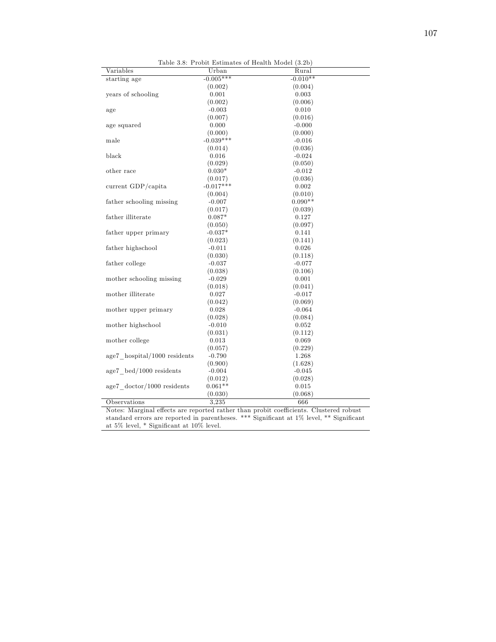| Table 3.8: Probit Estimates of Health Model (3.2b) |             |            |  |
|----------------------------------------------------|-------------|------------|--|
| Variables                                          | Urban       | Rural      |  |
| starting age                                       | $-0.005***$ | $-0.010**$ |  |
|                                                    | (0.002)     | (0.004)    |  |
| years of schooling                                 | 0.001       | 0.003      |  |
|                                                    | (0.002)     | (0.006)    |  |
| age                                                | $-0.003$    | 0.010      |  |
|                                                    | (0.007)     | (0.016)    |  |
| age squared                                        | 0.000       | $-0.000$   |  |
|                                                    | (0.000)     | (0.000)    |  |
| male                                               | $-0.039***$ | $-0.016$   |  |
|                                                    | (0.014)     | (0.036)    |  |
| black                                              | 0.016       | $-0.024$   |  |
|                                                    | (0.029)     | (0.050)    |  |
| other race                                         | $0.030*$    | $-0.012$   |  |
|                                                    | (0.017)     | (0.036)    |  |
| current GDP/capita                                 | $-0.017***$ | 0.002      |  |
|                                                    | (0.004)     | (0.010)    |  |
| father schooling missing                           | $-0.007$    | $0.090**$  |  |
|                                                    | (0.017)     | (0.039)    |  |
| father illiterate                                  | $0.087*$    | 0.127      |  |
|                                                    | (0.050)     | (0.097)    |  |
| father upper primary                               | $-0.037*$   | 0.141      |  |
|                                                    | (0.023)     | (0.141)    |  |
| father highschool                                  | $-0.011$    | 0.026      |  |
|                                                    | (0.030)     | (0.118)    |  |
| father college                                     | $-0.037$    | $-0.077$   |  |
|                                                    | (0.038)     | (0.106)    |  |
| mother schooling missing                           | $-0.029$    | 0.001      |  |
|                                                    | (0.018)     | (0.041)    |  |
| mother illiterate                                  | 0.027       | $-0.017$   |  |
|                                                    | (0.042)     | (0.069)    |  |
| mother upper primary                               | 0.028       | $-0.064$   |  |
|                                                    | (0.028)     | (0.084)    |  |
| mother highschool                                  | $-0.010$    | 0.052      |  |
|                                                    | (0.031)     | (0.112)    |  |
| mother college                                     | 0.013       | 0.069      |  |
|                                                    | (0.057)     | (0.229)    |  |
| $age7$ hospital/1000 residents                     | $-0.790$    | 1.268      |  |
|                                                    | (0.900)     | (1.628)    |  |
| $age7 \text{ bed}/1000 \text{ residents}$          | $-0.004$    | $-0.045$   |  |
|                                                    | (0.012)     | (0.028)    |  |
| $age7 \cdot doctor/1000 \cdot residents$           | $0.061**$   | 0.015      |  |
|                                                    | (0.030)     | (0.068)    |  |
| Observations                                       | 3,235       | 666        |  |

Notes: Marginal effects are reported rather than probit coefficients. Clustered robust standard errors are reported in parentheses. \*\*\* Significant at 1% level, \*\* Significant at 5% level, \* Significant at 10% level.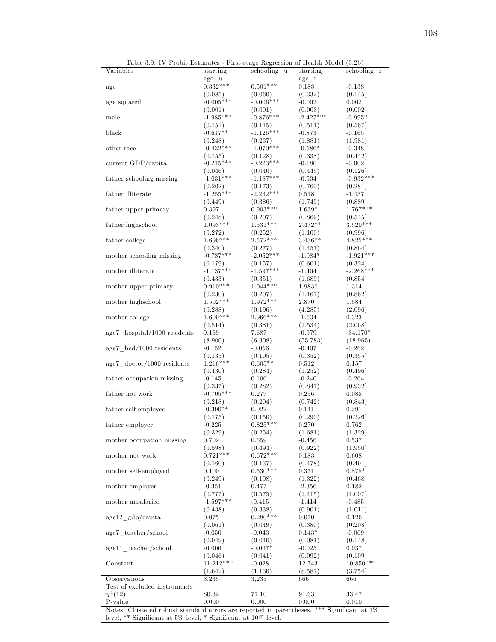| Variables                                                                                     | starting    | schooling u | starting    | schooling r |
|-----------------------------------------------------------------------------------------------|-------------|-------------|-------------|-------------|
|                                                                                               | age u       |             | age r       |             |
| age                                                                                           | $0.332***$  | $0.501***$  | 0.188       | $-0.138$    |
|                                                                                               | (0.085)     | (0.060)     | (0.332)     | (0.145)     |
| age squared                                                                                   | $-0.005***$ | $-0.006***$ | $-0.002$    | 0.002       |
|                                                                                               | (0.001)     | (0.001)     | (0.003)     | (0.002)     |
| male                                                                                          | $-1.985***$ | $-0.876***$ | $-2.427***$ | $-0.995*$   |
|                                                                                               | (0.151)     | (0.115)     | (0.511)     | (0.567)     |
| black                                                                                         | $-0.617**$  | $-1.126***$ | $-0.873$    | $-0.165$    |
|                                                                                               | (0.248)     | (0.237)     | (1.881)     | (1.981)     |
| other race                                                                                    | $-0.432***$ | $-1.070***$ | $-0.586*$   | $-0.348$    |
|                                                                                               | (0.155)     | (0.128)     | (0.338)     | (0.442)     |
| current GDP/capita                                                                            | $-0.215***$ | $-0.223***$ | $-0.180$    | $-0.002$    |
|                                                                                               | (0.046)     | (0.040)     | (0.445)     | (0.126)     |
| father schooling missing                                                                      | $-1.031***$ | $-1.187***$ | $-0.534$    | $-0.932***$ |
|                                                                                               | (0.202)     | (0.173)     | (0.760)     | (0.281)     |
| father illiterate                                                                             | $-1.255***$ | $-2.232***$ | 0.518       | $-1.437$    |
|                                                                                               | (0.449)     | (0.386)     | (1.749)     | (0.889)     |
| father upper primary                                                                          | 0.397       | $0.903***$  | $1.639*$    | $1.767***$  |
|                                                                                               | (0.248)     | (0.207)     | (0.869)     | (0.545)     |
| ${\rm father}$ high<br>school                                                                 | $1.093***$  | $1.531***$  | $2.472**$   | $3.520***$  |
|                                                                                               | (0.272)     | (0.252)     | (1.100)     | (0.996)     |
| father college                                                                                | $1.696***$  | $2.572***$  | $3.436**$   | $4.825***$  |
|                                                                                               | (0.340)     | (0.277)     | (1.457)     | (0.864)     |
| mother schooling missing                                                                      | $-0.787***$ | $-2.052***$ | $-1.084*$   | $-1.921***$ |
|                                                                                               | (0.179)     | (0.157)     | (0.601)     | (0.324)     |
| mother illiterate                                                                             | $-1.137***$ | $-1.597***$ | $-1.404$    | $-2.268***$ |
|                                                                                               | (0.433)     | (0.351)     | (1.689)     | (0.854)     |
| mother upper primary                                                                          | $0.910***$  | $1.044***$  | 1.983*      | 1.314       |
|                                                                                               | (0.230)     | (0.207)     | (1.167)     | (0.862)     |
| mother highschool                                                                             | $1.502***$  | $1.972***$  | 2.870       | 1.584       |
|                                                                                               | (0.288)     | (0.196)     | (4.285)     | (2.096)     |
| mother college                                                                                | $1.609***$  | $2.966***$  | $-1.634$    | 0.323       |
|                                                                                               | (0.514)     | (0.381)     | (2.534)     | (2.068)     |
| $age7$ hospital/1000 residents                                                                | 9.169       | 7.687       | $-0.979$    | $-34.170*$  |
|                                                                                               | (8.900)     | (6.308)     | (55.783)    | (18.965)    |
| $age7 \text{ bed}/1000 \text{ residents}$                                                     | $-0.152$    | $-0.056$    | $-0.407$    | $-0.262$    |
|                                                                                               | (0.135)     | (0.105)     | (0.352)     | (0.355)     |
| $age7 \cdot doctor/1000 \cdot residents$                                                      | $1.216***$  | $0.605**$   | $_{0.512}$  | $_{0.157}$  |
|                                                                                               | (0.430)     | (0.284)     | (1.252)     | (0.496)     |
| father occupation missing                                                                     | -0.145      | 0.106       | $-0.240$    | $-0.264$    |
|                                                                                               | (0.337)     | (0.282)     | (0.847)     | (0.932)     |
| father not work                                                                               | $-0.705***$ | 0.277       | 0.256       | 0.088       |
|                                                                                               | (0.218)     | (0.204)     | (0.742)     | (0.843)     |
| father self-employed                                                                          | $-0.390**$  | 0.022       | 0.141       | 0.291       |
|                                                                                               | (0.175)     | (0.150)     | (0.290)     | (0.226)     |
| father employer                                                                               | $-0.225$    | $0.825***$  | 0.270       | 0.762       |
|                                                                                               | (0.329)     | (0.254)     | (1.681)     | (1.329)     |
| mother occupation missing                                                                     | 0.702       | 0.659       | $-0.456$    | 0.537       |
|                                                                                               | (0.598)     | (0.494)     | (0.922)     | (1.950)     |
| mother not work                                                                               | $0.721***$  | $0.672***$  | 0.183       | 0.608       |
|                                                                                               | (0.160)     | (0.137)     | (0.478)     | (0.491)     |
| mother self-employed                                                                          | 0.100       | $0.530***$  | 0.371       | $0.878*$    |
|                                                                                               | (0.249)     | (0.198)     | (1.322)     | (0.468)     |
| mother employer                                                                               | $-0.351$    | 0.477       | $-2.356$    | 0.182       |
|                                                                                               | (0.777)     | (0.575)     | (2.415)     | (1.007)     |
| mother unsalaried                                                                             | $-1.597***$ | $-0.415$    | $-1.414$    | $-0.485$    |
|                                                                                               | (0.438)     | (0.338)     | (0.901)     | (1.011)     |
| $age12$ gdp/capita                                                                            | 0.075       | $0.280***$  | 0.070       | 0.126       |
|                                                                                               | (0.061)     | (0.049)     | (0.380)     | (0.208)     |
| age7 teacher/school                                                                           | $-0.050$    | $-0.043$    | $0.143*$    | $-0.069$    |
|                                                                                               | (0.049)     | (0.040)     | (0.081)     | (0.148)     |
| age11 teacher/school                                                                          | $-0.006$    | $-0.067*$   | $-0.025$    | 0.037       |
|                                                                                               | (0.046)     | (0.041)     | (0.092)     | (0.109)     |
| Constant                                                                                      | $11.212***$ | $-0.028$    | 12.743      | $10.850***$ |
|                                                                                               | (1.642)     | (1.130)     | (8.587)     | (3.754)     |
| Observations                                                                                  | 3,235       | 3,235       | 666         | 666         |
| Test of excluded instruments                                                                  |             |             |             |             |
| $\chi^2(12)$                                                                                  | $80.32\,$   | 77.10       | 91.63       | 33.47       |
| P-value                                                                                       | 0.000       | 0.000       | 0.000       | 0.010       |
| Notes: Clustered robust standard errors are reported in parentheses. *** Significant at $1\%$ |             |             |             |             |

Table 3.9: IV Probit Estimates - First-stage Regression of Health Model (3.2b)

Notes: Clustered robust standard errors are reported in parentheses. \*\*\* Significant at 1% level,  $**$  Significant at 5% level,  $*$  Significant at 10% level.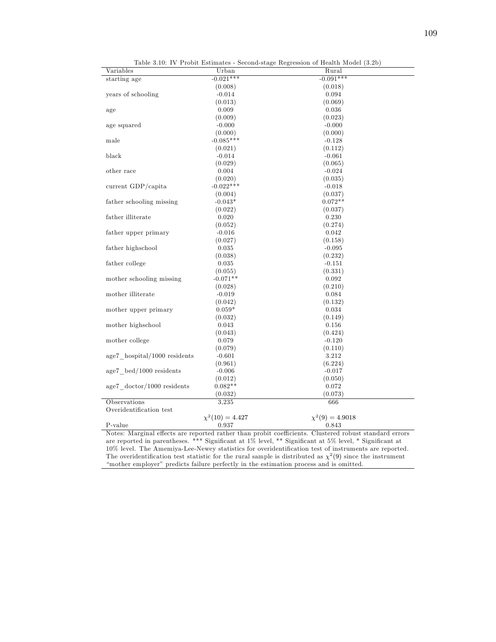| Variables                                | Urban                | Rural                |
|------------------------------------------|----------------------|----------------------|
| starting age                             | $-0.021***$          | $-0.091***$          |
|                                          | (0.008)              | (0.018)              |
| years of schooling                       | $-0.014$             | 0.094                |
|                                          | (0.013)              | (0.069)              |
| age                                      | 0.009                | 0.036                |
|                                          | (0.009)              | (0.023)              |
| age squared                              | $-0.000$             | $-0.000$             |
|                                          | (0.000)              | (0.000)              |
| male                                     | $-0.085***$          | $-0.128$             |
|                                          | (0.021)              | (0.112)              |
| black                                    | $-0.014$             | $-0.061$             |
|                                          | (0.029)              | (0.065)              |
| other race                               | 0.004                | $-0.024$             |
|                                          | (0.020)              | (0.035)              |
| current GDP/capita                       | $-0.022***$          | $-0.018$             |
|                                          | (0.004)              | (0.037)              |
| father schooling missing                 | $-0.043*$            | $0.072**$            |
|                                          | (0.022)              | (0.037)              |
| father illiterate                        | 0.020                | 0.230                |
|                                          | (0.052)              | (0.274)              |
| father upper primary                     | $-0.016$             | 0.042                |
|                                          | (0.027)              | (0.158)              |
| father highschool                        | 0.035                | $-0.095$             |
|                                          | (0.038)              | (0.232)              |
| father college                           | 0.035                | $-0.151$             |
|                                          | (0.055)              | (0.331)              |
| mother schooling missing                 | $-0.071**$           | 0.092                |
|                                          | (0.028)              | (0.210)              |
| mother illiterate                        | $-0.019$             | 0.084                |
|                                          | (0.042)              | (0.132)              |
| mother upper primary                     | $0.059*$             | 0.034                |
|                                          | (0.032)              | (0.149)              |
| mother highschool                        | 0.043                | 0.156                |
|                                          | (0.043)              | (0.424)              |
|                                          | 0.079                | $-0.120$             |
| mother college                           |                      |                      |
|                                          | (0.079)              | (0.110)              |
| age7_hospital/1000 residents             | $-0.601$             | 3.212                |
|                                          | (0.961)              | (6.224)              |
| age7 bed/1000 residents                  | $-0.006$             | $-0.017$             |
|                                          | (0.012)              | (0.050)              |
| $age7 \cdot doctor/1000 \cdot residents$ | $0.082**$            | 0.072                |
|                                          | (0.032)              | (0.073)              |
| Observations                             | 3,235                | 666                  |
| Overidentification test                  |                      |                      |
|                                          | $\chi^2(10) = 4.427$ | $\chi^2(9) = 4.9018$ |
| P-value                                  | 0.937                | 0.843                |

Table 3.10: IV Probit Estimates - Second-stage Regression of Health Model (3.2b)

Notes: Marginal effects are reported rather than probit coefficients. Clustered robust standard errors are reported in parentheses. \*\*\* Significant at 1% level, \*\* Significant at 5% level, \* Significant at  $10\%$  level. The Amemiya-Lee-Newey statistics for overidentification test of instruments are reported. The overidentification test statistic for the rural sample is distributed as  $\chi^2(9)$  since the instrument ìmother employerî predicts failure perfectly in the estimation process and is omitted.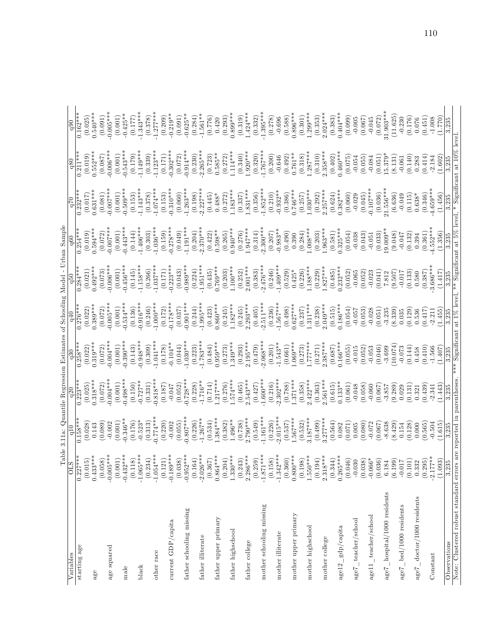|                                                                     | Table                        |                       | 3.11a: Quantile Regression Estimates of Schooling Model |                       |                              |                       | Urban Sample          |                        |                                                         |                       |
|---------------------------------------------------------------------|------------------------------|-----------------------|---------------------------------------------------------|-----------------------|------------------------------|-----------------------|-----------------------|------------------------|---------------------------------------------------------|-----------------------|
| Variables                                                           | $\overline{C}$               | $\frac{10}{1}$        |                                                         | $\frac{30}{5}$        | $\frac{1}{9}$                |                       | $\frac{1}{9}$         | 0 <sup>2</sup>         | q80                                                     | $_{\rm q90}$          |
| starting age                                                        | $\frac{0.227}{2}$            | $0.158***$            | $0.223***$                                              | $0.258***$            | $0.276***$                   | $0.284***$            | $0.254***$            |                        |                                                         |                       |
|                                                                     | $0.433***$<br>(0.015)        | (0.028)<br>0.143      | $0.318***$<br>(0.025)                                   | $0.319***$<br>(0.022) | $0.389**$<br>(0.022)         | $0.492***$<br>(0.021) | $0.594***$<br>(0.019) | $0.631***$<br>(0.017)  | $0.552***$<br>(0.019)                                   | $0.540***$<br>(0.025) |
| age                                                                 | (0.058)                      | (0.089)               | (0.072)                                                 | (0.072)               | (0.072)                      | (0.073)               | (0.072)               | (0.081)                | (0.087)                                                 | (0.091)               |
| age squared                                                         | $-0.005**$                   | $-0.002$              | $0.004**$                                               | $-0.004**$            | $-0.005**$                   | $-0.006**$            | $-0.007**$            | $-0.007**$             | $-0.006**$                                              | $-0.005***$           |
|                                                                     | (0.001)                      | (0.001)               | (0.001)                                                 | (0.001)               | (0.001)                      | (0.001)               | (0.001)               | (0.001)                | (0.001)                                                 | (0.001)               |
| $_{\rm male}$                                                       | $-0.432**$                   | $0.346**$             | $0.498***$                                              | $0.390$ **            | $0.534***$                   | $-0.456***$           | $0.443**$             | $0.509**$              | $0.543***$                                              | $-0.425**$            |
|                                                                     | (0.118)                      | (0.176)               | (0.150)                                                 | (0.143)               | (0.136)                      | (0.145)               | (0.144)               | (0.153)                | (0.179)                                                 | (0.177)               |
| black                                                               | $-1.065***$                  | $-0.523*$             | $0.727**$                                               | $0.948***$            | $0.916***$                   | $1.158***$            | $1.406***$            | $-1.143**$             | $-1.149***$                                             | $-1.343***$           |
|                                                                     | $-1.054***$<br>(0.234)       | (0.313)               | (0.331)                                                 | (0.309)               | (0.246)                      | $1.037***$<br>(0.266) | (0.303)               | $1.074**$<br>(0.378)   | (0.339)                                                 | (0.378)               |
| other race                                                          | (0.121)                      | $0.774***$<br>(0.220) | $0.818**$<br>(0.187)                                    | $1.041***$<br>(0.178) | $-1.000$<br>(0.172)          | (0.171)               | $1.036***$<br>(0.159) | (0.153)                | $1.123**$<br>(0.171)                                    | $1.277***$<br>(0.209) |
| current GDP/capita                                                  | $-0.189**$                   | $-0.002$              | $-0.047$                                                | $0.104**$             | $0.178***$                   | $-0.223***$           | $0.278**$             | $-0.310***$            | $-0.302***$                                             | $-0.219**$            |
|                                                                     | $(0.038)$<br>$-0.952***$     | (0.055)               | (0.052)                                                 | (0.044)               | (0.037)                      | (0.043)               | (0.049)               | (0.060)                | (0.072)                                                 | (0.091)               |
| father schooling missing                                            |                              | $0.807***$            | $0.728**$                                               | $1.030***$            | $0.901**$                    | $0.989***$            | $1.191***$            | $1.263**$              | $-0.914***$                                             | $-0.625**$            |
|                                                                     | (0.164)                      | $1.267**$<br>(0.226)  | $1.716**$<br>(0.228)                                    | $1.783***$<br>(0.223) | $1.995***$<br>(0.244)        | $1.951***$<br>(0.224) | $2.370**$<br>(0.204)  | $-2.227***$<br>(0.198) | $2.265***$<br>(0.230)                                   | $-1.561**$<br>(0.284) |
| father illiterate                                                   | $-2.026**$<br>(0.367)        | (0.534)               | (0.714)                                                 | (0.484)               | (0.423)                      | (0.435)               | (0.422)               | (0.445)                |                                                         | (0.776)               |
| father upper primary                                                | $0.864***$                   | $1.384***$            | $.217***$                                               | $0.959***$            | $0.860***$                   | $0.769***$            | $0.598**$             | $0.488*$               | $(0.723)$<br>$0.585**$                                  | 0.420                 |
|                                                                     | (0.204)                      | (0.382)               | (0.276)                                                 | (0.273)               | (0.245)                      | (0.203)               | (0.265)               | (0.272)                | (0.272)                                                 | (0.293)               |
| father highschool                                                   | $1.330***$                   | $1.496**$             | $.574***$                                               | $1.349***$            | $1.182***$                   | $1.100***$            | $0.940***$            | $1.183***$             | $1.114***$                                              | $0.899***$            |
|                                                                     | (0.243)                      | (0.738)               | (0.465)                                                 | (0.293)               | (0.245)                      | (0.252)               | (0.276)               | (0.337)                | (0.340)                                                 | (0.319)               |
| father college                                                      | $2.286***$                   | $2.790^{***}$         | $2.543***$                                              | $2.195***$            | $2.293***$                   | $2.001***$            | $.947***$             | $1.831***$             | $1.920***$                                              | $1.424***$            |
| mother schooling missing                                            | $* *$<br>(0.259)<br>$-1.871$ | $1.161***$<br>(0.549) | $600*$<br>(0.427)                                       | $2.068**$<br>(0.479)  | $2.511***$<br>(0.405)        | $2.476***$<br>(0.383) | $2.300**$<br>(0.314)  | $1.852***$<br>(0.356)  | $1.767**$<br>(0.320)                                    | $1.395***$<br>(0.332) |
|                                                                     | (0.158)                      | (0.226)               | (0.216)                                                 | (0.201)               | (0.236)                      | (0.246)               | (0.207)               | (0.210)                | (0.200)                                                 | (0.278)               |
| mother illiterate                                                   | $*$ $*$<br>$-1.342$          | $2.015***$            | $2.302***$                                              | $1.543**$             | $1.567***$                   | $1.409***$            | $-0.983**$            | $0.932**$              | $-0.646$                                                | $-0.696$              |
|                                                                     | (0.360)                      | (0.537)               | (0.788)                                                 | (0.661)               | (0.498)                      | (0.529)               | (0.490)               | (0.386)                | $(0.492)$<br>0.761**                                    | (0.588)               |
| mother upper primary                                                | $0.800***$                   | $567***$              | $.371***$                                               | $.069***$             | $0.627***$                   | $0.425*$              | 0.390                 | $0.746***$             |                                                         | $0.896***$            |
|                                                                     | (8)<br>(0.19)                | (0.532)               | (0.358)                                                 | (0.273)               | (0.237)                      | (0.226)               | (0.284)               | (0.257)                | (0.318)                                                 | (0.301)               |
| mother highschool                                                   | $1.550**$<br>(0.194)         | $3.187***$<br>(0.499) | $.422***$<br>(0.363)                                    | $***777$ .<br>(0.271) | $.311***$<br>(0.238)         | $.188***$<br>(0.229)  | $-008***$<br>(0.203)  | $-030**$<br>(0.292)    | $1.287***$<br>(0.310)                                   | $1.299***$<br>(0.353) |
| mother college                                                      | $2.318***$                   | $3.277***$            | $2.561***$                                              | $2.387***$            | $0.049***$                   | $.827***$             | $.963***$             | $2.257***$             | $2.358***$                                              | $2.024***$            |
|                                                                     | (0.344)                      | (0.564)               |                                                         | (0.687)               |                              | (0.485)               | (0.581)               | (0.624)                | (0.402)                                                 | (0.383)               |
| $a$ ge $12 \_ gdp/c$ apita                                          | $0.265***$                   | 0.082                 | $(0.615)$<br>0.133**                                    | $0.166***$            | $(0.515)$<br>0.186***        | $0.232***$            | $0.325***$            | $0.382***$             | $0.460***$                                              | $0.404***$            |
|                                                                     | (0.046)                      | (0.071)               | (0.061)                                                 | (0.055)               | (0.054)                      | (0.052)               | (0.054)               | (0.060)                | (0.075)                                                 | (0.099)               |
| teacher/school<br>age7                                              | $-0.030$                     | 0.005                 | $-0.048$                                                | $-0.015$              | $-0.057$                     | $-0.065$              | $-0.038$              | $-0.029$               | $-0.054$                                                | $-0.005$              |
|                                                                     | $\frac{8}{3}$<br>(0.03)      | (0.080)               | (0.058)                                                 | (0.052)               | (0.053)                      | (0.052)               | (0.043)               | (0.045)                | (0.055)                                                 | (0.067)               |
| age11_teacher/school                                                | (0.036)<br>$-0.06$           | (790.0)<br>$-0.072$   | (0.067)<br>$-0.060$                                     | (0.046)<br>$-0.053$   | $-0.028$<br>(0.051)          | $-0.023$<br>(0.041)   | (0.033)<br>$-0.051$   | $0.107***$<br>(0.036)  | $-0.084$<br>(0.051)                                     | (0.072)<br>$-0.045$   |
| age7_hospital/1000 residents                                        | 6.184                        | $-8.638$              | $-3.857$                                                | $-3.699$              | $-3.235$                     | 7.812                 | $0.009**$             | 21.556 **              | $15.379*$                                               | 81.903**              |
|                                                                     | (6.199)                      | (8.429)               | (9.289)                                                 | 10.074                | (8.339)                      | (9.507)               | (9.048)               | (6.636)                | (8.131)                                                 | (11.625)              |
| age7_bed/1000 residents                                             | $-0.017$                     | 0.154                 | 0.029                                                   | $-0.073$              | 0.035                        | $-0.017$              | $-0.047$              | $-0.049$               | $-0.061$                                                | $-0.230$              |
|                                                                     | (0.101)                      | (0.128)               | (0.131)                                                 | (0.144)               | (0.129)                      | (0.133)               | (0.132)               | (0.115)                | (0.140)                                                 | (0.176)               |
| $age7\_doctor/1000$ residents                                       | 0.332                        | 0.000                 | 0.321                                                   | 0.458                 | 0.536                        | 0.580                 | 0.394                 | $0.638*$               | 0.283                                                   | 0.076                 |
|                                                                     | (0.295)                      | (0.565)               | (0.439)                                                 | (0.410)               | (0.417)                      | (0.387)               | (0.361)               | (0.346)                | (0.414)                                                 | (0.451)               |
| Constant                                                            | $-2.177**$<br>(1.093)        | (1.615)<br>$-0.504$   | (1.443)<br>$-2.341$                                     | $-1.566$<br>1.407     | (1.455)<br>$-2.211$          | $3.686**$<br>(1.417)  | $4.552**$<br>(1.356)  | $4.659***$<br>(1.456)  | (1.602)<br>$-2.184$                                     | $-1.008$<br>1.770     |
|                                                                     | 3,235                        | 3.235                 | 3.235                                                   | 3,235                 | 3.235                        | $\frac{3.235}{ }$     | 3,235                 | 3,235                  | 3,235                                                   | 3,235                 |
| Observations                                                        |                              |                       |                                                         |                       |                              |                       |                       |                        |                                                         |                       |
| Note: Clustered robust standard errors are reported in parentheses. |                              |                       |                                                         |                       | *** Significant at 1% level, |                       |                       |                        | ** Significant at 5% level, * Significant at 10% level. |                       |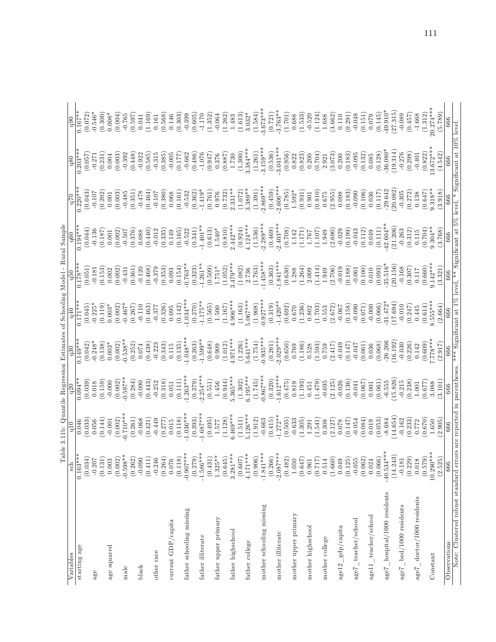|                                                                     |                                                                                               | Table 3.11b: Quantile Regression Estimates of Schooling Model  |                                                 |                          |                                                          |                                                          | - Rural Sample                                  |                                |                                                                                      |                                                 |
|---------------------------------------------------------------------|-----------------------------------------------------------------------------------------------|----------------------------------------------------------------|-------------------------------------------------|--------------------------|----------------------------------------------------------|----------------------------------------------------------|-------------------------------------------------|--------------------------------|--------------------------------------------------------------------------------------|-------------------------------------------------|
| Variables                                                           | $_{\rm sch}$                                                                                  | q10                                                            | q20                                             | $\frac{30}{2}$           |                                                          |                                                          |                                                 | $\frac{1}{2}$                  | q80                                                                                  | $_{q90}$                                        |
| starting age                                                        | $0.163**$                                                                                     | 0.046                                                          | $0.094**$                                       | $0.149**$                | $0.171**$                                                | $0.178**$                                                | $0.194**$                                       | $0.220*$                       | $0.203**$                                                                            | $0.167*$                                        |
|                                                                     | $(0.034)$<br>-0.207                                                                           | (0.033)                                                        | (0.039)                                         | (0.042)                  | (0.045)                                                  | (0.051)                                                  | (0.044)                                         | (0.043)                        | (0.057)                                                                              | (0.072)                                         |
| age                                                                 |                                                                                               | 0.056                                                          | 0.018                                           | $-0.248*$                | $-0.225*$                                                | $-0.181$                                                 | $-0.136$                                        | $-0.107$                       | $-0.271$                                                                             | $-0.546*$                                       |
|                                                                     | (0.131)                                                                                       | (0.144)                                                        | (0.159)                                         | (0.138)                  | (0.119)                                                  | (0.153)                                                  | (0.187)                                         | (0.202)                        | (0.231)                                                                              | (0.300)                                         |
| age squared                                                         |                                                                                               | $-0.001$                                                       | $-0.000$                                        | $0.003*$                 | $0.003*$                                                 | 0.002                                                    | $0.001\,$                                       | 0.001                          | 0.004                                                                                | $0.008*$                                        |
|                                                                     |                                                                                               | (0.002)                                                        | (0.002)                                         | (0.002)                  | (0.002)                                                  | (0.002)                                                  | (0.002)                                         | (0.003)                        | (0.003)                                                                              | (0.004)                                         |
| $_{\rm male}$                                                       | $\begin{array}{c} 0.003 \ 0.002) \ -0.598** \end{array}$                                      | $0.710**$                                                      | $-0.597**$                                      | $0.538**$                | $-0.467*$                                                | $-0.431$                                                 | $-0.507$                                        | $-0.485$                       | $-0.392$                                                                             | $-0.765$                                        |
|                                                                     |                                                                                               | (0.261)                                                        | (0.284)                                         | (0.252)                  | (0.267)                                                  | (0.361)                                                  | (0.376)                                         | (0.351)                        | (0.448)                                                                              | $\begin{array}{c} (0.597) \\ 0.041 \end{array}$ |
| black                                                               | $\begin{array}{c} (0.262) \\ -0.090 \\ (0.411) \end{array}$                                   | $-0.068$                                                       | $-0.090$                                        | 0.074                    | $-0.110$                                                 | $-0.120$                                                 | 0.088                                           | $-0.478$                       | $-0.922$                                                                             |                                                 |
|                                                                     |                                                                                               | (0.421)                                                        | (0.443)                                         | (0.438)                  | (0.463)                                                  | (0.468)                                                  | (0.440)                                         | (0.464)                        | (0.585)                                                                              | (1.169)                                         |
| other race                                                          |                                                                                               | $-0.449$                                                       | $-0.252$                                        | $-0.223$                 | $-0.377$                                                 | $-0.379$                                                 | $-0.012$                                        | $-0.107$                       | $-0.315$                                                                             | 0.161                                           |
|                                                                     |                                                                                               | (0.277)                                                        |                                                 | (0.343)                  | (0.326)                                                  | (0.353)                                                  | (0.335)                                         | (0.380)                        | (0.385)                                                                              | (0.568)                                         |
| current GDP/capita                                                  | $\begin{array}{c} -0.246 \\ (0.264) \\ 0.076 \\ 0.076 \\ (0.118) \\ -0.907^{***} \end{array}$ |                                                                | $\begin{array}{c} (0.318) \\ 0.051 \end{array}$ | 0.115                    | 0.095                                                    | 0.093                                                    | 0.149                                           | 0.068                          | $-0.005$                                                                             | 0.146                                           |
|                                                                     |                                                                                               |                                                                |                                                 |                          | (0.142)                                                  | (0.154)                                                  | (0.165)                                         | (0.161)                        | (0.177)                                                                              |                                                 |
| father schooling missing                                            |                                                                                               | $\begin{array}{c} 0.015 \\ (0.118) \\ 1.036^{***} \end{array}$ | $(0.111)$<br>$-1.263***$                        | $(0.135)$<br>-1.048***   | $1.034***$                                               | $0.763**$                                                | $-0.522$                                        | $-0.532$                       | $-0.662$                                                                             | (0.303)                                         |
|                                                                     |                                                                                               | (0.393)                                                        |                                                 | (0.263)                  | (0.270)                                                  | (0.323)                                                  | (0.341)                                         | (0.362)                        | (0.486)                                                                              | (0.605)                                         |
| father illiterate                                                   | $(0.279)$<br>-1.586***                                                                        | $1.687***$                                                     | $(0.379)$<br>$-2.254***$                        | $1.599**$                | $-1.175**$                                               | $1.261**$                                                | $-1.401**$                                      | $-1.419*$                      | $-1.076$                                                                             | $-1.170$                                        |
|                                                                     | $(0.431)$ $1.325**$                                                                           | (0.495)                                                        | (0.551)                                         | (0.648)                  |                                                          | (0.509)                                                  | (0.613)                                         | (0.761)                        | (0.947)                                                                              | (1.352)                                         |
| father upper primary                                                |                                                                                               | 1.577                                                          | 1.456                                           | 0.909                    | $\begin{array}{c} (0.565) \\ 1.500 \end{array}$          | $1.751*$                                                 | $1.540*$                                        | 0.976                          | 0.376                                                                                | $-0.064$                                        |
|                                                                     | $\begin{array}{c} (0.645) \\ 3.281*** \end{array}$                                            | (1.128)                                                        | (0.944)                                         | $(1.012)$<br>4.971***    | $(1.167)$<br>4.906***                                    |                                                          | (0.810)                                         |                                | (0.887)                                                                              | (1.262)                                         |
| father highschool                                                   |                                                                                               | $6.469***$                                                     | $5.365***$                                      |                          |                                                          | $(1.052)$<br>3.479***                                    | $2.442***$                                      | $\left(0.732\right)$ $2.331**$ | 1.730                                                                                | 1.483                                           |
|                                                                     | (0.607)                                                                                       | (1.511)                                                        | (1.302)                                         | (1.226)                  |                                                          |                                                          | (0.924)                                         | (1.072)                        | (1.300)                                                                              | (1.613)                                         |
| father college                                                      | $4.171***$                                                                                    | $5.126***$                                                     | $3.195***$                                      | $5.641***$               | $(1.163)$<br>5.067***                                    | $\frac{(1.082)}{2.736}$                                  | $1.124***$                                      | $3.389**$                      | $3.384***$                                                                           | $3.032*$                                        |
|                                                                     | (0.906)                                                                                       | (1.912)                                                        |                                                 | (1.754)                  |                                                          | (1.763)                                                  |                                                 | (1.391)                        | (1.261)                                                                              | (1.584)                                         |
| mother schooling missing                                            | $-1.841***$                                                                                   | $-0.663$                                                       | $(1.745)$<br>0.867***                           | $0.935***$               | $(1.908)$<br>0.927***                                    | $1.458***$                                               | $(1.536)$<br>2.289***                           | $2.869**$                      | $3.159***$                                                                           | $3.673***$                                      |
|                                                                     |                                                                                               |                                                                |                                                 |                          | (0.319)                                                  |                                                          | (0.469)                                         | (0.459)                        | (0.536)                                                                              | (0.721)                                         |
| mother illiterate                                                   | $(0.266)$<br>-2.087***                                                                        | $(0.415)$<br>-1.272**                                          | $(0.320)$<br>1.612***                           | $(0.261)$<br>$(2.029***$ | $-1.420**$                                               | $(0.363)$<br>-1.841***                                   | $-2.403***$                                     | $-2.606***$                    | $-3.041***$                                                                          | $-3.763**$                                      |
|                                                                     | (0.482)                                                                                       | (0.505)                                                        |                                                 | (0.650)                  | (0.692)                                                  | (0.630)                                                  | (0.708)                                         | (0.785)                        | (0.956)                                                                              | (1.701)                                         |
| mother upper primary                                                | 1.050                                                                                         | $-0.633$                                                       | $\begin{array}{c} (0.475) \\ 0.819 \end{array}$ | 0.769                    |                                                          |                                                          | 1.142                                           | $1.592*$                       | 0.822                                                                                | 0.688                                           |
|                                                                     | (0.647)                                                                                       | (1.305)                                                        |                                                 | (1.186)                  |                                                          |                                                          | (1.171)                                         | (0.931)                        | (0.823)                                                                              | (1.533)                                         |
| mother highschool                                                   |                                                                                               | 1.291                                                          | $(1.193)$<br>0.451                              | 0.528                    | $\begin{array}{c} 0.670 \\ (1.236) \\ 0.802 \end{array}$ | $\begin{array}{c} 1.288 \\ (1.264) \\ 2.009 \end{array}$ | 1.767                                           | 0.901                          | 0.200                                                                                | $-0.520$                                        |
|                                                                     |                                                                                               | (1.541)                                                        | (1.479)                                         | (1.593)                  |                                                          |                                                          |                                                 | (0.810)                        | (0.704)                                                                              |                                                 |
| mother college                                                      | $\begin{array}{c} 0.961 \\ 0.717) \\ 0.514 \\ 0.660) \end{array}$                             | 0.308                                                          | $-0.695$                                        | 0.759                    | $(1.703)$<br>0.553                                       | $\left(1.414\right)$ $1.949$                             | $(1.107)$<br>1.949                              | 0.675                          | 2.921                                                                                | $(1.124) \\ 1.688$                              |
|                                                                     |                                                                                               | (2.127)                                                        | (2.125)                                         | (2.417)                  | (2.672)                                                  | (2.706)                                                  | (2.690)                                         | (2.955)                        | (3.073)                                                                              | (3.662)                                         |
| $a$ ge $12$ gdp/capita                                              | 0.049                                                                                         | 0.078                                                          | $-0.026$                                        | $-0.049$                 | $-0.067$                                                 | $-0.019$                                                 | $-0.029$                                        | 0.098                          | 0.200                                                                                | 0.110                                           |
|                                                                     | (0.125)                                                                                       | (0.147)                                                        | (0.136)                                         | (0.147)                  | (0.158)                                                  | (0.188)                                                  | (0.199)                                         | (0.183)                        | (0.183)                                                                              | (0.291)                                         |
| age7_teacher/school                                                 | $-0.055$                                                                                      | $-0.054$                                                       | $-0.041$                                        | $-0.047$                 | $-0.090$                                                 | $-0.061$                                                 | $-0.043$                                        | $-0.090$                       | $-0.095$                                                                             | $-0.048$                                        |
|                                                                     | $\begin{array}{c} (0.062) \\ 0.024 \end{array}$                                               | (0.084)                                                        | $\begin{array}{c} (0.067) \\ 0.001 \end{array}$ | (0.061)                  | (0.071)                                                  | (0.100)                                                  | (0.112)                                         | (0.106)                        | $\left(0.132\right)$ $\left(0.085\right)$                                            | (0.151)                                         |
| age11_teacher/school                                                |                                                                                               | 0.019                                                          |                                                 | 0.036                    | $-0.000$                                                 | 0.010                                                    | 0.049                                           | 0.036                          |                                                                                      | 0.079                                           |
|                                                                     | (0.066)                                                                                       | (0.053)                                                        | (0.061)                                         | (0.068)                  | (0.066)                                                  | (0.093)                                                  | (0.111)                                         | (0.117)                        | (0.128)                                                                              | (0.145)                                         |
| age7_hospital/1000 residents                                        | $-40.534***$<br>(14.243)                                                                      | $-8.684$                                                       | $-6.555$                                        | $-26.266$                | $-31.472*$                                               | $35.516*$                                                | $42.604**$                                      | $-29.642$                      | $-36.080*$                                                                           | $49.910*$                                       |
|                                                                     |                                                                                               | 14.654                                                         | (15.826)                                        | 16.192                   | (17.694)                                                 | 20.156)                                                  | (21.206)                                        | 20.082                         | (19.314)                                                                             | (27.315)                                        |
| age7_bed/1000 residents                                             | $-0.181$                                                                                      | $-0.162$                                                       | $-0.215$                                        | $-0.030$                 | $-0.010$                                                 | $-0.168$                                                 | $-0.263$                                        | $-0.305$                       | $-0.276$                                                                             | $-0.089$                                        |
|                                                                     |                                                                                               | (0.233)                                                        | (0.238)                                         | (0.226)                  | (0.247)                                                  | (0.307)                                                  | $\begin{array}{c} (0.312) \\ 0.115 \end{array}$ | (0.272)                        | (0.298)                                                                              | (0.457)                                         |
| $age7\_doctor/1000$ residents                                       |                                                                                               | 0.772                                                          | 1.001                                           | 0.142                    | 0.445                                                    | 0.117                                                    |                                                 | 0.138                          | $-0.401$                                                                             | $-1.668$                                        |
|                                                                     | $(0.229)$<br>0.018<br>$(0.579)$<br>10.290***                                                  | (0.670)                                                        | (0.677)                                         | (0.609)                  | $(0.614)$<br>$3.555***$                                  | (0.660)                                                  | (0.704)                                         | (0.647)                        | (0.822)                                                                              | (1.312)                                         |
| Constant                                                            |                                                                                               |                                                                |                                                 | $7.778**$                |                                                          | $0.142***$                                               | $9.304**$                                       | $9.318**$                      | $3.672**$                                                                            | $20.274**$                                      |
|                                                                     | (2.525)                                                                                       | (2.905)                                                        | (3.101)                                         | (2.917)                  | (2.664)                                                  | (3.321)                                                  | (3.768)                                         | (3.918)                        | (4.542)                                                                              | (5.789)                                         |
| Observations                                                        | 666                                                                                           | 666                                                            |                                                 | 666                      | 666                                                      | 666                                                      | 666                                             | 666                            | 666                                                                                  | 666                                             |
| Note: Clustered robust standard errors are reported in parentheses. |                                                                                               |                                                                |                                                 |                          |                                                          |                                                          |                                                 |                                | *** Significant at 1% level, ** Significant at 5% level, * Significant at 10% level. |                                                 |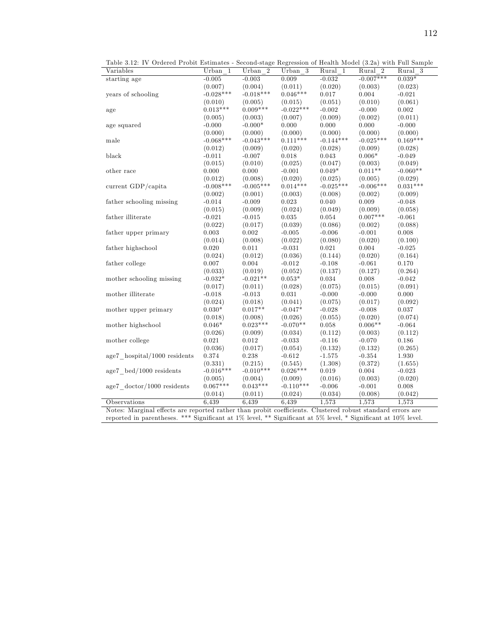| Variables                                | Urban 1                | Urban $2$              | Urban 3                | $Rural$ 1        | Rural 2          | pecond plage regression of frequent moder (9.2a) with Fun pampic<br>Rural 3 |
|------------------------------------------|------------------------|------------------------|------------------------|------------------|------------------|-----------------------------------------------------------------------------|
| starting age                             | $-0.005$               | $-0.003$               | 0.009                  | $-0.032$         | $-0.007***$      | $0.039*$                                                                    |
|                                          |                        |                        |                        |                  |                  |                                                                             |
|                                          | (0.007)<br>$-0.028***$ | (0.004)<br>$-0.018***$ | (0.011)<br>$0.046***$  | (0.020)          | (0.003)          | (0.023)                                                                     |
| years of schooling                       |                        |                        |                        | 0.017            | 0.004            | $-0.021$                                                                    |
|                                          | (0.010)                | (0.005)                | (0.015)                | (0.051)          | (0.010)          | (0.061)                                                                     |
| age                                      | $0.013***$             | $0.009***$             | $-0.022***$            | $-0.002$         | $-0.000$         | $\rm 0.002$                                                                 |
|                                          | (0.005)                | (0.003)                | (0.007)                | (0.009)          | (0.002)          | (0.011)                                                                     |
| age squared                              | $-0.000$               | $-0.000*$              | 0.000                  | 0.000            | 0.000            | $-0.000$                                                                    |
|                                          | (0.000)                | (0.000)                | (0.000)                | (0.000)          | (0.000)          | (0.000)                                                                     |
| male                                     | $-0.068***$            | $-0.043***$            | $0.111***$             | $-0.144***$      | $-0.025***$      | $0.169***$                                                                  |
|                                          | (0.012)                | (0.009)                | (0.020)                | (0.028)          | (0.009)          | (0.028)                                                                     |
| black                                    | $-0.011$               | $-0.007$               | 0.018                  | 0.043            | $0.006*$         | $-0.049$                                                                    |
|                                          | (0.015)                | (0.010)                | (0.025)                | (0.047)          | (0.003)          | (0.049)                                                                     |
| other race                               | 0.000                  | 0.000                  | $-0.001$               | $0.049*$         | $0.011**$        | $-0.060**$                                                                  |
|                                          | (0.012)                | (0.008)                | (0.020)                | (0.025)          | (0.005)          | (0.029)                                                                     |
| current GDP/capita                       | $-0.008***$            | $-0.005***$            | $0.014***$             | $-0.025***$      | $-0.006***$      | $0.031***$                                                                  |
|                                          | (0.002)                | (0.001)                | (0.003)                | (0.008)          | (0.002)          | (0.009)                                                                     |
| father schooling missing                 | $-0.014$               | $-0.009$               | $0.023\,$              | 0.040            | $0.009\,$        | $-0.048$                                                                    |
|                                          | (0.015)                | (0.009)                | (0.024)                | (0.049)          | (0.009)          | (0.058)                                                                     |
| father illiterate                        | $-0.021$               | $-0.015$               | 0.035                  | 0.054            | $0.007***$       | $-0.061$                                                                    |
|                                          | (0.022)                | (0.017)                | (0.039)                | (0.086)          | (0.002)          | (0.088)                                                                     |
| father upper primary                     | 0.003                  | $0.002\,$              | $-0.005$               | $-0.006$         | $-0.001$         | $\rm 0.008$                                                                 |
|                                          | (0.014)                | (0.008)                | (0.022)                | (0.080)          | (0.020)          | (0.100)                                                                     |
| father highschool                        | 0.020                  | 0.011                  | $-0.031$               | 0.021            | 0.004            | $-0.025$                                                                    |
|                                          | (0.024)                | (0.012)                | (0.036)                | (0.144)          | (0.020)          | (0.164)                                                                     |
| father college                           | 0.007                  | 0.004                  | $-0.012$               | $-0.108$         | $-0.061$         | 0.170                                                                       |
|                                          | (0.033)                | (0.019)                | (0.052)                | (0.137)          | (0.127)          | (0.264)                                                                     |
| mother schooling missing                 | $-0.032*$              | $-0.021**$             | $0.053*$               | 0.034            | 0.008            | $-0.042$                                                                    |
|                                          | (0.017)                | (0.011)                | (0.028)                | (0.075)          | (0.015)          | (0.091)                                                                     |
| mother illiterate                        | $-0.018$               | $-0.013$               | 0.031                  | $-0.000$         | $-0.000$         | 0.000                                                                       |
|                                          | (0.024)                | (0.018)                | (0.041)                | (0.075)          | (0.017)          | (0.092)                                                                     |
| mother upper primary                     | $0.030*$               | $0.017**$              | $-0.047*$              | $-0.028$         | $-0.008$         | 0.037                                                                       |
|                                          | (0.018)                | (0.008)                | (0.026)                | (0.055)          | (0.020)          | (0.074)                                                                     |
| mother highschool                        | $0.046*$               | $0.023***$             | $-0.070**$             | 0.058            | $0.006**$        | $-0.064$                                                                    |
|                                          | (0.026)                | (0.009)                | (0.034)                | (0.112)          | (0.003)          | (0.112)                                                                     |
| mother college                           | 0.021                  | 0.012                  | $-0.033$               | $-0.116$         | $-0.070$         | 0.186                                                                       |
|                                          | (0.036)                | (0.017)                | (0.054)                | (0.132)          | (0.132)          | (0.265)                                                                     |
| $age7$ hospital/1000 residents           | 0.374                  | 0.238                  | $-0.612$               | $-1.575$         | $-0.354$         | 1.930                                                                       |
|                                          | (0.331)                | (0.215)                |                        |                  |                  | (1.655)                                                                     |
|                                          | $-0.016***$            | $-0.010***$            | (0.545)<br>$0.026***$  | (1.308)<br>0.019 | (0.372)<br>0.004 | $-0.023$                                                                    |
| $age7$ bed/1000 residents                | (0.005)                | (0.004)                |                        | (0.016)          | (0.003)          | (0.020)                                                                     |
|                                          | $0.067***$             | $0.043***$             | (0.009)<br>$-0.110***$ |                  |                  |                                                                             |
| $age7 \cdot doctor/1000 \cdot residents$ |                        |                        |                        | $-0.006$         | $-0.001$         | 0.008                                                                       |
|                                          | (0.014)                | (0.011)                | (0.024)                | (0.034)          | (0.008)          | (0.042)                                                                     |
| Observations                             | 6.439                  | 6,439                  | 6,439                  | 1,573            | 1,573            | 1,573                                                                       |

Table 3.12: IV Ordered Probit Estimates - Second-stage Regression of Health Model (3.2a) with Full Sample

# reported in parentheses. \*\*\* Significant at  $1\%$  level, \*\* Significant at  $5\%$  level, \* Significant at  $10\%$  level.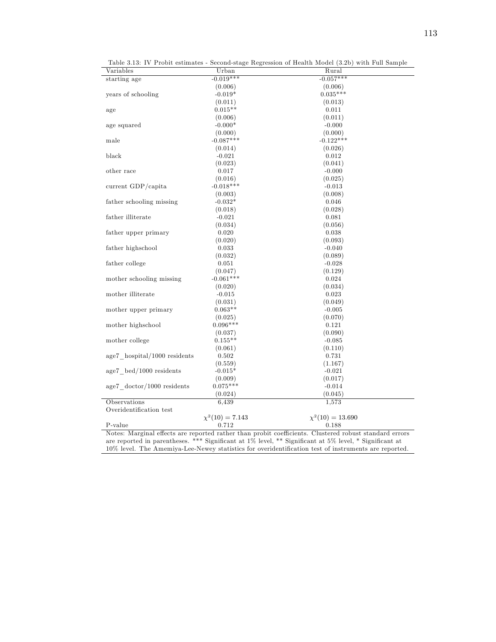| Variables                                 | Urban                | Table 3.13: IV Probit estimates - Second-stage Regression of Health Model (3.2b) with Full Sample<br>Rural |
|-------------------------------------------|----------------------|------------------------------------------------------------------------------------------------------------|
| starting age                              | $-0.019***$          | $-0.057***$                                                                                                |
|                                           | (0.006)              | (0.006)                                                                                                    |
| years of schooling                        | $-0.019*$            | $0.035***$                                                                                                 |
|                                           | (0.011)              | (0.013)                                                                                                    |
| age                                       | $0.015**$            | 0.011                                                                                                      |
|                                           | (0.006)              | (0.011)                                                                                                    |
| age squared                               | $-0.000*$            | $-0.000$                                                                                                   |
|                                           | (0.000)              | (0.000)                                                                                                    |
| male                                      | $-0.087***$          | $-0.122***$                                                                                                |
|                                           | (0.014)              | (0.026)                                                                                                    |
| black                                     | $-0.021$             | 0.012                                                                                                      |
|                                           | (0.023)              | (0.041)                                                                                                    |
| other race                                | 0.017                | $-0.000$                                                                                                   |
|                                           | (0.016)              | (0.025)                                                                                                    |
| current GDP/capita                        | $-0.018***$          | $-0.013$                                                                                                   |
|                                           | (0.003)              | (0.008)                                                                                                    |
| father schooling missing                  | $-0.032*$            | 0.046                                                                                                      |
|                                           | (0.018)              | (0.028)                                                                                                    |
| father illiterate                         | $-0.021$             | 0.081                                                                                                      |
|                                           | (0.034)              | (0.056)                                                                                                    |
| father upper primary                      | 0.020                | 0.038                                                                                                      |
|                                           | (0.020)              | (0.093)                                                                                                    |
| father highschool                         | 0.033                | $-0.040$                                                                                                   |
|                                           | (0.032)              | (0.089)                                                                                                    |
| father college                            | 0.051                | $-0.028$                                                                                                   |
|                                           | (0.047)              | (0.129)                                                                                                    |
| mother schooling missing                  | $-0.061***$          | 0.024                                                                                                      |
|                                           | (0.020)              | (0.034)                                                                                                    |
| mother illiterate                         | $-0.015$             | 0.023                                                                                                      |
|                                           | (0.031)              | (0.049)                                                                                                    |
| mother upper primary                      | $0.063**$            | $-0.005$                                                                                                   |
|                                           | (0.025)              | (0.070)                                                                                                    |
| mother highschool                         | $0.096***$           | 0.121                                                                                                      |
|                                           | (0.037)              | (0.090)                                                                                                    |
| mother college                            | $0.155**$            | $-0.085$                                                                                                   |
|                                           | (0.061)              | (0.110)                                                                                                    |
| age7 hospital/1000 residents              | 0.502                | 0.731                                                                                                      |
|                                           | (0.559)              | (1.167)                                                                                                    |
| $age7 \text{ bed}/1000 \text{ residents}$ | $-0.015*$            | $-0.021$                                                                                                   |
|                                           | (0.009)              | (0.017)                                                                                                    |
| $age7 \cdot doctor/1000 \cdot residents$  | $0.075***$           | $-0.014$                                                                                                   |
|                                           | (0.024)              | (0.045)                                                                                                    |
| Observations                              | 6.439                | 1,573                                                                                                      |
| Overidentification test                   |                      |                                                                                                            |
|                                           | $\chi^2(10) = 7.143$ | $\chi^2(10) = 13.690$                                                                                      |
|                                           |                      |                                                                                                            |

Table 3.13: IV Probit estimates - Second-stage Regression of Health Model (3.2b) with Full Sample

Notes: Marginal effects are reported rather than probit coefficients. Clustered robust standard errors are reported in parentheses. \*\*\* SigniÖcant at 1% level, \*\* SigniÖcant at 5% level, \* SigniÖcant at 10% level. The Amemiya-Lee-Newey statistics for overidentification test of instruments are reported.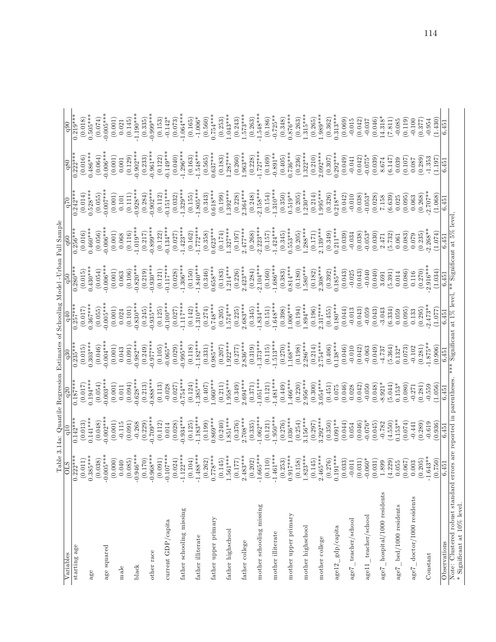|                                                                                                  |                                                                                                                                                                            |                       | Table 3.14a: Quantile Regression Estimates of Schooling Model-Urban Full Sample |                         |                              |                        |                            |                       |                       |                       |
|--------------------------------------------------------------------------------------------------|----------------------------------------------------------------------------------------------------------------------------------------------------------------------------|-----------------------|---------------------------------------------------------------------------------|-------------------------|------------------------------|------------------------|----------------------------|-----------------------|-----------------------|-----------------------|
| Variables                                                                                        | $\frac{0LS}{0.222***}$                                                                                                                                                     | $\frac{10}{10}$       | q20                                                                             | q30                     | q40                          | dgb                    | q60                        | 0ZD                   | q80                   | q90                   |
| starting age                                                                                     |                                                                                                                                                                            | $0.142**$             | $0.187***$                                                                      | $0.235***$              | $0.257***$                   | $0.280***$             | $0.256**$                  | $0.242***$            | $0.222***$            | $\frac{1}{0.219***}$  |
|                                                                                                  | $(0.011)$<br>$0.385***$                                                                                                                                                    | (0.013)               | (0.017)                                                                         | (0.015)                 | (0.017)                      | (0.015)                | (0.016)                    | (0.014)               | (0.016)               | (0.018)               |
| age                                                                                              |                                                                                                                                                                            | $0.141***$            | $0.194***$                                                                      | $0.303***$              | $0.367***$                   | $0.430***$             | $0.460***$                 | $0.528**$             | $0.486***$            | $0.505***$            |
|                                                                                                  | $(0.038)$<br>$-0.005$ ***                                                                                                                                                  | (0.048)               | (0.054)                                                                         | (0.046)                 | (0.055)                      | (0.054)                | (0.056)                    | (0.055)               | (0.064)               | (0.074)               |
| age squared                                                                                      |                                                                                                                                                                            | $0.002**$             | $0.003**$                                                                       | $0.004**$               | $0.005**$                    | $0.006**$              | $-0.006***$                | $-0.007$ **           | $-0.006**$            | $-0.005***$           |
|                                                                                                  | $\left(0.000\right)$ $\left(0.040\right)$                                                                                                                                  | (0.001)               | (0.001)                                                                         | (0.001)                 | (0.001)                      | (0.001)                | (0.001)                    | (0.001)               | (0.001)               | (0.001)               |
| $_{\rm male}$                                                                                    |                                                                                                                                                                            | $-0.115$              | 0.011                                                                           | 0.043                   | 0.024                        | 0.063                  | 0.068                      | 0.101                 | $0.001\,$             | 0.021                 |
|                                                                                                  | $(0.085)$<br>-0.946***                                                                                                                                                     | (0.091)               | $0.628***$<br>(0.094)                                                           | $-0.982***$<br>(0.091)  | $0.830***$<br>(0.101)        | $0.820**$<br>(0.106)   | (0.116)                    | (0.111)               | (0.129)               | (0.145)               |
| black                                                                                            |                                                                                                                                                                            | $-0.268$              |                                                                                 |                         |                              |                        | $1.019**$                  | $-0.928***$           | $0.902***$            | $-1.190***$           |
|                                                                                                  | $(0.170)$<br>-0.968***                                                                                                                                                     | $-0.709**$<br>(0.229) | $-0.888***$<br>(0.213)                                                          | $0.977**$<br>(0.249)    | (0.245)                      | $0.930***$<br>(0.219)  | $-0.899**$<br>(0.217)      | (0.284)               | $-0.961**$<br>(0.233) | $-0.999**$<br>(0.335) |
| other race                                                                                       |                                                                                                                                                                            |                       |                                                                                 |                         | $-0.935***$                  |                        |                            | $0.902**$             |                       |                       |
|                                                                                                  | (0.091)                                                                                                                                                                    | (0.112)               | (0.113)                                                                         | (0.105)                 | (0.125)                      | (0.121)                | (0.122)                    | (0.112)               | (0.122)               | (0.153)               |
| current GDP/capita                                                                               | $-0.107***$                                                                                                                                                                | 0.014                 | $-0.028$                                                                        | $-0.065**$              | $0.100***$                   | $0.117***$             | $0.134***$                 | $0.151***$            | $0.149***$            | $-0.142*$             |
|                                                                                                  | $(0.024)$<br>-1.122***                                                                                                                                                     | (0.028)               | (0.027)                                                                         | (0.029)                 | (0.027)                      | (0.028)                | (0.027)                    | (0.032)               | (0.040)               | (0.073)               |
| father schooling missing                                                                         |                                                                                                                                                                            | $-0.934***$           | $0.754***$                                                                      | $0.995***$              | $1.117***$                   | $1.306***$             | $1.423***$                 | $1.329***$            | $1.296***$            | $-1.064***$           |
|                                                                                                  | $(0.104)$<br>-1.488***                                                                                                                                                     | (0.125)               | (0.124)                                                                         | (0.118)                 | (0.142)                      | $(0.150)$<br>-1.840*** | $(0.162)$<br>1.772***      | (0.155)               | (0.163)               | (0.165)               |
| father illiterate                                                                                |                                                                                                                                                                            | $1.183***$            | $1.385***$                                                                      | $1.182***$              | $1.310***$                   |                        |                            | $-1.805***$           | $-1.548***$           | $-1.006*$             |
| father upper primary                                                                             |                                                                                                                                                                            | $0.869***$<br>(0.199) | $1.060***$<br>(0.407)                                                           | $0.985***$<br>(0.331)   | $0.748***$<br>(0.274)        | $0.658***$<br>(0.346)  | $0.623**$<br>(0.358)       | $0.618***$<br>(0.343) | $0.637***$<br>(0.565) | $0.754***$<br>(0.560) |
|                                                                                                  |                                                                                                                                                                            | (0.240)               | (0.211)                                                                         | (0.207)                 | (0.205)                      | (0.183)                | (0.174)                    | (0.199)               | (0.183)               | (0.253)               |
| father highschool                                                                                |                                                                                                                                                                            | $1.851***$            | $1.958***$                                                                      | $1.922***$              | $1.574***$                   | $-214***$              | $1.327***$                 | $1.392***$            | $1.287***$            | $1.043***$            |
|                                                                                                  |                                                                                                                                                                            |                       |                                                                                 |                         | (0.225)                      | (0.226)                | (0.197)                    |                       |                       | (0.243)               |
| father college                                                                                   | $\begin{array}{c} (0.262) \\ 0.778^{***} \\ (0.145) \\ 1.561^{***} \\ (0.177) \\ (0.177) \\ (0.177) \\ 2.483^{***} \end{array}$                                            | $(0.376)$<br>2.708*** | $(0.349)$<br>2.694***                                                           | $(0.277)$<br>$2.836***$ | $2.683***$                   | $2.423***$             | $2.477***$                 | $(0.228)$<br>2.364*** | $(0.260)$<br>1.963*** | $1.573***$            |
|                                                                                                  |                                                                                                                                                                            | (0.335)               | (0.371)                                                                         | (0.319)                 | (0.345)                      | (0.284)                | (0.268)                    | (0.248)               | (0.228)               | (0.263)               |
| mother schooling missing                                                                         | $(0.202)$<br>-1.665***                                                                                                                                                     | $1.062***$            | $1.051***$                                                                      | $1.373***$              | $1.834***$                   | $2.104***$             | $2.223***$                 | $2.158***$            | $1.727***$            | $-1.548***$           |
|                                                                                                  | $(0.110)$<br>-1.461***                                                                                                                                                     | (0.121)               | (0.121)                                                                         | (0.115)                 | (0.151)                      | (0.160)                | (0.157)                    | (0.154)               | (0.169)               | (0.186)               |
| mother illiterate                                                                                |                                                                                                                                                                            | $1.950***$            | $1.481***$                                                                      | $1.513***$              | $1.648***$                   | $1.686***$             | $1.424***$                 | $1.310***$            | $0.891**$             | $-0.725***$           |
|                                                                                                  |                                                                                                                                                                            | $(0.276)$<br>1.036*** | $1.466***$<br>(0.449)                                                           | (0.270)                 | (0.398)                      | $0.814***$<br>(0.383)  | (0.345)                    | (0.350)               | (0.405)               | $0.876***$<br>(0.348) |
| mother upper primary                                                                             |                                                                                                                                                                            |                       |                                                                                 | $1.168***$              | $1.006***$                   |                        | $0.553***$                 | $0.519**$             | $0.736***$            |                       |
| mother highschool                                                                                | $\begin{smallmatrix} (0.253) \\ 0.917 {^*}{^*}{^*}\\ (0.158) \\ (0.158) \\ 1.823{^*}{^*}\\ (0.145) \\ (0.145) \\ 2.465{^*}{^*}{^*}\\ (0.276) \\ (0.276) \end{smallmatrix}$ | $3.156***$<br>(0.254) | $2.956***$<br>(0.220)                                                           | $2.286***$<br>(0.198)   | $1.894***$<br>(0.194)        | $.580***$<br>(0.180)   | $.288***$<br>(0.205)       | $1.230***$<br>(0.205) | $.322***$<br>(0.236)  | $.315***$<br>(0.263)  |
|                                                                                                  |                                                                                                                                                                            | (0.297)               | (0.300)                                                                         | (0.214)                 |                              | (0.182)                | (0.171)                    | (0.214)               | (0.210)               | (0.265)               |
| mother college                                                                                   |                                                                                                                                                                            | $3.292***$            | $3.054***$                                                                      | $2.754***$              | $(0.196)$<br>2.317***        | $2.308***$             | $2.139***$                 | $1.995***$            | $2.092***$            | $-1.989**$            |
|                                                                                                  |                                                                                                                                                                            | (0.350)               | (0.451)                                                                         | (0.406)                 | (0.455)                      | (0.392)                | (0.349)                    | (0.326)               | (0.307)               | (0.362)               |
| $a$ ge $12$ gdp/capita                                                                           |                                                                                                                                                                            | $0.091**$             | 0.075                                                                           | $0.138***$              | $0.180***$                   | $0.185***$             | $0.211***$                 | $0.218***$            | $0.292***$            | $0.313***$            |
|                                                                                                  | $(0.033)$<br>-0.011                                                                                                                                                        | (0.044)               | (0.046)                                                                         | (0.046)                 | (0.044)                      | (0.043)                | (0.039)                    | (0.042)               | (0.049)               | (0.069)               |
| $age7 \_teacher/school$                                                                          |                                                                                                                                                                            | 0.054                 | 0.028                                                                           | $-0.010$                | $-0.013$                     | $-0.025$               | $-0.034$                   | $-0.010$              | $-0.041$              | $-0.015$              |
|                                                                                                  |                                                                                                                                                                            | (0.046)               | (0.042)                                                                         | (0.042)                 | (0.043)                      | (0.043)                | (0.038)                    | (0.038)               | (0.042)               | (0.042)               |
| age11_teacher/school                                                                             |                                                                                                                                                                            | $-0.076*$             | $-0.050$                                                                        | $-0.063$                | $-0.059$                     | $-0.040$               | $-0.053*$                  | $-0.053*$             | $-0.075*$             | $-0.037$              |
|                                                                                                  |                                                                                                                                                                            | (0.045)               | (0.048)                                                                         | (0.049)                 | (0.043)                      | (0.040)                | (0.030)                    | (0.028)               | (0.039)               | (0.046)               |
| $\text{age7}\_\text{hospital}/\text{1000}$ residents                                             |                                                                                                                                                                            | $-0.782$              | $-8.921*$                                                                       | $-4.737$                | $-3.043$                     | 3.691                  | 2.471                      | 7.158                 | 8.674                 | 14.318*               |
|                                                                                                  | $\begin{array}{c} (0.031) \\ -0.060^* \\ (0.031) \\ 1.899 \\ (4.229) \\ 0.055 \end{array}$                                                                                 | (4.550)               | (5.044)                                                                         | (5.364)                 | (6.334)                      | (5.391)                | (5.732)                    | (6.639)               | (6.147)               | (7.811)               |
| age <sub>7</sub> bed/1000 residents                                                              |                                                                                                                                                                            | $0.153**$             | $0.153*$                                                                        | $0.132*$                | 0.059                        | 0.014                  | 0.061                      | 0.025                 | 0.039                 | $-0.085$              |
|                                                                                                  | (0.067)                                                                                                                                                                    | (0.074)               | (0.080)                                                                         | (0.073)                 | (0.095)                      | (0.086)                | (0.083)                    | (0.095)               | (0.107)               | (0.119)               |
| $age7\_doctor/1000$ residents                                                                    | 0.003                                                                                                                                                                      | $-0.441$              | $-0.271$                                                                        | $-0.102$                | 0.133                        | 0.116                  | 0.079                      | 0.063                 | 180.0                 | $-0.100$              |
|                                                                                                  | (0.205)                                                                                                                                                                    | (0.289)               | (0.281)                                                                         | (0.281)                 | (0.295)                      | (0.270)                | (0.235)                    | (0.268)               | (0.289)               | (0.377)               |
| Constant                                                                                         | $-1.643**$<br>(0.750)                                                                                                                                                      | (0.936)<br>$-0.619$   | $-0.559$<br>(1.056)                                                             | $1.875**$<br>(0.906)    | $2.473**$                    | $2.916***$<br>(1.034)  | $2.268**$<br>(1.074)       | $-2.707**$<br>(1.068) | $-1.353$<br>(1.197)   | (1.430)<br>$-0.954$   |
|                                                                                                  |                                                                                                                                                                            |                       |                                                                                 |                         | (1.077)                      |                        |                            |                       |                       |                       |
| Observations                                                                                     | 6,451                                                                                                                                                                      | 6,451                 | 6,451                                                                           | 6,451                   | 6,451                        | 6,451                  | 6,451                      | 6,451                 | 6,451                 | 6,451                 |
| Note: Clustered robust standard errors are reported in parentheses $*$ Significant at 10% level. |                                                                                                                                                                            |                       |                                                                                 |                         | *** Significant at 1% level, |                        | ** Significant at 5% level |                       |                       |                       |

114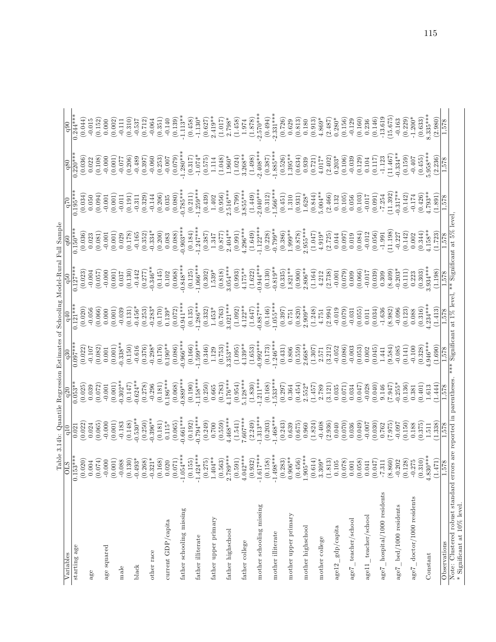|                                                                                                   |                                                                            | Table 3.14b: Quantile Regressi<br>OLS                q10                   q20 |                       | in Estimates                                                              | Schooling                                                                     | Model-Rura                 | Full Sample                                                  |                                                                           |                                                 |                                                             |
|---------------------------------------------------------------------------------------------------|----------------------------------------------------------------------------|--------------------------------------------------------------------------------|-----------------------|---------------------------------------------------------------------------|-------------------------------------------------------------------------------|----------------------------|--------------------------------------------------------------|---------------------------------------------------------------------------|-------------------------------------------------|-------------------------------------------------------------|
| Variables                                                                                         |                                                                            |                                                                                |                       |                                                                           |                                                                               |                            |                                                              | 0 <sub>b</sub>                                                            | q80                                             | q90                                                         |
| starting age                                                                                      | $0.153***$                                                                 | (0.022)<br>0.021                                                               | (0.025)<br>$0.053*$   | $0.097**$<br>(0.022)                                                      | $0.121**$<br>(0.020)                                                          | (0.023)<br>$0.127**$       | (0.036)<br>$0.150*$                                          | $0.195**$<br>(0.034)                                                      | $0.220**$<br>(0.036)                            | $0.244**$<br>(0.044)                                        |
| $\mathbf{a}\mathbf{g}\mathbf{e}$                                                                  | $\left(0.020\right)$ $0.004$                                               | 0.024                                                                          | 0.039                 | $-0.107$                                                                  | $-0.056$                                                                      | $-0.004$                   | 0.023                                                        | 0.050                                                                     | 0.022                                           | $-0.015$                                                    |
|                                                                                                   | (0.074)<br>$-0.000$                                                        | (0.065)<br>$-0.000$                                                            | (0.072)<br>$-0.001$   | (0.082)<br>0.001                                                          | (0.066)<br>0.000                                                              | (0.057)<br>$-0.000$        | (0.081)<br>$-0.001$                                          | (0.094)<br>$-0.001$                                                       | (0.108)<br>$-0.000$                             | (0.152)<br>0.000                                            |
| age squared                                                                                       |                                                                            | (0.001)                                                                        | (0.001)               | (0.001)                                                                   | (0.001)                                                                       | (0.001)                    | (0.001)                                                      | (0.001)                                                                   | (0.001)                                         |                                                             |
| $_{\rm male}$                                                                                     |                                                                            | $-0.183$                                                                       | $-0.302**$            | $-0.338**$                                                                | $-0.039$                                                                      | 0.037                      | 0.029                                                        | $-0.011$                                                                  | $-0.077$                                        | $(0.002)$<br>-0.111                                         |
|                                                                                                   | $(0.001)$<br>$-0.088$<br>$(0.130)$<br>$(0.130)$                            | $(0.148)$<br>-0.530**                                                          | $-0.624*$<br>(0.147)  | (0.150)                                                                   | (0.131)                                                                       | (0.130)<br>$-0.442$        | (0.178)<br>$-0.165$                                          | $\left( 0.191\right)$ $-0.311$                                            | $(0.206)$<br>$-0.489$                           | $\begin{array}{c} (0.310) \\ -0.537 \\ (0.712) \end{array}$ |
| black                                                                                             | (89)<br>(0.2)                                                              | (0.250)                                                                        | (0.278)               | $-0.616$<br>(0.376)                                                       | $-0.456*$<br>(0.253)                                                          | (0.277)                    | (0.352)                                                      | (0.329)                                                                   | (0.397)                                         |                                                             |
| other race                                                                                        | $21*$<br>$-0.3$                                                            | $-0.396**$                                                                     | $-0.296$              | $-0.298*$                                                                 | $-0.283*$                                                                     | $-0.346**$                 | $-0.334*$                                                    | $-0.144$                                                                  | $-0.060$                                        | $-0.064$                                                    |
|                                                                                                   |                                                                            | (0.181)                                                                        | (0.181)               | (0.176)                                                                   | (0.170)                                                                       | (0.145)                    | (0.200)                                                      | $\begin{array}{c} (0.206) \\ 0.035 \end{array}$                           | $(0.253)$<br>-0.007                             | $(0.351)$<br>-0.140                                         |
| current GDP/capita                                                                                |                                                                            | $0.115*$                                                                       | $0.186***$            | $0.190**$                                                                 | $0.139*$                                                                      | 0.102                      | 0.083                                                        |                                                                           |                                                 |                                                             |
| father schooling missing                                                                          | $\begin{array}{c} (0.168) \\ 0.020 \\ (0.071) \\ (-1.054***) \end{array}$  | $(0.065)$<br>$-0.661***$                                                       | $0.889**$<br>(0.068)  | $0.966**$<br>(0.086)                                                      | $(0.072)$<br>0.941***                                                         | $-0.848**$<br>(0.068)      | $0.903**$<br>(0.088)                                         | $(0.080)$<br>0.785***                                                     | $1.280**$<br>(0.079)                            | $-1.113**$<br>(0.139)                                       |
|                                                                                                   |                                                                            | (0.192)                                                                        | (0.190)               | (0.166)                                                                   | (0.135)                                                                       | (0.125)                    | (0.184)                                                      | (0.211)                                                                   | (0.317)                                         | (0.458)                                                     |
| father illiterate                                                                                 |                                                                            | $0.794***$                                                                     | $1.158***$            | $-1.599***$                                                               | $-1.286***$                                                                   | $-1.066***$                | $1.247**$                                                    | $1.259**$                                                                 | $-1.074*$                                       | $-1.130*$                                                   |
| father upper primary                                                                              | $\begin{array}{c} (0.155) \\ -1.424*** \\ (0.275) \\ (1.404** \end{array}$ | $\left( 0.249\right)$ $0.700$                                                  | (0.250)<br>0.665      | $\begin{array}{c} (0.346) \\ 1.129 \\ (0.753) \\ 3.353^{***} \end{array}$ | $(0.332) \\ 1.453^{*}$                                                        | $(0.302) \\ 1.539^{*}$     | $\begin{array}{c} (0.387) \\ 1.347 \end{array}$              | $\begin{array}{c} (0.439) \\ 1.402 \\ (0.956) \\ 2.516^{***} \end{array}$ | $\begin{array}{c} (0.575) \\ 1.114 \end{array}$ | $2.419**$<br>(0.627)                                        |
|                                                                                                   | $(0.563)$<br>2.789***                                                      | $(0.559)$<br>4.468***                                                          | $(0.783)$<br>4.176*** |                                                                           | $(0.763)$<br>3.021***                                                         | $(0.818)$<br>3.054***      | $(0.877)$<br>2.404**<br>(0.991)                              |                                                                           | (1.048)                                         | $\begin{array}{c} (1.017) \\ 2.798^* \end{array}$           |
| father highschool                                                                                 | (0.591)                                                                    | (1.541)                                                                        | (0.954)               | (1.095)                                                                   |                                                                               | (0.993)                    |                                                              | (0.799)                                                                   | $1.960*$<br>(1.024)                             | (1.458)                                                     |
| father college                                                                                    | $4.042**$                                                                  | $7.607***$                                                                     | $5.128***$            | $4.139**$                                                                 | $\begin{array}{l} (1.092) \\ 4.122^{**} \\ (1.647) \\ 0.887^{**} \end{array}$ | $4.175**$                  | $4.296***$                                                   | $3.855***$                                                                | $3.268**$                                       | 1.974                                                       |
|                                                                                                   | $(0.932)$<br>1.617***                                                      | $(2.249)$<br>1.313***                                                          | $(1.830)$<br>1.211*** | $(1.653)$<br>$0.992***$                                                   |                                                                               | $(1.622)$<br>$0.944***$    | $(1.649)$<br>1.122***                                        | $(1.449)$<br>$-2.040***$                                                  | $(1.498)$<br>$-2.408***$                        | $(1.878)$<br>$-2.570***$                                    |
| mother schooling missing                                                                          | $-1.61$                                                                    |                                                                                |                       |                                                                           |                                                                               |                            |                                                              |                                                                           |                                                 |                                                             |
| mother illiterate                                                                                 | $(0.158)$<br>-1.498**                                                      | $(0.203)$<br>1.468***                                                          | $(0.168)$<br>1.533*** | $(0.173)$<br>$-1.246**$                                                   | $(0.146)$<br>1.055***                                                         | $-0.819**$<br>(0.130)      | $(0.228)$<br>-0.799**                                        | $\begin{array}{c} (0.312) \\ -1.566^{***} \\ (0.451) \end{array}$         | $(0.387)$<br>-1.885***                          | $(0.494)$<br>$-2.331***$                                    |
|                                                                                                   | (0.283)                                                                    |                                                                                | (0.297)               | (0.431)                                                                   | $\begin{array}{c} (0.397) \\ 0.751 \end{array}$                               | (0.335)                    | $(0.386)$<br>1.999**                                         |                                                                           | (0.526)                                         |                                                             |
| mother upper primary                                                                              | $0.906**$                                                                  |                                                                                | 0.364                 | 0.806                                                                     |                                                                               | $1.821**$                  |                                                              |                                                                           | $1.395**$                                       | 0.629                                                       |
| mother highschool                                                                                 | $(0.456)$<br>1.905***                                                      | $\begin{array}{c} (0.243) \\ 0.639 \\ (0.675) \\ 0.960 \end{array}$            | (0.454)<br>$2.552*$   | $(0.559)$<br>2.668**                                                      | $(0.820)$<br>2.909**                                                          | $(0.900)$<br>$2.806**$     | $(0.878)$<br>2.955***                                        | $\begin{array}{c} 1.310 \\ (0.931) \\ 1.628^{*} \end{array}$              | $\begin{array}{c} (0.634) \\ 0.939 \end{array}$ | (0.813)<br>0.180                                            |
|                                                                                                   |                                                                            | $(1.824)$<br>-0.408                                                            | $(1.457)$<br>2.789    |                                                                           |                                                                               | $\big(1.164\big) \\ 4.212$ |                                                              | $(0.844)$<br>5.004 **                                                     | (0.721)                                         | $(0.913)$<br>4.869*                                         |
| mother college                                                                                    |                                                                            |                                                                                |                       | $\begin{array}{c} (1.307) \\ 2.571 \\ (3.212) \end{array}$                |                                                                               |                            | $\begin{array}{c} (1.047) \\ 4.919^* \\ (2.725) \end{array}$ |                                                                           | $4.017*$                                        |                                                             |
|                                                                                                   | $\begin{array}{c} (0.614) \\ 3.309^* \\ (1.813) \\ 0.105 \end{array}$      | (2.936)<br>0.040                                                               | (3.121)<br>0.035      | $-0.052$                                                                  | $\begin{array}{c} (1.248) \\ 4.751 \\ (2.994) \\ -0.019 \end{array}$          | (2.738)<br>$-0.001$        | 0.044                                                        | (2.466)<br>0.132                                                          | $0.203*$<br>(2.402)                             | $0.280*$<br>(2.487)                                         |
| $a$ ge $12-gdp/c$ apita                                                                           |                                                                            | (0.070)                                                                        | (0.071)               | (0.086)                                                                   | (0.079)                                                                       | (0.079)                    | (0.097)                                                      |                                                                           | (0.106)                                         |                                                             |
| age7_teacher/school                                                                               |                                                                            | 0.036                                                                          | 0.034                 | $-0.003$                                                                  | $-0.031$                                                                      | 0.009                      | 0.019                                                        | $(0.105)$<br>$0.056$                                                      | $-0.039$                                        | $(0.156)$<br>-0.129                                         |
|                                                                                                   | $\begin{array}{c} (0.078) \\ 0.001 \\ (0.058) \\ (0.058) \end{array}$      | (0.049)                                                                        | (0.047)               | (0.053)                                                                   | (0.055)                                                                       | (0.066)                    | (0.084)                                                      | $(0.103)$<br>-0.017                                                       | (0.129)                                         | $(0.160)$<br>$0.236$                                        |
| age11_teacher/school                                                                              | (0.047)                                                                    | (0.030)                                                                        | $-0.028$              | 0.002                                                                     | 0.011                                                                         | $-0.017$                   | (0.056)<br>$-0.012$                                          |                                                                           | 0.104                                           |                                                             |
| $age7\_hospital/1000$ residents                                                                   |                                                                            | 0.762                                                                          | (0.040)<br>9.146      | (0.045)<br>1.441                                                          | (0.034)<br>$-1.636$                                                           | (0.039)<br>0.309           | $-1.991$                                                     | (0.091)<br>$-7.254$                                                       | (0.117)<br>$-1.123$                             | $-13.619$<br>(0.146)                                        |
|                                                                                                   | $-7.311$<br>(8.860)                                                        | (7.975)                                                                        | (7.947)               | (9.584)                                                                   | (8.982)                                                                       | (8.409)                    | $(11.198)$<br>-0.227                                         | (11.392)                                                                  | (11.467                                         | (15.675)                                                    |
| age7_bed/1000 residents                                                                           | $-0.202$                                                                   | $-0.097$                                                                       | $-0.255*$             | $-0.085$                                                                  | $-0.096$                                                                      | $-0.203*$                  |                                                              | $-0.317**$                                                                | $-0.334**$                                      | $-0.163$                                                    |
|                                                                                                   | $\begin{array}{c} (0.128) \\ -0.275 \\ (0.310) \\ 4.830^{***} \end{array}$ | (0.150)                                                                        | (0.136)               | (0.141)                                                                   | (0.123)                                                                       | (0.111)                    | (0.142)                                                      | $(0.142)$<br>$-0.174$                                                     | (0.159)                                         | (0.229)                                                     |
| $age7 \_\ndoctor/1000$ residents                                                                  |                                                                            | 0.188                                                                          | 0.381                 | $-0.100$                                                                  | 0.088                                                                         | 0.223                      | 0.002                                                        |                                                                           | $-0.407$                                        | $-1.200*$                                                   |
|                                                                                                   |                                                                            | $(0.375)$<br>1.511                                                             | (0.401)<br>1.613      | $4.946***$<br>(0.328)                                                     | $1.234***$<br>(0.316)                                                         | $3.934***$<br>(0.303)      | $4.158**$<br>(0.344)                                         | $(0.426)$<br>4.793**                                                      | $5.958***$<br>(0.455)                           | $8.335***$<br>(0.633)                                       |
| Constant                                                                                          | (1.471)                                                                    | (1.338)                                                                        |                       | (1.690)                                                                   | (1.413)                                                                       | (1.198)                    |                                                              |                                                                           | (2.236)                                         | (2.980)                                                     |
| Observations                                                                                      | $\frac{1,578}{ }$                                                          | .578                                                                           |                       | 1,578                                                                     | 1,578                                                                         | 1,578                      | 1,578                                                        | 1,578                                                                     | 1,578                                           | $\frac{1}{578}$                                             |
| Note: Clustered robust standard errors are reported in parentheses<br>* Significant at 10% level. |                                                                            |                                                                                |                       |                                                                           | *** Significant at 1% level,                                                  |                            | ** Significant at 5% level                                   |                                                                           |                                                 |                                                             |

115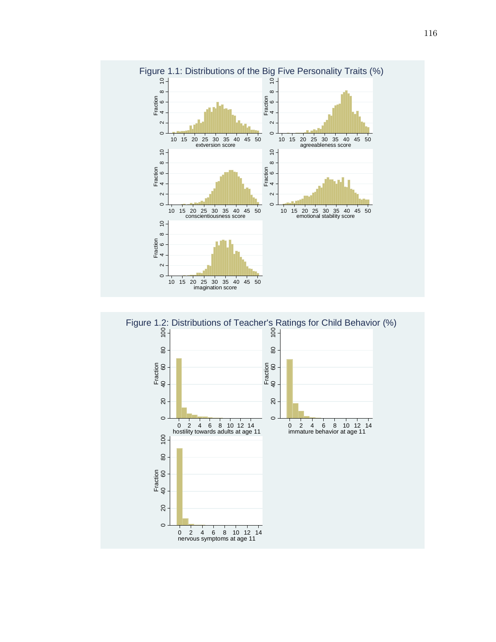

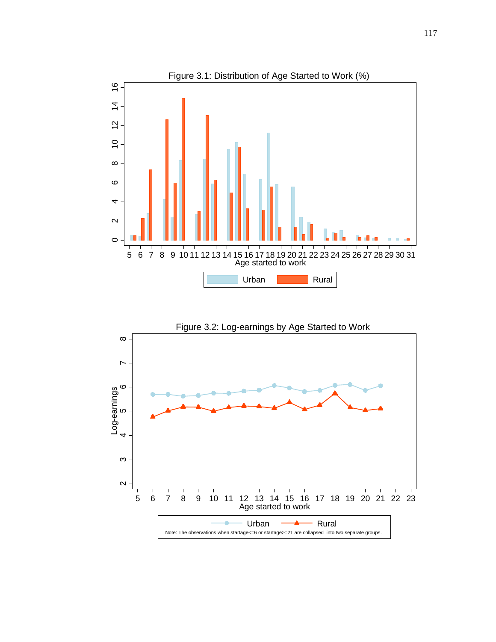

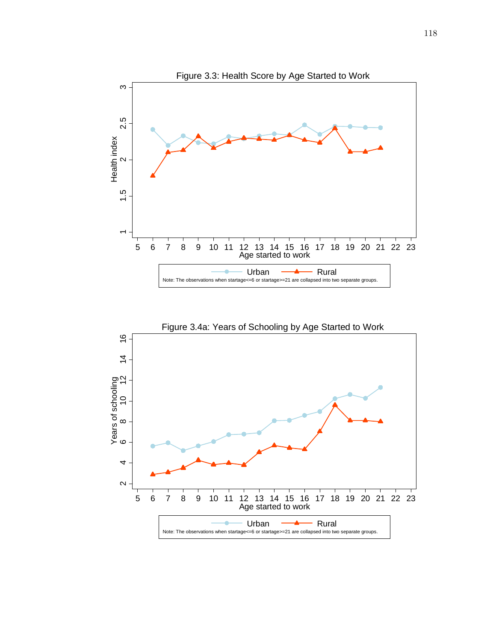

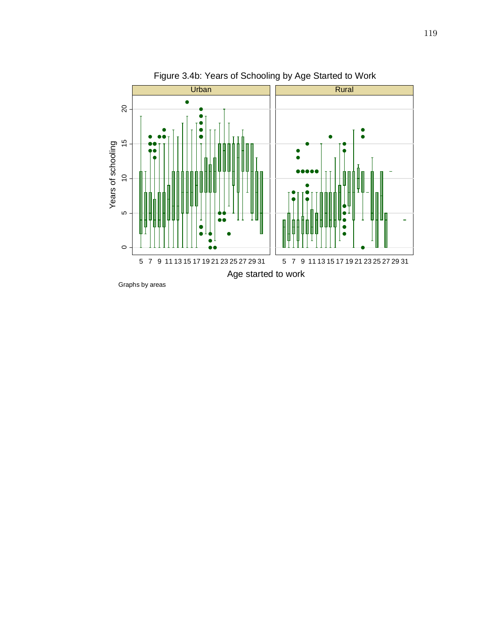

119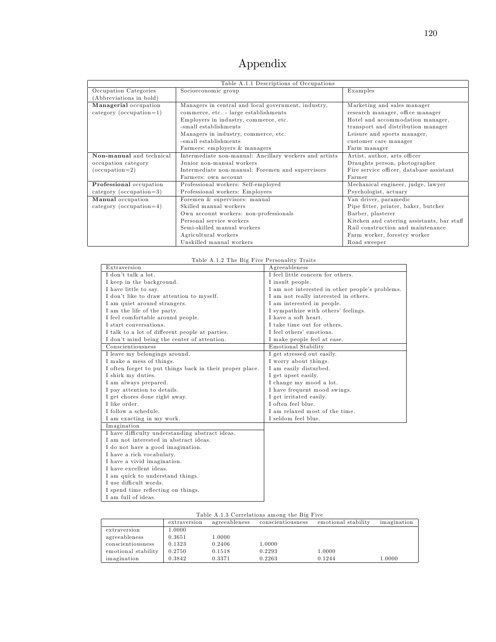## Appendix

|                           | Table A.1.1 Descriptions of Occupations                |                                            |
|---------------------------|--------------------------------------------------------|--------------------------------------------|
| Occupation Categories     | Socioeconomic group                                    | Examples                                   |
| Abbreviations in bold)    |                                                        |                                            |
| Managerial occupation     | Managers in central and local government, industry,    | Marketing and sales manager                |
| $category (occupation=1)$ | commerce, etc. - large establishments                  | research manager, office manager           |
|                           | Employers in industry, commerce, etc.                  | Hotel and accommodation manager,           |
|                           | -small establishments                                  | transport and distribution manager         |
|                           | Managers in industry, commerce, etc.                   | Leisure and sports manager,                |
|                           | -small establishments                                  | customer care manager                      |
|                           | Farmers: employers & managers                          | Farm manager                               |
| Non-manual and technical  | Intermediate non-manual: Ancillary workers and artists | Artist, author, arts officer               |
| occupation category       | Junior non-manual workers                              | Draughts person, photographer              |
| $(occupation=2)$          | Intermediate non-manual: Foremen and supervisors       | Fire service officer, database assistant   |
|                           | Farmers: own account                                   | Farmer                                     |
| Professional occupation   | Professional workers: Self-employed                    | Mechanical engineer, judge, lawyer         |
| $category (occupation=3)$ | Professional workers: Employees                        | Psychologist, actuary                      |
| Manual occupation         | Foremen & supervisors: manual                          | Van driver, paramedic                      |
| $category (occupation=4)$ | Skilled manual workers                                 | Pipe fitter, printer, baker, butcher       |
|                           | Own account workers: non-professionals                 | Barber, plasterer                          |
|                           | Personal service workers                               | Kitchen and catering assistants, bar staff |
|                           | Semi-skilled manual workers                            | Rail construction and maintenance          |
|                           | Agricultural workers                                   | Farm worker, forestry worker               |
|                           | Unskilled manual workers                               | Road sweeper                               |

|  |  |  | Table A.1.2 The Big Five Personality Traits |  |
|--|--|--|---------------------------------------------|--|
|  |  |  |                                             |  |

| Extraversion                                             | Agreeableness                                   |
|----------------------------------------------------------|-------------------------------------------------|
| I don't talk a lot.                                      | I feel little concern for others.               |
| I keep in the background.                                | I insult people.                                |
| I have little to say.                                    | I am not interested in other people's problems. |
| I don't like to draw attention to myself.                | I am not really interested in others.           |
| I am quiet around strangers.                             | I am interested in people.                      |
| I am the life of the party.                              | I sympathize with others' feelings.             |
| I feel comfortable around people.                        | I have a soft heart.                            |
| I start conversations.                                   | I take time out for others.                     |
| I talk to a lot of different people at parties.          | I feel others' emotions.                        |
| I don't mind being the center of attention.              | I make people feel at ease.                     |
| Conscientiousness                                        | Emotional Stability                             |
| I leave my belongings around.                            | I get stressed out easily.                      |
| I make a mess of things.                                 | I worry about things.                           |
| I often forget to put things back in their proper place. | I am easily disturbed.                          |
| I shirk my duties.                                       | I get upset easily.                             |
| I am always prepared.                                    | I change my mood a lot.                         |
| I pay attention to details.                              | I have frequent mood swings.                    |
| I get chores done right away.                            | I get irritated easily.                         |
| I like order.                                            | I often feel blue.                              |
| I follow a schedule.                                     | I am relaxed most of the time.                  |
| I am exacting in my work.                                | I seldom feel blue.                             |
| Imagination                                              |                                                 |
| I have difficulty understanding abstract ideas.          |                                                 |
| I am not interested in abstract ideas.                   |                                                 |
| I do not have a good imagination.                        |                                                 |
| I have a rich vocabulary.                                |                                                 |
| I have a vivid imagination.                              |                                                 |
| I have excellent ideas.                                  |                                                 |
| I am quick to understand things.                         |                                                 |
| I use difficult words.                                   |                                                 |
| I spend time reflecting on things.                       |                                                 |
| I am full of ideas.                                      |                                                 |

#### Table A.1.3 Correlations am ong the Big Five

|                     | extraversion | agreeableness | conscientiousness | emotional stability | imagination |
|---------------------|--------------|---------------|-------------------|---------------------|-------------|
| extraversion        | 1.0000       |               |                   |                     |             |
| agreeableness       | $_{0.3651}$  | 1.0000        |                   |                     |             |
| conscientiousness   | 0.1323       | 0.2406        | 1.0000            |                     |             |
| emotional stability | 0.2750       | 0.1518        | 0.2293            | 1.0000              |             |
| imagination         | 0.3842       | 0.3371        | 0.2263            | 0.1244              | 1.0000      |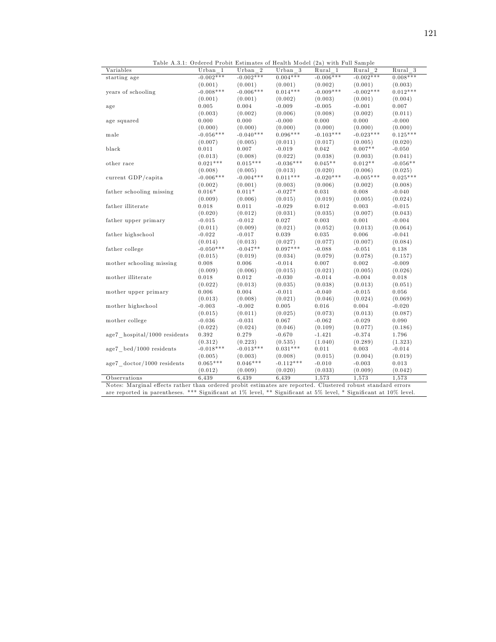| Table A.3.1: Ordered Probit Estimates of Health Model (2a) with Full Sample |             |             |             |             |             |            |
|-----------------------------------------------------------------------------|-------------|-------------|-------------|-------------|-------------|------------|
| Variables                                                                   | Urban 1     | Urban 2     | Urban 3     | Rural 1     | Rural 2     | $Rural$ 3  |
| starting age                                                                | $-0.002***$ | $-0.002***$ | $0.004***$  | $-0.006***$ | $-0.002***$ | $0.008***$ |
|                                                                             | (0.001)     | (0.001)     | (0.001)     | (0.002)     | (0.001)     | (0.003)    |
| years of schooling                                                          | $-0.008***$ | $-0.006***$ | $0.014***$  | $-0.009***$ | $-0.002***$ | $0.012***$ |
|                                                                             | (0.001)     | (0.001)     | (0.002)     | (0.003)     | (0.001)     | (0.004)    |
| age                                                                         | 0.005       | 0.004       | $-0.009$    | $-0.005$    | $-0.001$    | 0.007      |
|                                                                             | (0.003)     | (0.002)     | (0.006)     | (0.008)     | (0.002)     | (0.011)    |
| age squared                                                                 | 0.000       | 0.000       | $-0.000$    | 0.000       | 0.000       | $-0.000$   |
|                                                                             | (0.000)     | (0.000)     | (0.000)     | (0.000)     | (0.000)     | (0.000)    |
| male                                                                        | $-0.056***$ | $-0.040***$ | $0.096***$  | $-0.103***$ | $-0.023***$ | $0.125***$ |
|                                                                             | (0.007)     | (0.005)     | (0.011)     | (0.017)     | (0.005)     | (0.020)    |
| black                                                                       | 0.011       | 0.007       | $-0.019$    | 0.042       | $0.007**$   | $-0.050$   |
|                                                                             | (0.013)     | (0.008)     | (0.022)     | (0.038)     | (0.003)     | (0.041)    |
| other race                                                                  | $0.021***$  | $0.015***$  | $-0.036***$ | $0.045**$   | $0.012**$   | $-0.056**$ |
|                                                                             | (0.008)     | (0.005)     | (0.013)     | (0.020)     | (0.006)     | (0.025)    |
| current GDP/capita                                                          | $-0.006***$ | $-0.004***$ | $0.011***$  | $-0.020***$ | $-0.005***$ | $0.025***$ |
|                                                                             | (0.002)     | (0.001)     | (0.003)     | (0.006)     | (0.002)     | (0.008)    |
| father schooling missing                                                    | $0.016*$    | $0.011*$    | $-0.027*$   | 0.031       | 0.008       | $-0.040$   |
|                                                                             | (0.009)     | (0.006)     | (0.015)     | (0.019)     | (0.005)     | (0.024)    |
| father illiterate                                                           | 0.018       | 0.011       | $-0.029$    | 0.012       | 0.003       | $-0.015$   |
|                                                                             | (0.020)     | (0.012)     | (0.031)     | (0.035)     | (0.007)     | (0.043)    |
| father upper primary                                                        | $-0.015$    | $-0.012$    | 0.027       | 0.003       | 0.001       | $-0.004$   |
|                                                                             | (0.011)     | (0.009)     | (0.021)     | (0.052)     | (0.013)     | (0.064)    |
| father highschool                                                           | $-0.022$    | $-0.017$    | 0.039       | 0.035       | 0.006       | $-0.041$   |
|                                                                             | (0.014)     | (0.013)     | (0.027)     | (0.077)     | (0.007)     | (0.084)    |
| father college                                                              | $-0.050***$ | $-0.047**$  | $0.097***$  | $-0.088$    | $-0.051$    | 0.138      |
|                                                                             | (0.015)     | (0.019)     | (0.034)     | (0.079)     | (0.078)     | (0.157)    |
| mother schooling missing                                                    | 0.008       | 0.006       | $-0.014$    | 0.007       | 0.002       | $-0.009$   |
|                                                                             | (0.009)     | (0.006)     | (0.015)     | (0.021)     | (0.005)     | (0.026)    |
| mother illiterate                                                           | 0.018       | 0.012       | $-0.030$    | $-0.014$    | $-0.004$    | 0.018      |
|                                                                             | (0.022)     | (0.013)     | (0.035)     | (0.038)     | (0.013)     | (0.051)    |
| mother upper primary                                                        | 0.006       | 0.004       | $-0.011$    | $-0.040$    | $-0.015$    | 0.056      |
|                                                                             | (0.013)     | (0.008)     | (0.021)     | (0.046)     | (0.024)     | (0.069)    |
| mother highschool                                                           | $-0.003$    | $-0.002$    | 0.005       | 0.016       | 0.004       | $-0.020$   |
|                                                                             | (0.015)     | (0.011)     | (0.025)     | (0.073)     | (0.013)     | (0.087)    |
| mother college                                                              | $-0.036$    | $-0.031$    | 0.067       | $-0.062$    | $-0.029$    | 0.090      |
|                                                                             | (0.022)     | (0.024)     | (0.046)     | (0.109)     | (0.077)     | (0.186)    |
| age7 hospital/1000 residents                                                | 0.392       | 0.279       | $-0.670$    | $-1.421$    | $-0.374$    | 1.796      |
|                                                                             | (0.312)     | (0.223)     | (0.535)     | (1.040)     | (0.289)     | (1.323)    |
| age7 bed/1000 residents                                                     | $-0.018***$ | $-0.013***$ | $0.031***$  | 0.011       | 0.003       | $-0.014$   |
|                                                                             | (0.005)     | (0.003)     | (0.008)     | (0.015)     | (0.004)     | (0.019)    |
| age7 doctor/1000 residents                                                  | $0.065***$  | $0.046***$  | $-0.112***$ | $-0.010$    | $-0.003$    | 0.013      |

Observations 6,439 6,439 6,439 1,573 1,573 1,573 Notes: Marginal effects rather than ordered probit estimates are reported. Clustered robust standard errors are reported in parentheses. \*\*\* Significant at 1% level, \*\* Significant at 5% level, \* Significant at 10% level.

 $(0.012)$   $(0.009)$   $(0.020)$   $(0.033)$   $(0.009)$   $(0.042)$ 

121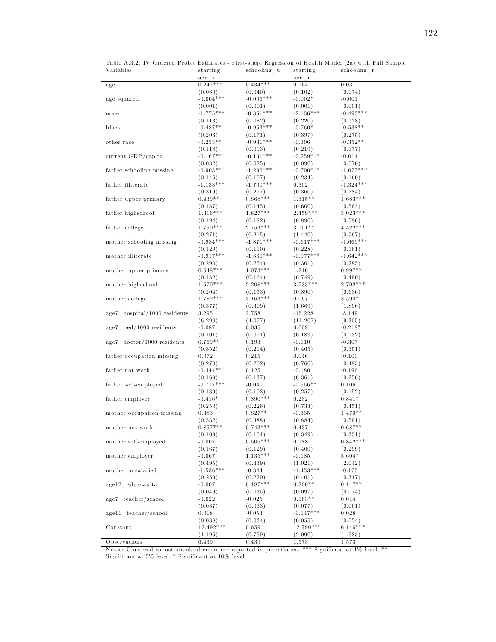| Variables                                 | starting                             | schooling u            | starting         | Table A.3.2: IV Ordered Probit Estimates - First-stage Regression of Health Model (2a) with Full Sample<br>schooling r |
|-------------------------------------------|--------------------------------------|------------------------|------------------|------------------------------------------------------------------------------------------------------------------------|
| age                                       | $\text{age}\_\text{u}$<br>$0.247***$ | $0.434***$             | $age_r$<br>0.164 | $_{0.031}$                                                                                                             |
|                                           |                                      |                        |                  |                                                                                                                        |
|                                           | (0.060)                              | (0.040)<br>$-0.006***$ | (0.102)          | (0.074)                                                                                                                |
| age squared                               | $-0.004***$                          |                        | $-0.002*$        | $-0.001$                                                                                                               |
|                                           | (0.001)                              | (0.001)                | (0.001)          | (0.001)                                                                                                                |
| male                                      | $-1.775***$                          | $-0.351***$            | $-2.136***$      | $-0.493***$                                                                                                            |
|                                           | (0.113)                              | (0.082)                | (0.220)          | (0.128)                                                                                                                |
| black                                     | $-0.487**$                           | $-0.953***$            | $-0.760*$        | $-0.538**$                                                                                                             |
|                                           | (0.203)                              | (0.171)                | (0.397)          | (0.275)                                                                                                                |
| other race                                | $-0.253**$                           | $-0.931***$            | $-0.306$         | $-0.352**$                                                                                                             |
|                                           | (0.118)                              | (0.093)                | (0.219)          | (0.177)                                                                                                                |
| current GDP/capita                        | $-0.167***$                          | $-0.131***$            | $-0.259***$      | $-0.014$                                                                                                               |
|                                           | (0.032)                              | (0.025)                | (0.090)          | (0.070)                                                                                                                |
| father schooling missing                  | $-0.903***$                          | $-1.296***$            | $-0.700***$      | $-1.077***$                                                                                                            |
|                                           |                                      |                        |                  |                                                                                                                        |
|                                           | (0.146)                              | (0.107)                | (0.234)          | (0.160)                                                                                                                |
| father illiterate                         | $-1.133***$                          | $-1.700***$            | 0.302            | $-1.324***$                                                                                                            |
|                                           | (0.319)                              | (0.277)                | (0.360)          | (0.284)                                                                                                                |
| father upper primary                      | $0.439**$                            | $0.868***$             | $1.315**$        | $1.683***$                                                                                                             |
|                                           | (0.187)                              | (0.145)                | (0.660)          | (0.562)                                                                                                                |
| father highschool                         | $1.316***$                           | $1.827***$             | $2.459***$       | $3.023***$                                                                                                             |
|                                           | (0.194)                              | (0.182)                | (0.890)          | (0.586)                                                                                                                |
| father college                            | $1.750***$                           | $2.753***$             | $3.101**$        | $4.422***$                                                                                                             |
|                                           | (0.271)                              | (0.215)                | (1.440)          | (0.967)                                                                                                                |
|                                           | $-0.984***$                          | $-1.871***$            | $-0.617***$      | $-1.669***$                                                                                                            |
| mother schooling missing                  |                                      |                        |                  |                                                                                                                        |
|                                           | (0.129)                              | (0.110)                | (0.228)          | (0.161)                                                                                                                |
| mother illiterate                         | $-0.917***$                          | $-1.660***$            | $-0.977***$      | $-1.642***$                                                                                                            |
|                                           | (0.290)                              | (0.254)                | (0.361)          | (0.285)                                                                                                                |
| mother upper primary                      | $0.648***$                           | $1.073***$             | 1.210            | $0.997**$                                                                                                              |
|                                           | (0.182)                              | (0.164)                | (0.749)          | (0.490)                                                                                                                |
| mother highschool                         | $1.570***$                           | $2.208***$             | $3.733***$       | $2.702***$                                                                                                             |
|                                           | (0.204)                              | (0.153)                | (0.890)          | (0.636)                                                                                                                |
| mother college                            | $1.782***$                           | $3.163***$             | 0.067            | $3.590*$                                                                                                               |
|                                           | (0.377)                              | (0.309)                | (1.669)          | (1.896)                                                                                                                |
|                                           |                                      |                        |                  |                                                                                                                        |
| age7 hospital/1000 residents              | 3.295                                | 2.758                  | $-15.228$        | $-8.149$                                                                                                               |
|                                           | (6.290)                              | (4.077)                | (11.207)         | (9.305)                                                                                                                |
| $age7 \text{ bed}/1000 \text{ residents}$ | $-0.087$                             | $_{0.035}$             | 0.009            | $-0.218*$                                                                                                              |
|                                           | (0.101)                              | (0.071)                | (0.189)          | (0.132)                                                                                                                |
| age7 doctor/1000 residents                | $0.769**$                            | 0.193                  | $-0.110$         | $-0.307$                                                                                                               |
|                                           | (0.352)                              | (0.214)                | (0.465)          | (0.351)                                                                                                                |
| father occupation missing                 | 0.072                                | 0.215                  | 0.046            | $-0.100$                                                                                                               |
|                                           | (0.270)                              | (0.202)                | (0.760)          | (0.483)                                                                                                                |
| father not work                           | $-0.444***$                          | 0.125                  | $-0.180$         | $-0.196$                                                                                                               |
|                                           |                                      |                        |                  |                                                                                                                        |
|                                           | (0.169)                              | (0.137)                | (0.361)          | (0.256)                                                                                                                |
| father self-employed                      | $-0.717***$                          | $-0.040$               | $-0.556**$       | 0.106                                                                                                                  |
|                                           | (0.139)                              | (0.103)                | (0.257)          | (0.152)                                                                                                                |
| father employer                           | $-0.416*$                            | $0.890***$             | 0.232            | $0.841*$                                                                                                               |
|                                           | (0.250)                              | (0.226)                | (0.733)          | (0.451)                                                                                                                |
| mother occupation missing                 | 0.383                                | $0.827**$              | $-0.335$         | $1.470**$                                                                                                              |
|                                           | (0.532)                              | (0.388)                | (0.884)          | (0.591)                                                                                                                |
| mother not work                           | $0.857***$                           | $0.743***$             | 0.437            | $0.687**$                                                                                                              |
|                                           | (0.109)                              | (0.101)                | (0.349)          | (0.331)                                                                                                                |
| mother self-employed                      | $-0.007$                             | $0.505***$             |                  | $0.842***$                                                                                                             |
|                                           |                                      |                        | 0.188            |                                                                                                                        |
|                                           | (0.167)                              | (0.129)                | (0.400)          | (0.299)                                                                                                                |
| mother employer                           | $-0.067$                             | $1.135***$             | $-0.185$         | $3.604*$                                                                                                               |
|                                           | (0.495)                              | (0.439)                | (1.021)          | (2.042)                                                                                                                |
| mother unsalaried                         | $-1.536***$                          | $-0.344$               | $-1.453***$      | $-0.173$                                                                                                               |
|                                           | (0.259)                              | (0.220)                | (0.401)          | (0.317)                                                                                                                |
| $age12$ gdp/capita                        | $-0.007$                             | $0.187***$             | $0.200**$        | $0.147**$                                                                                                              |
|                                           | (0.049)                              | (0.035)                | (0.097)          | (0.074)                                                                                                                |
| age7 teacher/school                       | $-0.022$                             | $-0.025$               | $0.163**$        | 0.014                                                                                                                  |
|                                           |                                      |                        |                  |                                                                                                                        |
|                                           | (0.037)                              | (0.033)                | (0.077)          | (0.061)                                                                                                                |
| age11 teacher/school                      | 0.018                                | $-0.053$               | $-0.147***$      | 0.028                                                                                                                  |
|                                           | (0.038)                              | (0.034)                | (0.055)          | (0.054)                                                                                                                |
| Constant                                  | 12.492***                            | 0.659                  | 12.790***        | $6.146***$                                                                                                             |
|                                           | (1.195)                              | (0.759)                | (2.090)          | (1.533)                                                                                                                |
|                                           |                                      |                        | 1,573            |                                                                                                                        |

Notes: Clustered robust standard errors are reported in parentheses. \*\*\* Significant at 1% level, Significant at  $5\%$  level,  $*$  Significant at  $10\%$  level.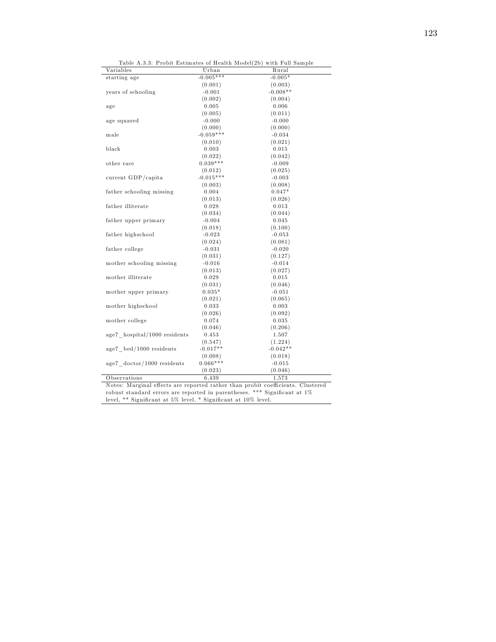| Table A.3.3: Probit Estimates of Health Model(2b) with Full Sample |  |  |  |  |  |
|--------------------------------------------------------------------|--|--|--|--|--|
|                                                                    |  |  |  |  |  |

| Variables                    | Urban               | Table A.3.3: Probit Estimates of Health Model(2b) with Full Sample<br>Rural |
|------------------------------|---------------------|-----------------------------------------------------------------------------|
| starting age                 | $-0.005***$         | $-0.005*$                                                                   |
|                              | (0.001)             | (0.003)                                                                     |
| years of schooling           | $-0.001$            | $-0.008**$                                                                  |
|                              | (0.002)             | (0.004)                                                                     |
| age                          | 0.005               | 0.006                                                                       |
|                              | (0.005)             | (0.011)                                                                     |
| age squared                  | $-0.000$            | $-0.000$                                                                    |
|                              | (0.000)             | (0.000)                                                                     |
| male                         | $-0.059***$         | $-0.034$                                                                    |
|                              | (0.010)             | (0.021)                                                                     |
| black                        | 0.003               | 0.015                                                                       |
|                              | (0.022)             | (0.042)                                                                     |
| other race                   | $0.039***$          | $-0.009$                                                                    |
|                              | (0.012)             | (0.025)                                                                     |
| current GDP/capita           | $-0.015***$         | $-0.003$                                                                    |
|                              | (0.003)             | (0.008)                                                                     |
| father schooling missing     | 0.004               | $0.047*$                                                                    |
|                              | (0.013)             | (0.026)                                                                     |
| father illiterate            | 0.028               | 0.013                                                                       |
|                              | (0.034)             | (0.044)                                                                     |
| father upper primary         | $-0.004$            | 0.045                                                                       |
|                              |                     | (0.100)                                                                     |
| father highschool            | (0.018)<br>$-0.023$ | $-0.053$                                                                    |
|                              |                     |                                                                             |
|                              | (0.024)             | (0.081)                                                                     |
| father college               | $-0.031$            | $-0.020$                                                                    |
|                              | (0.031)             | (0.127)                                                                     |
| mother schooling missing     | $-0.016$            | $-0.014$                                                                    |
|                              | (0.013)             | (0.027)                                                                     |
| mother illiterate            | 0.029               | 0.015                                                                       |
|                              | (0.031)             | (0.046)                                                                     |
| mother upper primary         | $0.035*$            | $-0.051$                                                                    |
|                              | (0.021)             | (0.065)                                                                     |
| mother highschool            | 0.033               | 0.003                                                                       |
|                              | (0.026)             | (0.092)                                                                     |
| mother college               | 0.074               | 0.035                                                                       |
|                              | (0.046)             | (0.206)                                                                     |
| age7 hospital/1000 residents | 0.453               | 1.507                                                                       |
|                              | (0.547)             | (1.224)                                                                     |
| age7 bed/1000 residents      | $-0.017**$          | $-0.042**$                                                                  |
|                              | (0.008)             | (0.018)                                                                     |
| age7 doctor/1000 residents   | $0.066***$          | $-0.015$                                                                    |
|                              | (0.023)             | (0.046)                                                                     |
| Observations                 | 6,439               | 1,573                                                                       |

Notes: Marginal effects are reported rather than probit coefficients. Clustered robust standard errors are reported in parentheses. \*\*\* Significant at 1% level, \*\* Significant at 5% level, \* Significant at 10% level.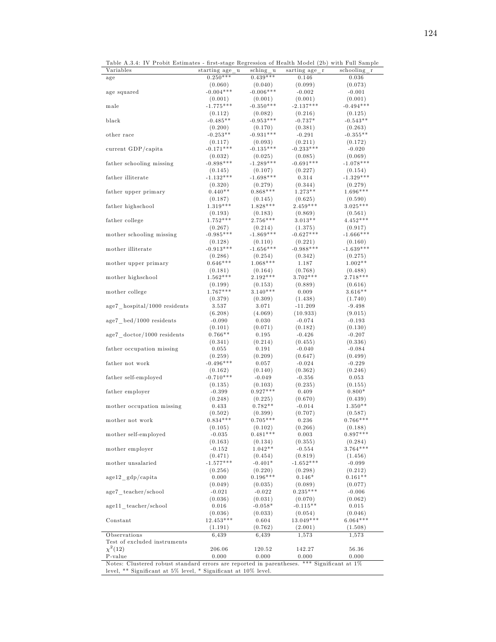| Table A.3.4: IV Probit Estimates - first-stage Regression of Health Model (2b) with Full Sample |  |  |  |  |
|-------------------------------------------------------------------------------------------------|--|--|--|--|
|                                                                                                 |  |  |  |  |

| rable A.J.4. Iv I fould Estimates - mist-stage regression of freatur model (20) with Full Jampie<br>Variables |                             |             |               |             |
|---------------------------------------------------------------------------------------------------------------|-----------------------------|-------------|---------------|-------------|
|                                                                                                               | starting age<br>$\mathbf u$ | sching u    | sarting age r | schooling r |
| age                                                                                                           | $0.250***$                  | $0.439***$  | 0.146         | 0.036       |
|                                                                                                               | (0.060)                     | (0.040)     | (0.099)       | (0.073)     |
| age squared                                                                                                   | $-0.004***$                 | $-0.006***$ | $-0.002$      | $-0.001$    |
|                                                                                                               | (0.001)                     | (0.001)     | (0.001)       | (0.001)     |
| male                                                                                                          | $-1.775***$                 | $-0.350***$ | $-2.137***$   | $-0.494***$ |
|                                                                                                               | (0.112)                     | (0.082)     | (0.216)       | (0.125)     |
| black                                                                                                         | $-0.485**$                  | $-0.953***$ | $-0.737*$     | $-0.543**$  |
|                                                                                                               |                             |             |               |             |
|                                                                                                               | (0.200)                     | (0.170)     | (0.381)       | (0.263)     |
| other race                                                                                                    | $-0.253**$                  | $-0.931***$ | $-0.291$      | $-0.355**$  |
|                                                                                                               | (0.117)                     | (0.093)     | (0.211)       | (0.172)     |
| current GDP/capita                                                                                            | $-0.171***$                 | $-0.135***$ | $-0.233***$   | $-0.020$    |
|                                                                                                               | (0.032)                     | (0.025)     | (0.085)       | (0.069)     |
| father schooling missing                                                                                      | $-0.898***$                 | $-1.289***$ | $-0.691***$   | $-1.078***$ |
|                                                                                                               | (0.145)                     | (0.107)     | (0.227)       | (0.154)     |
| father illiterate                                                                                             | $-1.132***$                 | $-1.698***$ | 0.314         | $-1.329***$ |
|                                                                                                               |                             |             |               |             |
|                                                                                                               | (0.320)                     | (0.279)     | (0.344)       | (0.279)     |
| father upper primary                                                                                          | $0.440**$                   | $0.868***$  | $1.273**$     | 1.696***    |
|                                                                                                               | (0.187)                     | (0.145)     | (0.625)       | (0.590)     |
| father highschool                                                                                             | $1.319***$                  | $1.828***$  | $2.459***$    | $3.025***$  |
|                                                                                                               | (0.193)                     | (0.183)     | (0.869)       | (0.561)     |
| father college                                                                                                | $1.752***$                  | $2.756***$  | $3.013**$     | $4.452***$  |
|                                                                                                               |                             |             |               |             |
|                                                                                                               | (0.267)                     | (0.214)     | (1.375)       | (0.917)     |
| mother schooling missing                                                                                      | $-0.985***$                 | $-1.869***$ | $-0.627***$   | $-1.666***$ |
|                                                                                                               | (0.128)                     | (0.110)     | (0.221)       | (0.160)     |
| mother illiterate                                                                                             | $-0.913***$                 | $-1.656***$ | $-0.988***$   | $-1.639***$ |
|                                                                                                               | (0.286)                     | (0.254)     | (0.342)       | (0.275)     |
| mother upper primary                                                                                          | $0.646***$                  | $1.068***$  | 1.187         | $1.002**$   |
|                                                                                                               | (0.181)                     | (0.164)     | (0.768)       | (0.488)     |
|                                                                                                               | $1.562***$                  | $2.192***$  | $3.702***$    | $2.718***$  |
| mother highschool                                                                                             |                             |             |               |             |
|                                                                                                               | (0.199)                     | (0.153)     | (0.889)       | (0.616)     |
| mother college                                                                                                | $1.767***$                  | $3.140***$  | 0.009         | $3.616**$   |
|                                                                                                               | (0.379)                     | (0.309)     | (1.438)       | (1.740)     |
| age7 hospital/1000 residents                                                                                  | 3.537                       | 3.071       | $-11.209$     | $-9.498$    |
|                                                                                                               | (6.208)                     | (4.069)     | (10.933)      | (9.015)     |
| age7 bed/1000 residents                                                                                       | $-0.090$                    | 0.030       | $-0.074$      | $-0.193$    |
|                                                                                                               | (0.101)                     | (0.071)     | (0.182)       | (0.130)     |
|                                                                                                               | $0.766**$                   |             |               |             |
| age7 doctor/1000 residents                                                                                    |                             | 0.195       | $-0.426$      | $-0.207$    |
|                                                                                                               | (0.341)                     | (0.214)     | (0.455)       | (0.336)     |
| father occupation missing                                                                                     | 0.055                       | 0.191       | $-0.040$      | $-0.084$    |
|                                                                                                               | (0.259)                     | (0.209)     | (0.647)       | (0.499)     |
| father not work                                                                                               | $-0.496***$                 | 0.057       | $-0.024$      | $-0.229$    |
|                                                                                                               | (0.162)                     | (0.140)     | (0.362)       | (0.246)     |
| father self-employed                                                                                          | $-0.710***$                 | $-0.049$    | $-0.356$      | 0.053       |
|                                                                                                               |                             |             |               |             |
|                                                                                                               | (0.135)                     | (0.103)     | (0.235)       | (0.155)     |
| father employer                                                                                               | $-0.399$                    | $0.927***$  | 0.409         | $0.800*$    |
|                                                                                                               | (0.248)                     | (0.225)     | (0.670)       | (0.439)     |
| mother occupation missing                                                                                     | 0.433                       | $0.782**$   | $-0.014$      | $1.350**$   |
|                                                                                                               | (0.502)                     | (0.399)     | (0.707)       | (0.587)     |
| mother not work                                                                                               | $0.834***$                  | $0.705***$  | 0.236         | $0.766***$  |
|                                                                                                               | (0.105)                     | (0.102)     | (0.266)       | (0.188)     |
| mother self-employed                                                                                          | $-0.035$                    | $0.481***$  | 0.003         | $0.897***$  |
|                                                                                                               |                             |             |               |             |
|                                                                                                               | (0.163)                     | (0.134)     | (0.355)       | (0.284)     |
| mother employer                                                                                               | $-0.152$                    | $1.042**$   | $-0.554$      | $3.764***$  |
|                                                                                                               | (0.471)                     | (0.454)     | (0.819)       | (1.456)     |
| mother unsalaried                                                                                             | $-1.577***$                 | $-0.401*$   | $-1.652***$   | $-0.099$    |
|                                                                                                               | (0.256)                     | (0.220)     | (0.298)       | (0.212)     |
| age12 gdp/capita                                                                                              | 0.000                       | $0.196***$  | $0.146*$      | $0.161**$   |
|                                                                                                               | (0.049)                     | (0.035)     | (0.089)       | (0.077)     |
| age7 teacher/school                                                                                           | $-0.021$                    | $-0.022$    | $0.235***$    | $-0.006$    |
|                                                                                                               |                             |             | (0.070)       | (0.062)     |
|                                                                                                               | (0.036)                     | (0.031)     |               |             |
| age11 teacher/school                                                                                          | 0.016                       | $-0.058*$   | $-0.115**$    | 0.015       |
|                                                                                                               | (0.036)                     | (0.033)     | (0.054)       | (0.046)     |
| Constant                                                                                                      | $12.453***$                 | 0.604       | $13.049***$   | $6.064***$  |
|                                                                                                               | (1.191)                     | (0.762)     | (2.001)       | (1.508)     |
| Observations                                                                                                  | 6,439                       | 6,439       | 1,573         | 1,573       |
| Test of excluded instruments                                                                                  |                             |             |               |             |
| $\chi^{2}(12)$                                                                                                | 206.06                      | 120.52      | 142.27        | 56.36       |
|                                                                                                               |                             |             |               |             |
| P-value                                                                                                       | 0.000                       | 0.000       | 0.000         | 0.000       |
| Notes: Clustered robust standard errors are reported in parentheses. *** Significant at 1%                    |                             |             |               |             |

level, \*\* Significant at 5% level, \* Significant at 10% level.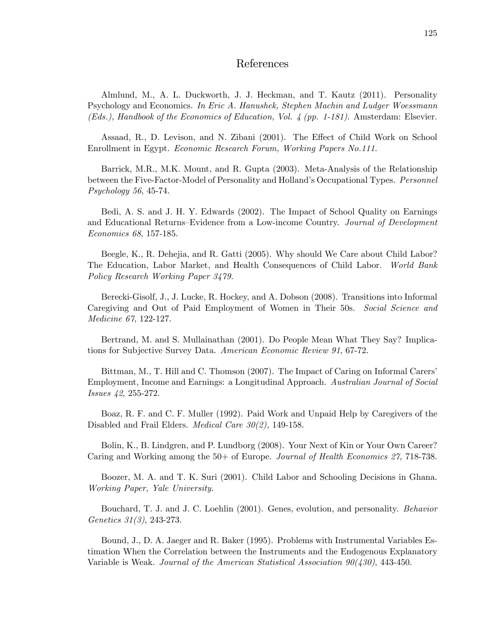#### References

Almlund, M., A. L. Duckworth, J. J. Heckman, and T. Kautz (2011). Personality Psychology and Economics. In Eric A. Hanushek, Stephen Machin and Ludger Woessmann (Eds.), Handbook of the Economics of Education, Vol. 4 (pp. 1-181). Amsterdam: Elsevier.

Assaad, R., D. Levison, and N. Zibani (2001). The Effect of Child Work on School Enrollment in Egypt. Economic Research Forum, Working Papers No.111.

Barrick, M.R., M.K. Mount, and R. Gupta (2003). Meta-Analysis of the Relationship between the Five-Factor-Model of Personality and Holland's Occupational Types. Personnel Psychology 56, 45-74.

Bedi, A. S. and J. H. Y. Edwards (2002). The Impact of School Quality on Earnings and Educational Returns–Evidence from a Low-income Country. Journal of Development Economics 68, 157-185.

Beegle, K., R. Dehejia, and R. Gatti (2005). Why should We Care about Child Labor? The Education, Labor Market, and Health Consequences of Child Labor. World Bank Policy Research Working Paper 3479.

Berecki-Gisolf, J., J. Lucke, R. Hockey, and A. Dobson (2008). Transitions into Informal Caregiving and Out of Paid Employment of Women in Their 50s. Social Science and Medicine 67, 122-127.

Bertrand, M. and S. Mullainathan (2001). Do People Mean What They Say? Implications for Subjective Survey Data. American Economic Review 91, 67-72.

Bittman, M., T. Hill and C. Thomson (2007). The Impact of Caring on Informal Carersí Employment, Income and Earnings: a Longitudinal Approach. Australian Journal of Social Issues 42, 255-272.

Boaz, R. F. and C. F. Muller (1992). Paid Work and Unpaid Help by Caregivers of the Disabled and Frail Elders. *Medical Care 30(2)*, 149-158.

Bolin, K., B. Lindgren, and P. Lundborg (2008). Your Next of Kin or Your Own Career? Caring and Working among the 50+ of Europe. Journal of Health Economics 27, 718-738.

Boozer, M. A. and T. K. Suri (2001). Child Labor and Schooling Decisions in Ghana. Working Paper, Yale University.

Bouchard, T. J. and J. C. Loehlin (2001). Genes, evolution, and personality. Behavior Genetics 31(3), 243-273.

Bound, J., D. A. Jaeger and R. Baker (1995). Problems with Instrumental Variables Estimation When the Correlation between the Instruments and the Endogenous Explanatory Variable is Weak. Journal of the American Statistical Association 90(430), 443-450.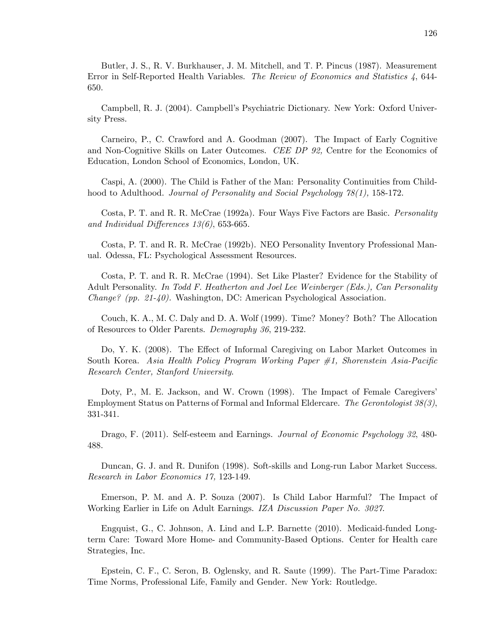Butler, J. S., R. V. Burkhauser, J. M. Mitchell, and T. P. Pincus (1987). Measurement Error in Self-Reported Health Variables. The Review of Economics and Statistics 4, 644- 650.

Campbell, R. J. (2004). Campbellís Psychiatric Dictionary. New York: Oxford University Press.

Carneiro, P., C. Crawford and A. Goodman (2007). The Impact of Early Cognitive and Non-Cognitive Skills on Later Outcomes. CEE DP 92, Centre for the Economics of Education, London School of Economics, London, UK.

Caspi, A. (2000). The Child is Father of the Man: Personality Continuities from Childhood to Adulthood. Journal of Personality and Social Psychology 78(1), 158-172.

Costa, P. T. and R. R. McCrae (1992a). Four Ways Five Factors are Basic. Personality and Individual Differences  $13(6)$ , 653-665.

Costa, P. T. and R. R. McCrae (1992b). NEO Personality Inventory Professional Manual. Odessa, FL: Psychological Assessment Resources.

Costa, P. T. and R. R. McCrae (1994). Set Like Plaster? Evidence for the Stability of Adult Personality. In Todd F. Heatherton and Joel Lee Weinberger (Eds.), Can Personality Change? (pp. 21-40). Washington, DC: American Psychological Association.

Couch, K. A., M. C. Daly and D. A. Wolf (1999). Time? Money? Both? The Allocation of Resources to Older Parents. Demography 36, 219-232.

Do, Y. K. (2008). The Effect of Informal Caregiving on Labor Market Outcomes in South Korea. Asia Health Policy Program Working Paper  $\#1$ , Shorenstein Asia-Pacific Research Center, Stanford University.

Doty, P., M. E. Jackson, and W. Crown (1998). The Impact of Female Caregivers' Employment Status on Patterns of Formal and Informal Eldercare. The Gerontologist 38(3), 331-341.

Drago, F. (2011). Self-esteem and Earnings. Journal of Economic Psychology 32, 480-488.

Duncan, G. J. and R. Dunifon (1998). Soft-skills and Long-run Labor Market Success. Research in Labor Economics 17, 123-149.

Emerson, P. M. and A. P. Souza (2007). Is Child Labor Harmful? The Impact of Working Earlier in Life on Adult Earnings. IZA Discussion Paper No. 3027.

Engquist, G., C. Johnson, A. Lind and L.P. Barnette (2010). Medicaid-funded Longterm Care: Toward More Home- and Community-Based Options. Center for Health care Strategies, Inc.

Epstein, C. F., C. Seron, B. Oglensky, and R. Saute (1999). The Part-Time Paradox: Time Norms, Professional Life, Family and Gender. New York: Routledge.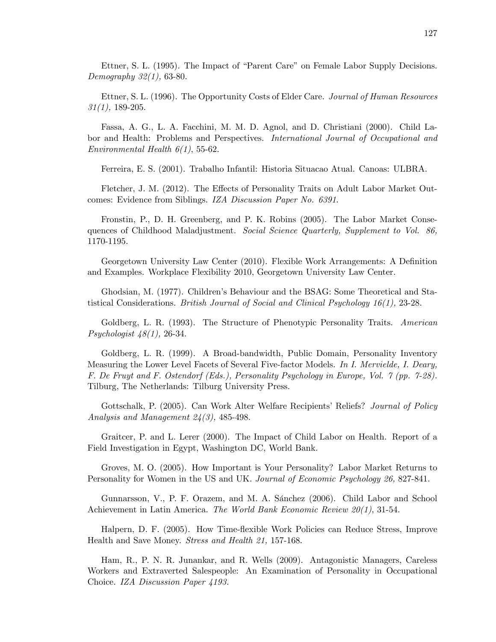Ettner, S. L. (1995). The Impact of "Parent Care" on Female Labor Supply Decisions. Demography 32(1), 63-80.

Ettner, S. L. (1996). The Opportunity Costs of Elder Care. Journal of Human Resources  $31(1)$ , 189-205.

Fassa, A. G., L. A. Facchini, M. M. D. Agnol, and D. Christiani (2000). Child Labor and Health: Problems and Perspectives. International Journal of Occupational and Environmental Health  $6(1)$ , 55-62.

Ferreira, E. S. (2001). Trabalho Infantil: Historia Situacao Atual. Canoas: ULBRA.

Fletcher, J. M. (2012). The Effects of Personality Traits on Adult Labor Market Outcomes: Evidence from Siblings. IZA Discussion Paper No. 6391.

Fronstin, P., D. H. Greenberg, and P. K. Robins (2005). The Labor Market Consequences of Childhood Maladjustment. Social Science Quarterly, Supplement to Vol. 86, 1170-1195.

Georgetown University Law Center (2010). Flexible Work Arrangements: A Definition and Examples. Workplace Flexibility 2010, Georgetown University Law Center.

Ghodsian, M. (1977). Childrenís Behaviour and the BSAG: Some Theoretical and Statistical Considerations. British Journal of Social and Clinical Psychology 16(1), 23-28.

Goldberg, L. R. (1993). The Structure of Phenotypic Personality Traits. American Psychologist 48(1), 26-34.

Goldberg, L. R. (1999). A Broad-bandwidth, Public Domain, Personality Inventory Measuring the Lower Level Facets of Several Five-factor Models. In I. Mervielde, I. Deary, F. De Fruyt and F. Ostendorf (Eds.), Personality Psychology in Europe, Vol. 7 (pp. 7-28). Tilburg, The Netherlands: Tilburg University Press.

Gottschalk, P. (2005). Can Work Alter Welfare Recipients' Reliefs? Journal of Policy Analysis and Management  $24(3)$ , 485-498.

Graitcer, P. and L. Lerer (2000). The Impact of Child Labor on Health. Report of a Field Investigation in Egypt, Washington DC, World Bank.

Groves, M. O. (2005). How Important is Your Personality? Labor Market Returns to Personality for Women in the US and UK. Journal of Economic Psychology 26, 827-841.

Gunnarsson, V., P. F. Orazem, and M. A. Sánchez (2006). Child Labor and School Achievement in Latin America. The World Bank Economic Review 20(1), 31-54.

Halpern, D. F. (2005). How Time-áexible Work Policies can Reduce Stress, Improve Health and Save Money. Stress and Health 21, 157-168.

Ham, R., P. N. R. Junankar, and R. Wells (2009). Antagonistic Managers, Careless Workers and Extraverted Salespeople: An Examination of Personality in Occupational Choice. IZA Discussion Paper 4193.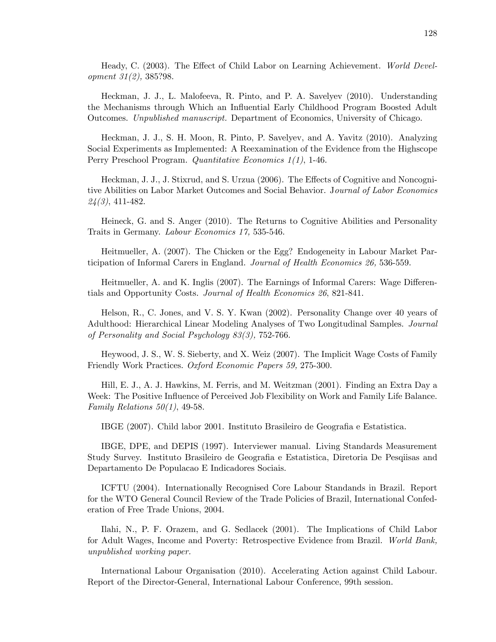Heady, C. (2003). The Effect of Child Labor on Learning Achievement. World Development 31(2), 385?98.

Heckman, J. J., L. Malofeeva, R. Pinto, and P. A. Savelyev (2010). Understanding the Mechanisms through Which an Influential Early Childhood Program Boosted Adult Outcomes. Unpublished manuscript. Department of Economics, University of Chicago.

Heckman, J. J., S. H. Moon, R. Pinto, P. Savelyev, and A. Yavitz (2010). Analyzing Social Experiments as Implemented: A Reexamination of the Evidence from the Highscope Perry Preschool Program. Quantitative Economics 1(1), 1-46.

Heckman, J. J., J. Stixrud, and S. Urzua (2006). The Effects of Cognitive and Noncognitive Abilities on Labor Market Outcomes and Social Behavior. Journal of Labor Economics  $24(3)$ , 411-482.

Heineck, G. and S. Anger (2010). The Returns to Cognitive Abilities and Personality Traits in Germany. Labour Economics 17, 535-546.

Heitmueller, A. (2007). The Chicken or the Egg? Endogeneity in Labour Market Participation of Informal Carers in England. Journal of Health Economics 26, 536-559.

Heitmueller, A. and K. Inglis (2007). The Earnings of Informal Carers: Wage Differentials and Opportunity Costs. Journal of Health Economics 26, 821-841.

Helson, R., C. Jones, and V. S. Y. Kwan (2002). Personality Change over 40 years of Adulthood: Hierarchical Linear Modeling Analyses of Two Longitudinal Samples. Journal of Personality and Social Psychology 83(3), 752-766.

Heywood, J. S., W. S. Sieberty, and X. Weiz (2007). The Implicit Wage Costs of Family Friendly Work Practices. Oxford Economic Papers 59, 275-300.

Hill, E. J., A. J. Hawkins, M. Ferris, and M. Weitzman (2001). Finding an Extra Day a Week: The Positive Influence of Perceived Job Flexibility on Work and Family Life Balance. Family Relations  $50(1)$ , 49-58.

IBGE (2007). Child labor 2001. Instituto Brasileiro de Geografia e Estatistica.

IBGE, DPE, and DEPIS (1997). Interviewer manual. Living Standards Measurement Study Survey. Instituto Brasileiro de Geografia e Estatistica, Diretoria De Pesqiisas and Departamento De Populacao E Indicadores Sociais.

ICFTU (2004). Internationally Recognised Core Labour Standands in Brazil. Report for the WTO General Council Review of the Trade Policies of Brazil, International Confederation of Free Trade Unions, 2004.

Ilahi, N., P. F. Orazem, and G. Sedlacek (2001). The Implications of Child Labor for Adult Wages, Income and Poverty: Retrospective Evidence from Brazil. World Bank, unpublished working paper.

International Labour Organisation (2010). Accelerating Action against Child Labour. Report of the Director-General, International Labour Conference, 99th session.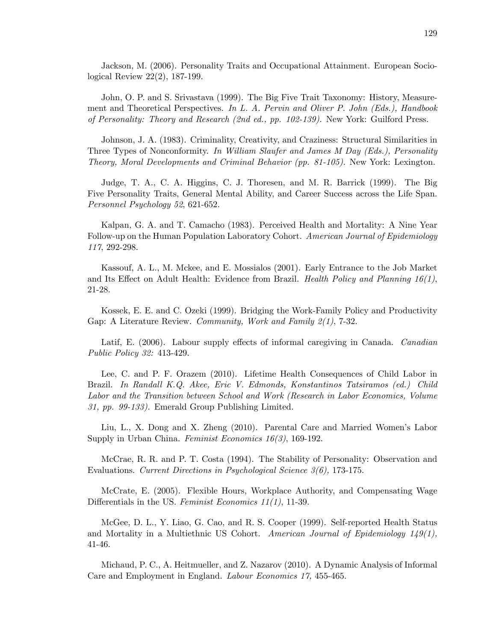Jackson, M. (2006). Personality Traits and Occupational Attainment. European Sociological Review 22(2), 187-199.

John, O. P. and S. Srivastava (1999). The Big Five Trait Taxonomy: History, Measurement and Theoretical Perspectives. In L. A. Pervin and Oliver P. John (Eds.), Handbook of Personality: Theory and Research (2nd ed., pp. 102-139). New York: Guilford Press.

Johnson, J. A. (1983). Criminality, Creativity, and Craziness: Structural Similarities in Three Types of Nonconformity. In William Slaufer and James M Day (Eds.), Personality Theory, Moral Developments and Criminal Behavior (pp. 81-105). New York: Lexington.

Judge, T. A., C. A. Higgins, C. J. Thoresen, and M. R. Barrick (1999). The Big Five Personality Traits, General Mental Ability, and Career Success across the Life Span. Personnel Psychology 52, 621-652.

Kalpan, G. A. and T. Camacho (1983). Perceived Health and Mortality: A Nine Year Follow-up on the Human Population Laboratory Cohort. American Journal of Epidemiology 117, 292-298.

Kassouf, A. L., M. Mckee, and E. Mossialos (2001). Early Entrance to the Job Market and Its Effect on Adult Health: Evidence from Brazil. Health Policy and Planning  $16(1)$ , 21-28.

Kossek, E. E. and C. Ozeki (1999). Bridging the Work-Family Policy and Productivity Gap: A Literature Review. Community, Work and Family 2(1), 7-32.

Latif, E. (2006). Labour supply effects of informal caregiving in Canada. Canadian Public Policy 32: 413-429.

Lee, C. and P. F. Orazem (2010). Lifetime Health Consequences of Child Labor in Brazil. In Randall K.Q. Akee, Eric V. Edmonds, Konstantinos Tatsiramos (ed.) Child Labor and the Transition between School and Work (Research in Labor Economics, Volume 31, pp. 99-133). Emerald Group Publishing Limited.

Liu, L., X. Dong and X. Zheng (2010). Parental Care and Married Women's Labor Supply in Urban China. Feminist Economics 16(3), 169-192.

McCrae, R. R. and P. T. Costa (1994). The Stability of Personality: Observation and Evaluations. Current Directions in Psychological Science 3(6), 173-175.

McCrate, E. (2005). Flexible Hours, Workplace Authority, and Compensating Wage Differentials in the US. Feminist Economics  $11(1)$ , 11-39.

McGee, D. L., Y. Liao, G. Cao, and R. S. Cooper (1999). Self-reported Health Status and Mortality in a Multiethnic US Cohort. American Journal of Epidemiology  $149(1)$ , 41-46.

Michaud, P. C., A. Heitmueller, and Z. Nazarov (2010). A Dynamic Analysis of Informal Care and Employment in England. Labour Economics 17, 455-465.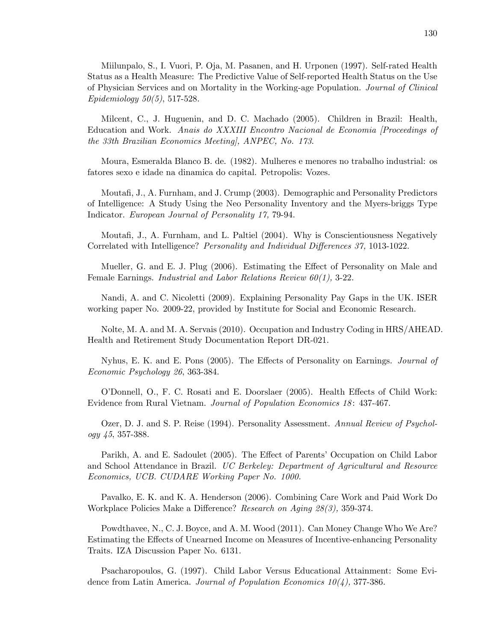Miilunpalo, S., I. Vuori, P. Oja, M. Pasanen, and H. Urponen (1997). Self-rated Health Status as a Health Measure: The Predictive Value of Self-reported Health Status on the Use of Physician Services and on Mortality in the Working-age Population. Journal of Clinical Epidemiology  $50(5)$ , 517-528.

Milcent, C., J. Huguenin, and D. C. Machado (2005). Children in Brazil: Health, Education and Work. Anais do XXXIII Encontro Nacional de Economia [Proceedings of the 33th Brazilian Economics Meeting], ANPEC, No. 173.

Moura, Esmeralda Blanco B. de. (1982). Mulheres e menores no trabalho industrial: os fatores sexo e idade na dinamica do capital. Petropolis: Vozes.

Moutafi, J., A. Furnham, and J. Crump (2003). Demographic and Personality Predictors of Intelligence: A Study Using the Neo Personality Inventory and the Myers-briggs Type Indicator. European Journal of Personality 17, 79-94.

Moutafi, J., A. Furnham, and L. Paltiel (2004). Why is Conscientiousness Negatively Correlated with Intelligence? Personality and Individual Differences 37, 1013-1022.

Mueller, G. and E. J. Plug (2006). Estimating the Effect of Personality on Male and Female Earnings. Industrial and Labor Relations Review 60(1), 3-22.

Nandi, A. and C. Nicoletti (2009). Explaining Personality Pay Gaps in the UK. ISER working paper No. 2009-22, provided by Institute for Social and Economic Research.

Nolte, M. A. and M. A. Servais (2010). Occupation and Industry Coding in HRS/AHEAD. Health and Retirement Study Documentation Report DR-021.

Nyhus, E. K. and E. Pons (2005). The Effects of Personality on Earnings. *Journal of* Economic Psychology 26, 363-384.

O'Donnell, O., F. C. Rosati and E. Doorslaer (2005). Health Effects of Child Work: Evidence from Rural Vietnam. Journal of Population Economics 18: 437-467.

Ozer, D. J. and S. P. Reise (1994). Personality Assessment. Annual Review of Psychology 45, 357-388.

Parikh, A. and E. Sadoulet (2005). The Effect of Parents' Occupation on Child Labor and School Attendance in Brazil. UC Berkeley: Department of Agricultural and Resource Economics, UCB. CUDARE Working Paper No. 1000.

Pavalko, E. K. and K. A. Henderson (2006). Combining Care Work and Paid Work Do Workplace Policies Make a Difference? Research on Aging  $28(3)$ , 359-374.

Powdthavee, N., C. J. Boyce, and A. M. Wood (2011). Can Money Change Who We Are? Estimating the Effects of Unearned Income on Measures of Incentive-enhancing Personality Traits. IZA Discussion Paper No. 6131.

Psacharopoulos, G. (1997). Child Labor Versus Educational Attainment: Some Evidence from Latin America. Journal of Population Economics 10(4), 377-386.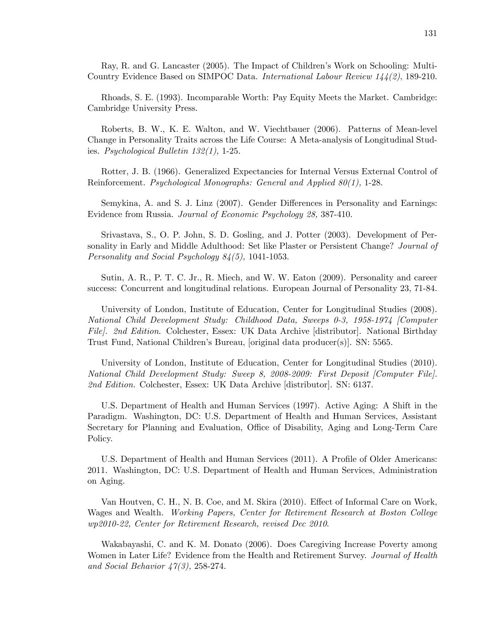Ray, R. and G. Lancaster (2005). The Impact of Children's Work on Schooling: Multi-Country Evidence Based on SIMPOC Data. International Labour Review 144(2), 189-210.

Rhoads, S. E. (1993). Incomparable Worth: Pay Equity Meets the Market. Cambridge: Cambridge University Press.

Roberts, B. W., K. E. Walton, and W. Viechtbauer (2006). Patterns of Mean-level Change in Personality Traits across the Life Course: A Meta-analysis of Longitudinal Studies. Psychological Bulletin 132(1), 1-25.

Rotter, J. B. (1966). Generalized Expectancies for Internal Versus External Control of Reinforcement. Psychological Monographs: General and Applied 80(1), 1-28.

Semykina, A. and S. J. Linz (2007). Gender Differences in Personality and Earnings: Evidence from Russia. Journal of Economic Psychology 28, 387-410.

Srivastava, S., O. P. John, S. D. Gosling, and J. Potter (2003). Development of Personality in Early and Middle Adulthood: Set like Plaster or Persistent Change? Journal of Personality and Social Psychology 84(5), 1041-1053.

Sutin, A. R., P. T. C. Jr., R. Miech, and W. W. Eaton (2009). Personality and career success: Concurrent and longitudinal relations. European Journal of Personality 23, 71-84.

University of London, Institute of Education, Center for Longitudinal Studies (2008). National Child Development Study: Childhood Data, Sweeps 0-3, 1958-1974 [Computer File. 2nd Edition. Colchester, Essex: UK Data Archive [distributor]. National Birthday Trust Fund, National Childrenís Bureau, [original data producer(s)]. SN: 5565.

University of London, Institute of Education, Center for Longitudinal Studies (2010). National Child Development Study: Sweep 8, 2008-2009: First Deposit [Computer File]. 2nd Edition. Colchester, Essex: UK Data Archive [distributor]. SN: 6137.

U.S. Department of Health and Human Services (1997). Active Aging: A Shift in the Paradigm. Washington, DC: U.S. Department of Health and Human Services, Assistant Secretary for Planning and Evaluation, Office of Disability, Aging and Long-Term Care Policy.

U.S. Department of Health and Human Services (2011). A Profile of Older Americans: 2011. Washington, DC: U.S. Department of Health and Human Services, Administration on Aging.

Van Houtven, C. H., N. B. Coe, and M. Skira (2010). Effect of Informal Care on Work, Wages and Wealth. Working Papers, Center for Retirement Research at Boston College wp2010-22, Center for Retirement Research, revised Dec 2010.

Wakabayashi, C. and K. M. Donato (2006). Does Caregiving Increase Poverty among Women in Later Life? Evidence from the Health and Retirement Survey. Journal of Health and Social Behavior  $\frac{1}{4}\frac{\gamma(3)}{3}$ , 258-274.